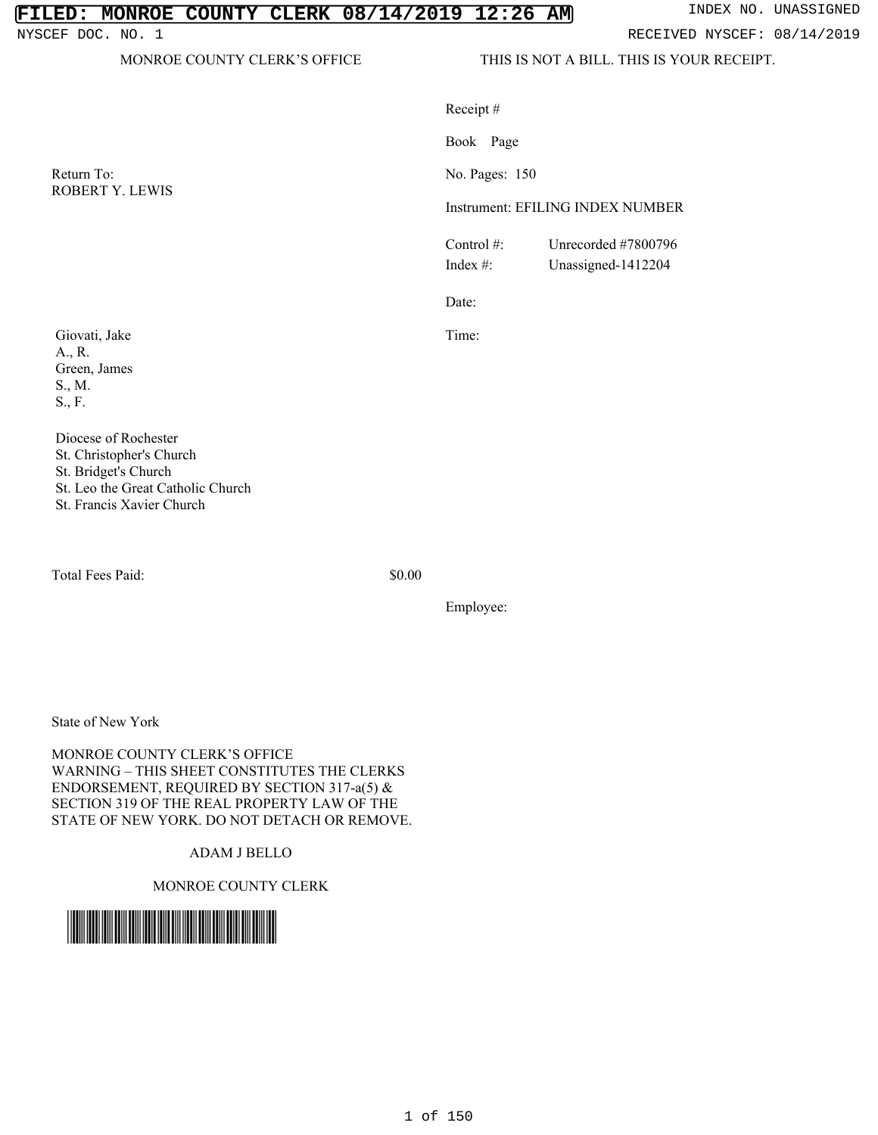# **FILED: MONROE COUNTY CLERK 08/14/2019 12:26 AM** INDEX NO. UNASSIGNED

NYSCEF DOC. NO. 1 **RECEIVED NYSCEF: 08/14/2019** 

MONROE COUNTY CLERK'S OFFICE THIS IS NOT A BILL. THIS IS YOUR RECEIPT.

|                                                                       | Receipt#<br>Book Page        |                                           |  |
|-----------------------------------------------------------------------|------------------------------|-------------------------------------------|--|
|                                                                       |                              |                                           |  |
| Return To:<br><b>ROBERT Y. LEWIS</b>                                  |                              | No. Pages: 150                            |  |
|                                                                       |                              | Instrument: EFILING INDEX NUMBER          |  |
|                                                                       | Control $#$ :<br>Index $#$ : | Unrecorded #7800796<br>Unassigned-1412204 |  |
|                                                                       | Date:                        |                                           |  |
| Giovati, Jake<br>A., R.<br>Green, James<br>S., M.<br>$S_{\cdot}$ , F. | Time:                        |                                           |  |
| Diocese of Rochester<br>$R_f$ Christopher's Church                    |                              |                                           |  |

Diocese of Roch St. Christopher's Church St. Bridget's Church St. Leo the Great Catholic Church St. Francis Xavier Church

Total Fees Paid:  $$0.00$ 

Employee:

State of New York

MONROE COUNTY CLERK'S OFFICE WARNING – THIS SHEET CONSTITUTES THE CLERKS ENDORSEMENT, REQUIRED BY SECTION 317-a(5) & SECTION 319 OF THE REAL PROPERTY LAW OF THE STATE OF NEW YORK. DO NOT DETACH OR REMOVE.

## ADAM J BELLO

MONROE COUNTY CLERK

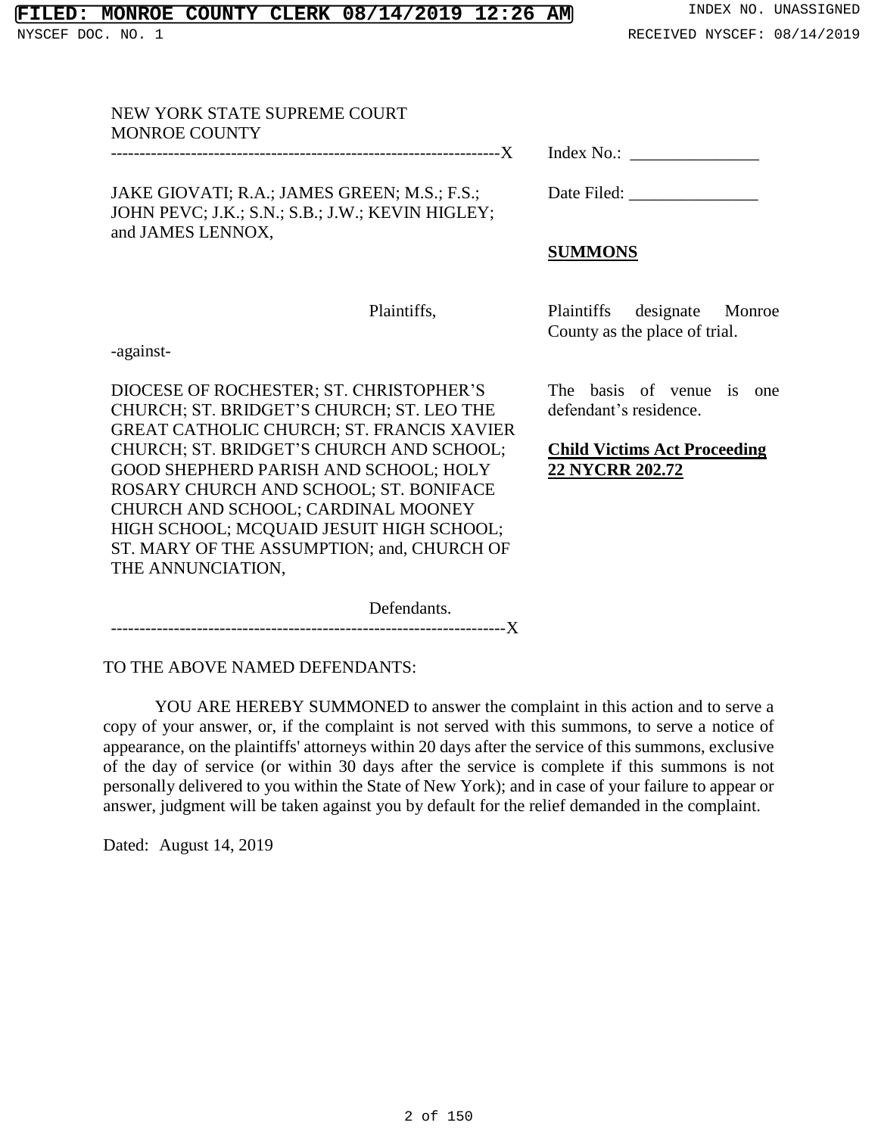## **FILED: MONROE COUNTY CLERK 08/14/2019 12:26 AM** INDEX NO. UNASSIGNED

# NEW YORK STATE SUPREME COURT MONROE COUNTY --------------------------------------------------------------------X JAKE GIOVATI; R.A.; JAMES GREEN; M.S.; F.S.; JOHN PEVC; J.K.; S.N.; S.B.; J.W.; KEVIN HIGLEY; and JAMES LENNOX, Index No.: \_\_\_\_\_\_\_\_\_\_\_\_\_\_\_ **SUMMONS**

Plaintiffs,

-against-

DIOCESE OF ROCHESTER; ST. CHRISTOPHER'S CHURCH; ST. BRIDGET'S CHURCH; ST. LEO THE GREAT CATHOLIC CHURCH; ST. FRANCIS XAVIER CHURCH; ST. BRIDGET'S CHURCH AND SCHOOL; GOOD SHEPHERD PARISH AND SCHOOL; HOLY ROSARY CHURCH AND SCHOOL; ST. BONIFACE CHURCH AND SCHOOL; CARDINAL MOONEY HIGH SCHOOL; MCQUAID JESUIT HIGH SCHOOL; ST. MARY OF THE ASSUMPTION; and, CHURCH OF THE ANNUNCIATION,

Defendants. ---------------------------------------------------------------------X

TO THE ABOVE NAMED DEFENDANTS:

YOU ARE HEREBY SUMMONED to answer the complaint in this action and to serve a copy of your answer, or, if the complaint is not served with this summons, to serve a notice of appearance, on the plaintiffs' attorneys within 20 days after the service of this summons, exclusive of the day of service (or within 30 days after the service is complete if this summons is not personally delivered to you within the State of New York); and in case of your failure to appear or answer, judgment will be taken against you by default for the relief demanded in the complaint.

Dated: August 14, 2019

Date Filed: \_\_\_\_\_\_\_\_\_\_\_\_\_\_\_

Plaintiffs designate Monroe County as the place of trial.

The basis of venue is one defendant's residence.

**Child Victims Act Proceeding 22 NYCRR 202.72**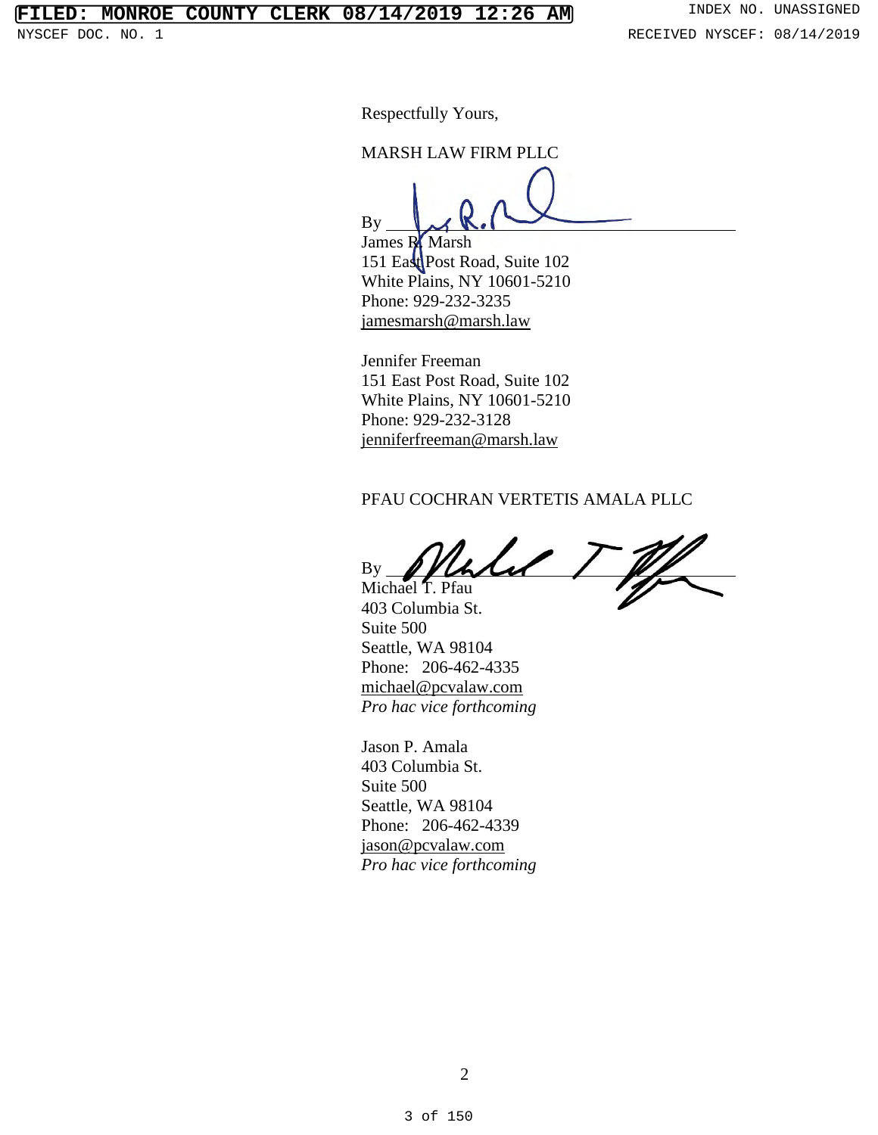# **FILED: MONROE COUNTY CLERK 08/14/2019 12:26 AM** INDEX NO. UNASSIGNED

Respectfully Yours,

MARSH LAW FIRM PLLC

By

James R. Marsh 151 East Post Road, Suite 102 White Plains, NY 10601-5210 Phone: 929-232-3235 jamesmarsh@marsh.law

Jennifer Freeman 151 East Post Road, Suite 102 White Plains, NY 10601-5210 Phone: 929-232-3128 jenniferfreeman@marsh.law

### PFAU COCHRAN VERTETIS AMALA PLLC

By Michael T. Pfau

403 Columbia St. Suite 500 Seattle, WA 98104 Phone: 206-462-4335 michael@pcvalaw.com *Pro hac vice forthcoming*

Jason P. Amala 403 Columbia St. Suite 500 Seattle, WA 98104 Phone: 206-462-4339 jason@pcvalaw.com *Pro hac vice forthcoming*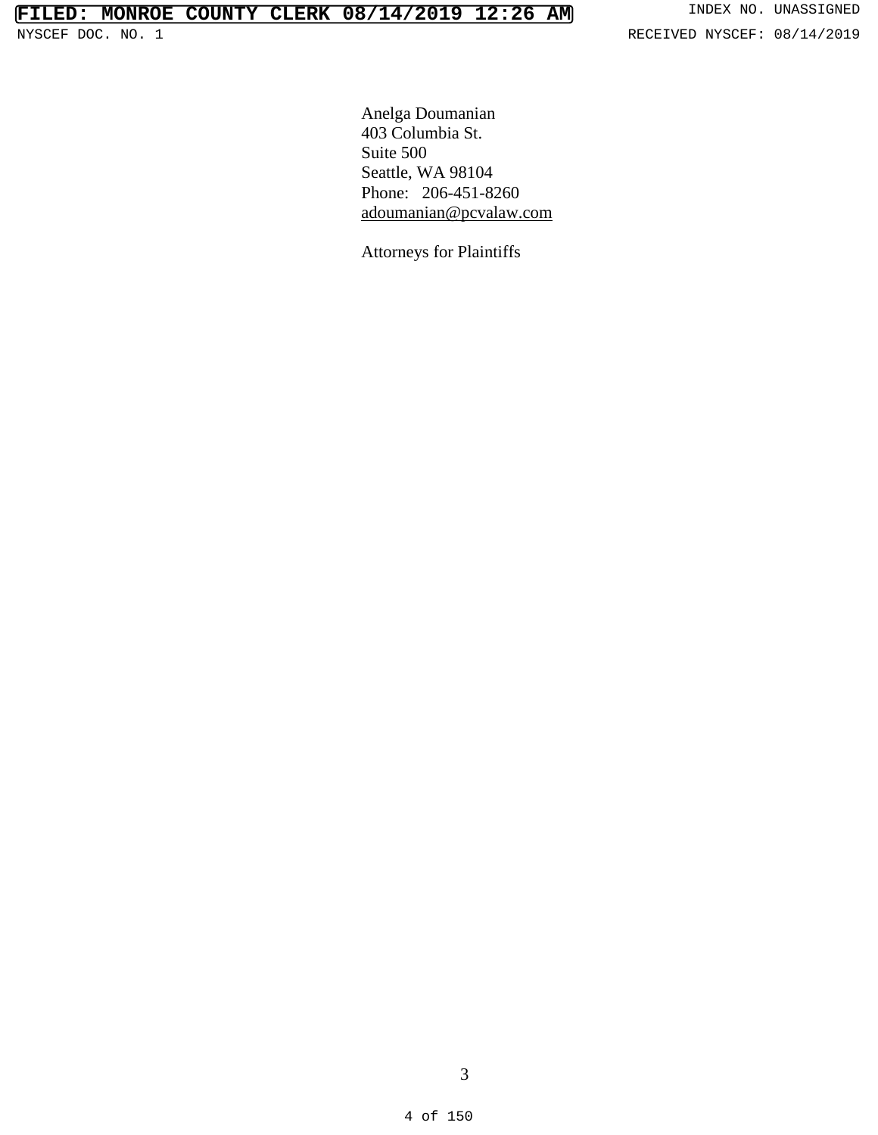Anelga Doumanian 403 Columbia St. Suite 500 Seattle, WA 98104 Phone: 206-451-8260 adoumanian@pcvalaw.com

Attorneys for Plaintiffs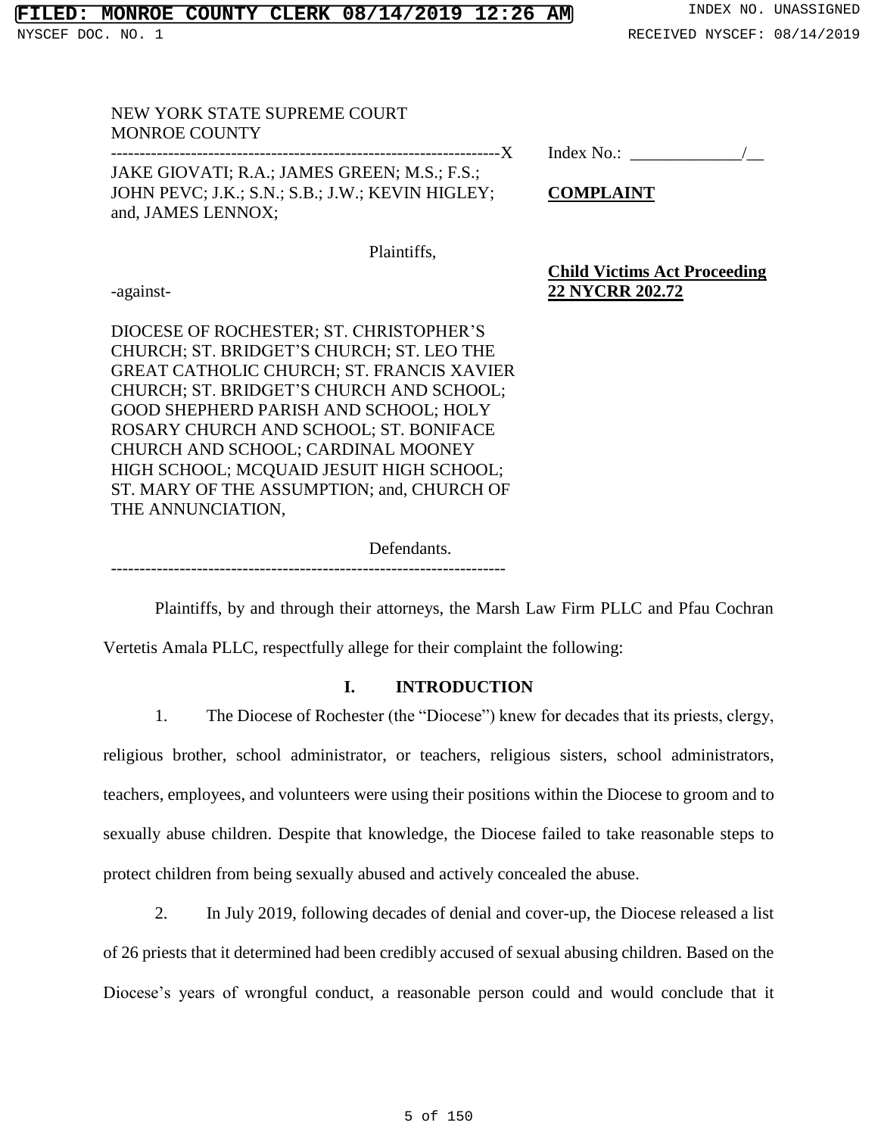# **MONROE COUNTY CLERK 08/14/2019 12:26 AM** INDEX NO. UNASSIGNED

# NEW YORK STATE SUPREME COURT MONROE COUNTY

JAKE GIOVATI; R.A.; JAMES GREEN; M.S.; F.S.; JOHN PEVC; J.K.; S.N.; S.B.; J.W.; KEVIN HIGLEY; and, JAMES LENNOX;

Index No.:  $\qquad$ 

**Child Victims Act Proceeding**

**COMPLAINT**

**22 NYCRR 202.72**

Plaintiffs,

-against-

DIOCESE OF ROCHESTER; ST. CHRISTOPHER'S CHURCH; ST. BRIDGET'S CHURCH; ST. LEO THE GREAT CATHOLIC CHURCH; ST. FRANCIS XAVIER CHURCH; ST. BRIDGET'S CHURCH AND SCHOOL; GOOD SHEPHERD PARISH AND SCHOOL; HOLY ROSARY CHURCH AND SCHOOL; ST. BONIFACE CHURCH AND SCHOOL; CARDINAL MOONEY HIGH SCHOOL; MCQUAID JESUIT HIGH SCHOOL; ST. MARY OF THE ASSUMPTION; and, CHURCH OF THE ANNUNCIATION,

Defendants.

---------------------------------------------------------------------

Plaintiffs, by and through their attorneys, the Marsh Law Firm PLLC and Pfau Cochran

Vertetis Amala PLLC, respectfully allege for their complaint the following:

# **I. INTRODUCTION**

1. The Diocese of Rochester (the "Diocese") knew for decades that its priests, clergy,

religious brother, school administrator, or teachers, religious sisters, school administrators, teachers, employees, and volunteers were using their positions within the Diocese to groom and to sexually abuse children. Despite that knowledge, the Diocese failed to take reasonable steps to protect children from being sexually abused and actively concealed the abuse.

2. In July 2019, following decades of denial and cover-up, the Diocese released a list of 26 priests that it determined had been credibly accused of sexual abusing children. Based on the Diocese's years of wrongful conduct, a reasonable person could and would conclude that it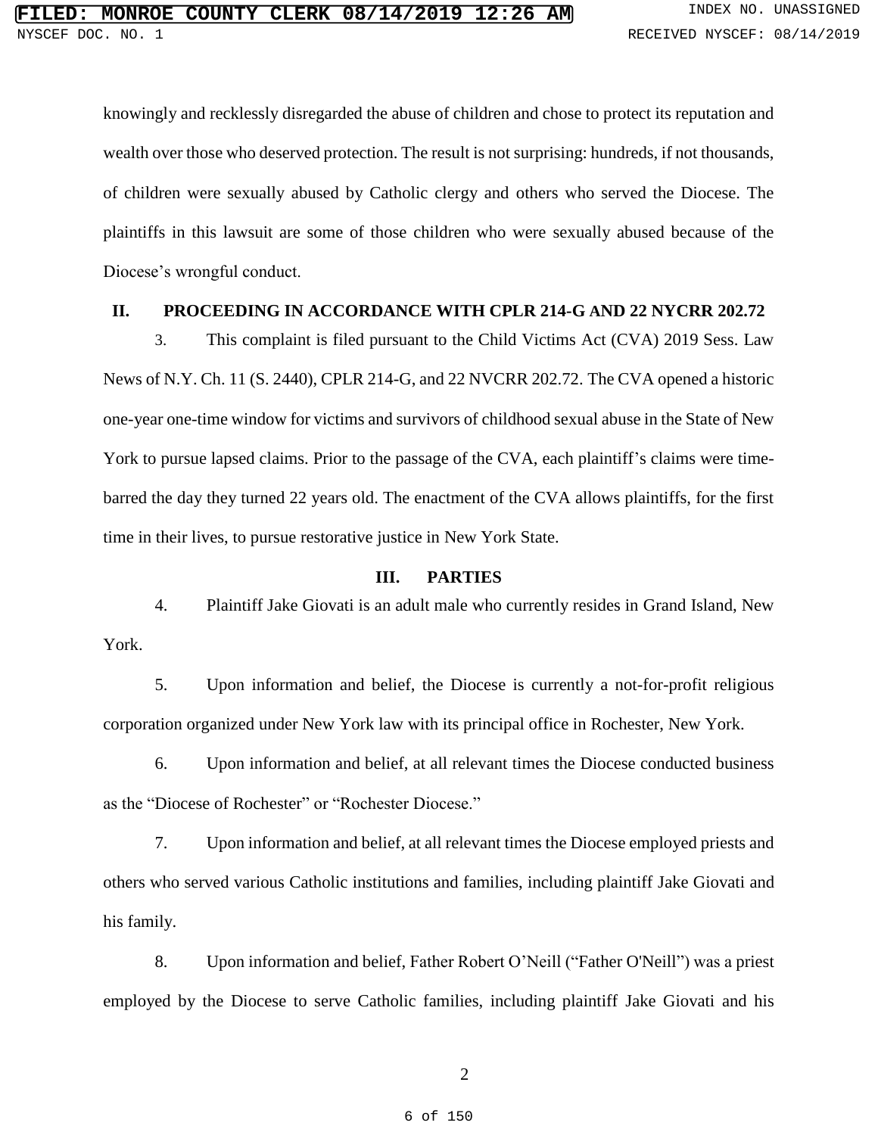knowingly and recklessly disregarded the abuse of children and chose to protect its reputation and wealth over those who deserved protection. The result is not surprising: hundreds, if not thousands, of children were sexually abused by Catholic clergy and others who served the Diocese. The plaintiffs in this lawsuit are some of those children who were sexually abused because of the Diocese's wrongful conduct.

# **II. PROCEEDING IN ACCORDANCE WITH CPLR 214-G AND 22 NYCRR 202.72**

3. This complaint is filed pursuant to the Child Victims Act (CVA) 2019 Sess. Law News of N.Y. Ch. 11 (S. 2440), CPLR 214-G, and 22 NVCRR 202.72. The CVA opened a historic one-year one-time window for victims and survivors of childhood sexual abuse in the State of New York to pursue lapsed claims. Prior to the passage of the CVA, each plaintiff's claims were timebarred the day they turned 22 years old. The enactment of the CVA allows plaintiffs, for the first time in their lives, to pursue restorative justice in New York State.

### **III. PARTIES**

4. Plaintiff Jake Giovati is an adult male who currently resides in Grand Island, New York.

5. Upon information and belief, the Diocese is currently a not-for-profit religious corporation organized under New York law with its principal office in Rochester, New York.

6. Upon information and belief, at all relevant times the Diocese conducted business as the "Diocese of Rochester" or "Rochester Diocese."

7. Upon information and belief, at all relevant times the Diocese employed priests and others who served various Catholic institutions and families, including plaintiff Jake Giovati and his family.

8. Upon information and belief, Father Robert O'Neill ("Father O'Neill") was a priest employed by the Diocese to serve Catholic families, including plaintiff Jake Giovati and his

2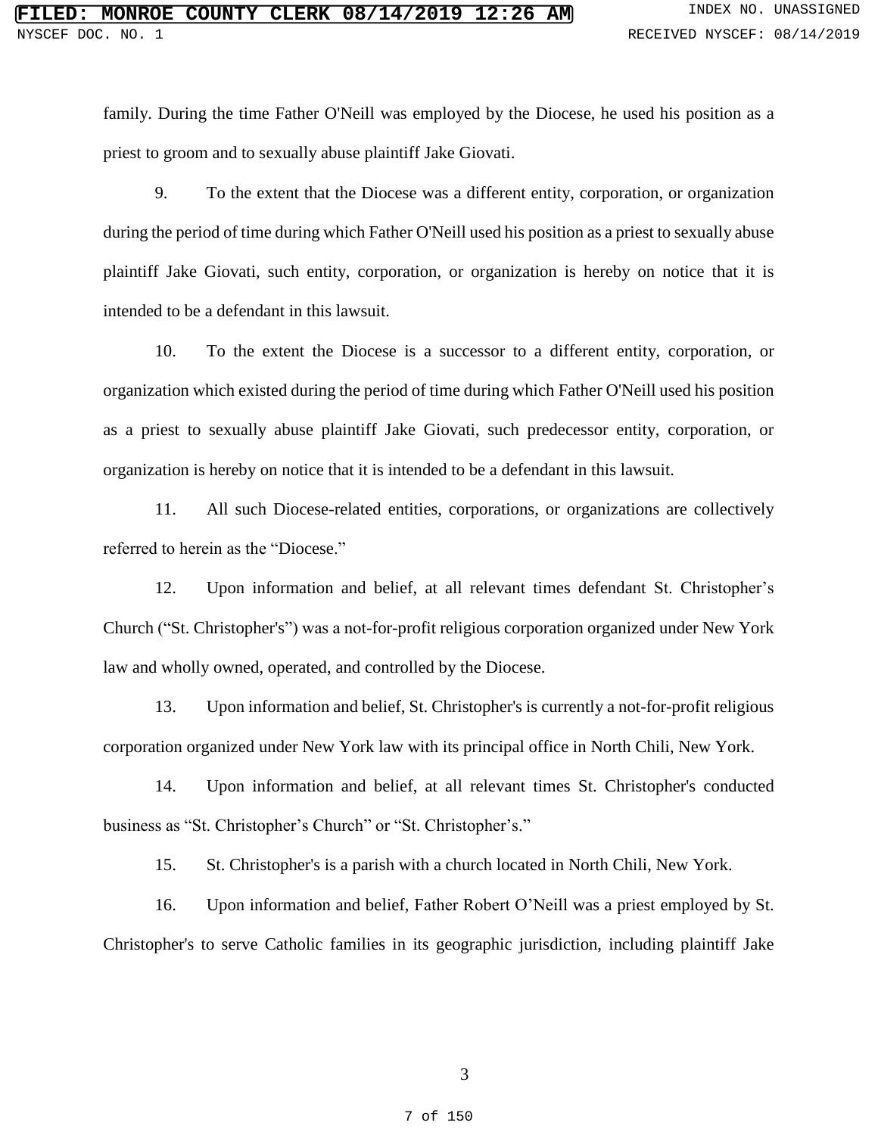family. During the time Father O'Neill was employed by the Diocese, he used his position as a priest to groom and to sexually abuse plaintiff Jake Giovati.

9. To the extent that the Diocese was a different entity, corporation, or organization during the period of time during which Father O'Neill used his position as a priest to sexually abuse plaintiff Jake Giovati, such entity, corporation, or organization is hereby on notice that it is intended to be a defendant in this lawsuit.

10. To the extent the Diocese is a successor to a different entity, corporation, or organization which existed during the period of time during which Father O'Neill used his position as a priest to sexually abuse plaintiff Jake Giovati, such predecessor entity, corporation, or organization is hereby on notice that it is intended to be a defendant in this lawsuit.

11. All such Diocese-related entities, corporations, or organizations are collectively referred to herein as the "Diocese."

12. Upon information and belief, at all relevant times defendant St. Christopher's Church ("St. Christopher's") was a not-for-profit religious corporation organized under New York law and wholly owned, operated, and controlled by the Diocese.

13. Upon information and belief, St. Christopher's is currently a not-for-profit religious corporation organized under New York law with its principal office in North Chili, New York.

14. Upon information and belief, at all relevant times St. Christopher's conducted business as "St. Christopher's Church" or "St. Christopher's."

15. St. Christopher's is a parish with a church located in North Chili, New York.

16. Upon information and belief, Father Robert O'Neill was a priest employed by St. Christopher's to serve Catholic families in its geographic jurisdiction, including plaintiff Jake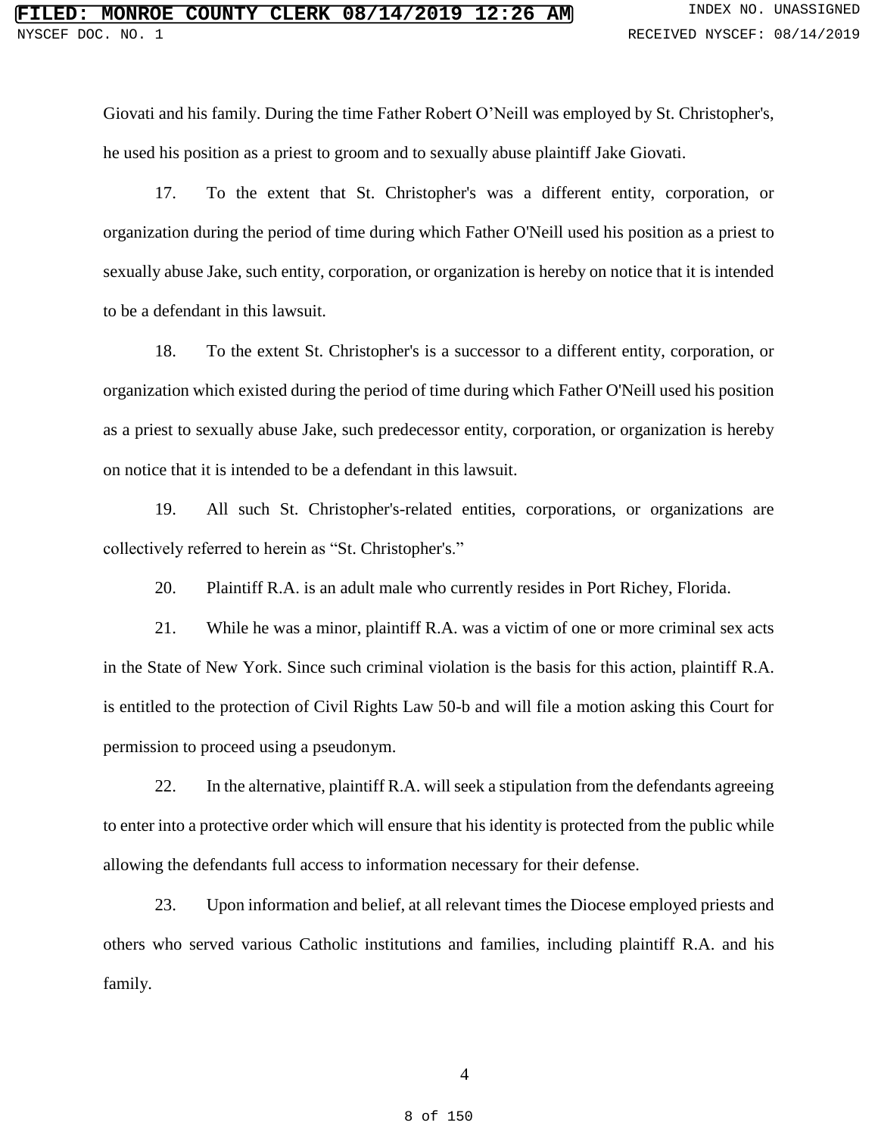Giovati and his family. During the time Father Robert O'Neill was employed by St. Christopher's, he used his position as a priest to groom and to sexually abuse plaintiff Jake Giovati.

17. To the extent that St. Christopher's was a different entity, corporation, or organization during the period of time during which Father O'Neill used his position as a priest to sexually abuse Jake, such entity, corporation, or organization is hereby on notice that it is intended to be a defendant in this lawsuit.

18. To the extent St. Christopher's is a successor to a different entity, corporation, or organization which existed during the period of time during which Father O'Neill used his position as a priest to sexually abuse Jake, such predecessor entity, corporation, or organization is hereby on notice that it is intended to be a defendant in this lawsuit.

19. All such St. Christopher's-related entities, corporations, or organizations are collectively referred to herein as "St. Christopher's."

20. Plaintiff R.A. is an adult male who currently resides in Port Richey, Florida.

21. While he was a minor, plaintiff R.A. was a victim of one or more criminal sex acts in the State of New York. Since such criminal violation is the basis for this action, plaintiff R.A. is entitled to the protection of Civil Rights Law 50-b and will file a motion asking this Court for permission to proceed using a pseudonym.

22. In the alternative, plaintiff R.A. will seek a stipulation from the defendants agreeing to enter into a protective order which will ensure that his identity is protected from the public while allowing the defendants full access to information necessary for their defense.

23. Upon information and belief, at all relevant times the Diocese employed priests and others who served various Catholic institutions and families, including plaintiff R.A. and his family.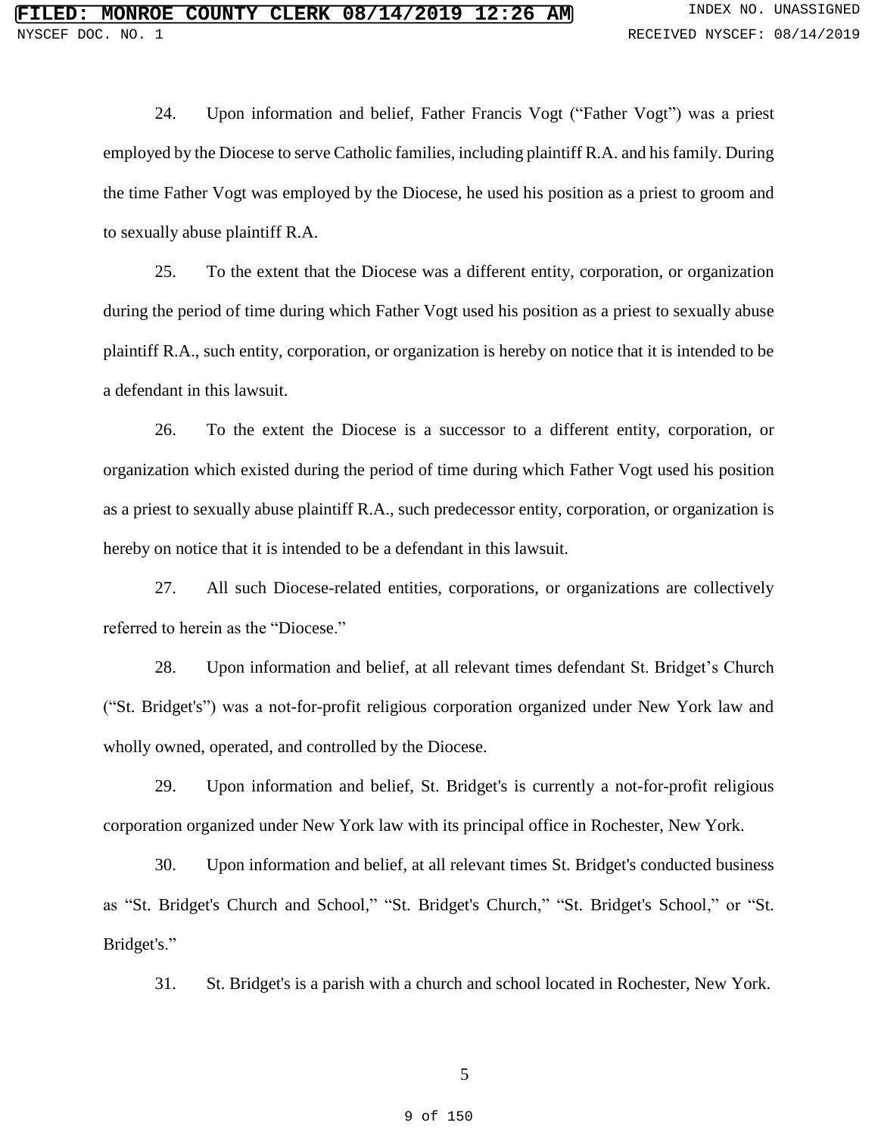24. Upon information and belief, Father Francis Vogt ("Father Vogt") was a priest employed by the Diocese to serve Catholic families, including plaintiff R.A. and hisfamily. During the time Father Vogt was employed by the Diocese, he used his position as a priest to groom and to sexually abuse plaintiff R.A.

25. To the extent that the Diocese was a different entity, corporation, or organization during the period of time during which Father Vogt used his position as a priest to sexually abuse plaintiff R.A., such entity, corporation, or organization is hereby on notice that it is intended to be a defendant in this lawsuit.

26. To the extent the Diocese is a successor to a different entity, corporation, or organization which existed during the period of time during which Father Vogt used his position as a priest to sexually abuse plaintiff R.A., such predecessor entity, corporation, or organization is hereby on notice that it is intended to be a defendant in this lawsuit.

27. All such Diocese-related entities, corporations, or organizations are collectively referred to herein as the "Diocese."

28. Upon information and belief, at all relevant times defendant St. Bridget's Church ("St. Bridget's") was a not-for-profit religious corporation organized under New York law and wholly owned, operated, and controlled by the Diocese.

29. Upon information and belief, St. Bridget's is currently a not-for-profit religious corporation organized under New York law with its principal office in Rochester, New York.

30. Upon information and belief, at all relevant times St. Bridget's conducted business as "St. Bridget's Church and School," "St. Bridget's Church," "St. Bridget's School," or "St. Bridget's."

31. St. Bridget's is a parish with a church and school located in Rochester, New York.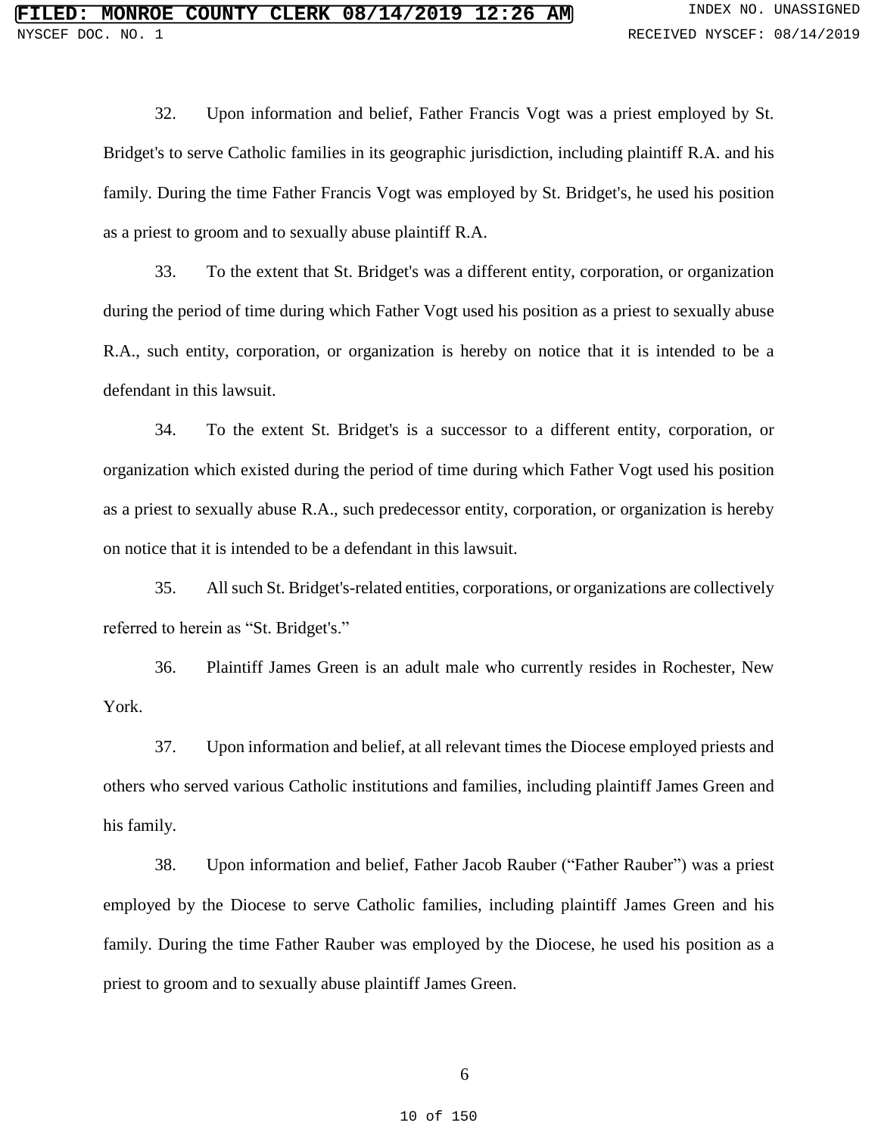32. Upon information and belief, Father Francis Vogt was a priest employed by St. Bridget's to serve Catholic families in its geographic jurisdiction, including plaintiff R.A. and his family. During the time Father Francis Vogt was employed by St. Bridget's, he used his position as a priest to groom and to sexually abuse plaintiff R.A.

33. To the extent that St. Bridget's was a different entity, corporation, or organization during the period of time during which Father Vogt used his position as a priest to sexually abuse R.A., such entity, corporation, or organization is hereby on notice that it is intended to be a defendant in this lawsuit.

34. To the extent St. Bridget's is a successor to a different entity, corporation, or organization which existed during the period of time during which Father Vogt used his position as a priest to sexually abuse R.A., such predecessor entity, corporation, or organization is hereby on notice that it is intended to be a defendant in this lawsuit.

35. All such St. Bridget's-related entities, corporations, or organizations are collectively referred to herein as "St. Bridget's."

36. Plaintiff James Green is an adult male who currently resides in Rochester, New York.

37. Upon information and belief, at all relevant times the Diocese employed priests and others who served various Catholic institutions and families, including plaintiff James Green and his family.

38. Upon information and belief, Father Jacob Rauber ("Father Rauber") was a priest employed by the Diocese to serve Catholic families, including plaintiff James Green and his family. During the time Father Rauber was employed by the Diocese, he used his position as a priest to groom and to sexually abuse plaintiff James Green.

6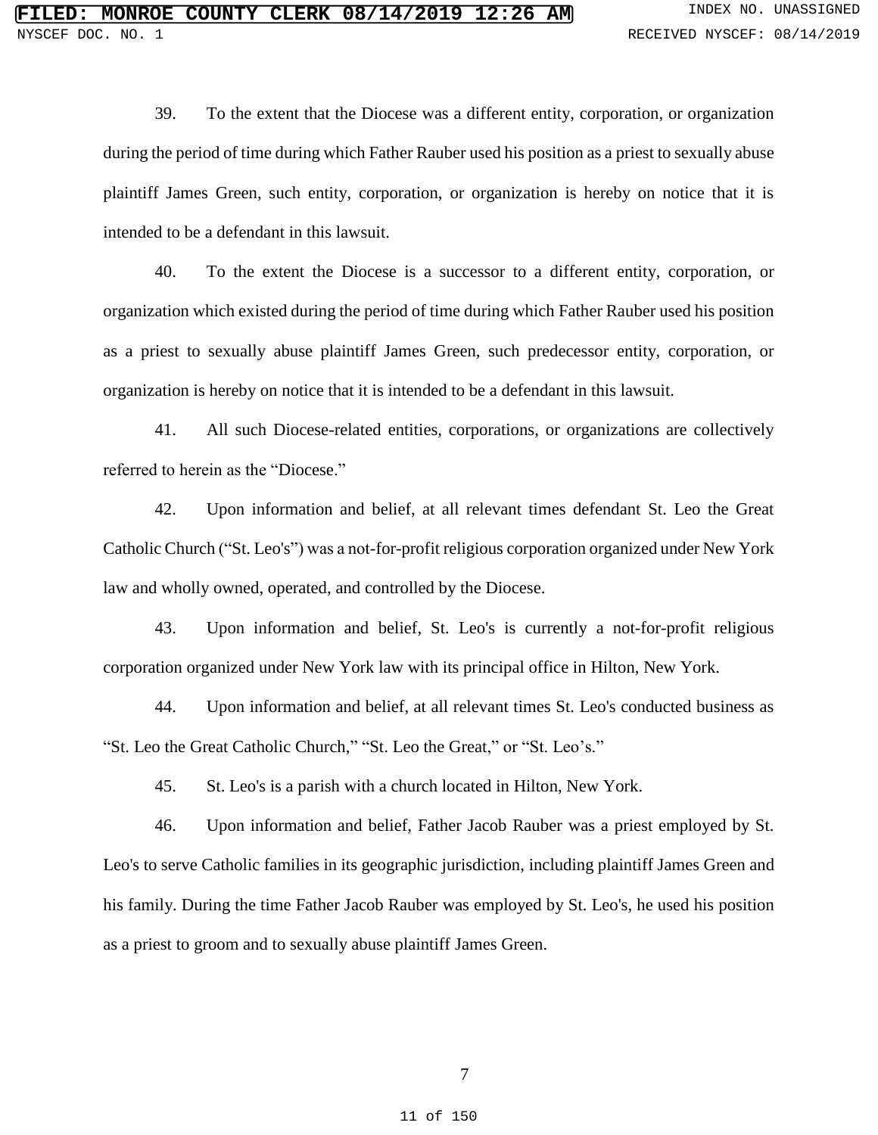39. To the extent that the Diocese was a different entity, corporation, or organization during the period of time during which Father Rauber used his position as a priest to sexually abuse plaintiff James Green, such entity, corporation, or organization is hereby on notice that it is intended to be a defendant in this lawsuit.

40. To the extent the Diocese is a successor to a different entity, corporation, or organization which existed during the period of time during which Father Rauber used his position as a priest to sexually abuse plaintiff James Green, such predecessor entity, corporation, or organization is hereby on notice that it is intended to be a defendant in this lawsuit.

41. All such Diocese-related entities, corporations, or organizations are collectively referred to herein as the "Diocese."

42. Upon information and belief, at all relevant times defendant St. Leo the Great Catholic Church ("St. Leo's") was a not-for-profit religious corporation organized under New York law and wholly owned, operated, and controlled by the Diocese.

43. Upon information and belief, St. Leo's is currently a not-for-profit religious corporation organized under New York law with its principal office in Hilton, New York.

44. Upon information and belief, at all relevant times St. Leo's conducted business as "St. Leo the Great Catholic Church," "St. Leo the Great," or "St. Leo's."

45. St. Leo's is a parish with a church located in Hilton, New York.

46. Upon information and belief, Father Jacob Rauber was a priest employed by St. Leo's to serve Catholic families in its geographic jurisdiction, including plaintiff James Green and his family. During the time Father Jacob Rauber was employed by St. Leo's, he used his position as a priest to groom and to sexually abuse plaintiff James Green.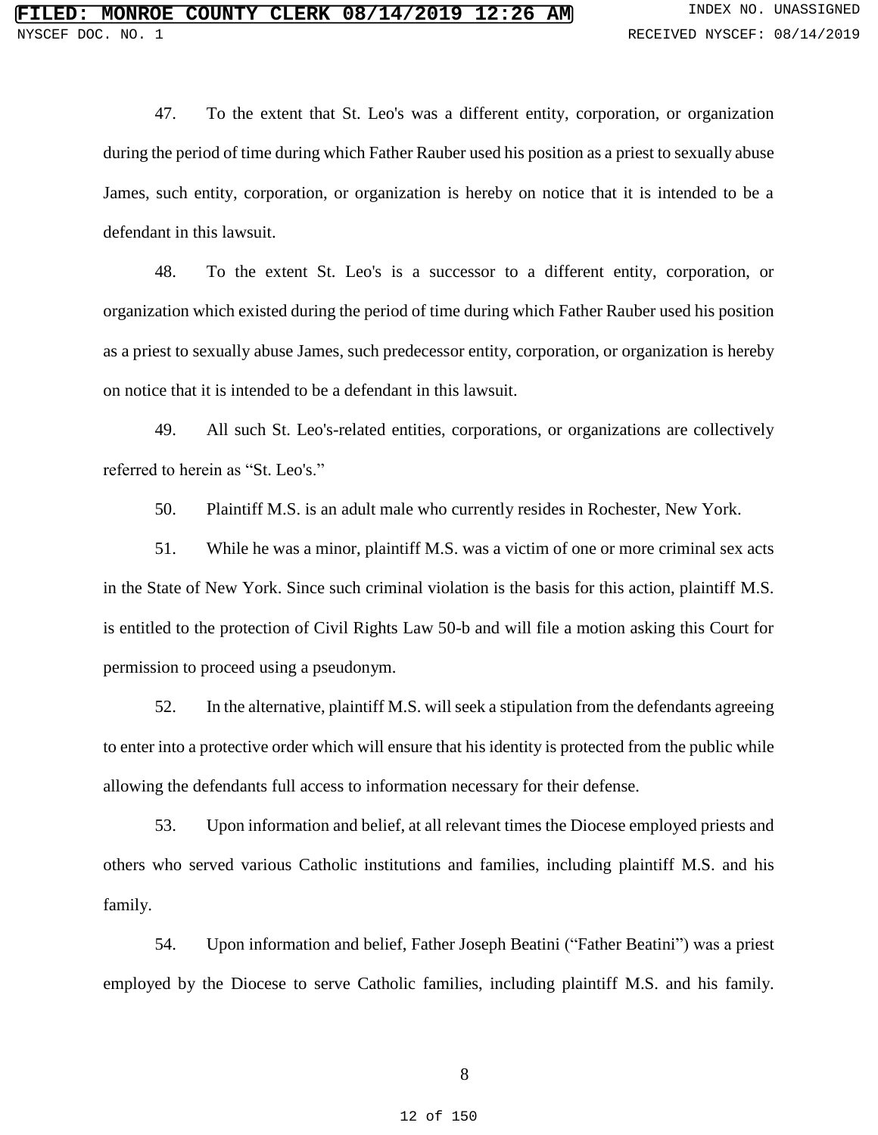47. To the extent that St. Leo's was a different entity, corporation, or organization during the period of time during which Father Rauber used his position as a priest to sexually abuse James, such entity, corporation, or organization is hereby on notice that it is intended to be a defendant in this lawsuit.

48. To the extent St. Leo's is a successor to a different entity, corporation, or organization which existed during the period of time during which Father Rauber used his position as a priest to sexually abuse James, such predecessor entity, corporation, or organization is hereby on notice that it is intended to be a defendant in this lawsuit.

49. All such St. Leo's-related entities, corporations, or organizations are collectively referred to herein as "St. Leo's."

50. Plaintiff M.S. is an adult male who currently resides in Rochester, New York.

51. While he was a minor, plaintiff M.S. was a victim of one or more criminal sex acts in the State of New York. Since such criminal violation is the basis for this action, plaintiff M.S. is entitled to the protection of Civil Rights Law 50-b and will file a motion asking this Court for permission to proceed using a pseudonym.

52. In the alternative, plaintiff M.S. will seek a stipulation from the defendants agreeing to enter into a protective order which will ensure that his identity is protected from the public while allowing the defendants full access to information necessary for their defense.

53. Upon information and belief, at all relevant times the Diocese employed priests and others who served various Catholic institutions and families, including plaintiff M.S. and his family.

54. Upon information and belief, Father Joseph Beatini ("Father Beatini") was a priest employed by the Diocese to serve Catholic families, including plaintiff M.S. and his family.

8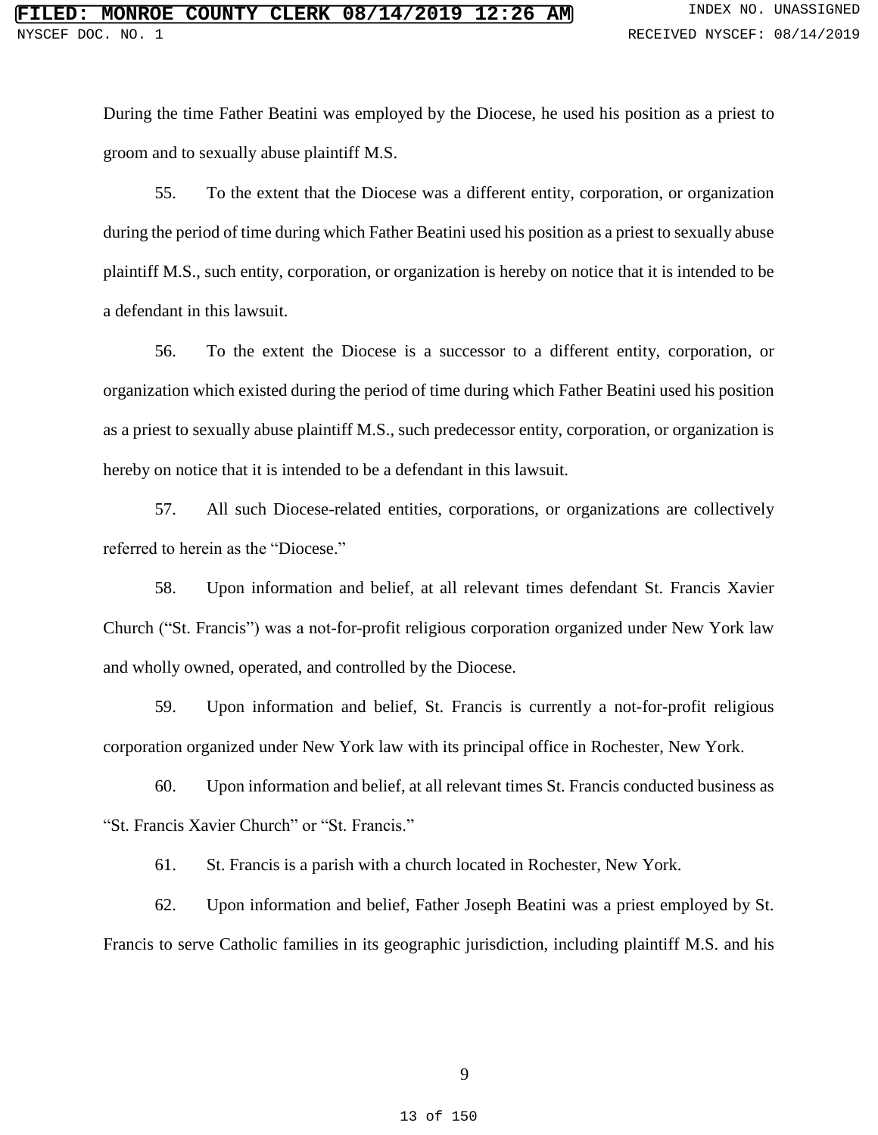During the time Father Beatini was employed by the Diocese, he used his position as a priest to groom and to sexually abuse plaintiff M.S.

55. To the extent that the Diocese was a different entity, corporation, or organization during the period of time during which Father Beatini used his position as a priest to sexually abuse plaintiff M.S., such entity, corporation, or organization is hereby on notice that it is intended to be a defendant in this lawsuit.

56. To the extent the Diocese is a successor to a different entity, corporation, or organization which existed during the period of time during which Father Beatini used his position as a priest to sexually abuse plaintiff M.S., such predecessor entity, corporation, or organization is hereby on notice that it is intended to be a defendant in this lawsuit.

57. All such Diocese-related entities, corporations, or organizations are collectively referred to herein as the "Diocese."

58. Upon information and belief, at all relevant times defendant St. Francis Xavier Church ("St. Francis") was a not-for-profit religious corporation organized under New York law and wholly owned, operated, and controlled by the Diocese.

59. Upon information and belief, St. Francis is currently a not-for-profit religious corporation organized under New York law with its principal office in Rochester, New York.

60. Upon information and belief, at all relevant times St. Francis conducted business as "St. Francis Xavier Church" or "St. Francis."

61. St. Francis is a parish with a church located in Rochester, New York.

62. Upon information and belief, Father Joseph Beatini was a priest employed by St. Francis to serve Catholic families in its geographic jurisdiction, including plaintiff M.S. and his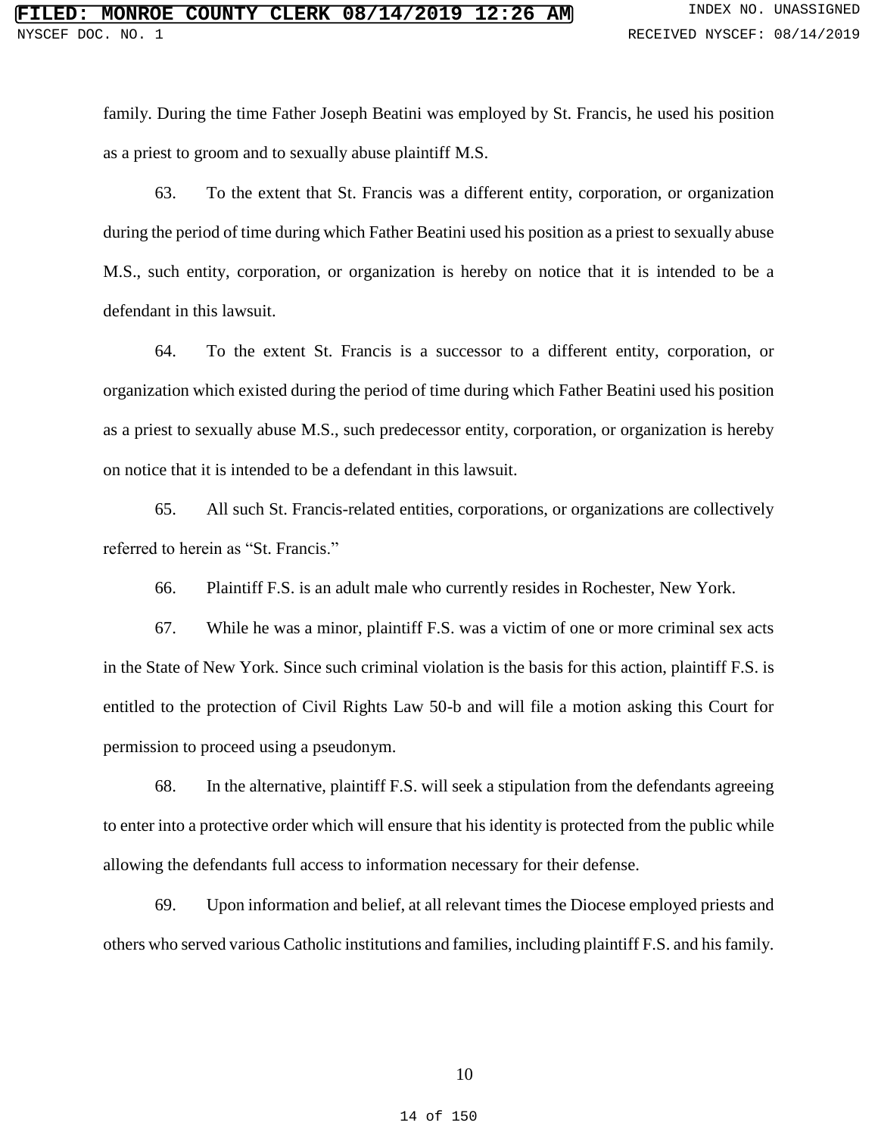family. During the time Father Joseph Beatini was employed by St. Francis, he used his position as a priest to groom and to sexually abuse plaintiff M.S.

63. To the extent that St. Francis was a different entity, corporation, or organization during the period of time during which Father Beatini used his position as a priest to sexually abuse M.S., such entity, corporation, or organization is hereby on notice that it is intended to be a defendant in this lawsuit.

64. To the extent St. Francis is a successor to a different entity, corporation, or organization which existed during the period of time during which Father Beatini used his position as a priest to sexually abuse M.S., such predecessor entity, corporation, or organization is hereby on notice that it is intended to be a defendant in this lawsuit.

65. All such St. Francis-related entities, corporations, or organizations are collectively referred to herein as "St. Francis."

66. Plaintiff F.S. is an adult male who currently resides in Rochester, New York.

67. While he was a minor, plaintiff F.S. was a victim of one or more criminal sex acts in the State of New York. Since such criminal violation is the basis for this action, plaintiff F.S. is entitled to the protection of Civil Rights Law 50-b and will file a motion asking this Court for permission to proceed using a pseudonym.

68. In the alternative, plaintiff F.S. will seek a stipulation from the defendants agreeing to enter into a protective order which will ensure that his identity is protected from the public while allowing the defendants full access to information necessary for their defense.

69. Upon information and belief, at all relevant times the Diocese employed priests and others who served various Catholic institutions and families, including plaintiff F.S. and hisfamily.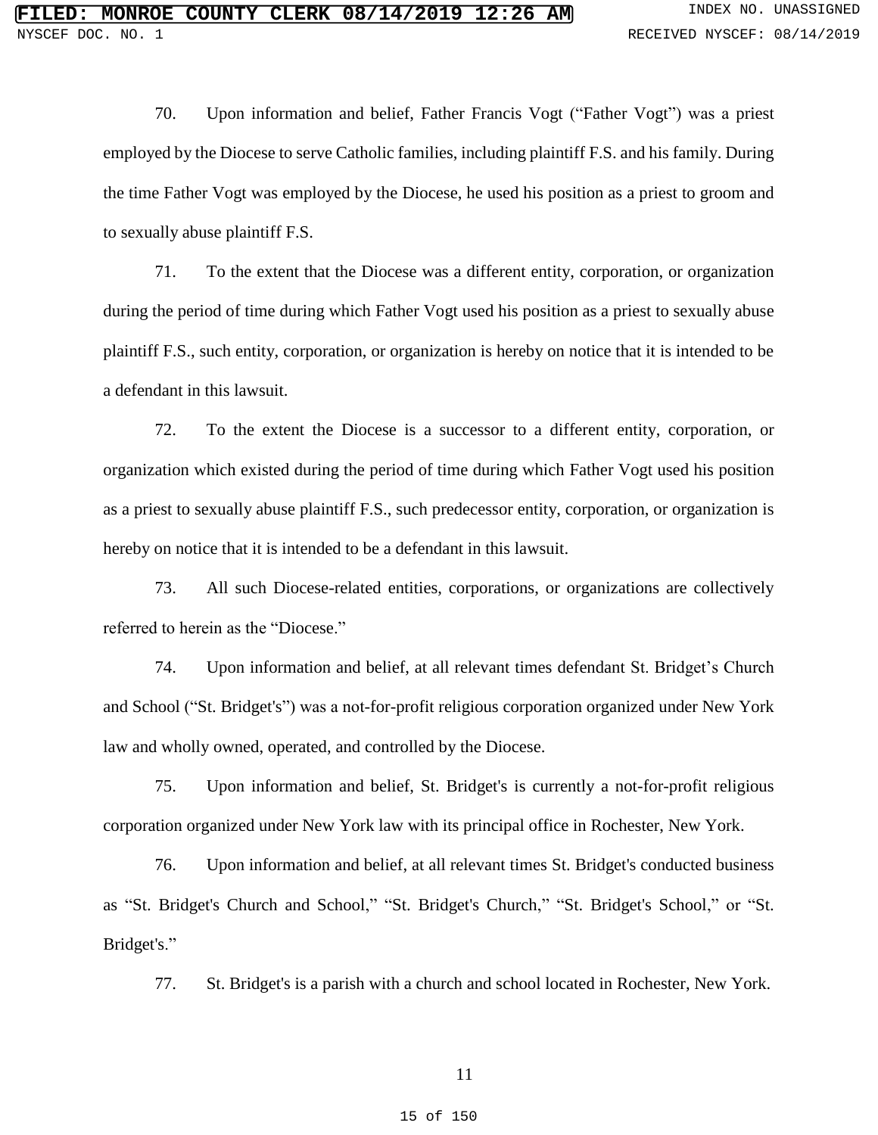70. Upon information and belief, Father Francis Vogt ("Father Vogt") was a priest employed by the Diocese to serve Catholic families, including plaintiff F.S. and his family. During the time Father Vogt was employed by the Diocese, he used his position as a priest to groom and to sexually abuse plaintiff F.S.

71. To the extent that the Diocese was a different entity, corporation, or organization during the period of time during which Father Vogt used his position as a priest to sexually abuse plaintiff F.S., such entity, corporation, or organization is hereby on notice that it is intended to be a defendant in this lawsuit.

72. To the extent the Diocese is a successor to a different entity, corporation, or organization which existed during the period of time during which Father Vogt used his position as a priest to sexually abuse plaintiff F.S., such predecessor entity, corporation, or organization is hereby on notice that it is intended to be a defendant in this lawsuit.

73. All such Diocese-related entities, corporations, or organizations are collectively referred to herein as the "Diocese."

74. Upon information and belief, at all relevant times defendant St. Bridget's Church and School ("St. Bridget's") was a not-for-profit religious corporation organized under New York law and wholly owned, operated, and controlled by the Diocese.

75. Upon information and belief, St. Bridget's is currently a not-for-profit religious corporation organized under New York law with its principal office in Rochester, New York.

76. Upon information and belief, at all relevant times St. Bridget's conducted business as "St. Bridget's Church and School," "St. Bridget's Church," "St. Bridget's School," or "St. Bridget's."

77. St. Bridget's is a parish with a church and school located in Rochester, New York.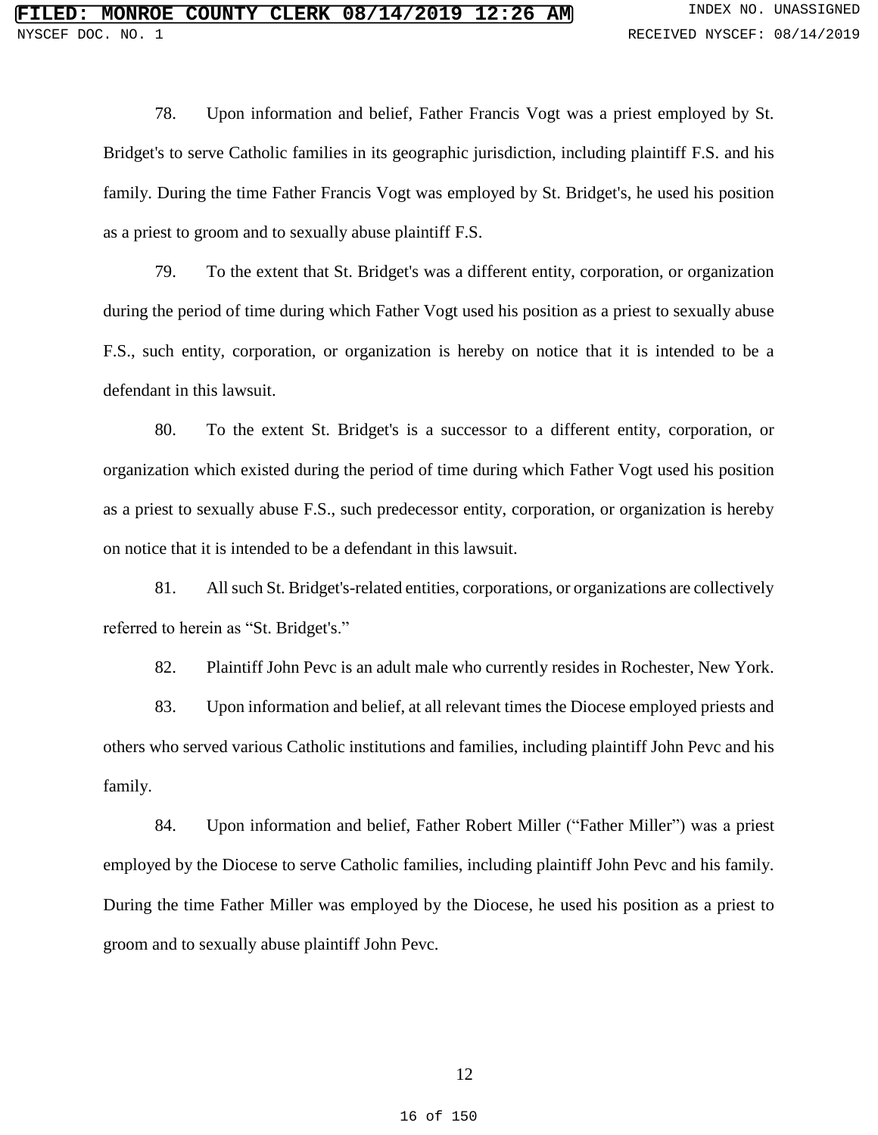78. Upon information and belief, Father Francis Vogt was a priest employed by St. Bridget's to serve Catholic families in its geographic jurisdiction, including plaintiff F.S. and his family. During the time Father Francis Vogt was employed by St. Bridget's, he used his position as a priest to groom and to sexually abuse plaintiff F.S.

79. To the extent that St. Bridget's was a different entity, corporation, or organization during the period of time during which Father Vogt used his position as a priest to sexually abuse F.S., such entity, corporation, or organization is hereby on notice that it is intended to be a defendant in this lawsuit.

80. To the extent St. Bridget's is a successor to a different entity, corporation, or organization which existed during the period of time during which Father Vogt used his position as a priest to sexually abuse F.S., such predecessor entity, corporation, or organization is hereby on notice that it is intended to be a defendant in this lawsuit.

81. All such St. Bridget's-related entities, corporations, or organizations are collectively referred to herein as "St. Bridget's."

82. Plaintiff John Pevc is an adult male who currently resides in Rochester, New York.

83. Upon information and belief, at all relevant times the Diocese employed priests and others who served various Catholic institutions and families, including plaintiff John Pevc and his family.

84. Upon information and belief, Father Robert Miller ("Father Miller") was a priest employed by the Diocese to serve Catholic families, including plaintiff John Pevc and his family. During the time Father Miller was employed by the Diocese, he used his position as a priest to groom and to sexually abuse plaintiff John Pevc.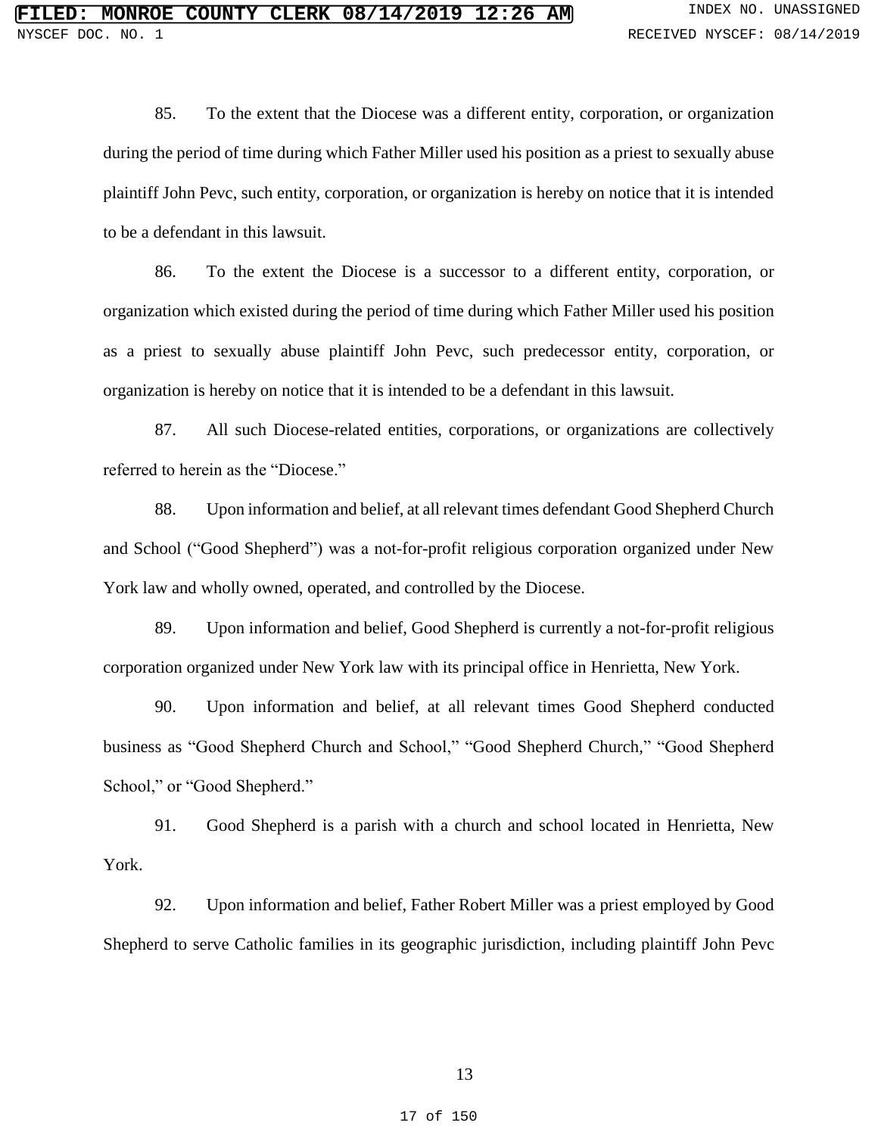85. To the extent that the Diocese was a different entity, corporation, or organization during the period of time during which Father Miller used his position as a priest to sexually abuse plaintiff John Pevc, such entity, corporation, or organization is hereby on notice that it is intended to be a defendant in this lawsuit.

86. To the extent the Diocese is a successor to a different entity, corporation, or organization which existed during the period of time during which Father Miller used his position as a priest to sexually abuse plaintiff John Pevc, such predecessor entity, corporation, or organization is hereby on notice that it is intended to be a defendant in this lawsuit.

87. All such Diocese-related entities, corporations, or organizations are collectively referred to herein as the "Diocese."

88. Upon information and belief, at all relevant times defendant Good Shepherd Church and School ("Good Shepherd") was a not-for-profit religious corporation organized under New York law and wholly owned, operated, and controlled by the Diocese.

89. Upon information and belief, Good Shepherd is currently a not-for-profit religious corporation organized under New York law with its principal office in Henrietta, New York.

90. Upon information and belief, at all relevant times Good Shepherd conducted business as "Good Shepherd Church and School," "Good Shepherd Church," "Good Shepherd School," or "Good Shepherd."

91. Good Shepherd is a parish with a church and school located in Henrietta, New York.

92. Upon information and belief, Father Robert Miller was a priest employed by Good Shepherd to serve Catholic families in its geographic jurisdiction, including plaintiff John Pevc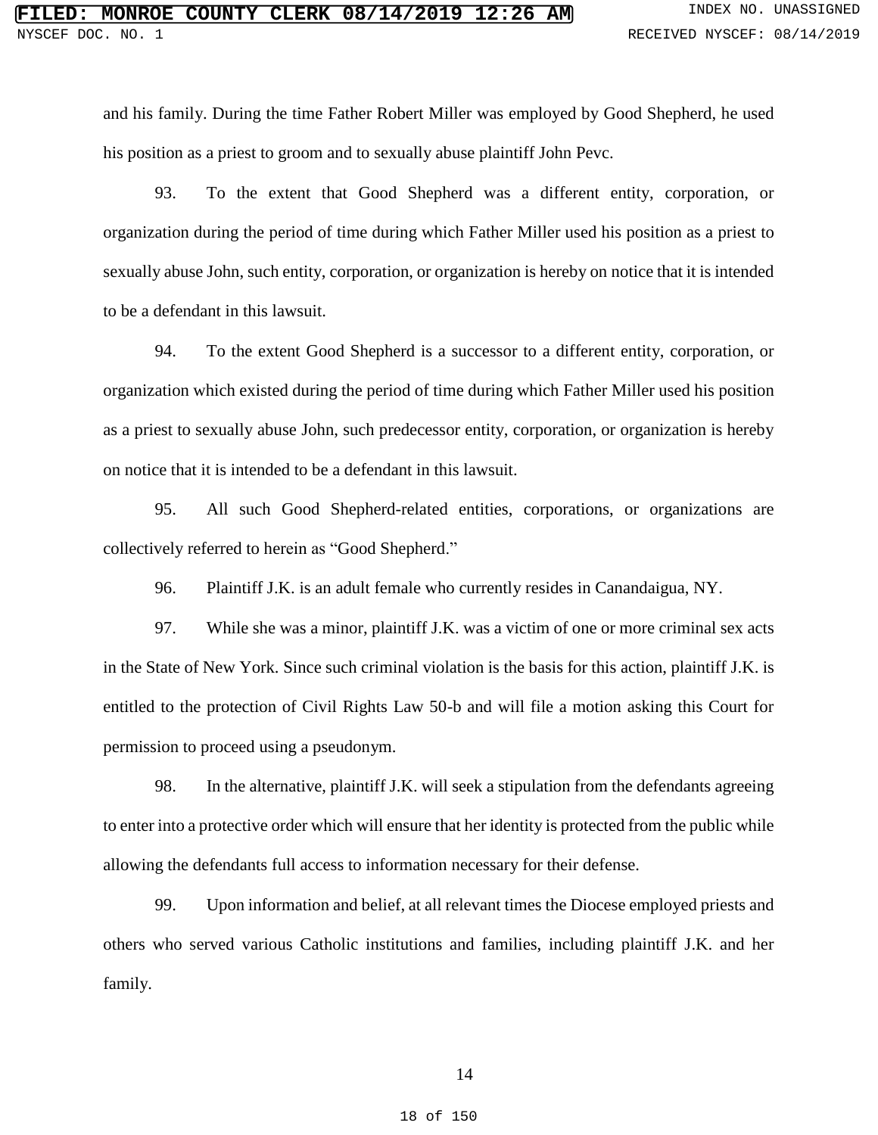and his family. During the time Father Robert Miller was employed by Good Shepherd, he used his position as a priest to groom and to sexually abuse plaintiff John Pevc.

93. To the extent that Good Shepherd was a different entity, corporation, or organization during the period of time during which Father Miller used his position as a priest to sexually abuse John, such entity, corporation, or organization is hereby on notice that it is intended to be a defendant in this lawsuit.

94. To the extent Good Shepherd is a successor to a different entity, corporation, or organization which existed during the period of time during which Father Miller used his position as a priest to sexually abuse John, such predecessor entity, corporation, or organization is hereby on notice that it is intended to be a defendant in this lawsuit.

95. All such Good Shepherd-related entities, corporations, or organizations are collectively referred to herein as "Good Shepherd."

96. Plaintiff J.K. is an adult female who currently resides in Canandaigua, NY.

97. While she was a minor, plaintiff J.K. was a victim of one or more criminal sex acts in the State of New York. Since such criminal violation is the basis for this action, plaintiff J.K. is entitled to the protection of Civil Rights Law 50-b and will file a motion asking this Court for permission to proceed using a pseudonym.

98. In the alternative, plaintiff J.K. will seek a stipulation from the defendants agreeing to enter into a protective order which will ensure that her identity is protected from the public while allowing the defendants full access to information necessary for their defense.

99. Upon information and belief, at all relevant times the Diocese employed priests and others who served various Catholic institutions and families, including plaintiff J.K. and her family.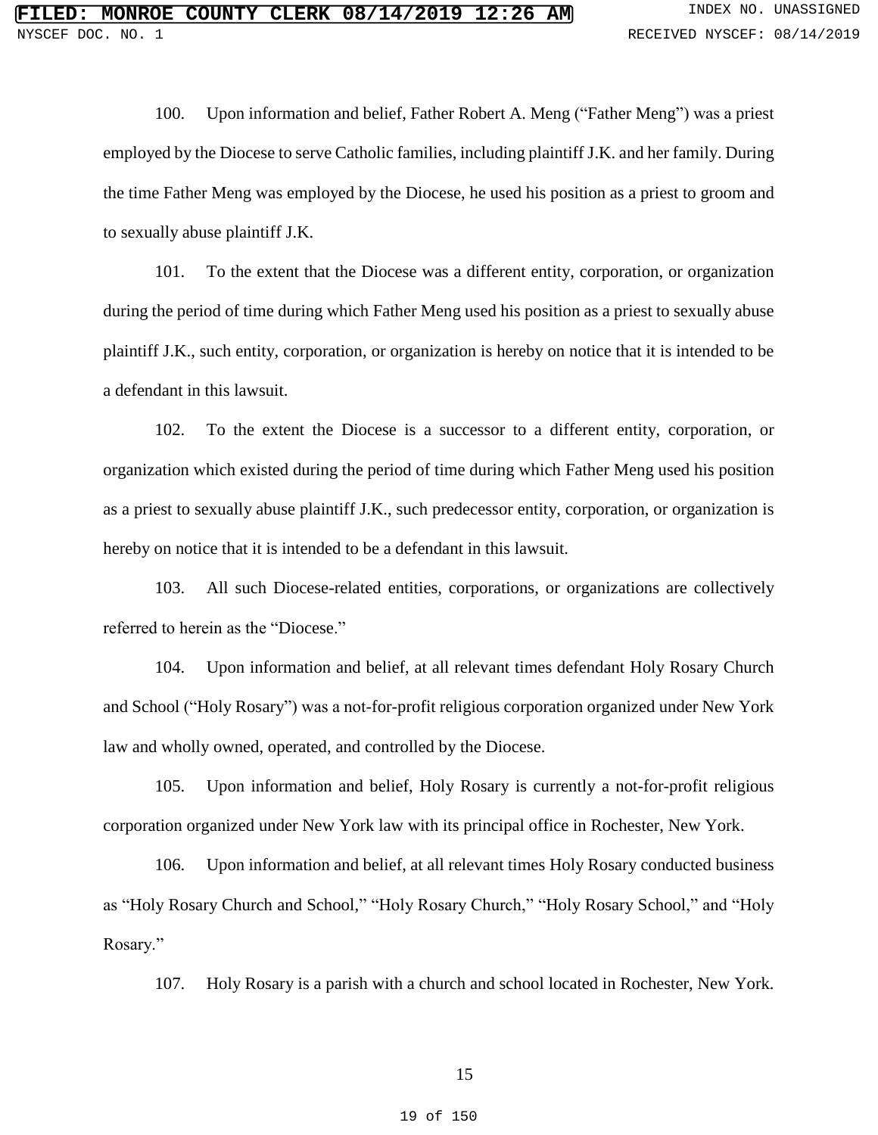100. Upon information and belief, Father Robert A. Meng ("Father Meng") was a priest employed by the Diocese to serve Catholic families, including plaintiff J.K. and her family. During the time Father Meng was employed by the Diocese, he used his position as a priest to groom and to sexually abuse plaintiff J.K.

101. To the extent that the Diocese was a different entity, corporation, or organization during the period of time during which Father Meng used his position as a priest to sexually abuse plaintiff J.K., such entity, corporation, or organization is hereby on notice that it is intended to be a defendant in this lawsuit.

102. To the extent the Diocese is a successor to a different entity, corporation, or organization which existed during the period of time during which Father Meng used his position as a priest to sexually abuse plaintiff J.K., such predecessor entity, corporation, or organization is hereby on notice that it is intended to be a defendant in this lawsuit.

103. All such Diocese-related entities, corporations, or organizations are collectively referred to herein as the "Diocese."

104. Upon information and belief, at all relevant times defendant Holy Rosary Church and School ("Holy Rosary") was a not-for-profit religious corporation organized under New York law and wholly owned, operated, and controlled by the Diocese.

105. Upon information and belief, Holy Rosary is currently a not-for-profit religious corporation organized under New York law with its principal office in Rochester, New York.

106. Upon information and belief, at all relevant times Holy Rosary conducted business as "Holy Rosary Church and School," "Holy Rosary Church," "Holy Rosary School," and "Holy Rosary."

107. Holy Rosary is a parish with a church and school located in Rochester, New York.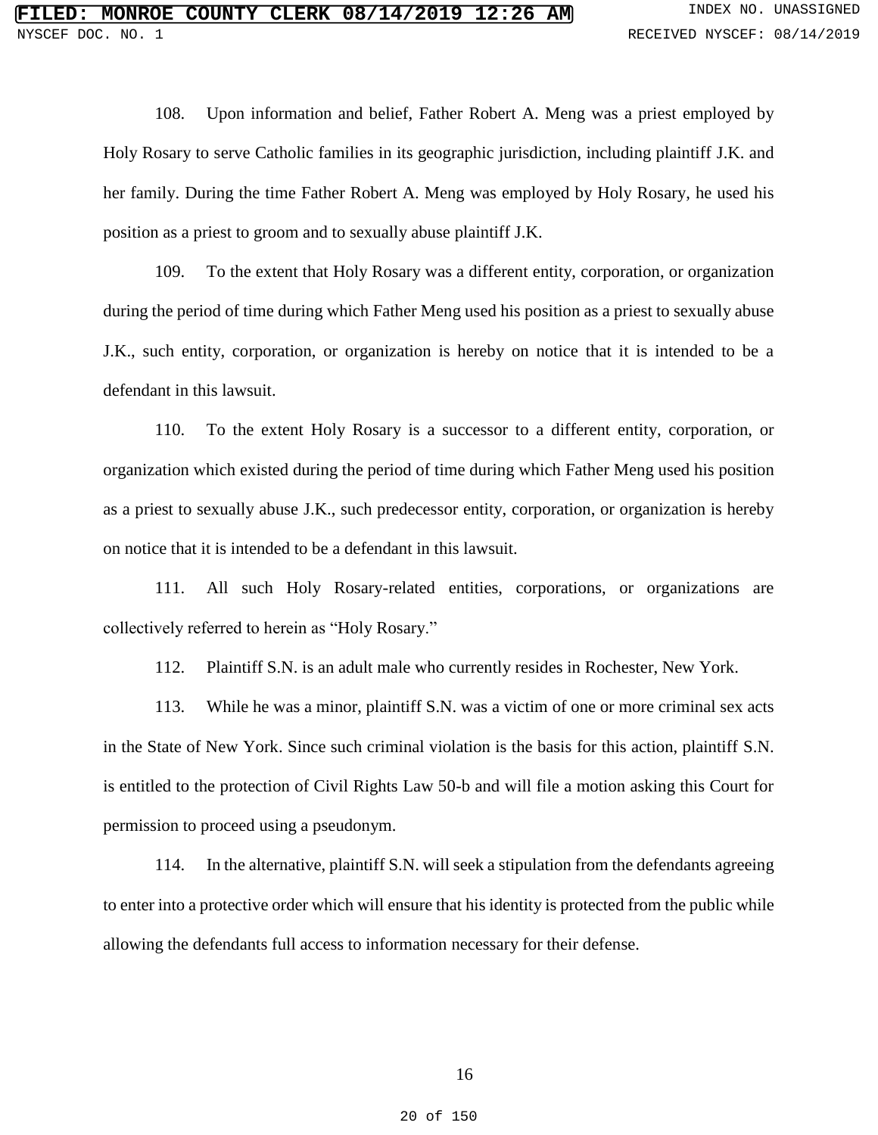108. Upon information and belief, Father Robert A. Meng was a priest employed by Holy Rosary to serve Catholic families in its geographic jurisdiction, including plaintiff J.K. and her family. During the time Father Robert A. Meng was employed by Holy Rosary, he used his position as a priest to groom and to sexually abuse plaintiff J.K.

109. To the extent that Holy Rosary was a different entity, corporation, or organization during the period of time during which Father Meng used his position as a priest to sexually abuse J.K., such entity, corporation, or organization is hereby on notice that it is intended to be a defendant in this lawsuit.

110. To the extent Holy Rosary is a successor to a different entity, corporation, or organization which existed during the period of time during which Father Meng used his position as a priest to sexually abuse J.K., such predecessor entity, corporation, or organization is hereby on notice that it is intended to be a defendant in this lawsuit.

111. All such Holy Rosary-related entities, corporations, or organizations are collectively referred to herein as "Holy Rosary."

112. Plaintiff S.N. is an adult male who currently resides in Rochester, New York.

113. While he was a minor, plaintiff S.N. was a victim of one or more criminal sex acts in the State of New York. Since such criminal violation is the basis for this action, plaintiff S.N. is entitled to the protection of Civil Rights Law 50-b and will file a motion asking this Court for permission to proceed using a pseudonym.

114. In the alternative, plaintiff S.N. will seek a stipulation from the defendants agreeing to enter into a protective order which will ensure that his identity is protected from the public while allowing the defendants full access to information necessary for their defense.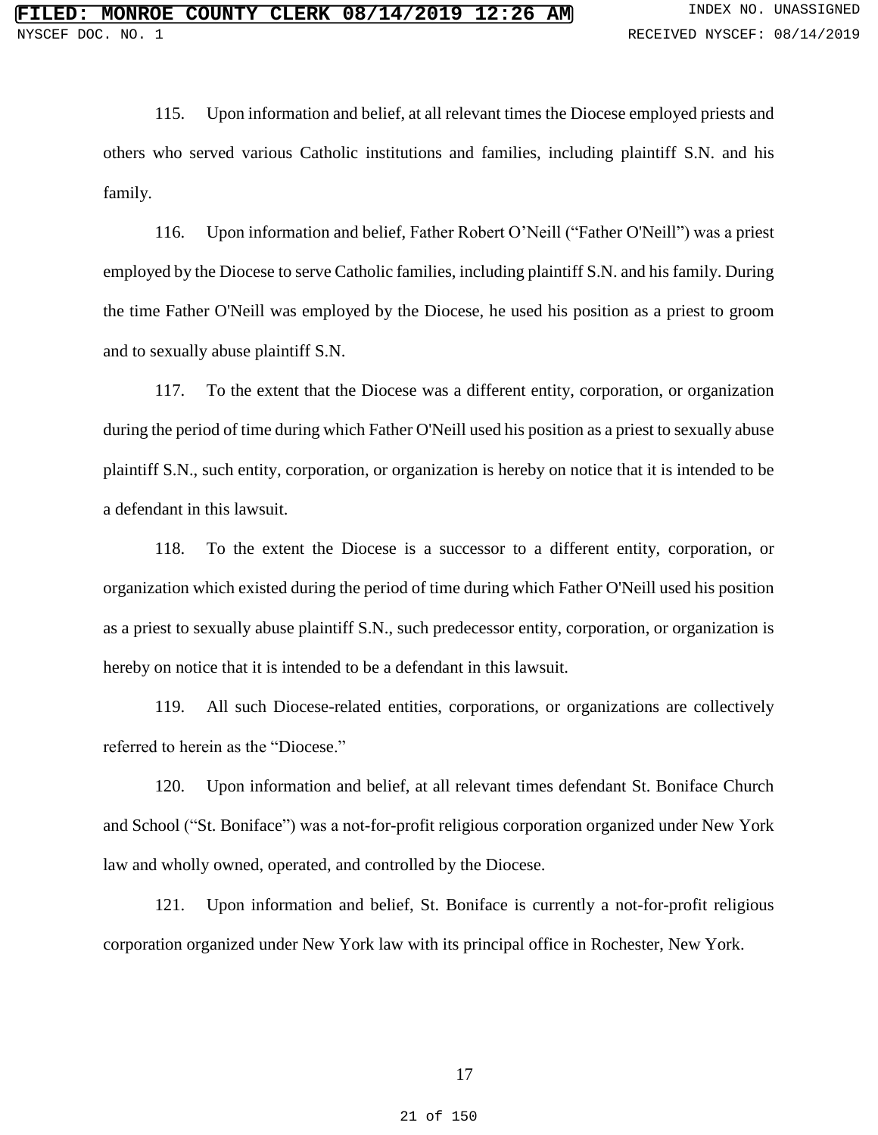115. Upon information and belief, at all relevant times the Diocese employed priests and others who served various Catholic institutions and families, including plaintiff S.N. and his family.

116. Upon information and belief, Father Robert O'Neill ("Father O'Neill") was a priest employed by the Diocese to serve Catholic families, including plaintiff S.N. and his family. During the time Father O'Neill was employed by the Diocese, he used his position as a priest to groom and to sexually abuse plaintiff S.N.

117. To the extent that the Diocese was a different entity, corporation, or organization during the period of time during which Father O'Neill used his position as a priest to sexually abuse plaintiff S.N., such entity, corporation, or organization is hereby on notice that it is intended to be a defendant in this lawsuit.

118. To the extent the Diocese is a successor to a different entity, corporation, or organization which existed during the period of time during which Father O'Neill used his position as a priest to sexually abuse plaintiff S.N., such predecessor entity, corporation, or organization is hereby on notice that it is intended to be a defendant in this lawsuit.

119. All such Diocese-related entities, corporations, or organizations are collectively referred to herein as the "Diocese."

120. Upon information and belief, at all relevant times defendant St. Boniface Church and School ("St. Boniface") was a not-for-profit religious corporation organized under New York law and wholly owned, operated, and controlled by the Diocese.

121. Upon information and belief, St. Boniface is currently a not-for-profit religious corporation organized under New York law with its principal office in Rochester, New York.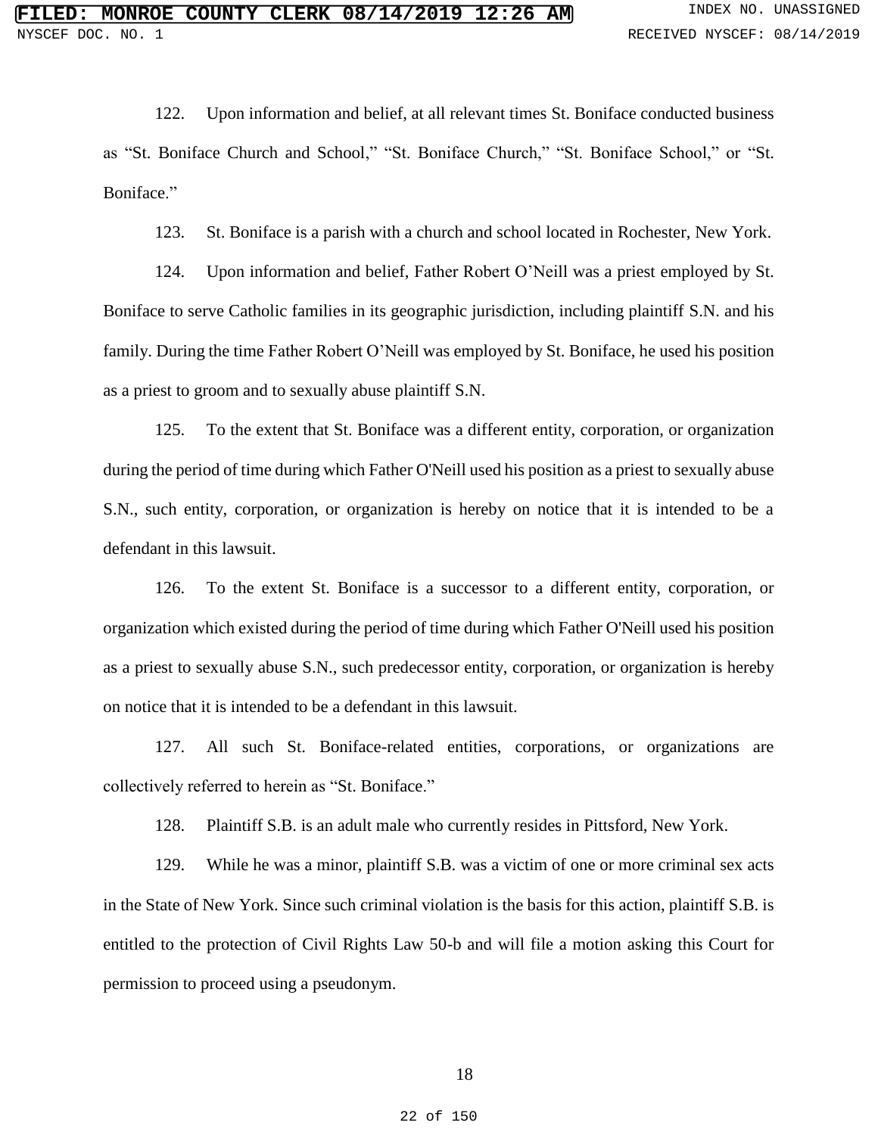122. Upon information and belief, at all relevant times St. Boniface conducted business as "St. Boniface Church and School," "St. Boniface Church," "St. Boniface School," or "St. Boniface."

123. St. Boniface is a parish with a church and school located in Rochester, New York.

124. Upon information and belief, Father Robert O'Neill was a priest employed by St. Boniface to serve Catholic families in its geographic jurisdiction, including plaintiff S.N. and his family. During the time Father Robert O'Neill was employed by St. Boniface, he used his position as a priest to groom and to sexually abuse plaintiff S.N.

125. To the extent that St. Boniface was a different entity, corporation, or organization during the period of time during which Father O'Neill used his position as a priest to sexually abuse S.N., such entity, corporation, or organization is hereby on notice that it is intended to be a defendant in this lawsuit.

126. To the extent St. Boniface is a successor to a different entity, corporation, or organization which existed during the period of time during which Father O'Neill used his position as a priest to sexually abuse S.N., such predecessor entity, corporation, or organization is hereby on notice that it is intended to be a defendant in this lawsuit.

127. All such St. Boniface-related entities, corporations, or organizations are collectively referred to herein as "St. Boniface."

128. Plaintiff S.B. is an adult male who currently resides in Pittsford, New York.

129. While he was a minor, plaintiff S.B. was a victim of one or more criminal sex acts in the State of New York. Since such criminal violation is the basis for this action, plaintiff S.B. is entitled to the protection of Civil Rights Law 50-b and will file a motion asking this Court for permission to proceed using a pseudonym.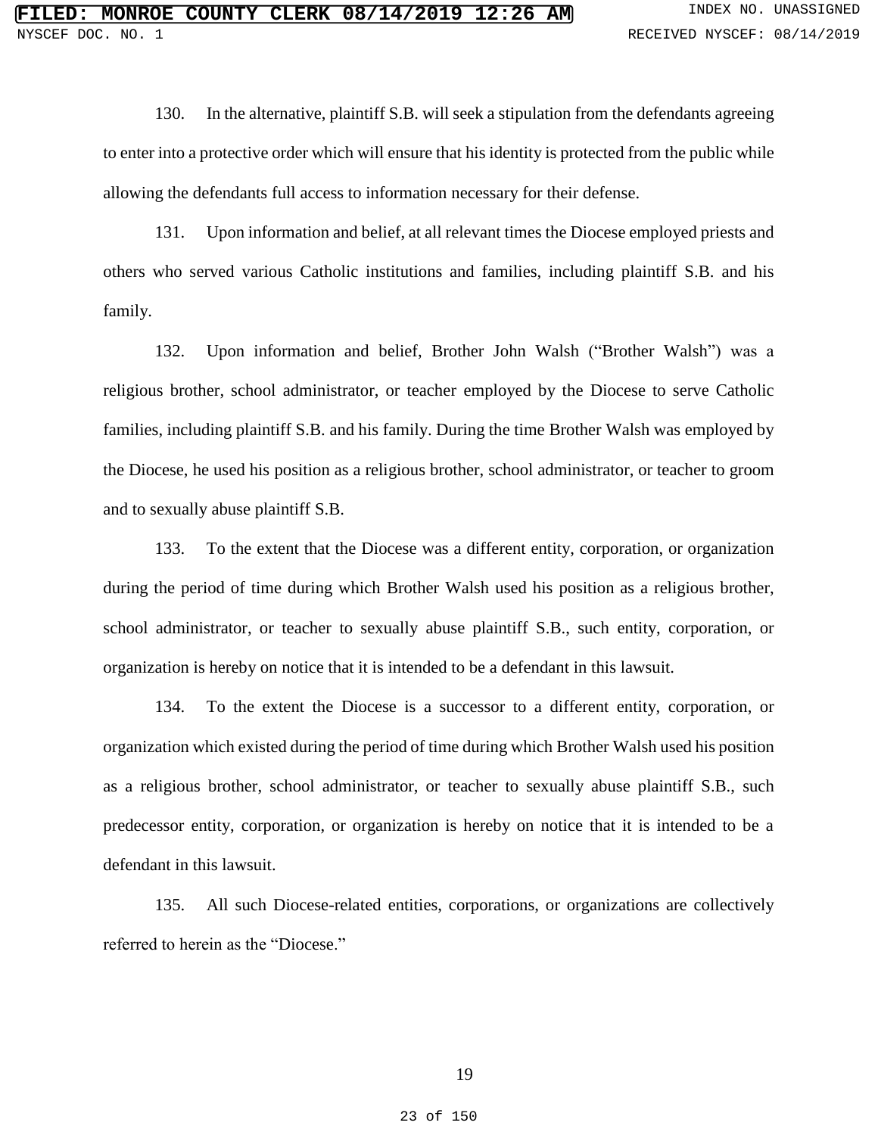130. In the alternative, plaintiff S.B. will seek a stipulation from the defendants agreeing to enter into a protective order which will ensure that his identity is protected from the public while allowing the defendants full access to information necessary for their defense.

131. Upon information and belief, at all relevant times the Diocese employed priests and others who served various Catholic institutions and families, including plaintiff S.B. and his family.

132. Upon information and belief, Brother John Walsh ("Brother Walsh") was a religious brother, school administrator, or teacher employed by the Diocese to serve Catholic families, including plaintiff S.B. and his family. During the time Brother Walsh was employed by the Diocese, he used his position as a religious brother, school administrator, or teacher to groom and to sexually abuse plaintiff S.B.

133. To the extent that the Diocese was a different entity, corporation, or organization during the period of time during which Brother Walsh used his position as a religious brother, school administrator, or teacher to sexually abuse plaintiff S.B., such entity, corporation, or organization is hereby on notice that it is intended to be a defendant in this lawsuit.

134. To the extent the Diocese is a successor to a different entity, corporation, or organization which existed during the period of time during which Brother Walsh used his position as a religious brother, school administrator, or teacher to sexually abuse plaintiff S.B., such predecessor entity, corporation, or organization is hereby on notice that it is intended to be a defendant in this lawsuit.

135. All such Diocese-related entities, corporations, or organizations are collectively referred to herein as the "Diocese."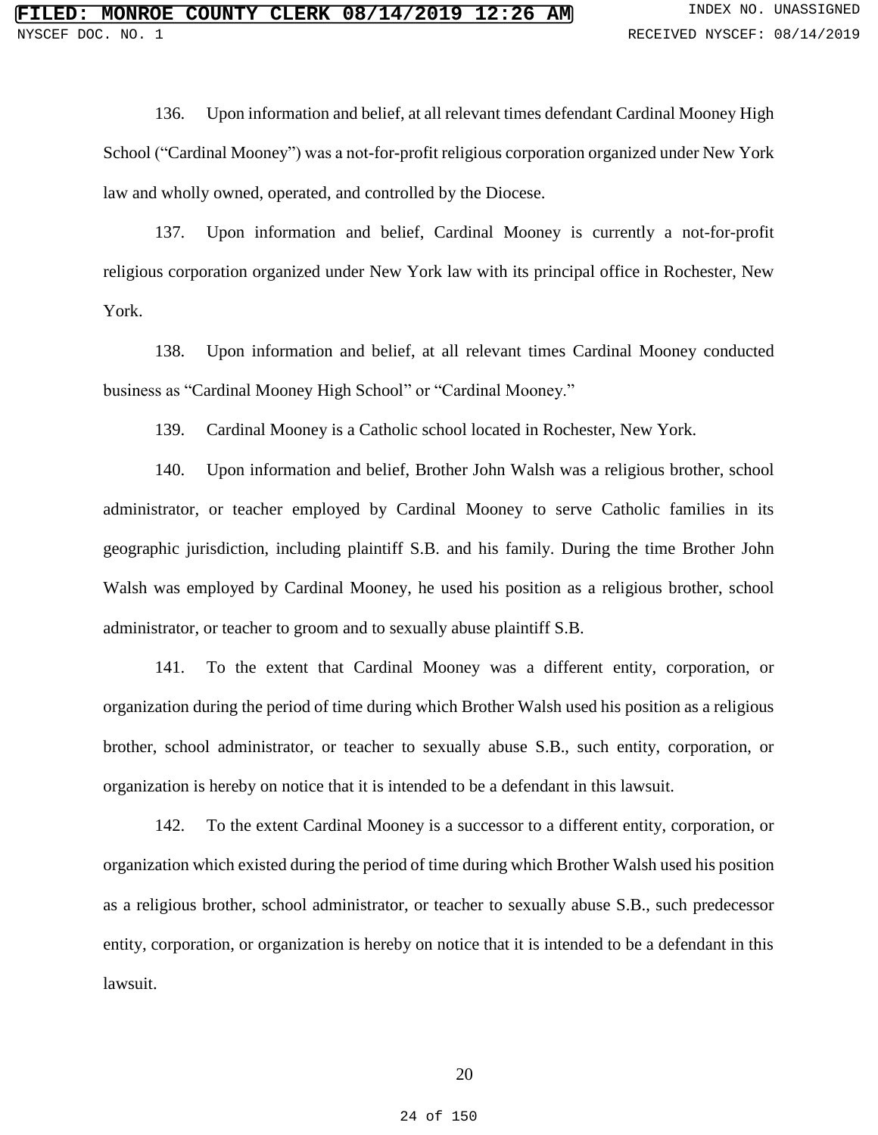136. Upon information and belief, at all relevant times defendant Cardinal Mooney High School ("Cardinal Mooney") was a not-for-profit religious corporation organized under New York law and wholly owned, operated, and controlled by the Diocese.

137. Upon information and belief, Cardinal Mooney is currently a not-for-profit religious corporation organized under New York law with its principal office in Rochester, New York.

138. Upon information and belief, at all relevant times Cardinal Mooney conducted business as "Cardinal Mooney High School" or "Cardinal Mooney."

139. Cardinal Mooney is a Catholic school located in Rochester, New York.

140. Upon information and belief, Brother John Walsh was a religious brother, school administrator, or teacher employed by Cardinal Mooney to serve Catholic families in its geographic jurisdiction, including plaintiff S.B. and his family. During the time Brother John Walsh was employed by Cardinal Mooney, he used his position as a religious brother, school administrator, or teacher to groom and to sexually abuse plaintiff S.B.

141. To the extent that Cardinal Mooney was a different entity, corporation, or organization during the period of time during which Brother Walsh used his position as a religious brother, school administrator, or teacher to sexually abuse S.B., such entity, corporation, or organization is hereby on notice that it is intended to be a defendant in this lawsuit.

142. To the extent Cardinal Mooney is a successor to a different entity, corporation, or organization which existed during the period of time during which Brother Walsh used his position as a religious brother, school administrator, or teacher to sexually abuse S.B., such predecessor entity, corporation, or organization is hereby on notice that it is intended to be a defendant in this lawsuit.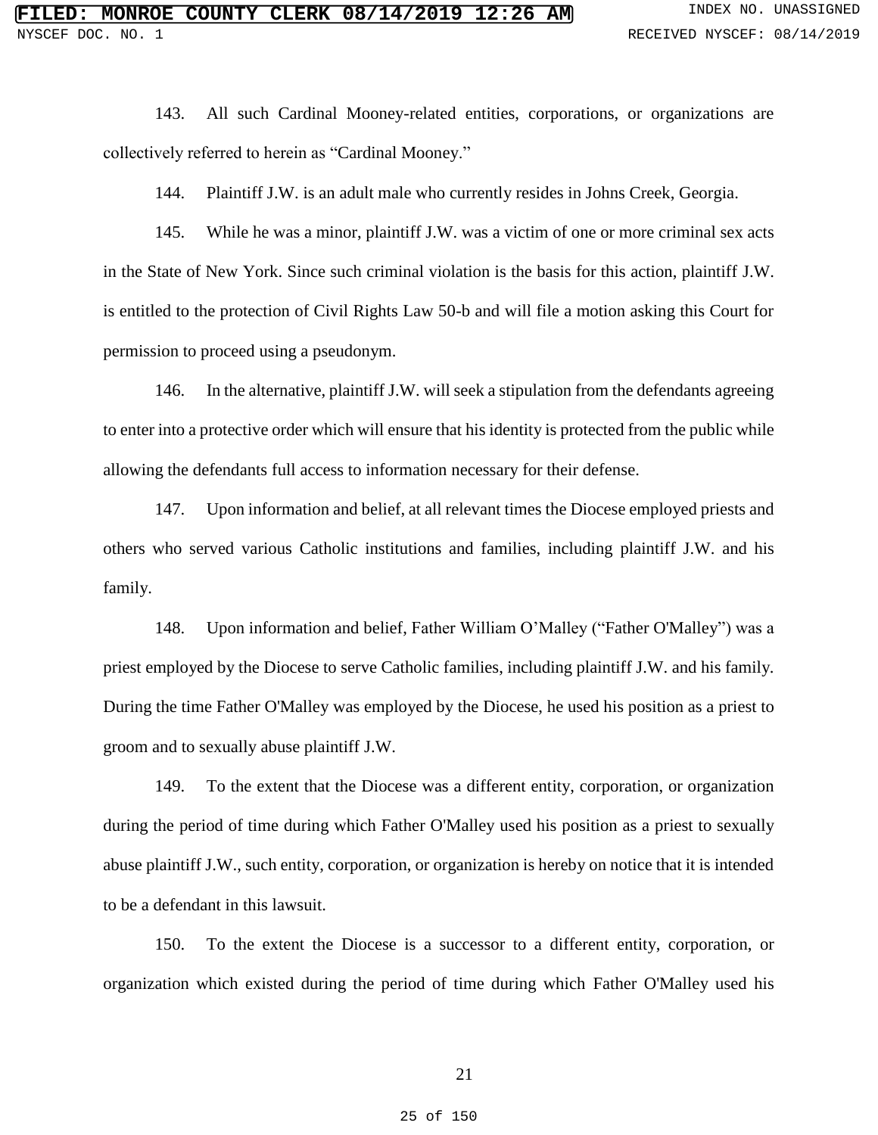143. All such Cardinal Mooney-related entities, corporations, or organizations are collectively referred to herein as "Cardinal Mooney."

144. Plaintiff J.W. is an adult male who currently resides in Johns Creek, Georgia.

145. While he was a minor, plaintiff J.W. was a victim of one or more criminal sex acts in the State of New York. Since such criminal violation is the basis for this action, plaintiff J.W. is entitled to the protection of Civil Rights Law 50-b and will file a motion asking this Court for permission to proceed using a pseudonym.

146. In the alternative, plaintiff J.W. will seek a stipulation from the defendants agreeing to enter into a protective order which will ensure that his identity is protected from the public while allowing the defendants full access to information necessary for their defense.

147. Upon information and belief, at all relevant times the Diocese employed priests and others who served various Catholic institutions and families, including plaintiff J.W. and his family.

148. Upon information and belief, Father William O'Malley ("Father O'Malley") was a priest employed by the Diocese to serve Catholic families, including plaintiff J.W. and his family. During the time Father O'Malley was employed by the Diocese, he used his position as a priest to groom and to sexually abuse plaintiff J.W.

149. To the extent that the Diocese was a different entity, corporation, or organization during the period of time during which Father O'Malley used his position as a priest to sexually abuse plaintiff J.W., such entity, corporation, or organization is hereby on notice that it is intended to be a defendant in this lawsuit.

150. To the extent the Diocese is a successor to a different entity, corporation, or organization which existed during the period of time during which Father O'Malley used his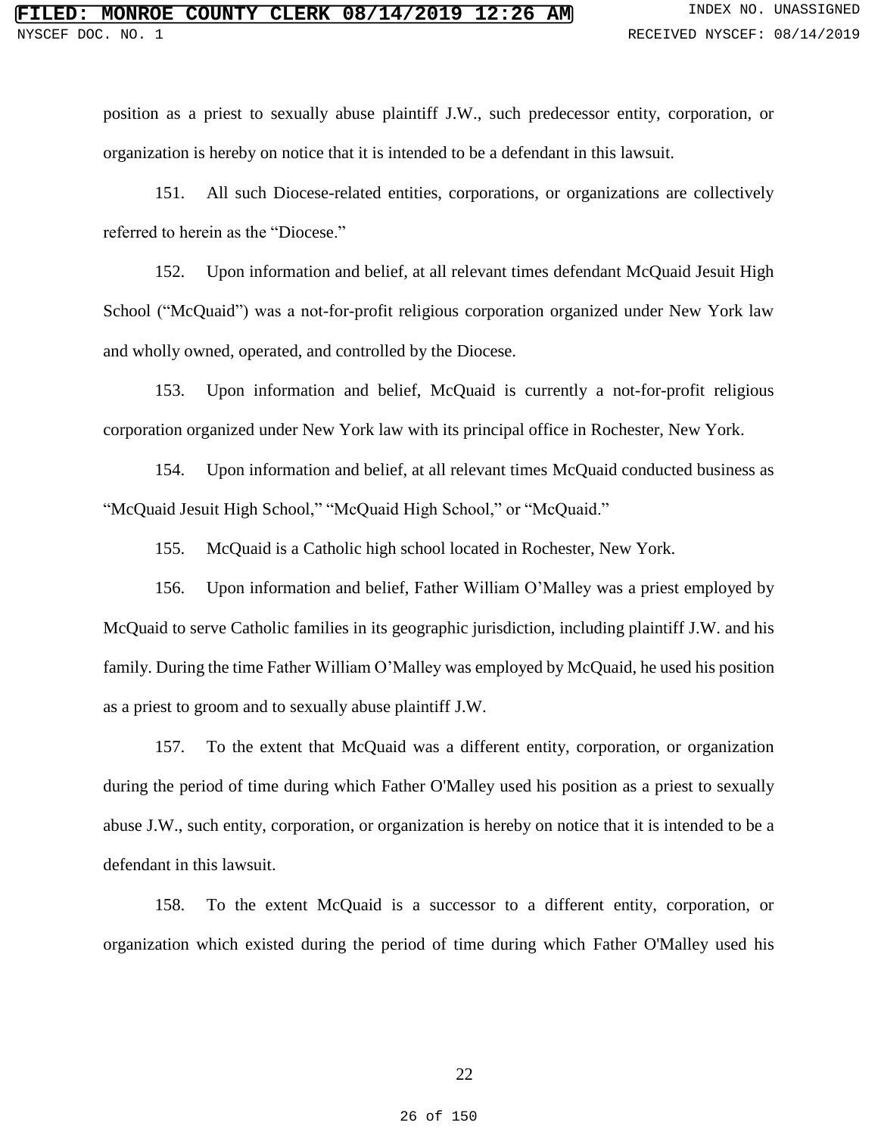position as a priest to sexually abuse plaintiff J.W., such predecessor entity, corporation, or organization is hereby on notice that it is intended to be a defendant in this lawsuit.

151. All such Diocese-related entities, corporations, or organizations are collectively referred to herein as the "Diocese."

152. Upon information and belief, at all relevant times defendant McQuaid Jesuit High School ("McQuaid") was a not-for-profit religious corporation organized under New York law and wholly owned, operated, and controlled by the Diocese.

153. Upon information and belief, McQuaid is currently a not-for-profit religious corporation organized under New York law with its principal office in Rochester, New York.

154. Upon information and belief, at all relevant times McQuaid conducted business as "McQuaid Jesuit High School," "McQuaid High School," or "McQuaid."

155. McQuaid is a Catholic high school located in Rochester, New York.

156. Upon information and belief, Father William O'Malley was a priest employed by McQuaid to serve Catholic families in its geographic jurisdiction, including plaintiff J.W. and his family. During the time Father William O'Malley was employed by McQuaid, he used his position as a priest to groom and to sexually abuse plaintiff J.W.

157. To the extent that McQuaid was a different entity, corporation, or organization during the period of time during which Father O'Malley used his position as a priest to sexually abuse J.W., such entity, corporation, or organization is hereby on notice that it is intended to be a defendant in this lawsuit.

158. To the extent McQuaid is a successor to a different entity, corporation, or organization which existed during the period of time during which Father O'Malley used his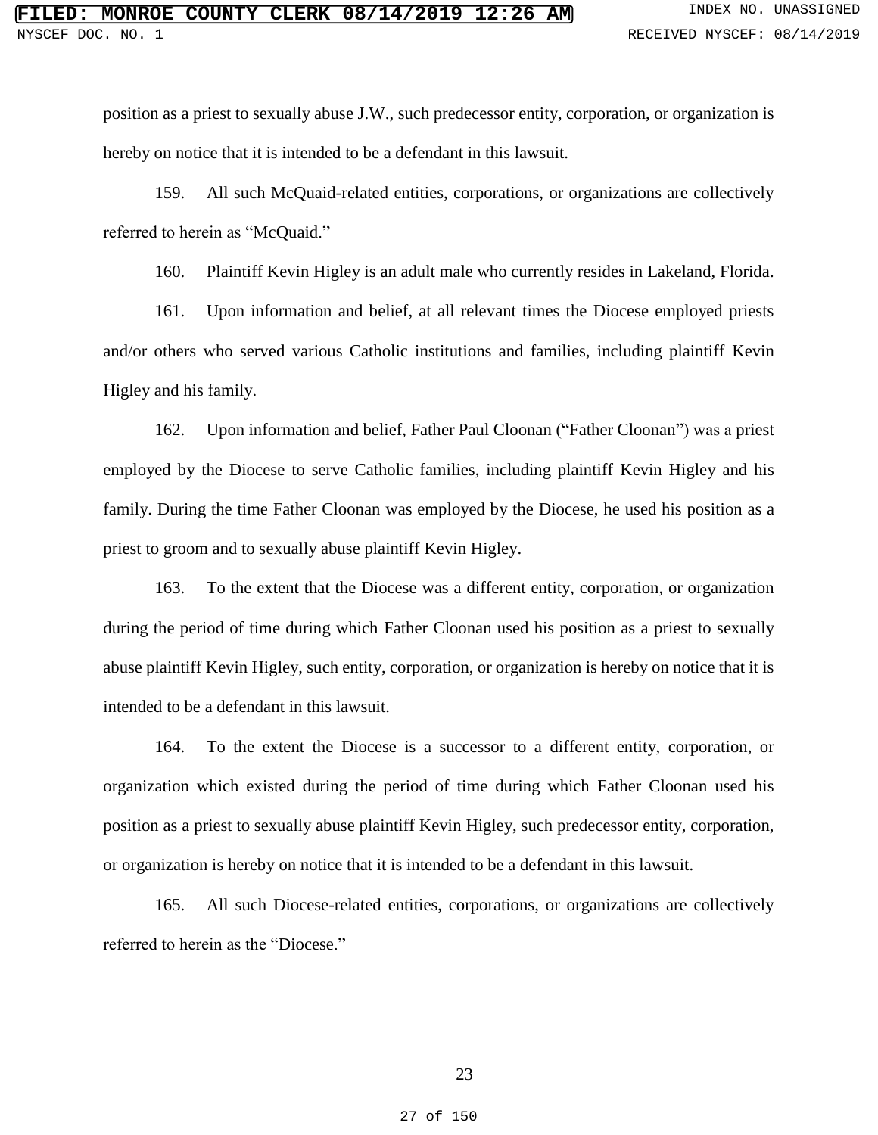position as a priest to sexually abuse J.W., such predecessor entity, corporation, or organization is hereby on notice that it is intended to be a defendant in this lawsuit.

159. All such McQuaid-related entities, corporations, or organizations are collectively referred to herein as "McQuaid."

160. Plaintiff Kevin Higley is an adult male who currently resides in Lakeland, Florida.

161. Upon information and belief, at all relevant times the Diocese employed priests and/or others who served various Catholic institutions and families, including plaintiff Kevin Higley and his family.

162. Upon information and belief, Father Paul Cloonan ("Father Cloonan") was a priest employed by the Diocese to serve Catholic families, including plaintiff Kevin Higley and his family. During the time Father Cloonan was employed by the Diocese, he used his position as a priest to groom and to sexually abuse plaintiff Kevin Higley.

163. To the extent that the Diocese was a different entity, corporation, or organization during the period of time during which Father Cloonan used his position as a priest to sexually abuse plaintiff Kevin Higley, such entity, corporation, or organization is hereby on notice that it is intended to be a defendant in this lawsuit.

164. To the extent the Diocese is a successor to a different entity, corporation, or organization which existed during the period of time during which Father Cloonan used his position as a priest to sexually abuse plaintiff Kevin Higley, such predecessor entity, corporation, or organization is hereby on notice that it is intended to be a defendant in this lawsuit.

165. All such Diocese-related entities, corporations, or organizations are collectively referred to herein as the "Diocese."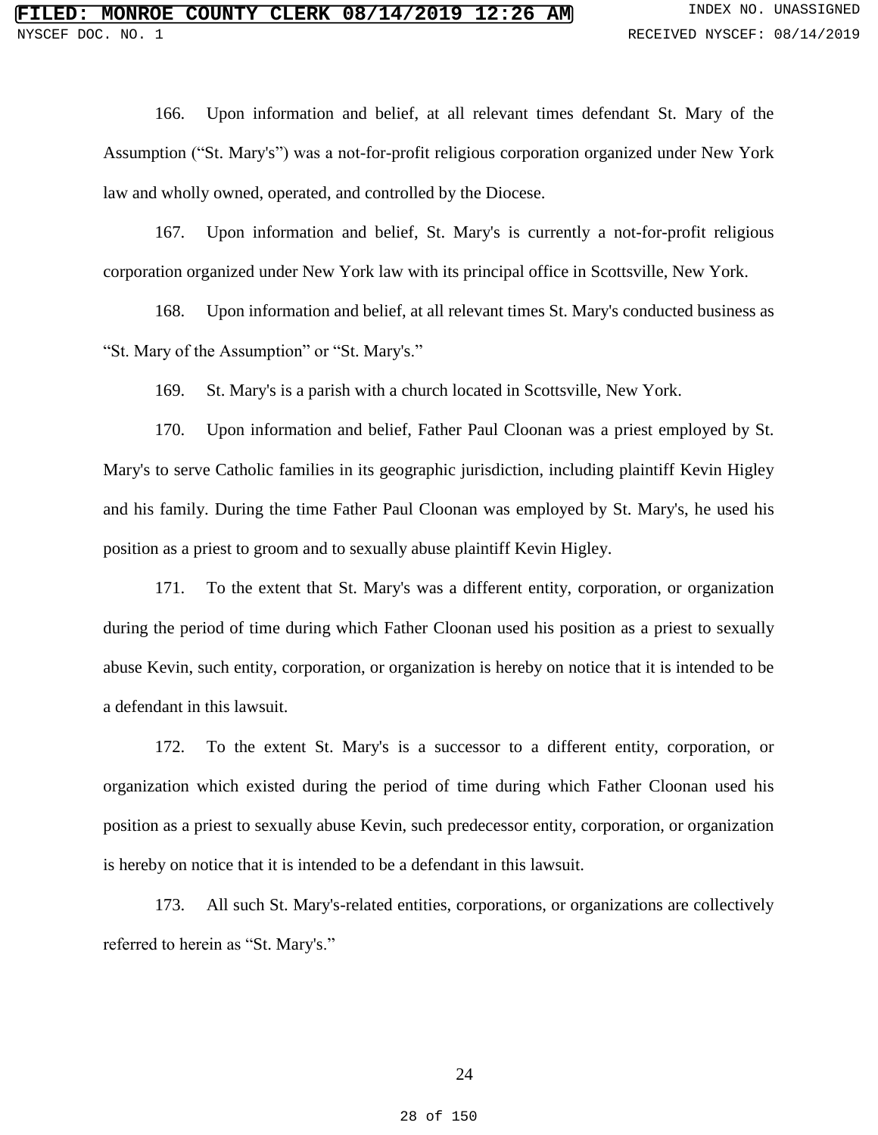166. Upon information and belief, at all relevant times defendant St. Mary of the Assumption ("St. Mary's") was a not-for-profit religious corporation organized under New York law and wholly owned, operated, and controlled by the Diocese.

167. Upon information and belief, St. Mary's is currently a not-for-profit religious corporation organized under New York law with its principal office in Scottsville, New York.

168. Upon information and belief, at all relevant times St. Mary's conducted business as "St. Mary of the Assumption" or "St. Mary's."

169. St. Mary's is a parish with a church located in Scottsville, New York.

170. Upon information and belief, Father Paul Cloonan was a priest employed by St. Mary's to serve Catholic families in its geographic jurisdiction, including plaintiff Kevin Higley and his family. During the time Father Paul Cloonan was employed by St. Mary's, he used his position as a priest to groom and to sexually abuse plaintiff Kevin Higley.

171. To the extent that St. Mary's was a different entity, corporation, or organization during the period of time during which Father Cloonan used his position as a priest to sexually abuse Kevin, such entity, corporation, or organization is hereby on notice that it is intended to be a defendant in this lawsuit.

172. To the extent St. Mary's is a successor to a different entity, corporation, or organization which existed during the period of time during which Father Cloonan used his position as a priest to sexually abuse Kevin, such predecessor entity, corporation, or organization is hereby on notice that it is intended to be a defendant in this lawsuit.

173. All such St. Mary's-related entities, corporations, or organizations are collectively referred to herein as "St. Mary's."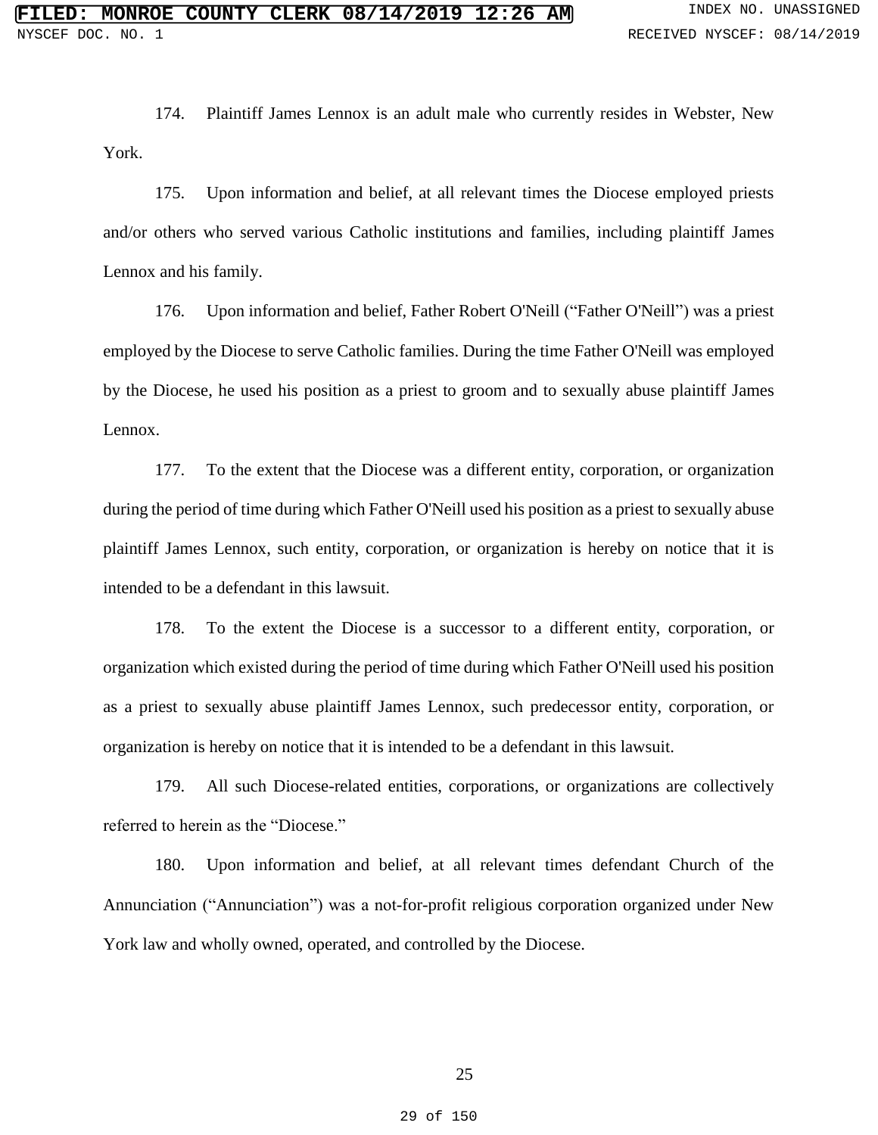174. Plaintiff James Lennox is an adult male who currently resides in Webster, New York.

175. Upon information and belief, at all relevant times the Diocese employed priests and/or others who served various Catholic institutions and families, including plaintiff James Lennox and his family.

176. Upon information and belief, Father Robert O'Neill ("Father O'Neill") was a priest employed by the Diocese to serve Catholic families. During the time Father O'Neill was employed by the Diocese, he used his position as a priest to groom and to sexually abuse plaintiff James Lennox.

177. To the extent that the Diocese was a different entity, corporation, or organization during the period of time during which Father O'Neill used his position as a priest to sexually abuse plaintiff James Lennox, such entity, corporation, or organization is hereby on notice that it is intended to be a defendant in this lawsuit.

178. To the extent the Diocese is a successor to a different entity, corporation, or organization which existed during the period of time during which Father O'Neill used his position as a priest to sexually abuse plaintiff James Lennox, such predecessor entity, corporation, or organization is hereby on notice that it is intended to be a defendant in this lawsuit.

179. All such Diocese-related entities, corporations, or organizations are collectively referred to herein as the "Diocese."

180. Upon information and belief, at all relevant times defendant Church of the Annunciation ("Annunciation") was a not-for-profit religious corporation organized under New York law and wholly owned, operated, and controlled by the Diocese.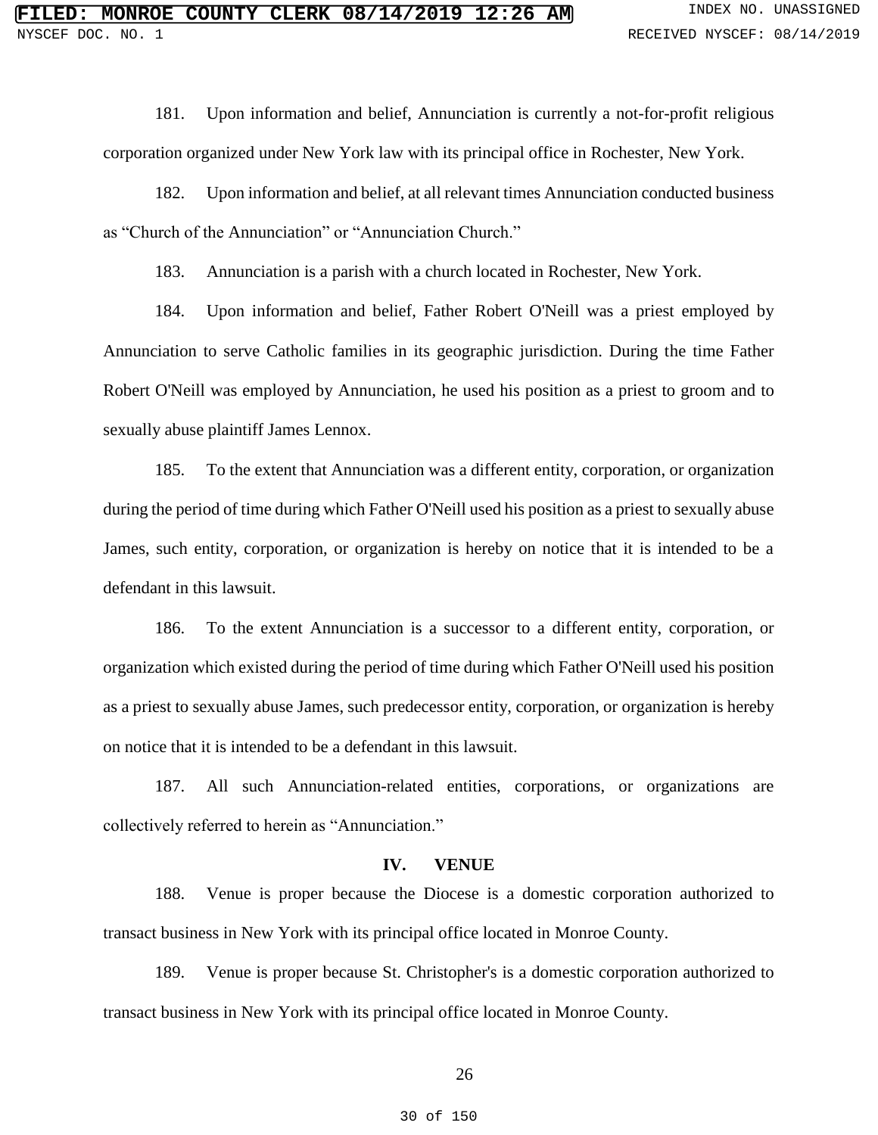181. Upon information and belief, Annunciation is currently a not-for-profit religious corporation organized under New York law with its principal office in Rochester, New York.

182. Upon information and belief, at all relevant times Annunciation conducted business as "Church of the Annunciation" or "Annunciation Church."

183. Annunciation is a parish with a church located in Rochester, New York.

184. Upon information and belief, Father Robert O'Neill was a priest employed by Annunciation to serve Catholic families in its geographic jurisdiction. During the time Father Robert O'Neill was employed by Annunciation, he used his position as a priest to groom and to sexually abuse plaintiff James Lennox.

185. To the extent that Annunciation was a different entity, corporation, or organization during the period of time during which Father O'Neill used his position as a priest to sexually abuse James, such entity, corporation, or organization is hereby on notice that it is intended to be a defendant in this lawsuit.

186. To the extent Annunciation is a successor to a different entity, corporation, or organization which existed during the period of time during which Father O'Neill used his position as a priest to sexually abuse James, such predecessor entity, corporation, or organization is hereby on notice that it is intended to be a defendant in this lawsuit.

187. All such Annunciation-related entities, corporations, or organizations are collectively referred to herein as "Annunciation."

#### **IV. VENUE**

188. Venue is proper because the Diocese is a domestic corporation authorized to transact business in New York with its principal office located in Monroe County.

189. Venue is proper because St. Christopher's is a domestic corporation authorized to transact business in New York with its principal office located in Monroe County.

26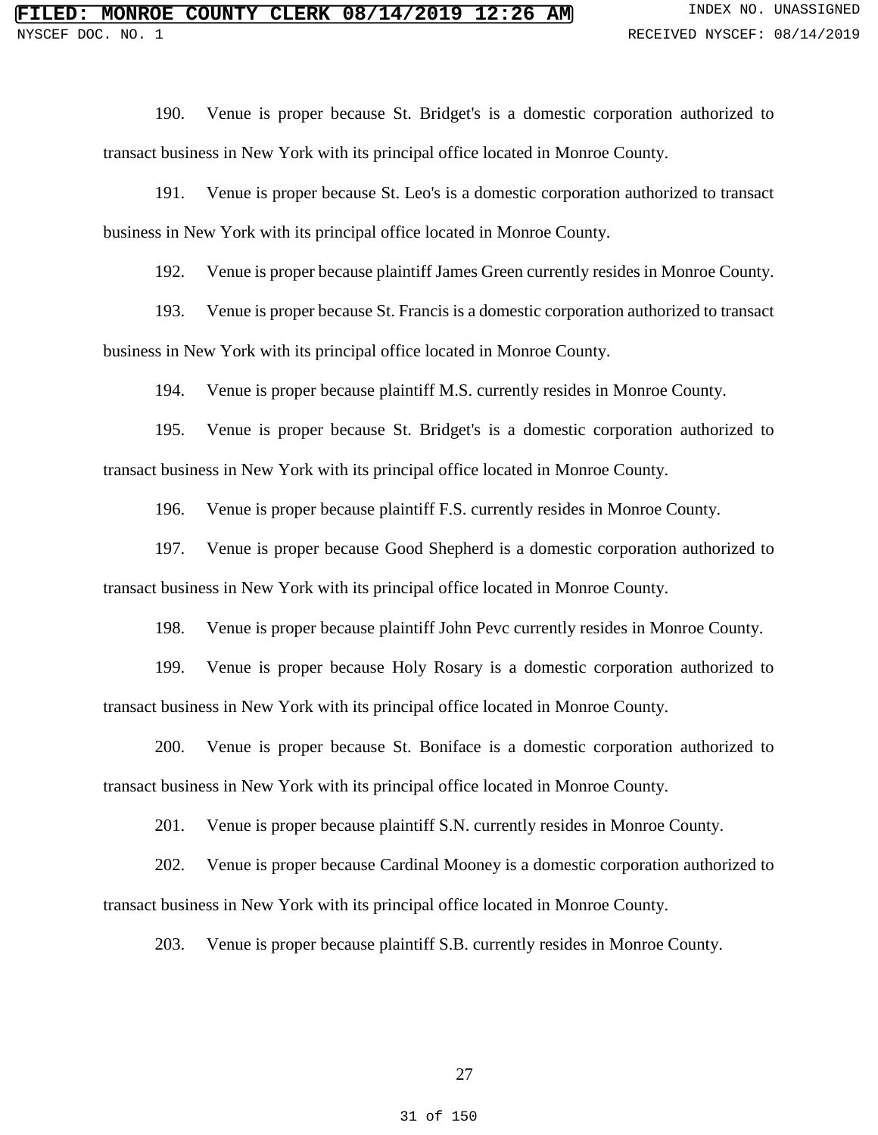190. Venue is proper because St. Bridget's is a domestic corporation authorized to transact business in New York with its principal office located in Monroe County.

191. Venue is proper because St. Leo's is a domestic corporation authorized to transact business in New York with its principal office located in Monroe County.

192. Venue is proper because plaintiff James Green currently resides in Monroe County.

193. Venue is proper because St. Francis is a domestic corporation authorized to transact business in New York with its principal office located in Monroe County.

194. Venue is proper because plaintiff M.S. currently resides in Monroe County.

195. Venue is proper because St. Bridget's is a domestic corporation authorized to transact business in New York with its principal office located in Monroe County.

196. Venue is proper because plaintiff F.S. currently resides in Monroe County.

197. Venue is proper because Good Shepherd is a domestic corporation authorized to transact business in New York with its principal office located in Monroe County.

198. Venue is proper because plaintiff John Pevc currently resides in Monroe County.

199. Venue is proper because Holy Rosary is a domestic corporation authorized to transact business in New York with its principal office located in Monroe County.

200. Venue is proper because St. Boniface is a domestic corporation authorized to transact business in New York with its principal office located in Monroe County.

201. Venue is proper because plaintiff S.N. currently resides in Monroe County.

202. Venue is proper because Cardinal Mooney is a domestic corporation authorized to transact business in New York with its principal office located in Monroe County.

203. Venue is proper because plaintiff S.B. currently resides in Monroe County.

27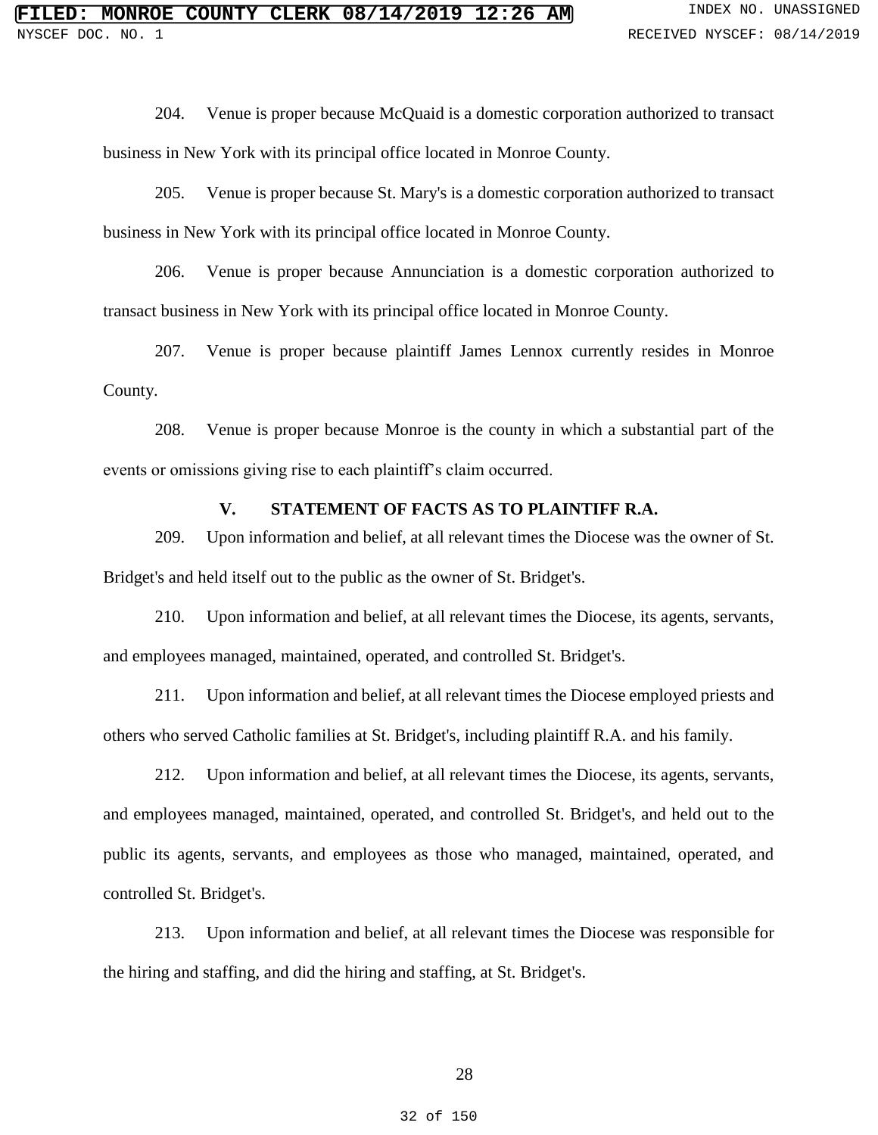204. Venue is proper because McQuaid is a domestic corporation authorized to transact business in New York with its principal office located in Monroe County.

205. Venue is proper because St. Mary's is a domestic corporation authorized to transact business in New York with its principal office located in Monroe County.

206. Venue is proper because Annunciation is a domestic corporation authorized to transact business in New York with its principal office located in Monroe County.

207. Venue is proper because plaintiff James Lennox currently resides in Monroe County.

208. Venue is proper because Monroe is the county in which a substantial part of the events or omissions giving rise to each plaintiff's claim occurred.

# **V. STATEMENT OF FACTS AS TO PLAINTIFF R.A.**

209. Upon information and belief, at all relevant times the Diocese was the owner of St. Bridget's and held itself out to the public as the owner of St. Bridget's.

210. Upon information and belief, at all relevant times the Diocese, its agents, servants, and employees managed, maintained, operated, and controlled St. Bridget's.

211. Upon information and belief, at all relevant times the Diocese employed priests and others who served Catholic families at St. Bridget's, including plaintiff R.A. and his family.

212. Upon information and belief, at all relevant times the Diocese, its agents, servants, and employees managed, maintained, operated, and controlled St. Bridget's, and held out to the public its agents, servants, and employees as those who managed, maintained, operated, and controlled St. Bridget's.

213. Upon information and belief, at all relevant times the Diocese was responsible for the hiring and staffing, and did the hiring and staffing, at St. Bridget's.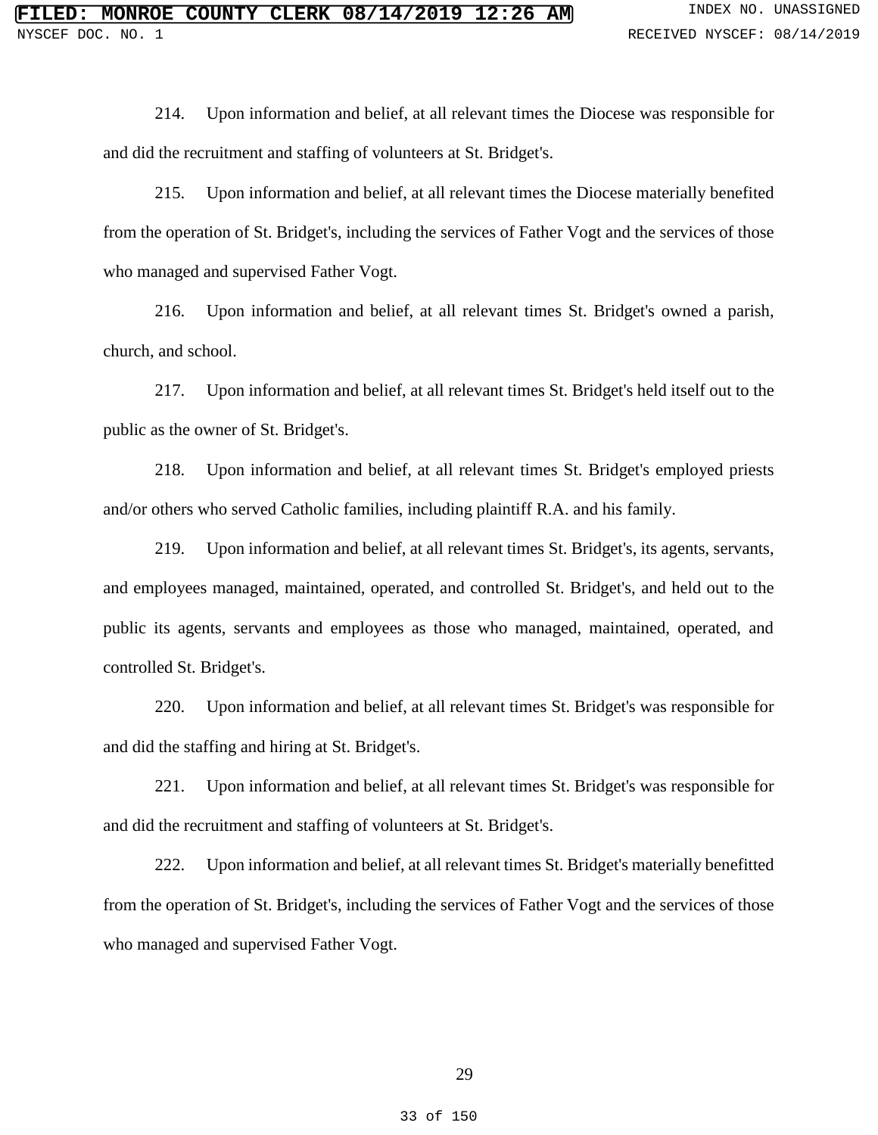214. Upon information and belief, at all relevant times the Diocese was responsible for and did the recruitment and staffing of volunteers at St. Bridget's.

215. Upon information and belief, at all relevant times the Diocese materially benefited from the operation of St. Bridget's, including the services of Father Vogt and the services of those who managed and supervised Father Vogt.

216. Upon information and belief, at all relevant times St. Bridget's owned a parish, church, and school.

217. Upon information and belief, at all relevant times St. Bridget's held itself out to the public as the owner of St. Bridget's.

218. Upon information and belief, at all relevant times St. Bridget's employed priests and/or others who served Catholic families, including plaintiff R.A. and his family.

219. Upon information and belief, at all relevant times St. Bridget's, its agents, servants, and employees managed, maintained, operated, and controlled St. Bridget's, and held out to the public its agents, servants and employees as those who managed, maintained, operated, and controlled St. Bridget's.

220. Upon information and belief, at all relevant times St. Bridget's was responsible for and did the staffing and hiring at St. Bridget's.

221. Upon information and belief, at all relevant times St. Bridget's was responsible for and did the recruitment and staffing of volunteers at St. Bridget's.

222. Upon information and belief, at all relevant times St. Bridget's materially benefitted from the operation of St. Bridget's, including the services of Father Vogt and the services of those who managed and supervised Father Vogt.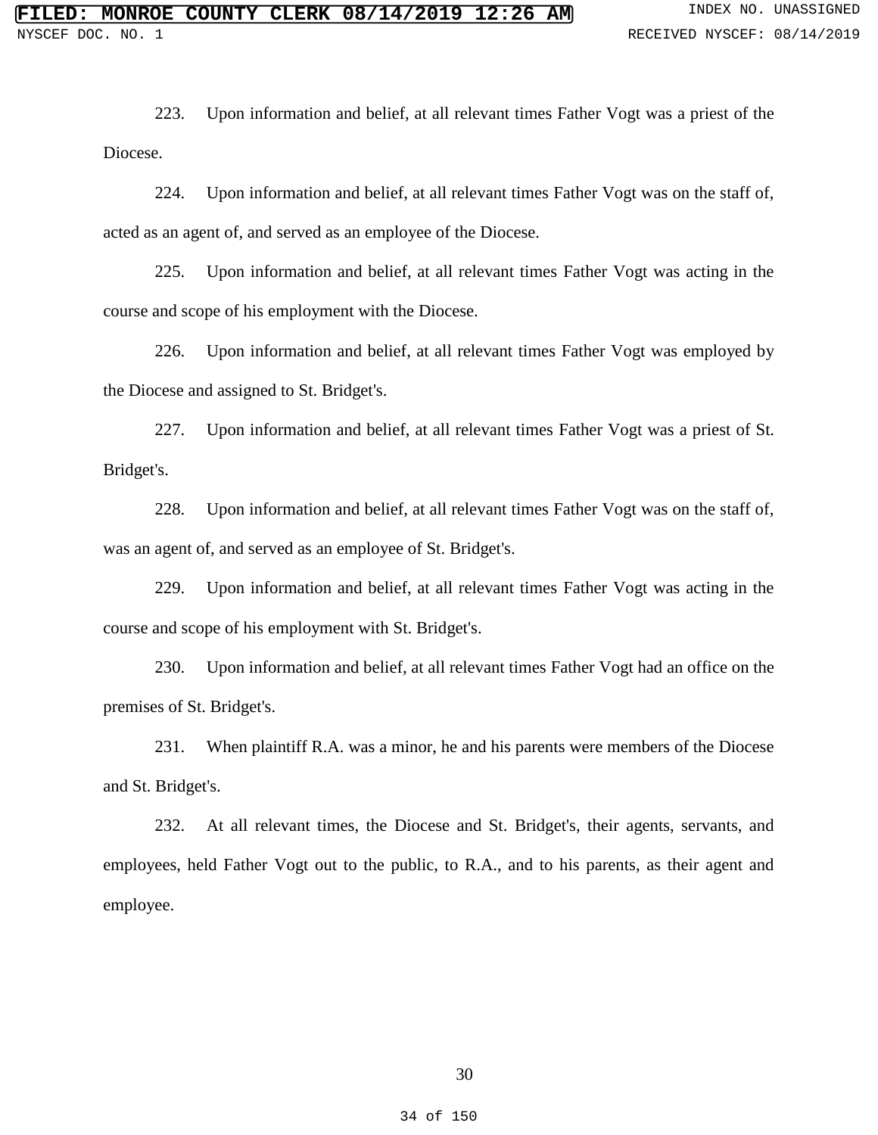223. Upon information and belief, at all relevant times Father Vogt was a priest of the Diocese.

224. Upon information and belief, at all relevant times Father Vogt was on the staff of, acted as an agent of, and served as an employee of the Diocese.

225. Upon information and belief, at all relevant times Father Vogt was acting in the course and scope of his employment with the Diocese.

226. Upon information and belief, at all relevant times Father Vogt was employed by the Diocese and assigned to St. Bridget's.

227. Upon information and belief, at all relevant times Father Vogt was a priest of St. Bridget's.

228. Upon information and belief, at all relevant times Father Vogt was on the staff of, was an agent of, and served as an employee of St. Bridget's.

229. Upon information and belief, at all relevant times Father Vogt was acting in the course and scope of his employment with St. Bridget's.

230. Upon information and belief, at all relevant times Father Vogt had an office on the premises of St. Bridget's.

231. When plaintiff R.A. was a minor, he and his parents were members of the Diocese and St. Bridget's.

232. At all relevant times, the Diocese and St. Bridget's, their agents, servants, and employees, held Father Vogt out to the public, to R.A., and to his parents, as their agent and employee.

30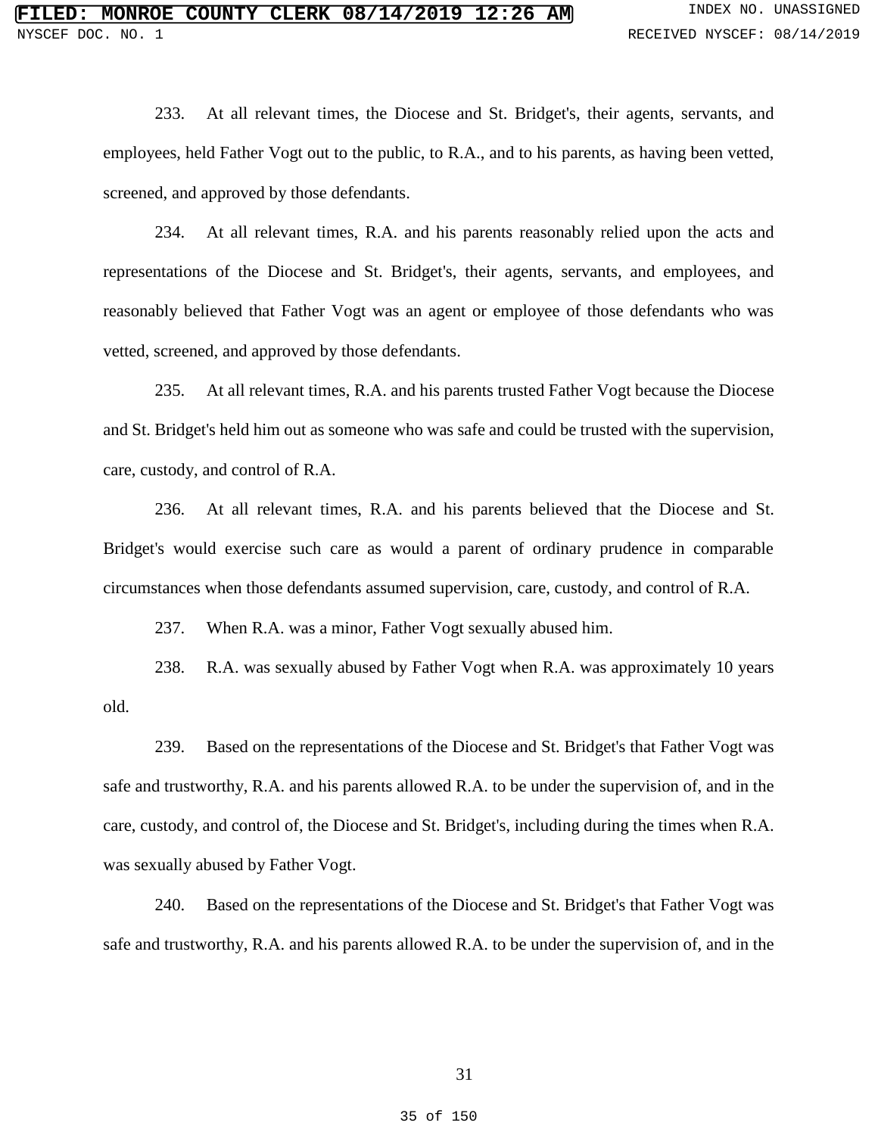233. At all relevant times, the Diocese and St. Bridget's, their agents, servants, and employees, held Father Vogt out to the public, to R.A., and to his parents, as having been vetted, screened, and approved by those defendants.

234. At all relevant times, R.A. and his parents reasonably relied upon the acts and representations of the Diocese and St. Bridget's, their agents, servants, and employees, and reasonably believed that Father Vogt was an agent or employee of those defendants who was vetted, screened, and approved by those defendants.

235. At all relevant times, R.A. and his parents trusted Father Vogt because the Diocese and St. Bridget's held him out as someone who was safe and could be trusted with the supervision, care, custody, and control of R.A.

236. At all relevant times, R.A. and his parents believed that the Diocese and St. Bridget's would exercise such care as would a parent of ordinary prudence in comparable circumstances when those defendants assumed supervision, care, custody, and control of R.A.

237. When R.A. was a minor, Father Vogt sexually abused him.

238. R.A. was sexually abused by Father Vogt when R.A. was approximately 10 years old.

239. Based on the representations of the Diocese and St. Bridget's that Father Vogt was safe and trustworthy, R.A. and his parents allowed R.A. to be under the supervision of, and in the care, custody, and control of, the Diocese and St. Bridget's, including during the times when R.A. was sexually abused by Father Vogt.

240. Based on the representations of the Diocese and St. Bridget's that Father Vogt was safe and trustworthy, R.A. and his parents allowed R.A. to be under the supervision of, and in the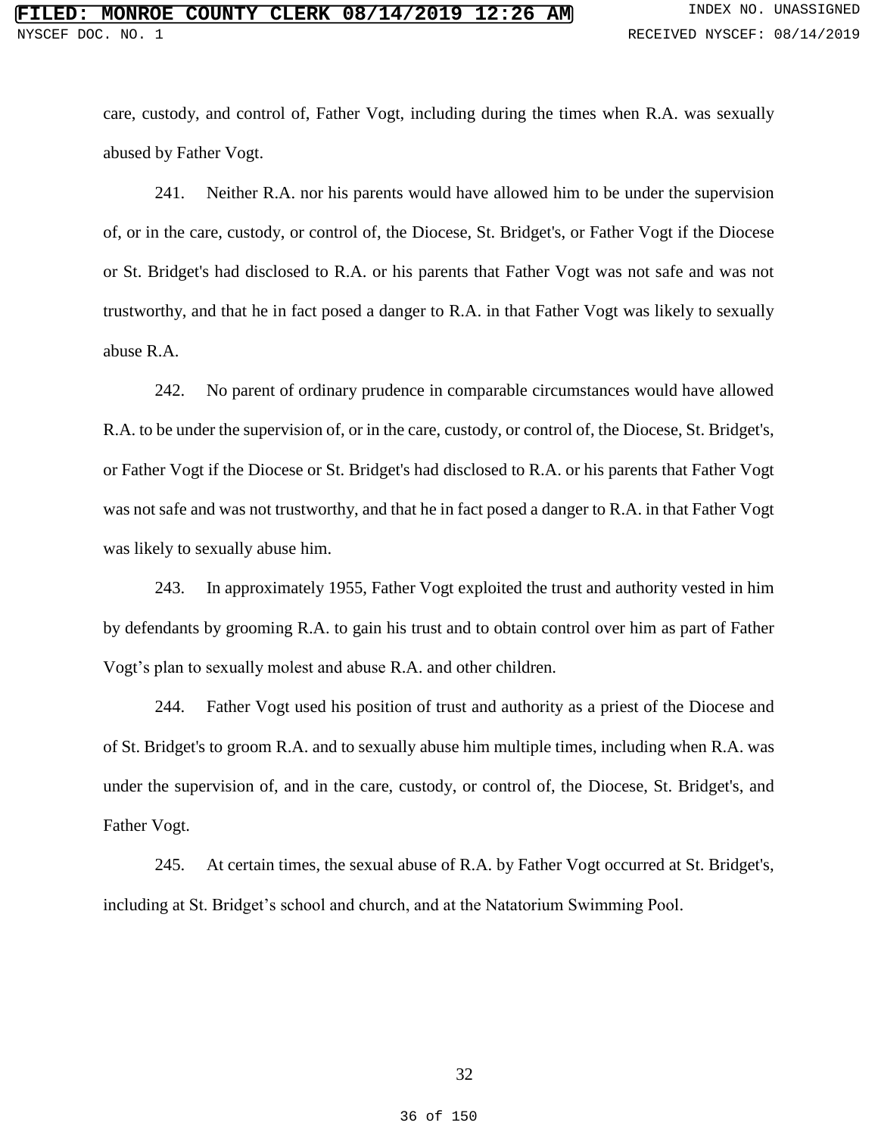care, custody, and control of, Father Vogt, including during the times when R.A. was sexually abused by Father Vogt.

241. Neither R.A. nor his parents would have allowed him to be under the supervision of, or in the care, custody, or control of, the Diocese, St. Bridget's, or Father Vogt if the Diocese or St. Bridget's had disclosed to R.A. or his parents that Father Vogt was not safe and was not trustworthy, and that he in fact posed a danger to R.A. in that Father Vogt was likely to sexually abuse R.A.

242. No parent of ordinary prudence in comparable circumstances would have allowed R.A. to be under the supervision of, or in the care, custody, or control of, the Diocese, St. Bridget's, or Father Vogt if the Diocese or St. Bridget's had disclosed to R.A. or his parents that Father Vogt was not safe and was not trustworthy, and that he in fact posed a danger to R.A. in that Father Vogt was likely to sexually abuse him.

243. In approximately 1955, Father Vogt exploited the trust and authority vested in him by defendants by grooming R.A. to gain his trust and to obtain control over him as part of Father Vogt's plan to sexually molest and abuse R.A. and other children.

244. Father Vogt used his position of trust and authority as a priest of the Diocese and of St. Bridget's to groom R.A. and to sexually abuse him multiple times, including when R.A. was under the supervision of, and in the care, custody, or control of, the Diocese, St. Bridget's, and Father Vogt.

245. At certain times, the sexual abuse of R.A. by Father Vogt occurred at St. Bridget's, including at St. Bridget's school and church, and at the Natatorium Swimming Pool.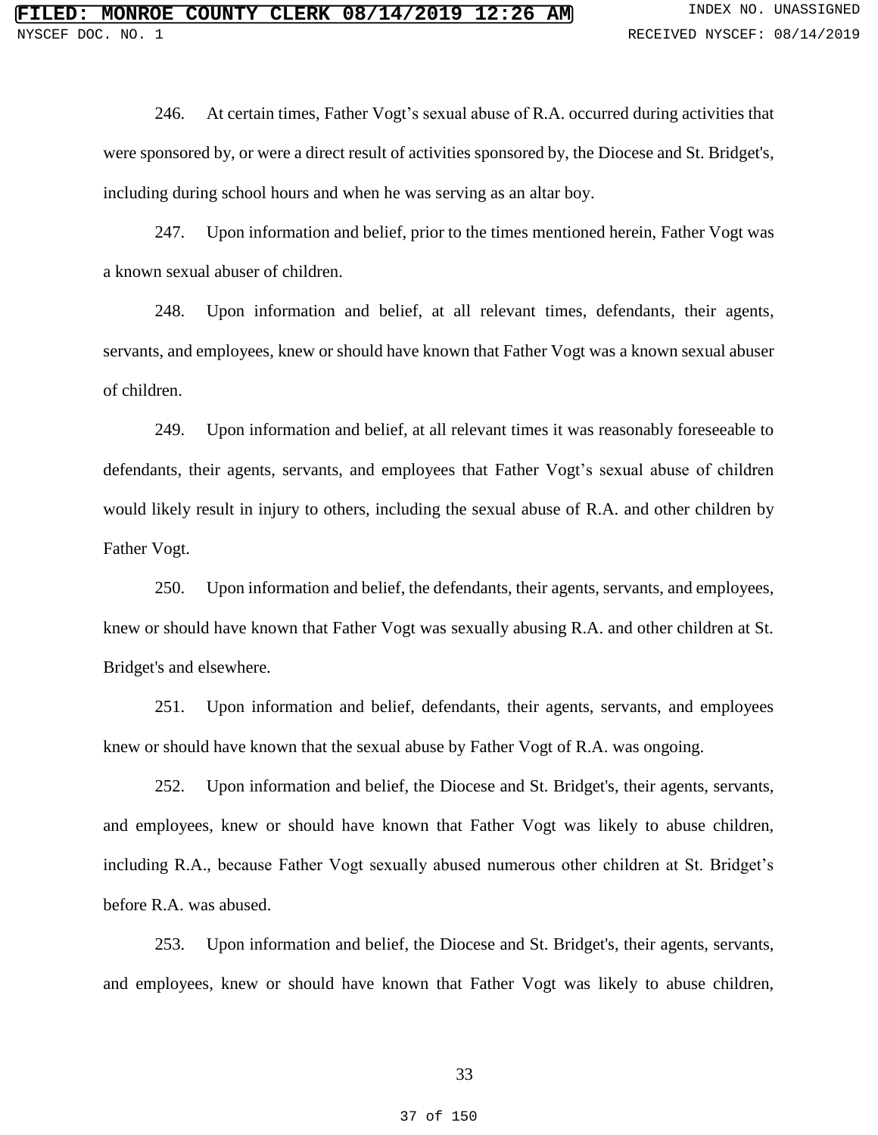246. At certain times, Father Vogt's sexual abuse of R.A. occurred during activities that were sponsored by, or were a direct result of activities sponsored by, the Diocese and St. Bridget's, including during school hours and when he was serving as an altar boy.

247. Upon information and belief, prior to the times mentioned herein, Father Vogt was a known sexual abuser of children.

248. Upon information and belief, at all relevant times, defendants, their agents, servants, and employees, knew or should have known that Father Vogt was a known sexual abuser of children.

249. Upon information and belief, at all relevant times it was reasonably foreseeable to defendants, their agents, servants, and employees that Father Vogt's sexual abuse of children would likely result in injury to others, including the sexual abuse of R.A. and other children by Father Vogt.

250. Upon information and belief, the defendants, their agents, servants, and employees, knew or should have known that Father Vogt was sexually abusing R.A. and other children at St. Bridget's and elsewhere.

251. Upon information and belief, defendants, their agents, servants, and employees knew or should have known that the sexual abuse by Father Vogt of R.A. was ongoing.

252. Upon information and belief, the Diocese and St. Bridget's, their agents, servants, and employees, knew or should have known that Father Vogt was likely to abuse children, including R.A., because Father Vogt sexually abused numerous other children at St. Bridget's before R.A. was abused.

253. Upon information and belief, the Diocese and St. Bridget's, their agents, servants, and employees, knew or should have known that Father Vogt was likely to abuse children,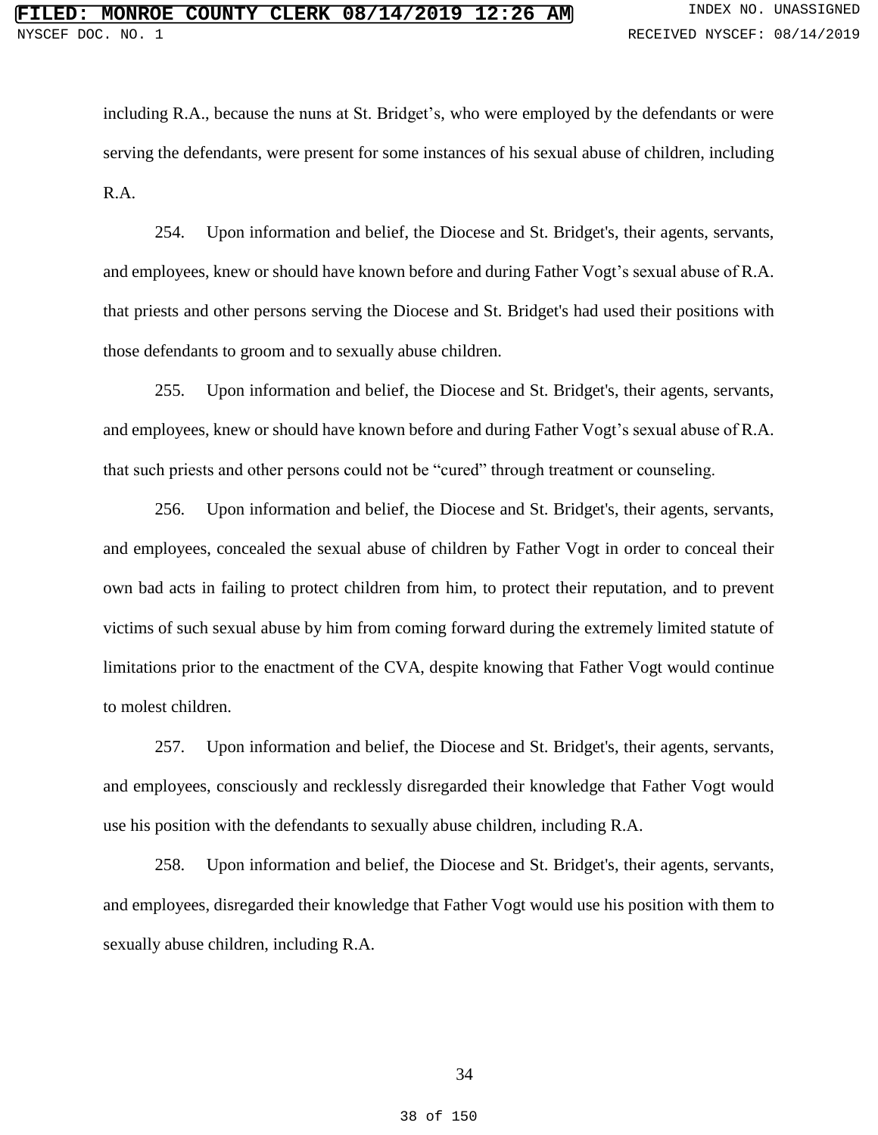including R.A., because the nuns at St. Bridget's, who were employed by the defendants or were serving the defendants, were present for some instances of his sexual abuse of children, including R.A.

254. Upon information and belief, the Diocese and St. Bridget's, their agents, servants, and employees, knew or should have known before and during Father Vogt's sexual abuse of R.A. that priests and other persons serving the Diocese and St. Bridget's had used their positions with those defendants to groom and to sexually abuse children.

255. Upon information and belief, the Diocese and St. Bridget's, their agents, servants, and employees, knew or should have known before and during Father Vogt's sexual abuse of R.A. that such priests and other persons could not be "cured" through treatment or counseling.

256. Upon information and belief, the Diocese and St. Bridget's, their agents, servants, and employees, concealed the sexual abuse of children by Father Vogt in order to conceal their own bad acts in failing to protect children from him, to protect their reputation, and to prevent victims of such sexual abuse by him from coming forward during the extremely limited statute of limitations prior to the enactment of the CVA, despite knowing that Father Vogt would continue to molest children.

257. Upon information and belief, the Diocese and St. Bridget's, their agents, servants, and employees, consciously and recklessly disregarded their knowledge that Father Vogt would use his position with the defendants to sexually abuse children, including R.A.

258. Upon information and belief, the Diocese and St. Bridget's, their agents, servants, and employees, disregarded their knowledge that Father Vogt would use his position with them to sexually abuse children, including R.A.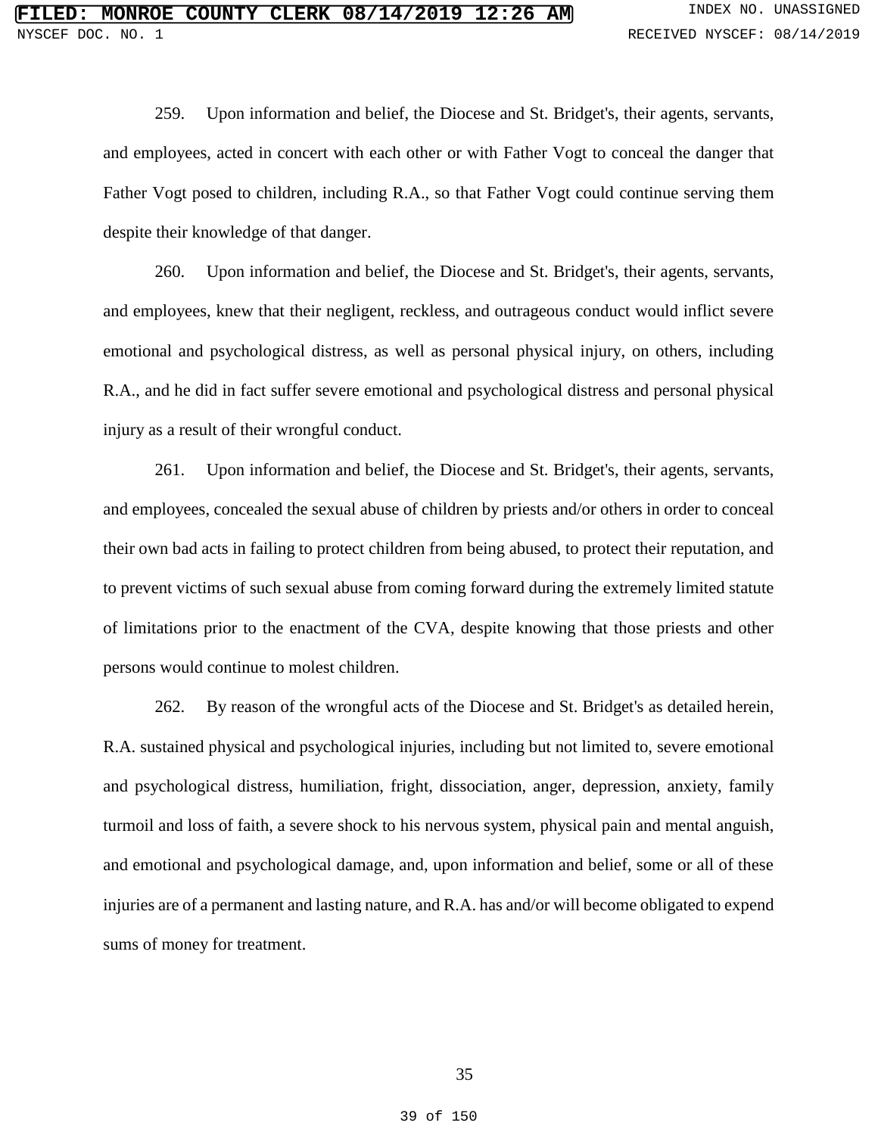259. Upon information and belief, the Diocese and St. Bridget's, their agents, servants, and employees, acted in concert with each other or with Father Vogt to conceal the danger that Father Vogt posed to children, including R.A., so that Father Vogt could continue serving them despite their knowledge of that danger.

260. Upon information and belief, the Diocese and St. Bridget's, their agents, servants, and employees, knew that their negligent, reckless, and outrageous conduct would inflict severe emotional and psychological distress, as well as personal physical injury, on others, including R.A., and he did in fact suffer severe emotional and psychological distress and personal physical injury as a result of their wrongful conduct.

261. Upon information and belief, the Diocese and St. Bridget's, their agents, servants, and employees, concealed the sexual abuse of children by priests and/or others in order to conceal their own bad acts in failing to protect children from being abused, to protect their reputation, and to prevent victims of such sexual abuse from coming forward during the extremely limited statute of limitations prior to the enactment of the CVA, despite knowing that those priests and other persons would continue to molest children.

262. By reason of the wrongful acts of the Diocese and St. Bridget's as detailed herein, R.A. sustained physical and psychological injuries, including but not limited to, severe emotional and psychological distress, humiliation, fright, dissociation, anger, depression, anxiety, family turmoil and loss of faith, a severe shock to his nervous system, physical pain and mental anguish, and emotional and psychological damage, and, upon information and belief, some or all of these injuries are of a permanent and lasting nature, and R.A. has and/or will become obligated to expend sums of money for treatment.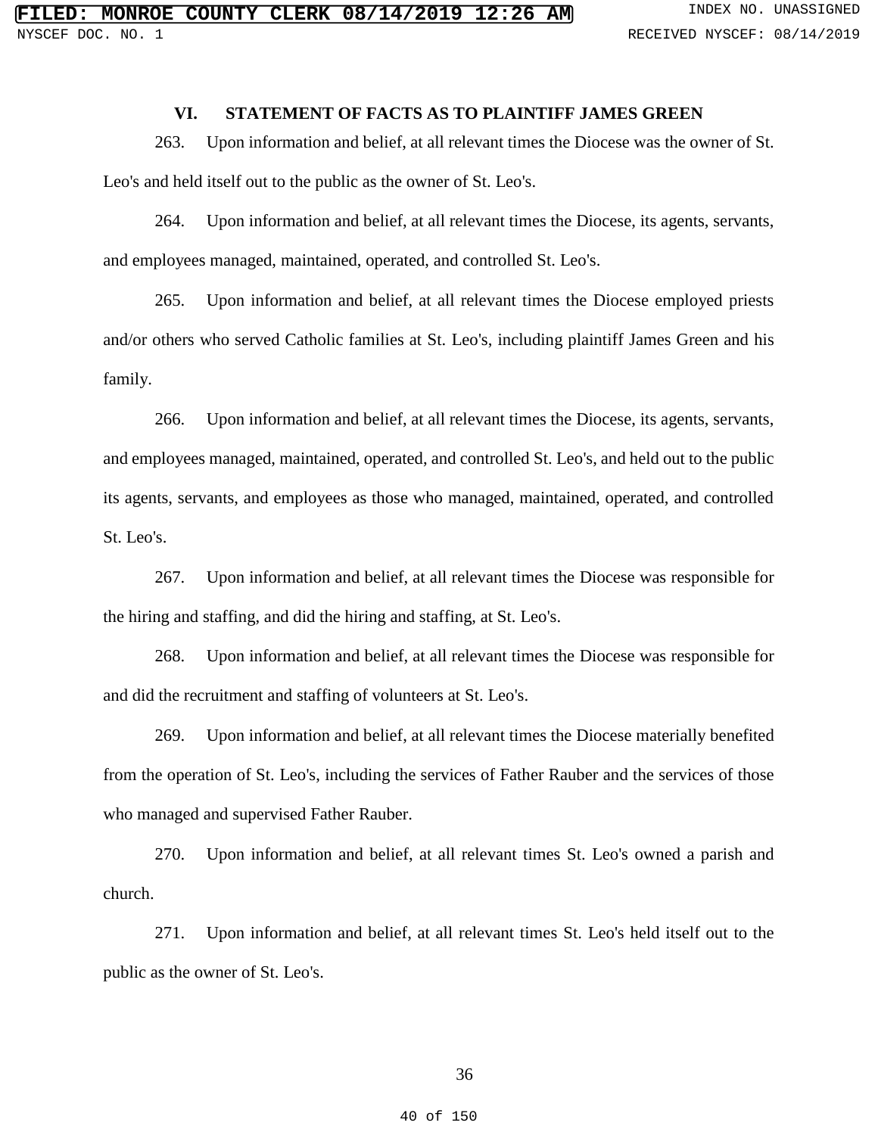## **VI. STATEMENT OF FACTS AS TO PLAINTIFF JAMES GREEN**

263. Upon information and belief, at all relevant times the Diocese was the owner of St. Leo's and held itself out to the public as the owner of St. Leo's.

264. Upon information and belief, at all relevant times the Diocese, its agents, servants, and employees managed, maintained, operated, and controlled St. Leo's.

265. Upon information and belief, at all relevant times the Diocese employed priests and/or others who served Catholic families at St. Leo's, including plaintiff James Green and his family.

266. Upon information and belief, at all relevant times the Diocese, its agents, servants, and employees managed, maintained, operated, and controlled St. Leo's, and held out to the public its agents, servants, and employees as those who managed, maintained, operated, and controlled St. Leo's.

267. Upon information and belief, at all relevant times the Diocese was responsible for the hiring and staffing, and did the hiring and staffing, at St. Leo's.

268. Upon information and belief, at all relevant times the Diocese was responsible for and did the recruitment and staffing of volunteers at St. Leo's.

269. Upon information and belief, at all relevant times the Diocese materially benefited from the operation of St. Leo's, including the services of Father Rauber and the services of those who managed and supervised Father Rauber.

270. Upon information and belief, at all relevant times St. Leo's owned a parish and church.

271. Upon information and belief, at all relevant times St. Leo's held itself out to the public as the owner of St. Leo's.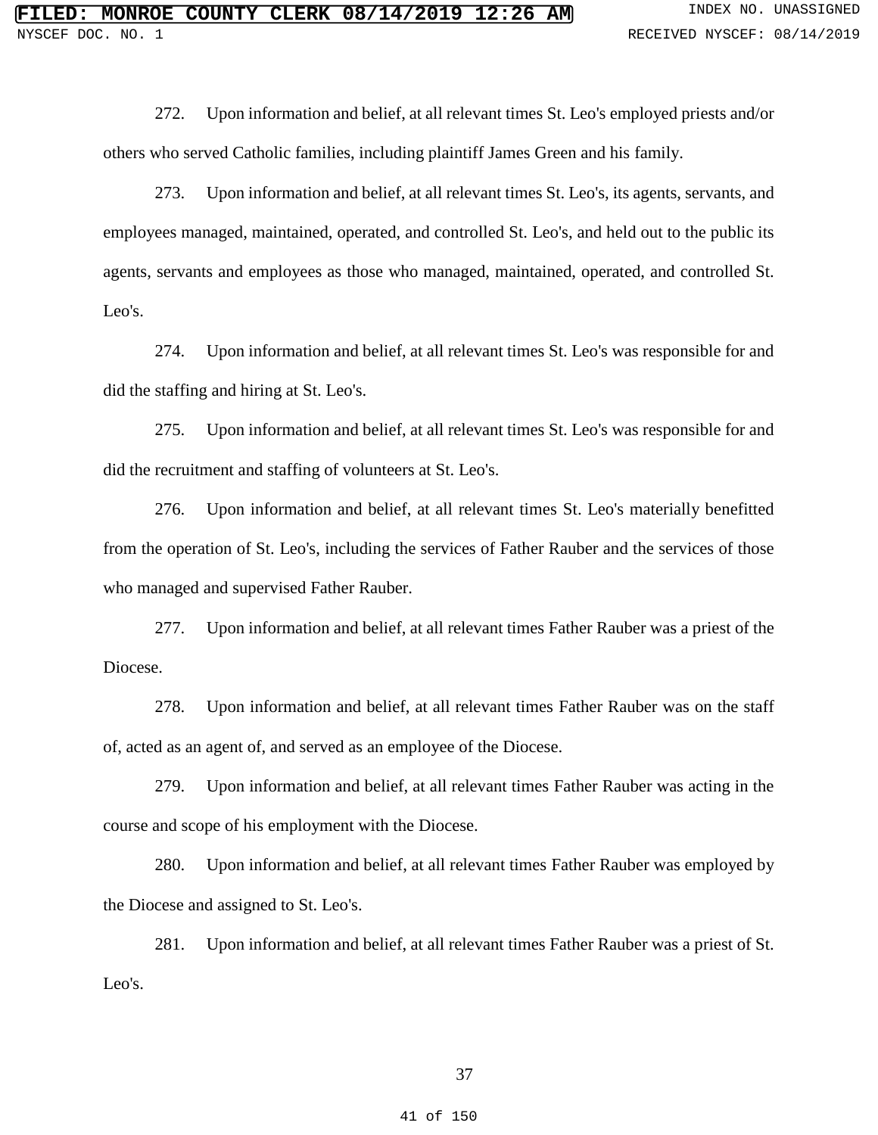272. Upon information and belief, at all relevant times St. Leo's employed priests and/or others who served Catholic families, including plaintiff James Green and his family.

273. Upon information and belief, at all relevant times St. Leo's, its agents, servants, and employees managed, maintained, operated, and controlled St. Leo's, and held out to the public its agents, servants and employees as those who managed, maintained, operated, and controlled St. Leo's.

274. Upon information and belief, at all relevant times St. Leo's was responsible for and did the staffing and hiring at St. Leo's.

275. Upon information and belief, at all relevant times St. Leo's was responsible for and did the recruitment and staffing of volunteers at St. Leo's.

276. Upon information and belief, at all relevant times St. Leo's materially benefitted from the operation of St. Leo's, including the services of Father Rauber and the services of those who managed and supervised Father Rauber.

277. Upon information and belief, at all relevant times Father Rauber was a priest of the Diocese.

278. Upon information and belief, at all relevant times Father Rauber was on the staff of, acted as an agent of, and served as an employee of the Diocese.

279. Upon information and belief, at all relevant times Father Rauber was acting in the course and scope of his employment with the Diocese.

280. Upon information and belief, at all relevant times Father Rauber was employed by the Diocese and assigned to St. Leo's.

281. Upon information and belief, at all relevant times Father Rauber was a priest of St. Leo's.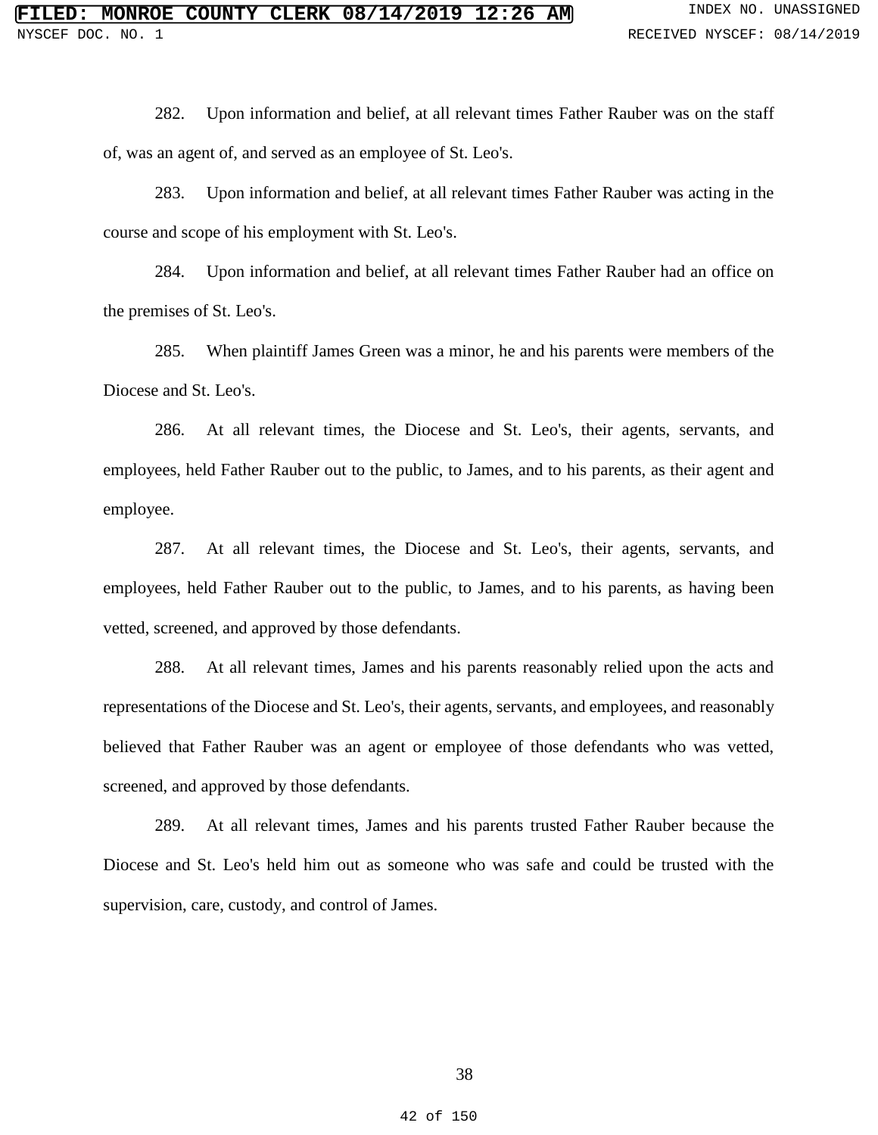282. Upon information and belief, at all relevant times Father Rauber was on the staff of, was an agent of, and served as an employee of St. Leo's.

283. Upon information and belief, at all relevant times Father Rauber was acting in the course and scope of his employment with St. Leo's.

284. Upon information and belief, at all relevant times Father Rauber had an office on the premises of St. Leo's.

285. When plaintiff James Green was a minor, he and his parents were members of the Diocese and St. Leo's.

286. At all relevant times, the Diocese and St. Leo's, their agents, servants, and employees, held Father Rauber out to the public, to James, and to his parents, as their agent and employee.

287. At all relevant times, the Diocese and St. Leo's, their agents, servants, and employees, held Father Rauber out to the public, to James, and to his parents, as having been vetted, screened, and approved by those defendants.

288. At all relevant times, James and his parents reasonably relied upon the acts and representations of the Diocese and St. Leo's, their agents, servants, and employees, and reasonably believed that Father Rauber was an agent or employee of those defendants who was vetted, screened, and approved by those defendants.

289. At all relevant times, James and his parents trusted Father Rauber because the Diocese and St. Leo's held him out as someone who was safe and could be trusted with the supervision, care, custody, and control of James.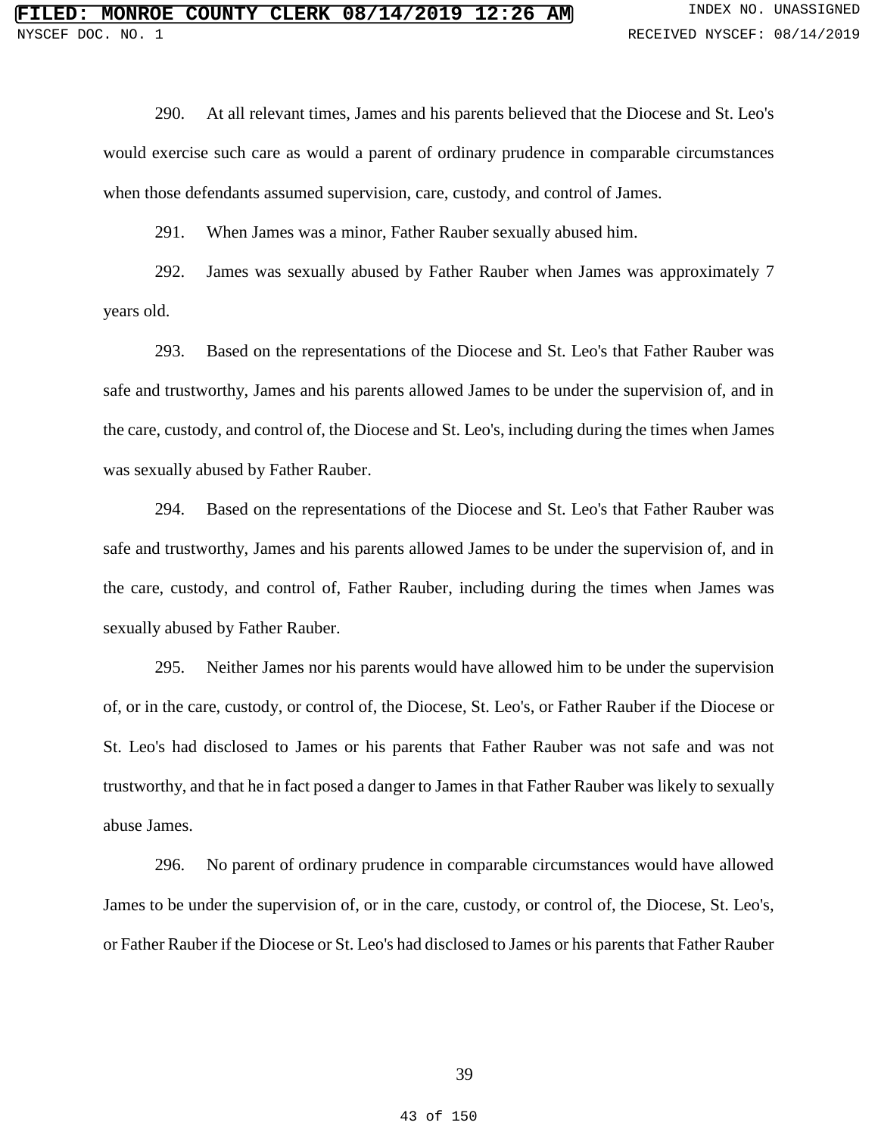290. At all relevant times, James and his parents believed that the Diocese and St. Leo's would exercise such care as would a parent of ordinary prudence in comparable circumstances when those defendants assumed supervision, care, custody, and control of James.

291. When James was a minor, Father Rauber sexually abused him.

292. James was sexually abused by Father Rauber when James was approximately 7 years old.

293. Based on the representations of the Diocese and St. Leo's that Father Rauber was safe and trustworthy, James and his parents allowed James to be under the supervision of, and in the care, custody, and control of, the Diocese and St. Leo's, including during the times when James was sexually abused by Father Rauber.

294. Based on the representations of the Diocese and St. Leo's that Father Rauber was safe and trustworthy, James and his parents allowed James to be under the supervision of, and in the care, custody, and control of, Father Rauber, including during the times when James was sexually abused by Father Rauber.

295. Neither James nor his parents would have allowed him to be under the supervision of, or in the care, custody, or control of, the Diocese, St. Leo's, or Father Rauber if the Diocese or St. Leo's had disclosed to James or his parents that Father Rauber was not safe and was not trustworthy, and that he in fact posed a danger to James in that Father Rauber was likely to sexually abuse James.

296. No parent of ordinary prudence in comparable circumstances would have allowed James to be under the supervision of, or in the care, custody, or control of, the Diocese, St. Leo's, or Father Rauber if the Diocese or St. Leo's had disclosed to James or his parents that Father Rauber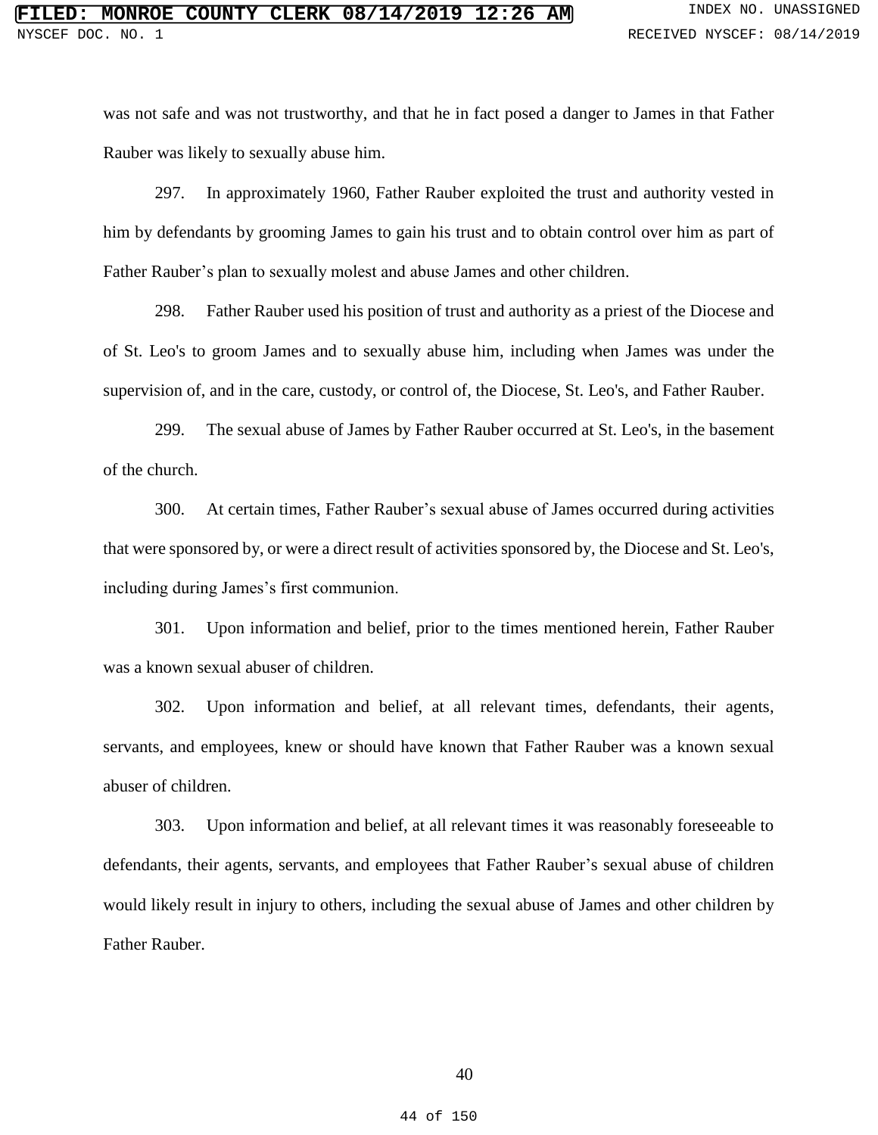was not safe and was not trustworthy, and that he in fact posed a danger to James in that Father Rauber was likely to sexually abuse him.

297. In approximately 1960, Father Rauber exploited the trust and authority vested in him by defendants by grooming James to gain his trust and to obtain control over him as part of Father Rauber's plan to sexually molest and abuse James and other children.

298. Father Rauber used his position of trust and authority as a priest of the Diocese and of St. Leo's to groom James and to sexually abuse him, including when James was under the supervision of, and in the care, custody, or control of, the Diocese, St. Leo's, and Father Rauber.

299. The sexual abuse of James by Father Rauber occurred at St. Leo's, in the basement of the church.

300. At certain times, Father Rauber's sexual abuse of James occurred during activities that were sponsored by, or were a direct result of activities sponsored by, the Diocese and St. Leo's, including during James's first communion.

301. Upon information and belief, prior to the times mentioned herein, Father Rauber was a known sexual abuser of children.

302. Upon information and belief, at all relevant times, defendants, their agents, servants, and employees, knew or should have known that Father Rauber was a known sexual abuser of children.

303. Upon information and belief, at all relevant times it was reasonably foreseeable to defendants, their agents, servants, and employees that Father Rauber's sexual abuse of children would likely result in injury to others, including the sexual abuse of James and other children by Father Rauber.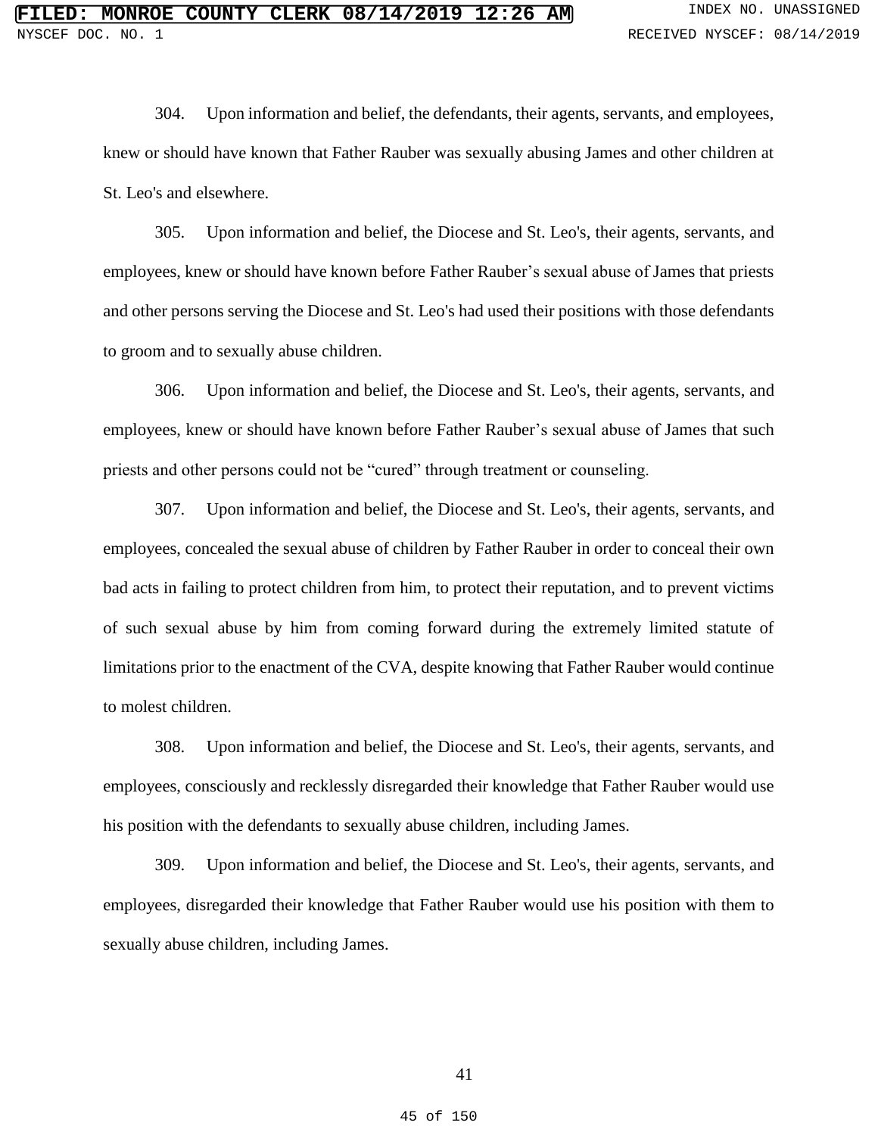304. Upon information and belief, the defendants, their agents, servants, and employees, knew or should have known that Father Rauber was sexually abusing James and other children at St. Leo's and elsewhere.

305. Upon information and belief, the Diocese and St. Leo's, their agents, servants, and employees, knew or should have known before Father Rauber's sexual abuse of James that priests and other persons serving the Diocese and St. Leo's had used their positions with those defendants to groom and to sexually abuse children.

306. Upon information and belief, the Diocese and St. Leo's, their agents, servants, and employees, knew or should have known before Father Rauber's sexual abuse of James that such priests and other persons could not be "cured" through treatment or counseling.

307. Upon information and belief, the Diocese and St. Leo's, their agents, servants, and employees, concealed the sexual abuse of children by Father Rauber in order to conceal their own bad acts in failing to protect children from him, to protect their reputation, and to prevent victims of such sexual abuse by him from coming forward during the extremely limited statute of limitations prior to the enactment of the CVA, despite knowing that Father Rauber would continue to molest children.

308. Upon information and belief, the Diocese and St. Leo's, their agents, servants, and employees, consciously and recklessly disregarded their knowledge that Father Rauber would use his position with the defendants to sexually abuse children, including James.

309. Upon information and belief, the Diocese and St. Leo's, their agents, servants, and employees, disregarded their knowledge that Father Rauber would use his position with them to sexually abuse children, including James.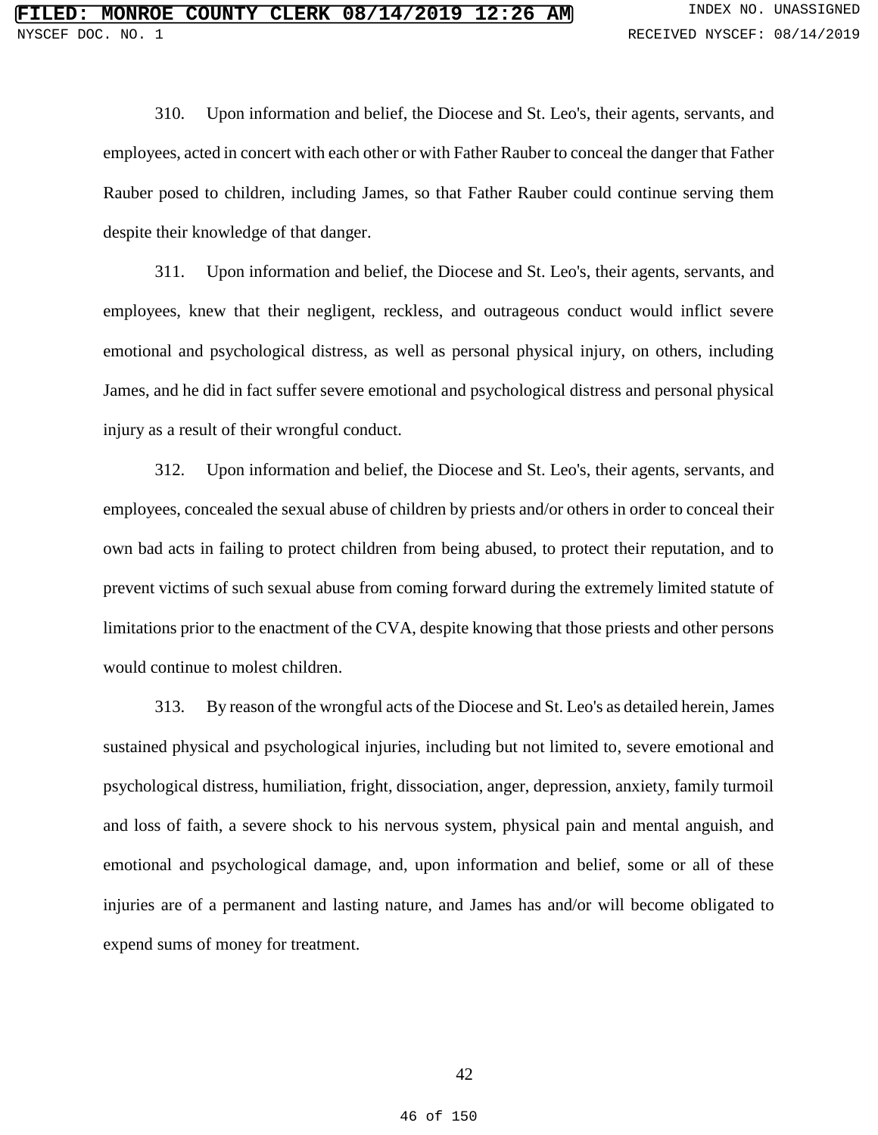310. Upon information and belief, the Diocese and St. Leo's, their agents, servants, and employees, acted in concert with each other or with Father Rauber to conceal the danger that Father Rauber posed to children, including James, so that Father Rauber could continue serving them despite their knowledge of that danger.

311. Upon information and belief, the Diocese and St. Leo's, their agents, servants, and employees, knew that their negligent, reckless, and outrageous conduct would inflict severe emotional and psychological distress, as well as personal physical injury, on others, including James, and he did in fact suffer severe emotional and psychological distress and personal physical injury as a result of their wrongful conduct.

312. Upon information and belief, the Diocese and St. Leo's, their agents, servants, and employees, concealed the sexual abuse of children by priests and/or others in order to conceal their own bad acts in failing to protect children from being abused, to protect their reputation, and to prevent victims of such sexual abuse from coming forward during the extremely limited statute of limitations prior to the enactment of the CVA, despite knowing that those priests and other persons would continue to molest children.

313. By reason of the wrongful acts of the Diocese and St. Leo's as detailed herein, James sustained physical and psychological injuries, including but not limited to, severe emotional and psychological distress, humiliation, fright, dissociation, anger, depression, anxiety, family turmoil and loss of faith, a severe shock to his nervous system, physical pain and mental anguish, and emotional and psychological damage, and, upon information and belief, some or all of these injuries are of a permanent and lasting nature, and James has and/or will become obligated to expend sums of money for treatment.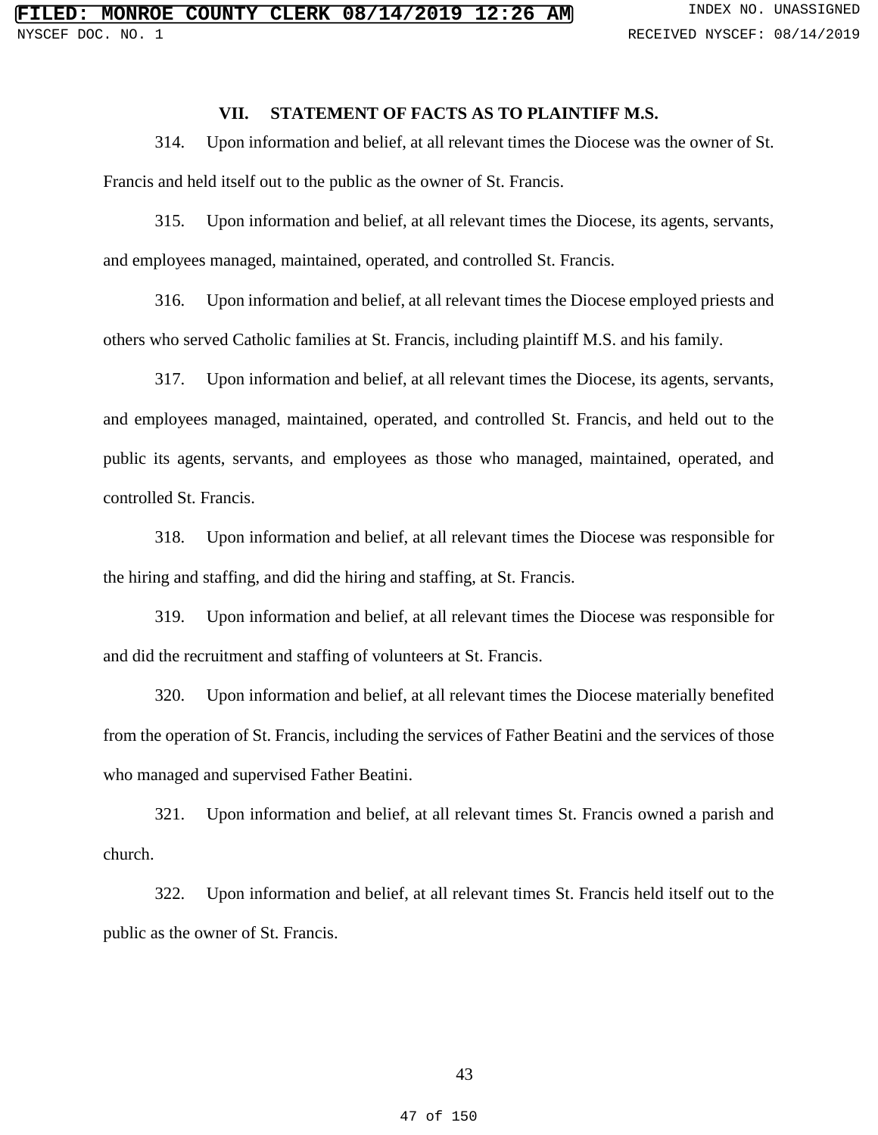# **VII. STATEMENT OF FACTS AS TO PLAINTIFF M.S.**

314. Upon information and belief, at all relevant times the Diocese was the owner of St. Francis and held itself out to the public as the owner of St. Francis.

315. Upon information and belief, at all relevant times the Diocese, its agents, servants, and employees managed, maintained, operated, and controlled St. Francis.

316. Upon information and belief, at all relevant times the Diocese employed priests and others who served Catholic families at St. Francis, including plaintiff M.S. and his family.

317. Upon information and belief, at all relevant times the Diocese, its agents, servants, and employees managed, maintained, operated, and controlled St. Francis, and held out to the public its agents, servants, and employees as those who managed, maintained, operated, and controlled St. Francis.

318. Upon information and belief, at all relevant times the Diocese was responsible for the hiring and staffing, and did the hiring and staffing, at St. Francis.

319. Upon information and belief, at all relevant times the Diocese was responsible for and did the recruitment and staffing of volunteers at St. Francis.

320. Upon information and belief, at all relevant times the Diocese materially benefited from the operation of St. Francis, including the services of Father Beatini and the services of those who managed and supervised Father Beatini.

321. Upon information and belief, at all relevant times St. Francis owned a parish and church.

322. Upon information and belief, at all relevant times St. Francis held itself out to the public as the owner of St. Francis.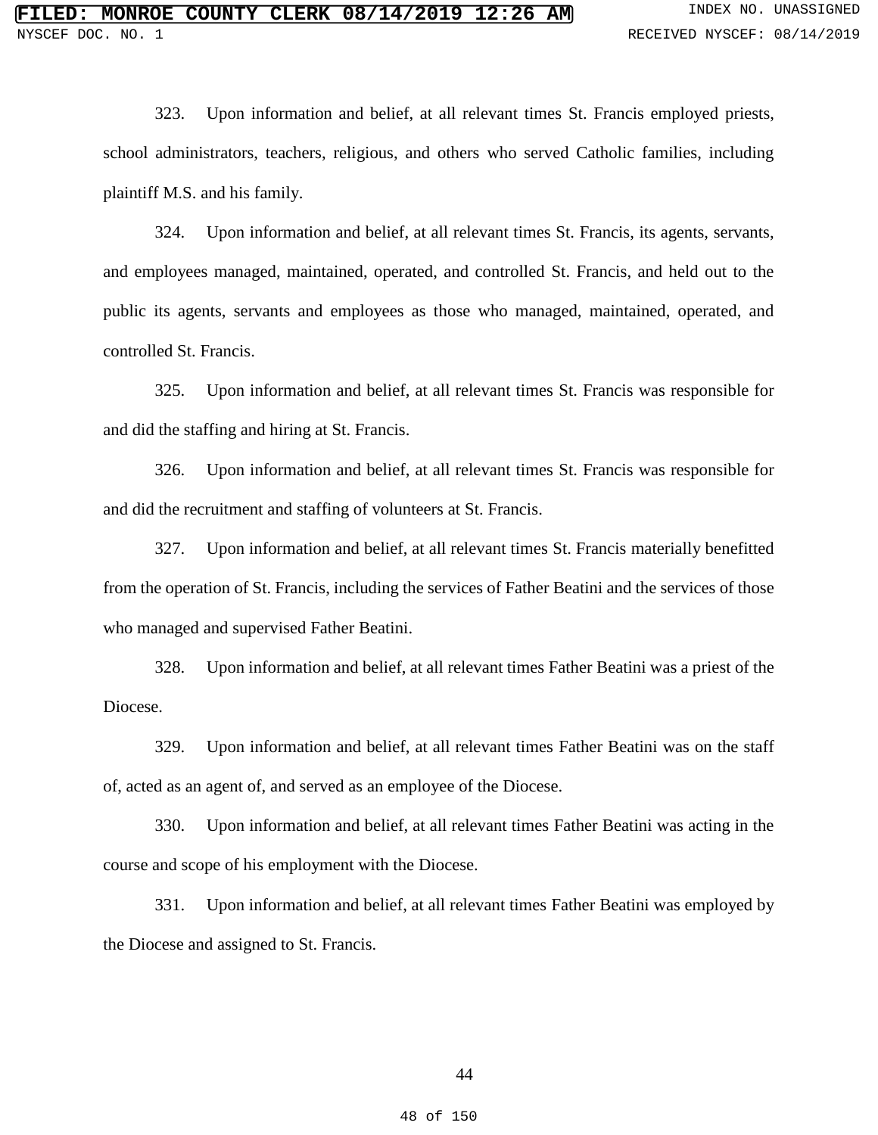323. Upon information and belief, at all relevant times St. Francis employed priests, school administrators, teachers, religious, and others who served Catholic families, including plaintiff M.S. and his family.

324. Upon information and belief, at all relevant times St. Francis, its agents, servants, and employees managed, maintained, operated, and controlled St. Francis, and held out to the public its agents, servants and employees as those who managed, maintained, operated, and controlled St. Francis.

325. Upon information and belief, at all relevant times St. Francis was responsible for and did the staffing and hiring at St. Francis.

326. Upon information and belief, at all relevant times St. Francis was responsible for and did the recruitment and staffing of volunteers at St. Francis.

327. Upon information and belief, at all relevant times St. Francis materially benefitted from the operation of St. Francis, including the services of Father Beatini and the services of those who managed and supervised Father Beatini.

328. Upon information and belief, at all relevant times Father Beatini was a priest of the Diocese.

329. Upon information and belief, at all relevant times Father Beatini was on the staff of, acted as an agent of, and served as an employee of the Diocese.

330. Upon information and belief, at all relevant times Father Beatini was acting in the course and scope of his employment with the Diocese.

331. Upon information and belief, at all relevant times Father Beatini was employed by the Diocese and assigned to St. Francis.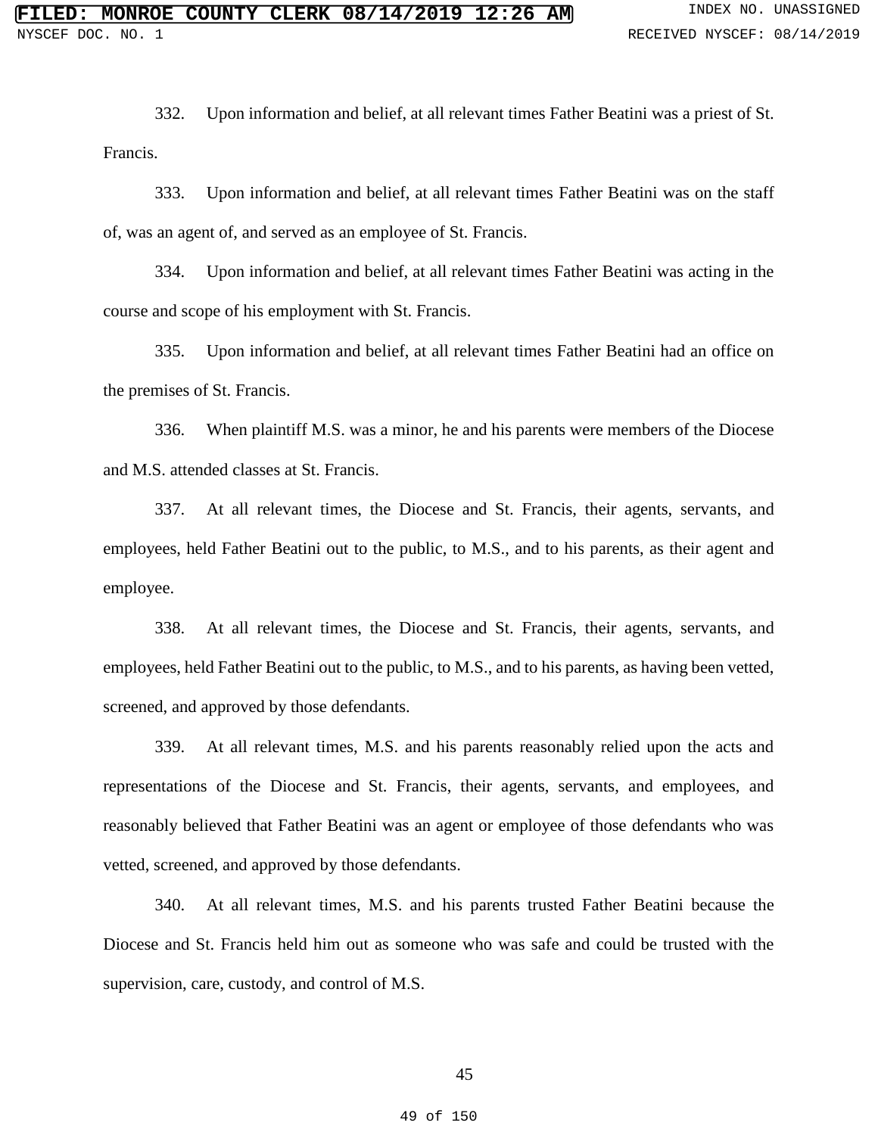332. Upon information and belief, at all relevant times Father Beatini was a priest of St. Francis.

333. Upon information and belief, at all relevant times Father Beatini was on the staff of, was an agent of, and served as an employee of St. Francis.

334. Upon information and belief, at all relevant times Father Beatini was acting in the course and scope of his employment with St. Francis.

335. Upon information and belief, at all relevant times Father Beatini had an office on the premises of St. Francis.

336. When plaintiff M.S. was a minor, he and his parents were members of the Diocese and M.S. attended classes at St. Francis.

337. At all relevant times, the Diocese and St. Francis, their agents, servants, and employees, held Father Beatini out to the public, to M.S., and to his parents, as their agent and employee.

338. At all relevant times, the Diocese and St. Francis, their agents, servants, and employees, held Father Beatini out to the public, to M.S., and to his parents, as having been vetted, screened, and approved by those defendants.

339. At all relevant times, M.S. and his parents reasonably relied upon the acts and representations of the Diocese and St. Francis, their agents, servants, and employees, and reasonably believed that Father Beatini was an agent or employee of those defendants who was vetted, screened, and approved by those defendants.

340. At all relevant times, M.S. and his parents trusted Father Beatini because the Diocese and St. Francis held him out as someone who was safe and could be trusted with the supervision, care, custody, and control of M.S.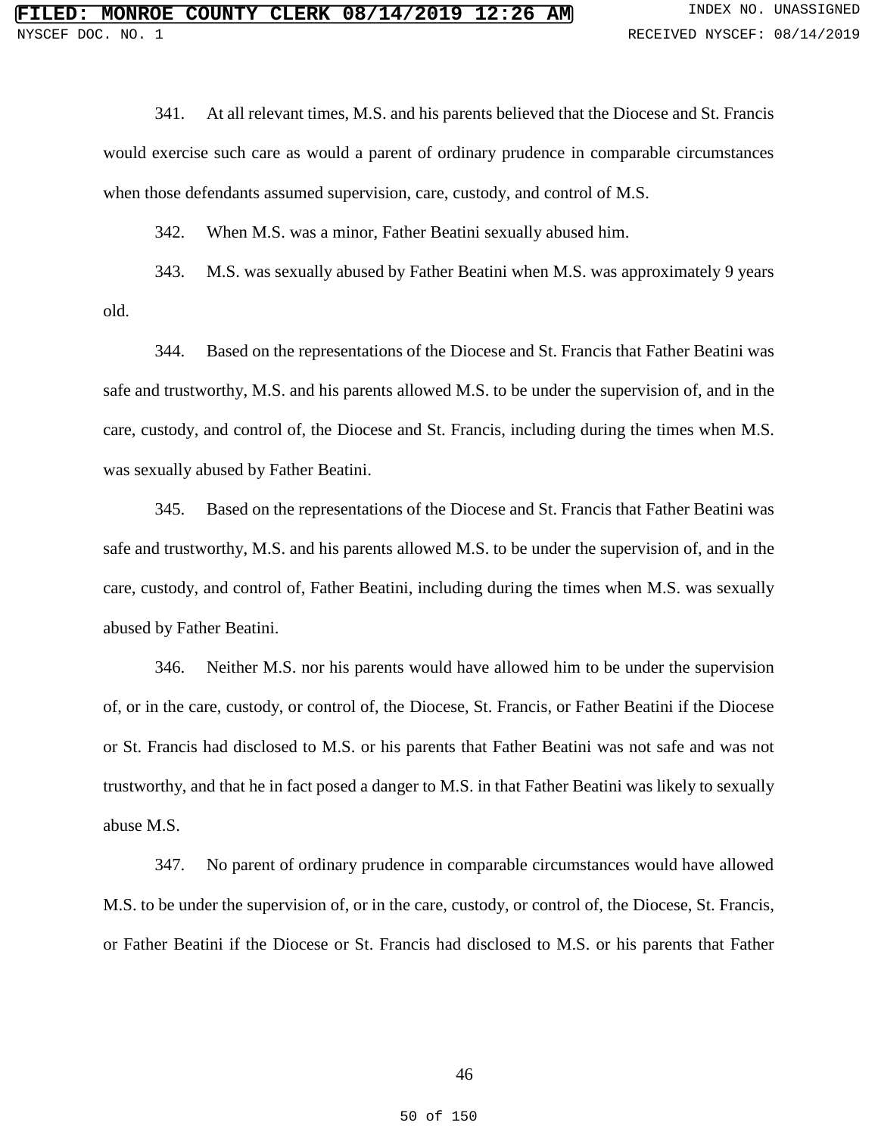341. At all relevant times, M.S. and his parents believed that the Diocese and St. Francis would exercise such care as would a parent of ordinary prudence in comparable circumstances when those defendants assumed supervision, care, custody, and control of M.S.

342. When M.S. was a minor, Father Beatini sexually abused him.

343. M.S. was sexually abused by Father Beatini when M.S. was approximately 9 years old.

344. Based on the representations of the Diocese and St. Francis that Father Beatini was safe and trustworthy, M.S. and his parents allowed M.S. to be under the supervision of, and in the care, custody, and control of, the Diocese and St. Francis, including during the times when M.S. was sexually abused by Father Beatini.

345. Based on the representations of the Diocese and St. Francis that Father Beatini was safe and trustworthy, M.S. and his parents allowed M.S. to be under the supervision of, and in the care, custody, and control of, Father Beatini, including during the times when M.S. was sexually abused by Father Beatini.

346. Neither M.S. nor his parents would have allowed him to be under the supervision of, or in the care, custody, or control of, the Diocese, St. Francis, or Father Beatini if the Diocese or St. Francis had disclosed to M.S. or his parents that Father Beatini was not safe and was not trustworthy, and that he in fact posed a danger to M.S. in that Father Beatini was likely to sexually abuse M.S.

347. No parent of ordinary prudence in comparable circumstances would have allowed M.S. to be under the supervision of, or in the care, custody, or control of, the Diocese, St. Francis, or Father Beatini if the Diocese or St. Francis had disclosed to M.S. or his parents that Father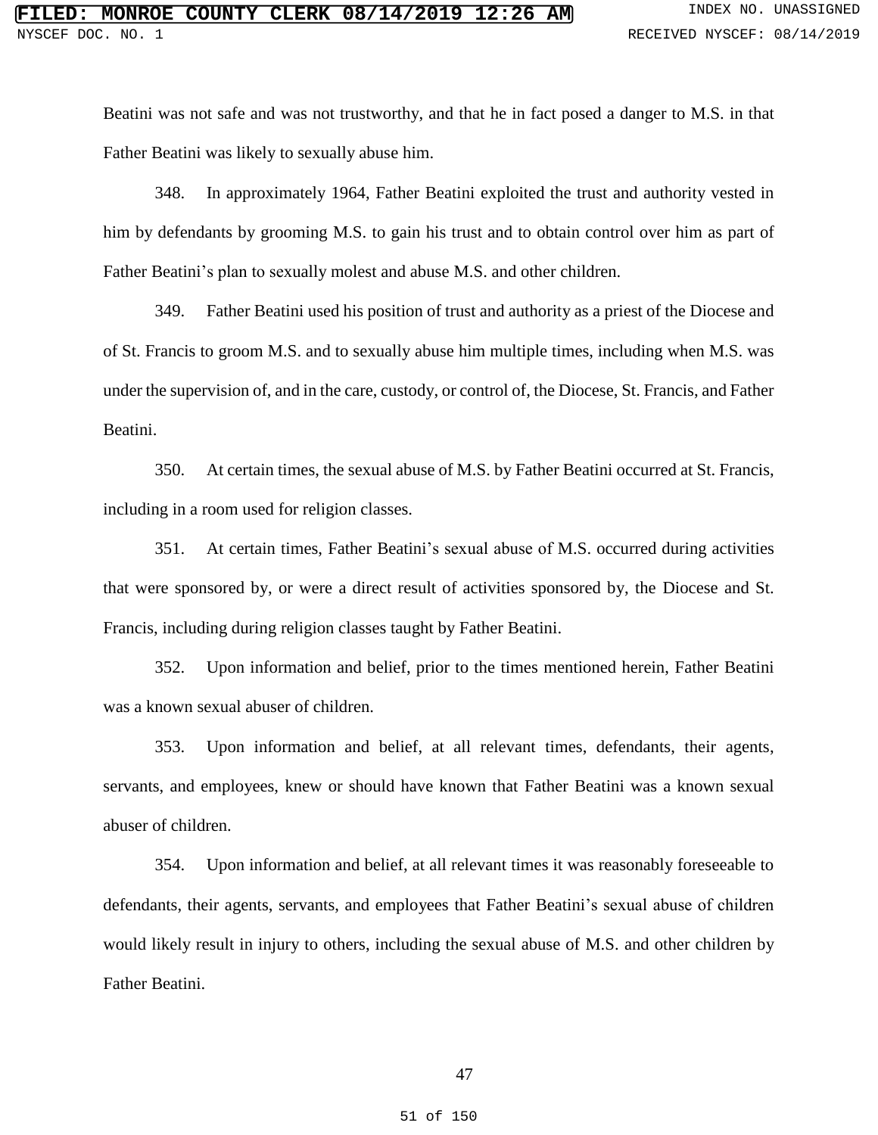Beatini was not safe and was not trustworthy, and that he in fact posed a danger to M.S. in that Father Beatini was likely to sexually abuse him.

348. In approximately 1964, Father Beatini exploited the trust and authority vested in him by defendants by grooming M.S. to gain his trust and to obtain control over him as part of Father Beatini's plan to sexually molest and abuse M.S. and other children.

349. Father Beatini used his position of trust and authority as a priest of the Diocese and of St. Francis to groom M.S. and to sexually abuse him multiple times, including when M.S. was under the supervision of, and in the care, custody, or control of, the Diocese, St. Francis, and Father Beatini.

350. At certain times, the sexual abuse of M.S. by Father Beatini occurred at St. Francis, including in a room used for religion classes.

351. At certain times, Father Beatini's sexual abuse of M.S. occurred during activities that were sponsored by, or were a direct result of activities sponsored by, the Diocese and St. Francis, including during religion classes taught by Father Beatini.

352. Upon information and belief, prior to the times mentioned herein, Father Beatini was a known sexual abuser of children.

353. Upon information and belief, at all relevant times, defendants, their agents, servants, and employees, knew or should have known that Father Beatini was a known sexual abuser of children.

354. Upon information and belief, at all relevant times it was reasonably foreseeable to defendants, their agents, servants, and employees that Father Beatini's sexual abuse of children would likely result in injury to others, including the sexual abuse of M.S. and other children by Father Beatini.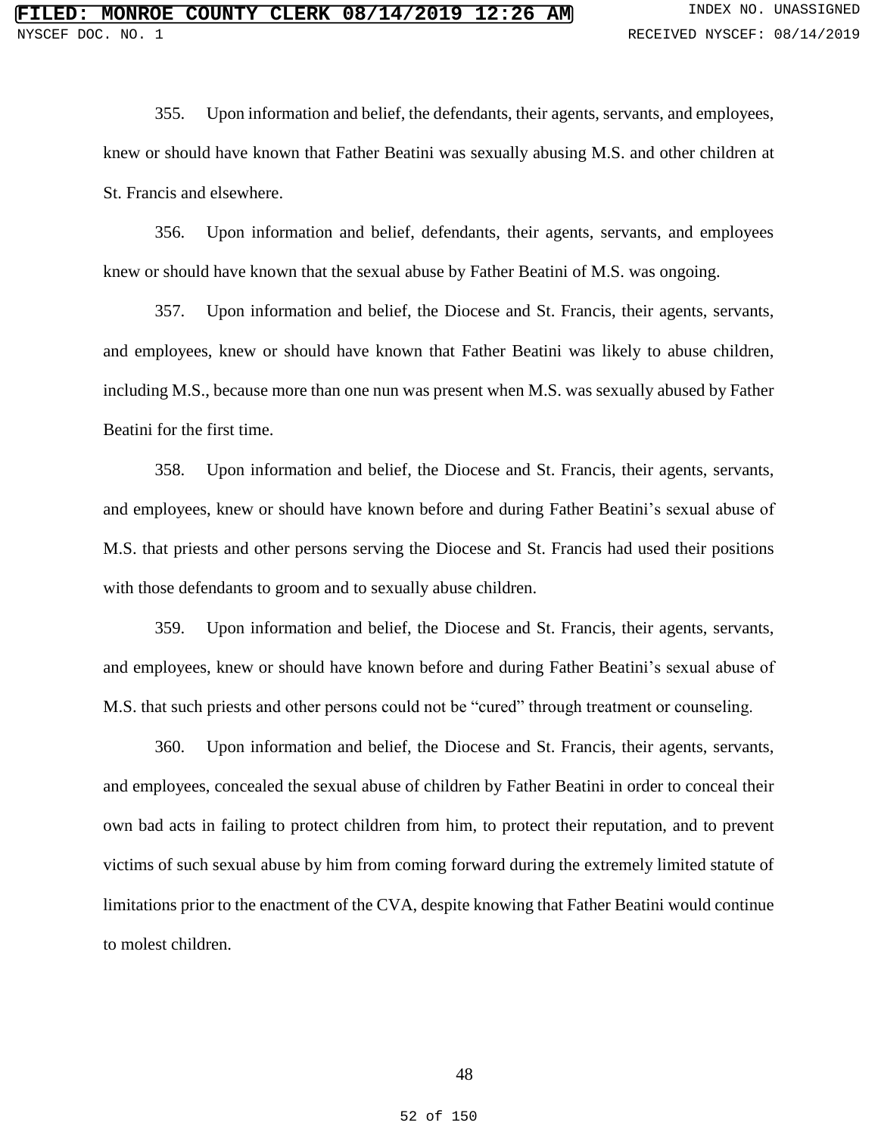355. Upon information and belief, the defendants, their agents, servants, and employees, knew or should have known that Father Beatini was sexually abusing M.S. and other children at St. Francis and elsewhere.

356. Upon information and belief, defendants, their agents, servants, and employees knew or should have known that the sexual abuse by Father Beatini of M.S. was ongoing.

357. Upon information and belief, the Diocese and St. Francis, their agents, servants, and employees, knew or should have known that Father Beatini was likely to abuse children, including M.S., because more than one nun was present when M.S. was sexually abused by Father Beatini for the first time.

358. Upon information and belief, the Diocese and St. Francis, their agents, servants, and employees, knew or should have known before and during Father Beatini's sexual abuse of M.S. that priests and other persons serving the Diocese and St. Francis had used their positions with those defendants to groom and to sexually abuse children.

359. Upon information and belief, the Diocese and St. Francis, their agents, servants, and employees, knew or should have known before and during Father Beatini's sexual abuse of M.S. that such priests and other persons could not be "cured" through treatment or counseling.

360. Upon information and belief, the Diocese and St. Francis, their agents, servants, and employees, concealed the sexual abuse of children by Father Beatini in order to conceal their own bad acts in failing to protect children from him, to protect their reputation, and to prevent victims of such sexual abuse by him from coming forward during the extremely limited statute of limitations prior to the enactment of the CVA, despite knowing that Father Beatini would continue to molest children.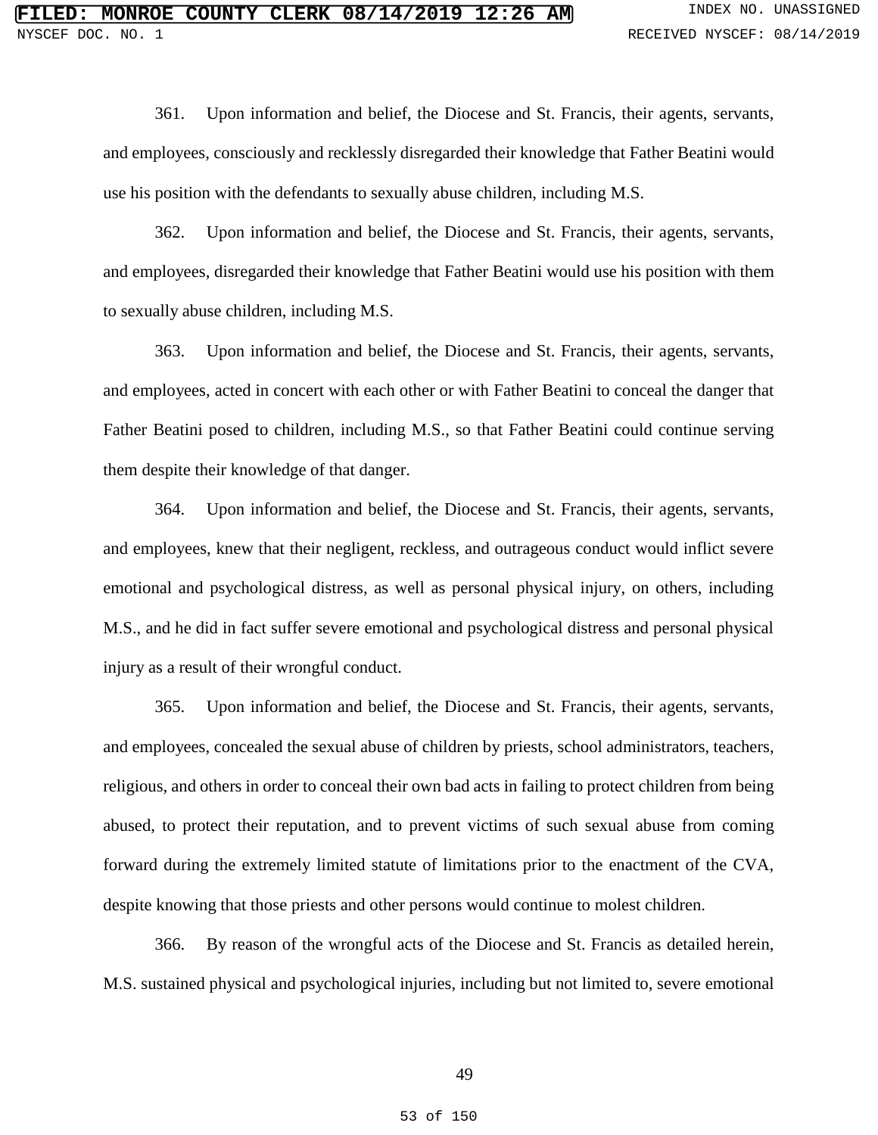361. Upon information and belief, the Diocese and St. Francis, their agents, servants, and employees, consciously and recklessly disregarded their knowledge that Father Beatini would use his position with the defendants to sexually abuse children, including M.S.

362. Upon information and belief, the Diocese and St. Francis, their agents, servants, and employees, disregarded their knowledge that Father Beatini would use his position with them to sexually abuse children, including M.S.

363. Upon information and belief, the Diocese and St. Francis, their agents, servants, and employees, acted in concert with each other or with Father Beatini to conceal the danger that Father Beatini posed to children, including M.S., so that Father Beatini could continue serving them despite their knowledge of that danger.

364. Upon information and belief, the Diocese and St. Francis, their agents, servants, and employees, knew that their negligent, reckless, and outrageous conduct would inflict severe emotional and psychological distress, as well as personal physical injury, on others, including M.S., and he did in fact suffer severe emotional and psychological distress and personal physical injury as a result of their wrongful conduct.

365. Upon information and belief, the Diocese and St. Francis, their agents, servants, and employees, concealed the sexual abuse of children by priests, school administrators, teachers, religious, and others in order to conceal their own bad acts in failing to protect children from being abused, to protect their reputation, and to prevent victims of such sexual abuse from coming forward during the extremely limited statute of limitations prior to the enactment of the CVA, despite knowing that those priests and other persons would continue to molest children.

366. By reason of the wrongful acts of the Diocese and St. Francis as detailed herein, M.S. sustained physical and psychological injuries, including but not limited to, severe emotional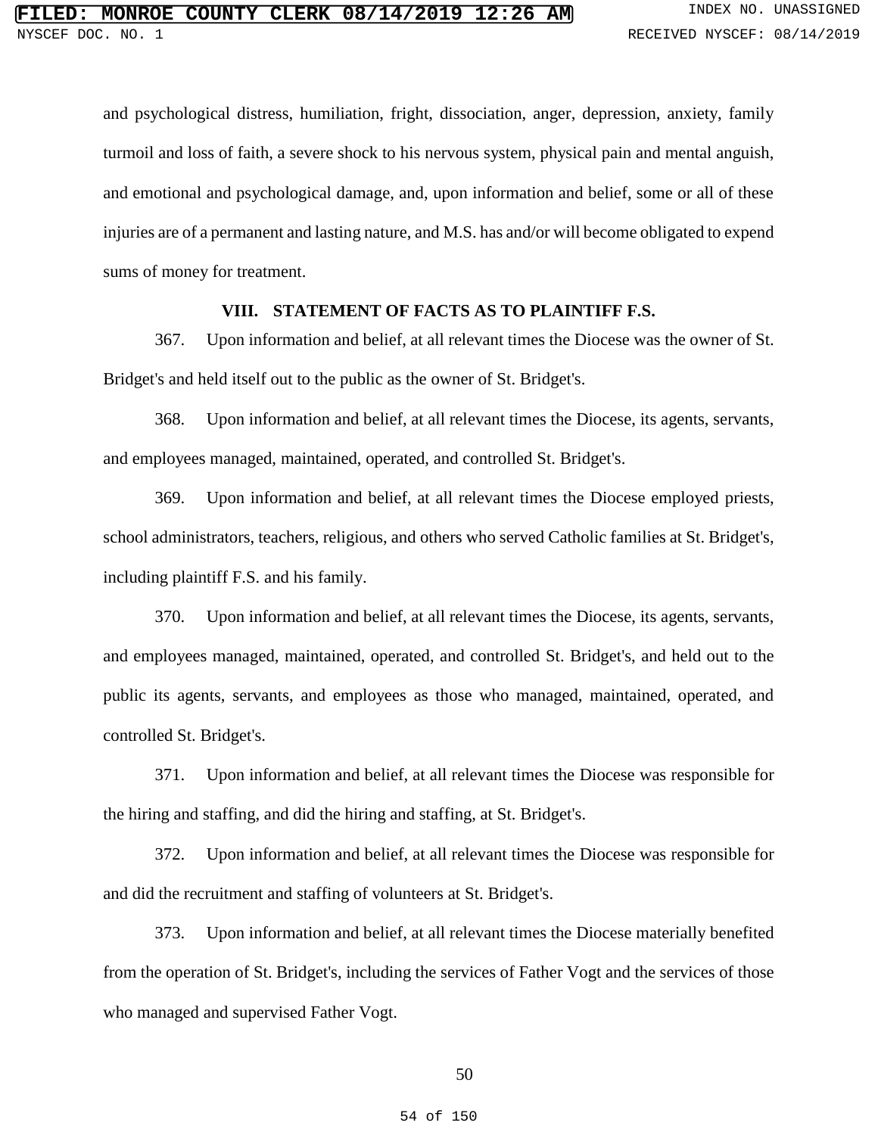and psychological distress, humiliation, fright, dissociation, anger, depression, anxiety, family turmoil and loss of faith, a severe shock to his nervous system, physical pain and mental anguish, and emotional and psychological damage, and, upon information and belief, some or all of these injuries are of a permanent and lasting nature, and M.S. has and/or will become obligated to expend sums of money for treatment.

## **VIII. STATEMENT OF FACTS AS TO PLAINTIFF F.S.**

367. Upon information and belief, at all relevant times the Diocese was the owner of St. Bridget's and held itself out to the public as the owner of St. Bridget's.

368. Upon information and belief, at all relevant times the Diocese, its agents, servants, and employees managed, maintained, operated, and controlled St. Bridget's.

369. Upon information and belief, at all relevant times the Diocese employed priests, school administrators, teachers, religious, and others who served Catholic families at St. Bridget's, including plaintiff F.S. and his family.

370. Upon information and belief, at all relevant times the Diocese, its agents, servants, and employees managed, maintained, operated, and controlled St. Bridget's, and held out to the public its agents, servants, and employees as those who managed, maintained, operated, and controlled St. Bridget's.

371. Upon information and belief, at all relevant times the Diocese was responsible for the hiring and staffing, and did the hiring and staffing, at St. Bridget's.

372. Upon information and belief, at all relevant times the Diocese was responsible for and did the recruitment and staffing of volunteers at St. Bridget's.

373. Upon information and belief, at all relevant times the Diocese materially benefited from the operation of St. Bridget's, including the services of Father Vogt and the services of those who managed and supervised Father Vogt.

### 50

#### 54 of 150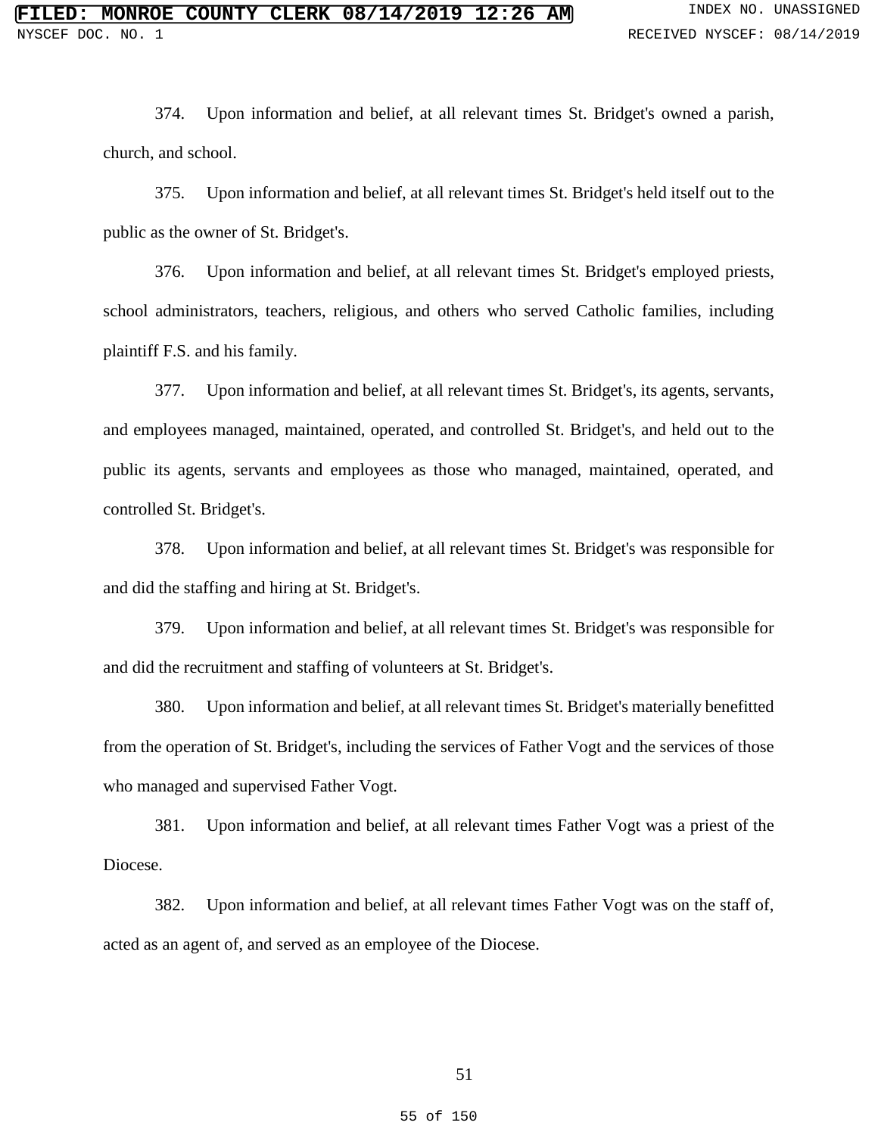374. Upon information and belief, at all relevant times St. Bridget's owned a parish, church, and school.

375. Upon information and belief, at all relevant times St. Bridget's held itself out to the public as the owner of St. Bridget's.

376. Upon information and belief, at all relevant times St. Bridget's employed priests, school administrators, teachers, religious, and others who served Catholic families, including plaintiff F.S. and his family.

377. Upon information and belief, at all relevant times St. Bridget's, its agents, servants, and employees managed, maintained, operated, and controlled St. Bridget's, and held out to the public its agents, servants and employees as those who managed, maintained, operated, and controlled St. Bridget's.

378. Upon information and belief, at all relevant times St. Bridget's was responsible for and did the staffing and hiring at St. Bridget's.

379. Upon information and belief, at all relevant times St. Bridget's was responsible for and did the recruitment and staffing of volunteers at St. Bridget's.

380. Upon information and belief, at all relevant times St. Bridget's materially benefitted from the operation of St. Bridget's, including the services of Father Vogt and the services of those who managed and supervised Father Vogt.

381. Upon information and belief, at all relevant times Father Vogt was a priest of the Diocese.

382. Upon information and belief, at all relevant times Father Vogt was on the staff of, acted as an agent of, and served as an employee of the Diocese.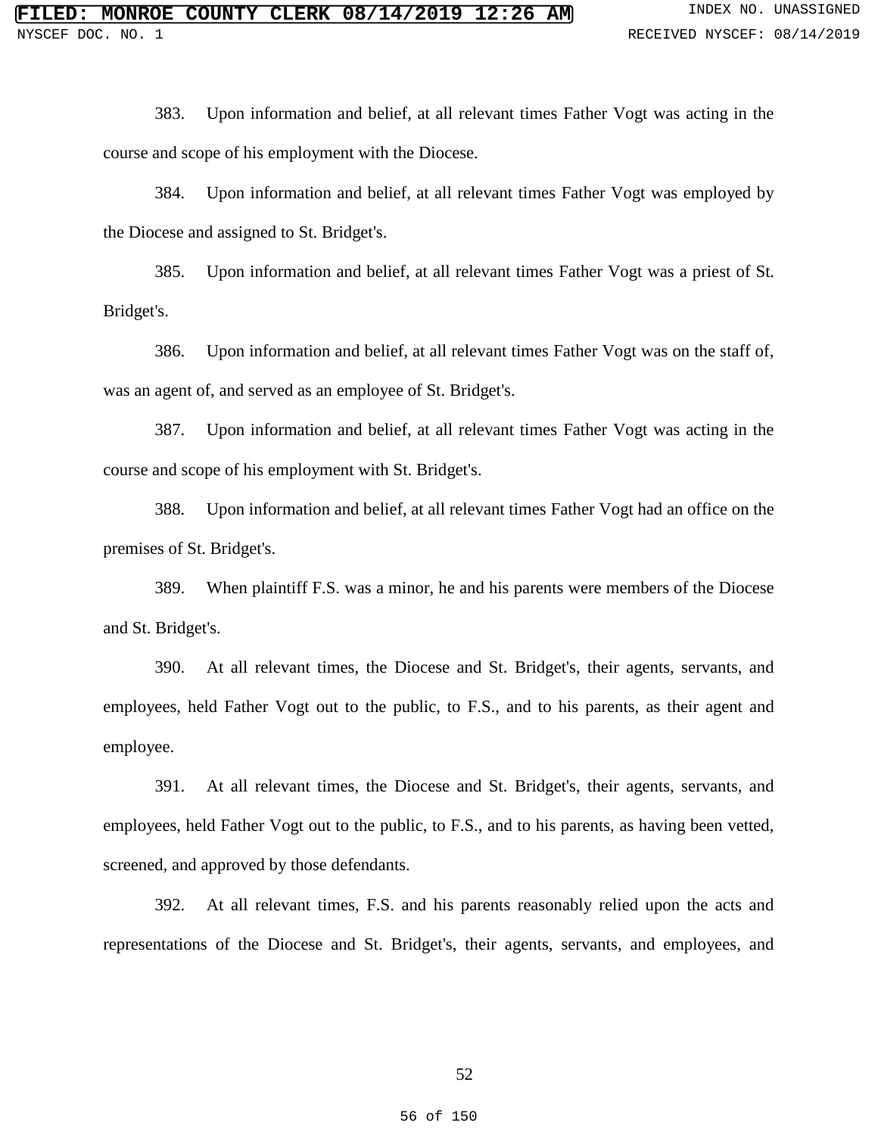383. Upon information and belief, at all relevant times Father Vogt was acting in the course and scope of his employment with the Diocese.

384. Upon information and belief, at all relevant times Father Vogt was employed by the Diocese and assigned to St. Bridget's.

385. Upon information and belief, at all relevant times Father Vogt was a priest of St. Bridget's.

386. Upon information and belief, at all relevant times Father Vogt was on the staff of, was an agent of, and served as an employee of St. Bridget's.

387. Upon information and belief, at all relevant times Father Vogt was acting in the course and scope of his employment with St. Bridget's.

388. Upon information and belief, at all relevant times Father Vogt had an office on the premises of St. Bridget's.

389. When plaintiff F.S. was a minor, he and his parents were members of the Diocese and St. Bridget's.

390. At all relevant times, the Diocese and St. Bridget's, their agents, servants, and employees, held Father Vogt out to the public, to F.S., and to his parents, as their agent and employee.

391. At all relevant times, the Diocese and St. Bridget's, their agents, servants, and employees, held Father Vogt out to the public, to F.S., and to his parents, as having been vetted, screened, and approved by those defendants.

392. At all relevant times, F.S. and his parents reasonably relied upon the acts and representations of the Diocese and St. Bridget's, their agents, servants, and employees, and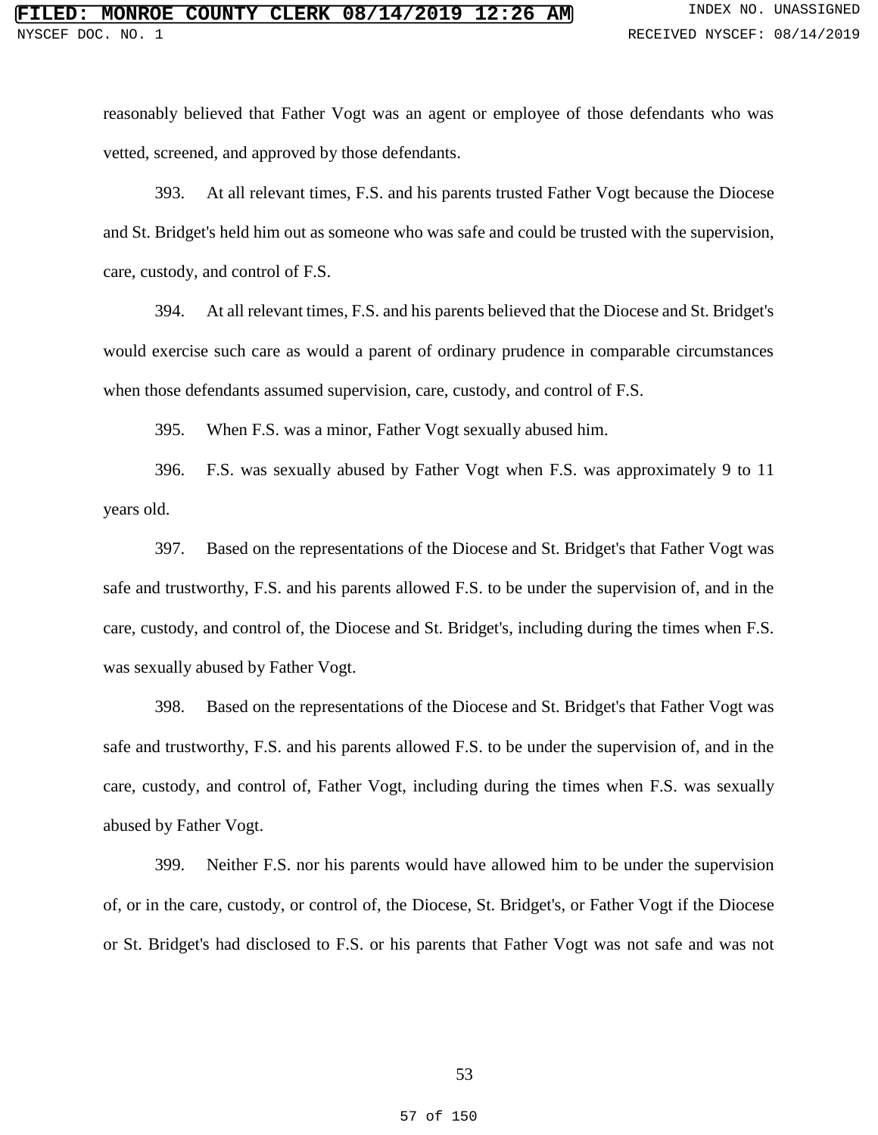reasonably believed that Father Vogt was an agent or employee of those defendants who was vetted, screened, and approved by those defendants.

393. At all relevant times, F.S. and his parents trusted Father Vogt because the Diocese and St. Bridget's held him out as someone who was safe and could be trusted with the supervision, care, custody, and control of F.S.

394. At all relevant times, F.S. and his parents believed that the Diocese and St. Bridget's would exercise such care as would a parent of ordinary prudence in comparable circumstances when those defendants assumed supervision, care, custody, and control of F.S.

395. When F.S. was a minor, Father Vogt sexually abused him.

396. F.S. was sexually abused by Father Vogt when F.S. was approximately 9 to 11 years old.

397. Based on the representations of the Diocese and St. Bridget's that Father Vogt was safe and trustworthy, F.S. and his parents allowed F.S. to be under the supervision of, and in the care, custody, and control of, the Diocese and St. Bridget's, including during the times when F.S. was sexually abused by Father Vogt.

398. Based on the representations of the Diocese and St. Bridget's that Father Vogt was safe and trustworthy, F.S. and his parents allowed F.S. to be under the supervision of, and in the care, custody, and control of, Father Vogt, including during the times when F.S. was sexually abused by Father Vogt.

399. Neither F.S. nor his parents would have allowed him to be under the supervision of, or in the care, custody, or control of, the Diocese, St. Bridget's, or Father Vogt if the Diocese or St. Bridget's had disclosed to F.S. or his parents that Father Vogt was not safe and was not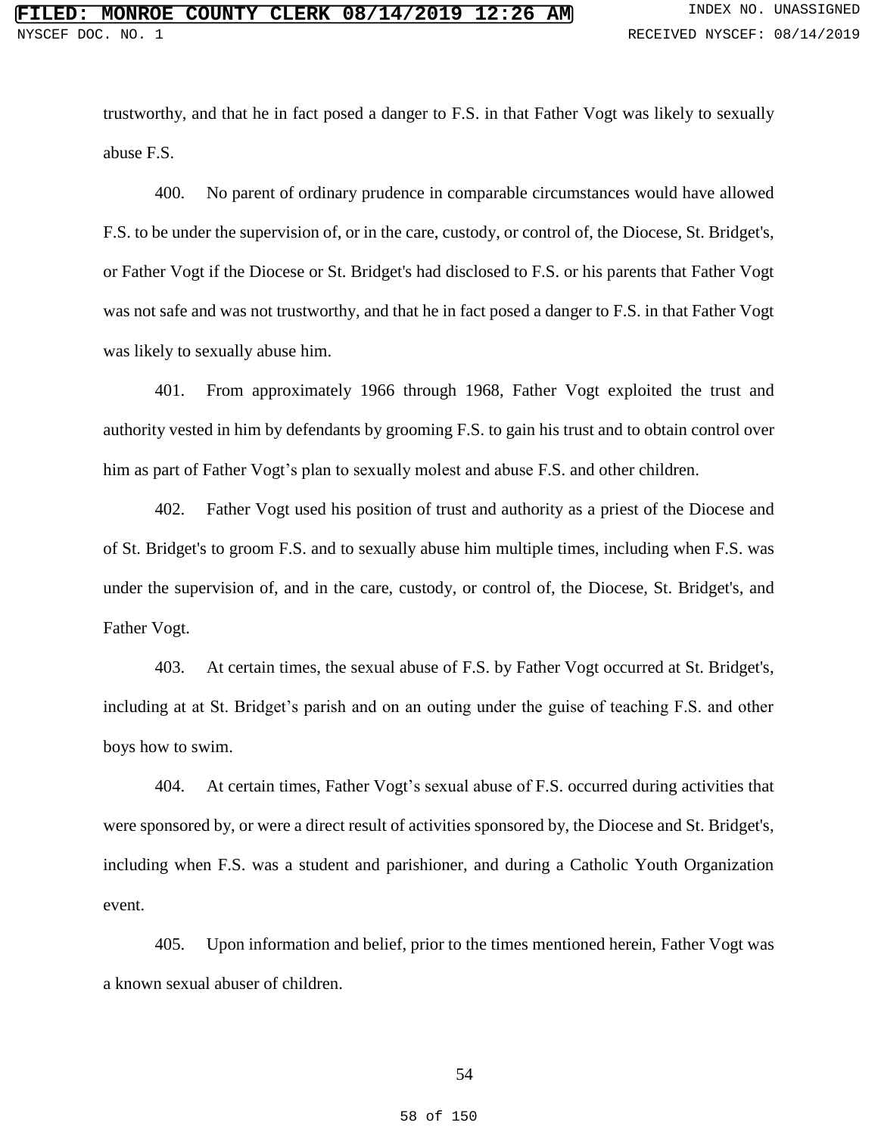trustworthy, and that he in fact posed a danger to F.S. in that Father Vogt was likely to sexually abuse F.S.

400. No parent of ordinary prudence in comparable circumstances would have allowed F.S. to be under the supervision of, or in the care, custody, or control of, the Diocese, St. Bridget's, or Father Vogt if the Diocese or St. Bridget's had disclosed to F.S. or his parents that Father Vogt was not safe and was not trustworthy, and that he in fact posed a danger to F.S. in that Father Vogt was likely to sexually abuse him.

401. From approximately 1966 through 1968, Father Vogt exploited the trust and authority vested in him by defendants by grooming F.S. to gain his trust and to obtain control over him as part of Father Vogt's plan to sexually molest and abuse F.S. and other children.

402. Father Vogt used his position of trust and authority as a priest of the Diocese and of St. Bridget's to groom F.S. and to sexually abuse him multiple times, including when F.S. was under the supervision of, and in the care, custody, or control of, the Diocese, St. Bridget's, and Father Vogt.

403. At certain times, the sexual abuse of F.S. by Father Vogt occurred at St. Bridget's, including at at St. Bridget's parish and on an outing under the guise of teaching F.S. and other boys how to swim.

404. At certain times, Father Vogt's sexual abuse of F.S. occurred during activities that were sponsored by, or were a direct result of activities sponsored by, the Diocese and St. Bridget's, including when F.S. was a student and parishioner, and during a Catholic Youth Organization event.

405. Upon information and belief, prior to the times mentioned herein, Father Vogt was a known sexual abuser of children.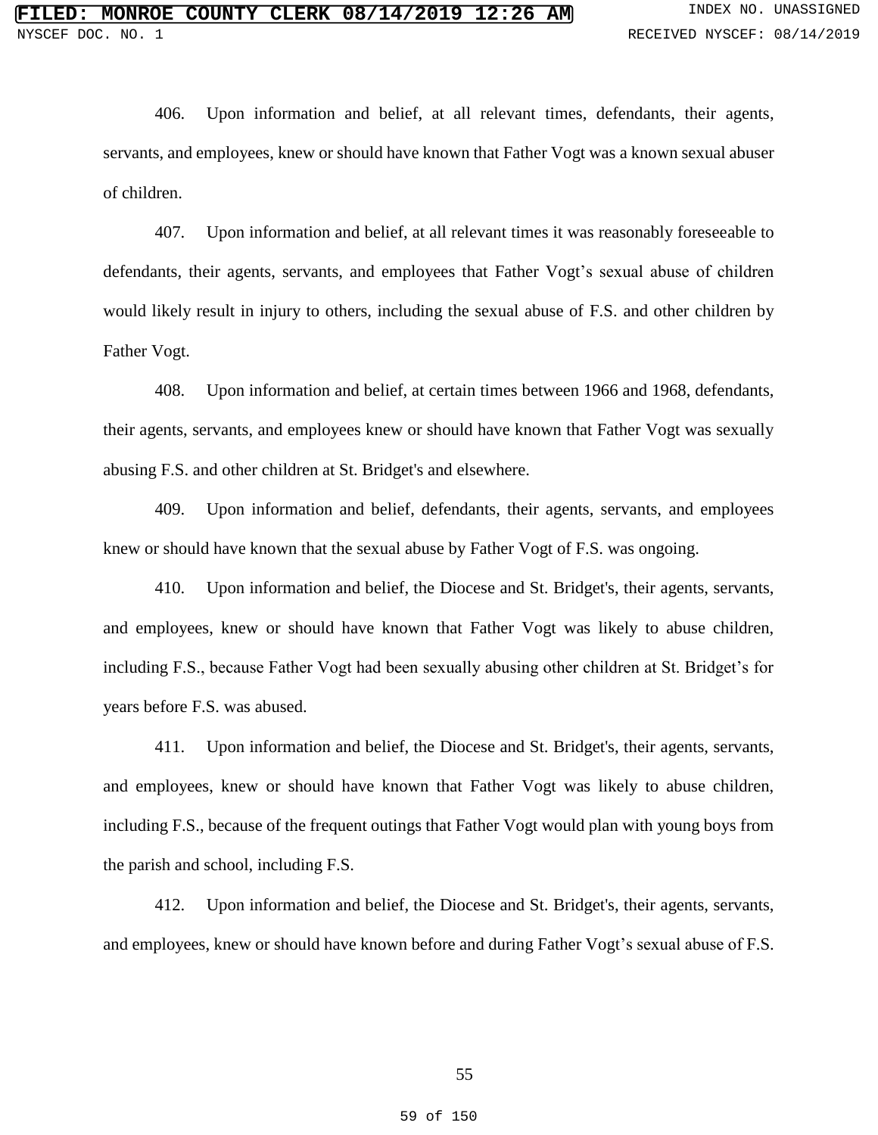406. Upon information and belief, at all relevant times, defendants, their agents, servants, and employees, knew or should have known that Father Vogt was a known sexual abuser of children.

407. Upon information and belief, at all relevant times it was reasonably foreseeable to defendants, their agents, servants, and employees that Father Vogt's sexual abuse of children would likely result in injury to others, including the sexual abuse of F.S. and other children by Father Vogt.

408. Upon information and belief, at certain times between 1966 and 1968, defendants, their agents, servants, and employees knew or should have known that Father Vogt was sexually abusing F.S. and other children at St. Bridget's and elsewhere.

409. Upon information and belief, defendants, their agents, servants, and employees knew or should have known that the sexual abuse by Father Vogt of F.S. was ongoing.

410. Upon information and belief, the Diocese and St. Bridget's, their agents, servants, and employees, knew or should have known that Father Vogt was likely to abuse children, including F.S., because Father Vogt had been sexually abusing other children at St. Bridget's for years before F.S. was abused.

411. Upon information and belief, the Diocese and St. Bridget's, their agents, servants, and employees, knew or should have known that Father Vogt was likely to abuse children, including F.S., because of the frequent outings that Father Vogt would plan with young boys from the parish and school, including F.S.

412. Upon information and belief, the Diocese and St. Bridget's, their agents, servants, and employees, knew or should have known before and during Father Vogt's sexual abuse of F.S.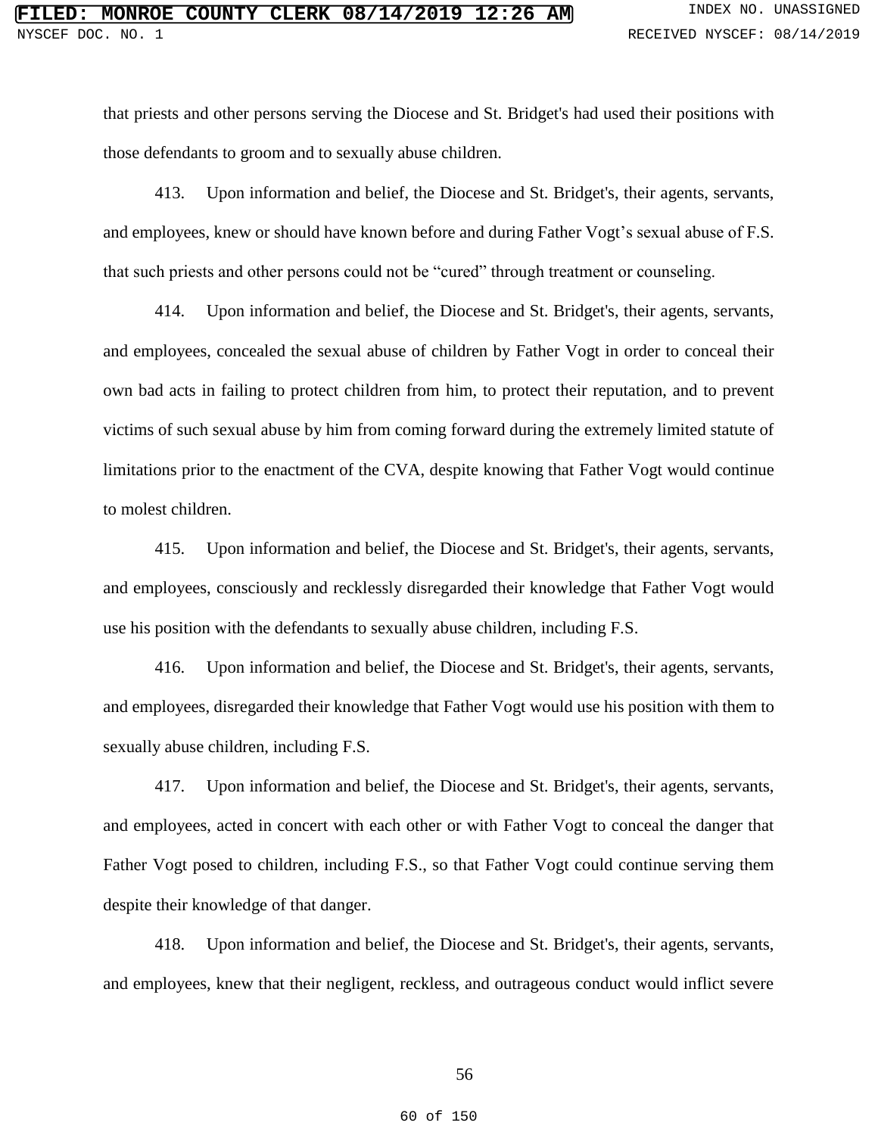that priests and other persons serving the Diocese and St. Bridget's had used their positions with those defendants to groom and to sexually abuse children.

413. Upon information and belief, the Diocese and St. Bridget's, their agents, servants, and employees, knew or should have known before and during Father Vogt's sexual abuse of F.S. that such priests and other persons could not be "cured" through treatment or counseling.

414. Upon information and belief, the Diocese and St. Bridget's, their agents, servants, and employees, concealed the sexual abuse of children by Father Vogt in order to conceal their own bad acts in failing to protect children from him, to protect their reputation, and to prevent victims of such sexual abuse by him from coming forward during the extremely limited statute of limitations prior to the enactment of the CVA, despite knowing that Father Vogt would continue to molest children.

415. Upon information and belief, the Diocese and St. Bridget's, their agents, servants, and employees, consciously and recklessly disregarded their knowledge that Father Vogt would use his position with the defendants to sexually abuse children, including F.S.

416. Upon information and belief, the Diocese and St. Bridget's, their agents, servants, and employees, disregarded their knowledge that Father Vogt would use his position with them to sexually abuse children, including F.S.

417. Upon information and belief, the Diocese and St. Bridget's, their agents, servants, and employees, acted in concert with each other or with Father Vogt to conceal the danger that Father Vogt posed to children, including F.S., so that Father Vogt could continue serving them despite their knowledge of that danger.

418. Upon information and belief, the Diocese and St. Bridget's, their agents, servants, and employees, knew that their negligent, reckless, and outrageous conduct would inflict severe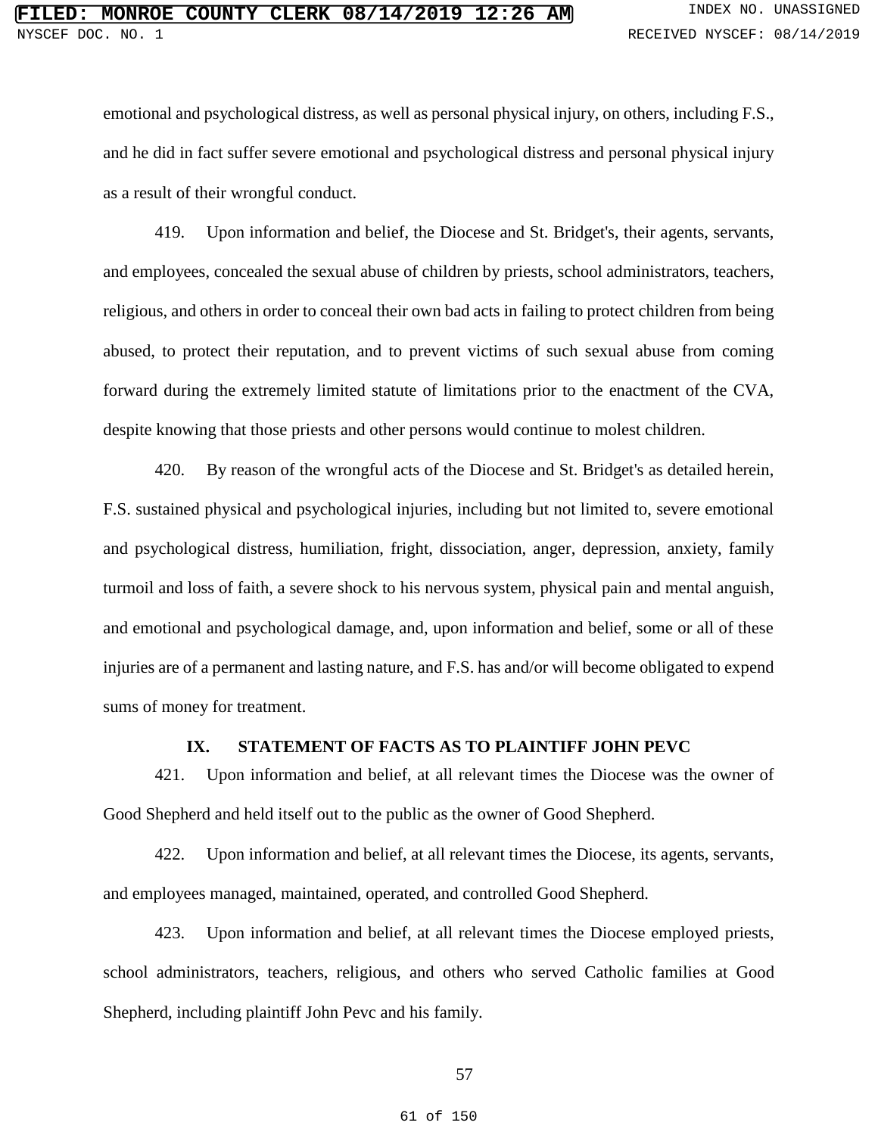emotional and psychological distress, as well as personal physical injury, on others, including F.S., and he did in fact suffer severe emotional and psychological distress and personal physical injury as a result of their wrongful conduct.

419. Upon information and belief, the Diocese and St. Bridget's, their agents, servants, and employees, concealed the sexual abuse of children by priests, school administrators, teachers, religious, and others in order to conceal their own bad acts in failing to protect children from being abused, to protect their reputation, and to prevent victims of such sexual abuse from coming forward during the extremely limited statute of limitations prior to the enactment of the CVA, despite knowing that those priests and other persons would continue to molest children.

420. By reason of the wrongful acts of the Diocese and St. Bridget's as detailed herein, F.S. sustained physical and psychological injuries, including but not limited to, severe emotional and psychological distress, humiliation, fright, dissociation, anger, depression, anxiety, family turmoil and loss of faith, a severe shock to his nervous system, physical pain and mental anguish, and emotional and psychological damage, and, upon information and belief, some or all of these injuries are of a permanent and lasting nature, and F.S. has and/or will become obligated to expend sums of money for treatment.

### **IX. STATEMENT OF FACTS AS TO PLAINTIFF JOHN PEVC**

421. Upon information and belief, at all relevant times the Diocese was the owner of Good Shepherd and held itself out to the public as the owner of Good Shepherd.

422. Upon information and belief, at all relevant times the Diocese, its agents, servants, and employees managed, maintained, operated, and controlled Good Shepherd.

423. Upon information and belief, at all relevant times the Diocese employed priests, school administrators, teachers, religious, and others who served Catholic families at Good Shepherd, including plaintiff John Pevc and his family.

57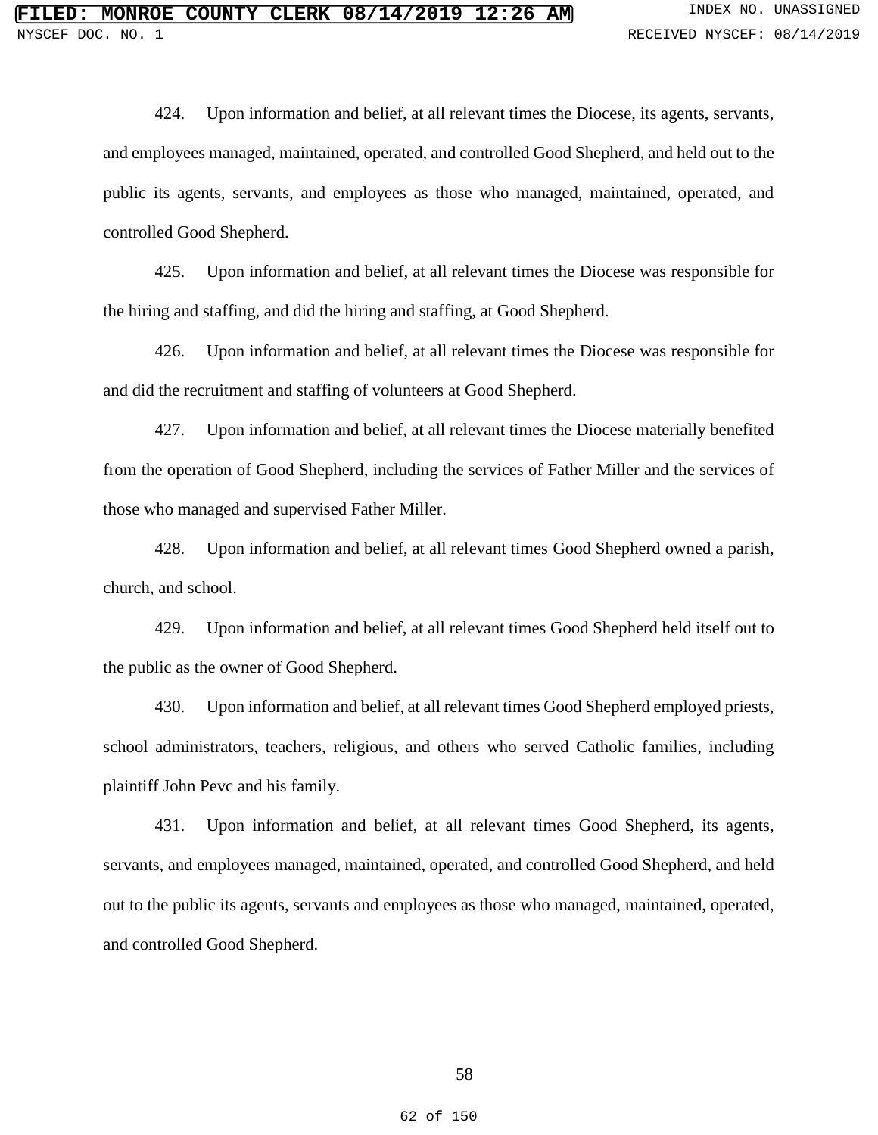424. Upon information and belief, at all relevant times the Diocese, its agents, servants, and employees managed, maintained, operated, and controlled Good Shepherd, and held out to the public its agents, servants, and employees as those who managed, maintained, operated, and controlled Good Shepherd.

425. Upon information and belief, at all relevant times the Diocese was responsible for the hiring and staffing, and did the hiring and staffing, at Good Shepherd.

426. Upon information and belief, at all relevant times the Diocese was responsible for and did the recruitment and staffing of volunteers at Good Shepherd.

427. Upon information and belief, at all relevant times the Diocese materially benefited from the operation of Good Shepherd, including the services of Father Miller and the services of those who managed and supervised Father Miller.

428. Upon information and belief, at all relevant times Good Shepherd owned a parish, church, and school.

429. Upon information and belief, at all relevant times Good Shepherd held itself out to the public as the owner of Good Shepherd.

430. Upon information and belief, at all relevant times Good Shepherd employed priests, school administrators, teachers, religious, and others who served Catholic families, including plaintiff John Pevc and his family.

431. Upon information and belief, at all relevant times Good Shepherd, its agents, servants, and employees managed, maintained, operated, and controlled Good Shepherd, and held out to the public its agents, servants and employees as those who managed, maintained, operated, and controlled Good Shepherd.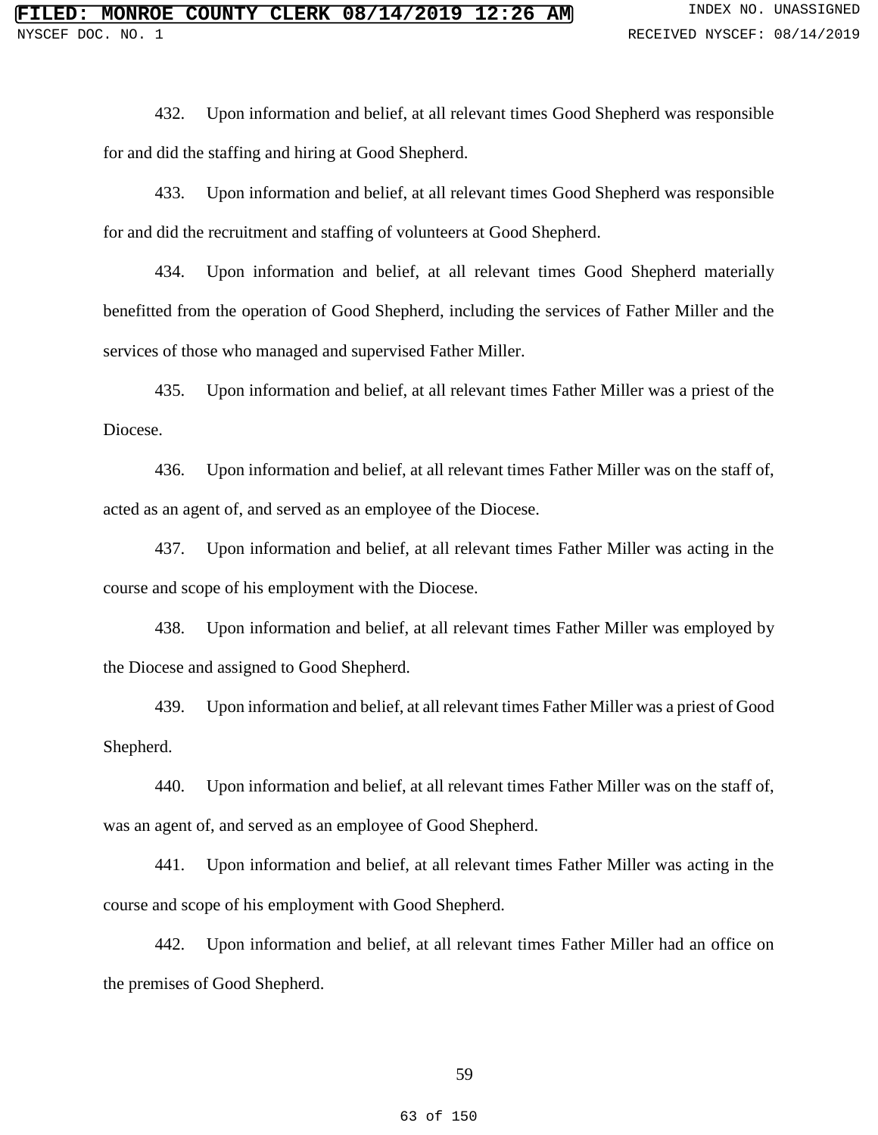432. Upon information and belief, at all relevant times Good Shepherd was responsible for and did the staffing and hiring at Good Shepherd.

433. Upon information and belief, at all relevant times Good Shepherd was responsible for and did the recruitment and staffing of volunteers at Good Shepherd.

434. Upon information and belief, at all relevant times Good Shepherd materially benefitted from the operation of Good Shepherd, including the services of Father Miller and the services of those who managed and supervised Father Miller.

435. Upon information and belief, at all relevant times Father Miller was a priest of the Diocese.

436. Upon information and belief, at all relevant times Father Miller was on the staff of, acted as an agent of, and served as an employee of the Diocese.

437. Upon information and belief, at all relevant times Father Miller was acting in the course and scope of his employment with the Diocese.

438. Upon information and belief, at all relevant times Father Miller was employed by the Diocese and assigned to Good Shepherd.

439. Upon information and belief, at all relevant times Father Miller was a priest of Good Shepherd.

440. Upon information and belief, at all relevant times Father Miller was on the staff of, was an agent of, and served as an employee of Good Shepherd.

441. Upon information and belief, at all relevant times Father Miller was acting in the course and scope of his employment with Good Shepherd.

442. Upon information and belief, at all relevant times Father Miller had an office on the premises of Good Shepherd.

59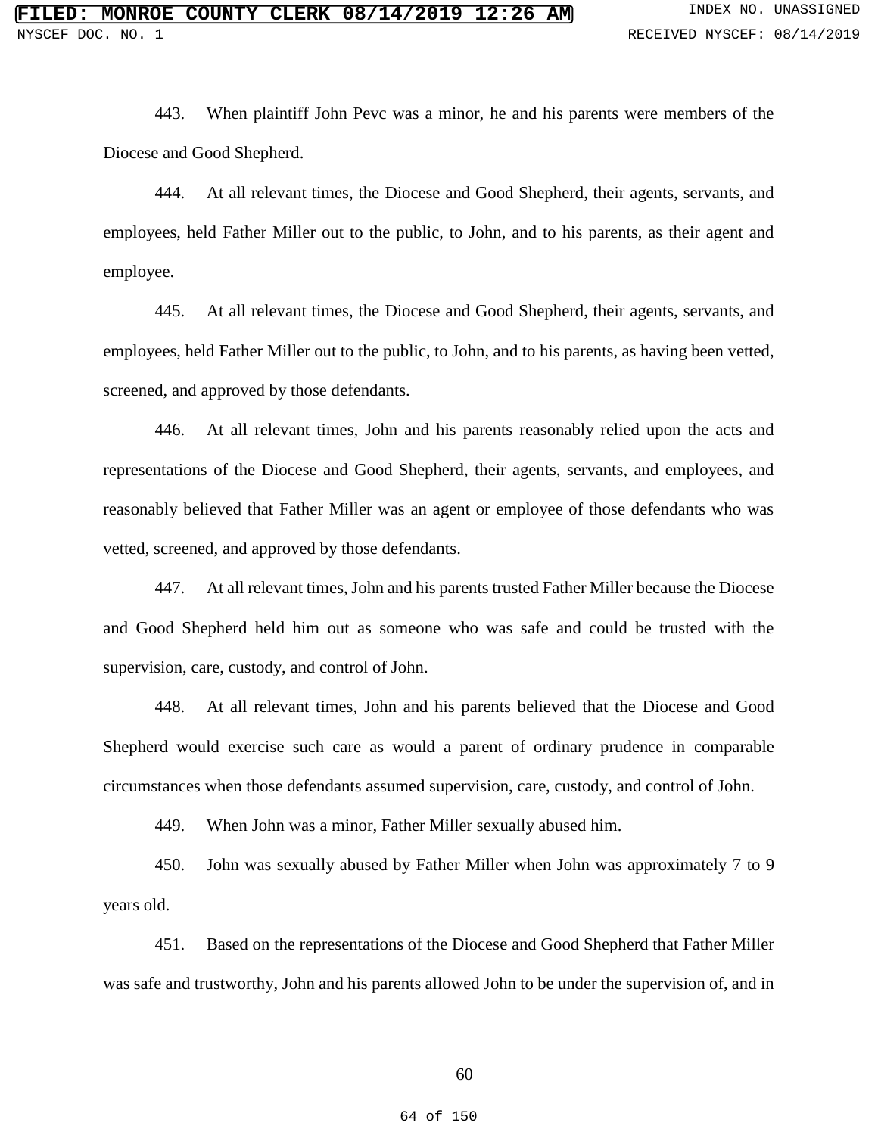443. When plaintiff John Pevc was a minor, he and his parents were members of the Diocese and Good Shepherd.

444. At all relevant times, the Diocese and Good Shepherd, their agents, servants, and employees, held Father Miller out to the public, to John, and to his parents, as their agent and employee.

445. At all relevant times, the Diocese and Good Shepherd, their agents, servants, and employees, held Father Miller out to the public, to John, and to his parents, as having been vetted, screened, and approved by those defendants.

446. At all relevant times, John and his parents reasonably relied upon the acts and representations of the Diocese and Good Shepherd, their agents, servants, and employees, and reasonably believed that Father Miller was an agent or employee of those defendants who was vetted, screened, and approved by those defendants.

447. At all relevant times, John and his parents trusted Father Miller because the Diocese and Good Shepherd held him out as someone who was safe and could be trusted with the supervision, care, custody, and control of John.

448. At all relevant times, John and his parents believed that the Diocese and Good Shepherd would exercise such care as would a parent of ordinary prudence in comparable circumstances when those defendants assumed supervision, care, custody, and control of John.

449. When John was a minor, Father Miller sexually abused him.

450. John was sexually abused by Father Miller when John was approximately 7 to 9 years old.

451. Based on the representations of the Diocese and Good Shepherd that Father Miller was safe and trustworthy, John and his parents allowed John to be under the supervision of, and in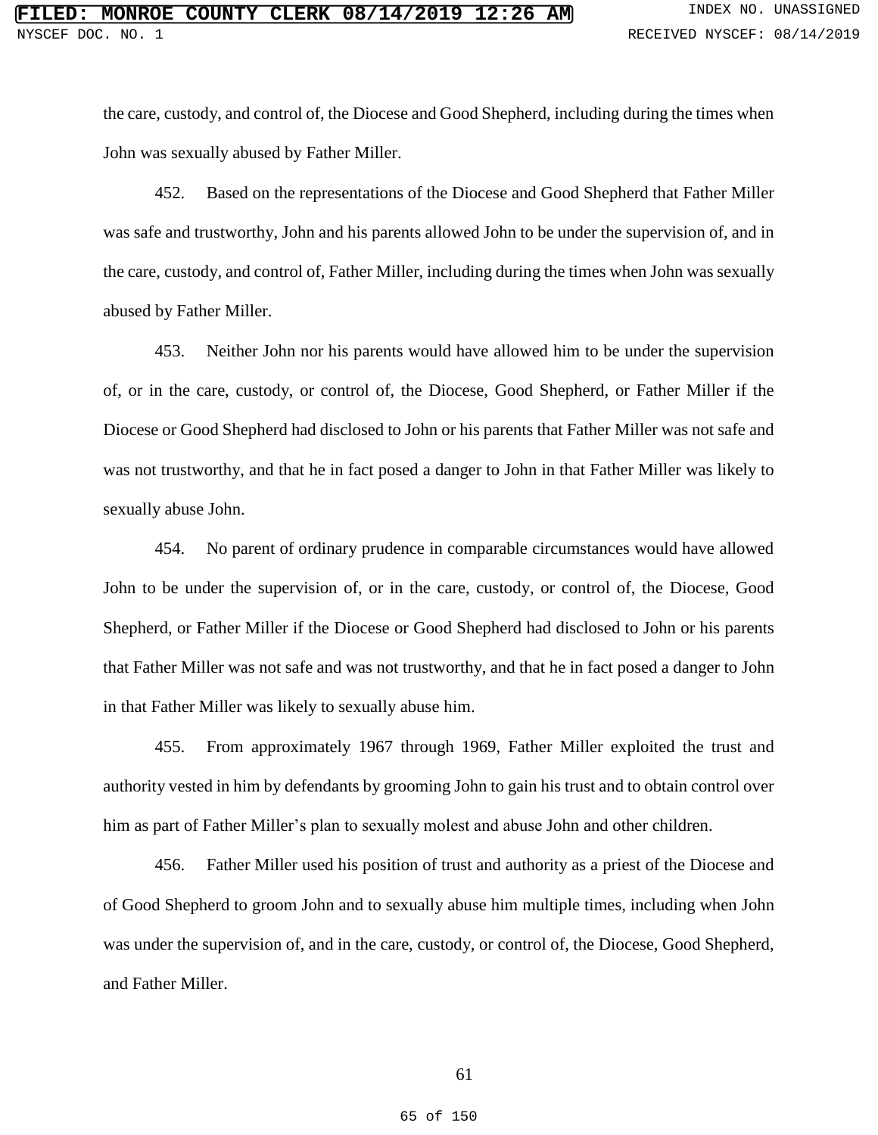the care, custody, and control of, the Diocese and Good Shepherd, including during the times when John was sexually abused by Father Miller.

452. Based on the representations of the Diocese and Good Shepherd that Father Miller was safe and trustworthy, John and his parents allowed John to be under the supervision of, and in the care, custody, and control of, Father Miller, including during the times when John was sexually abused by Father Miller.

453. Neither John nor his parents would have allowed him to be under the supervision of, or in the care, custody, or control of, the Diocese, Good Shepherd, or Father Miller if the Diocese or Good Shepherd had disclosed to John or his parents that Father Miller was not safe and was not trustworthy, and that he in fact posed a danger to John in that Father Miller was likely to sexually abuse John.

454. No parent of ordinary prudence in comparable circumstances would have allowed John to be under the supervision of, or in the care, custody, or control of, the Diocese, Good Shepherd, or Father Miller if the Diocese or Good Shepherd had disclosed to John or his parents that Father Miller was not safe and was not trustworthy, and that he in fact posed a danger to John in that Father Miller was likely to sexually abuse him.

455. From approximately 1967 through 1969, Father Miller exploited the trust and authority vested in him by defendants by grooming John to gain his trust and to obtain control over him as part of Father Miller's plan to sexually molest and abuse John and other children.

456. Father Miller used his position of trust and authority as a priest of the Diocese and of Good Shepherd to groom John and to sexually abuse him multiple times, including when John was under the supervision of, and in the care, custody, or control of, the Diocese, Good Shepherd, and Father Miller.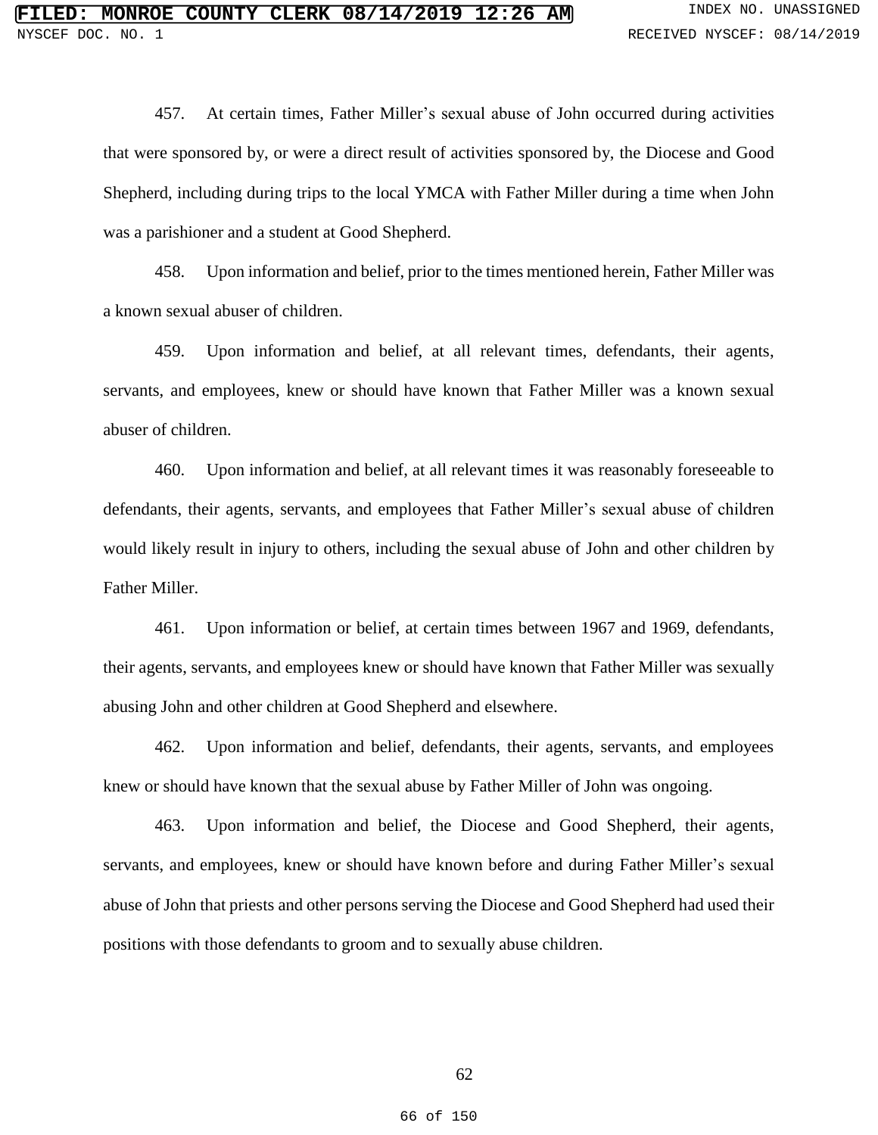457. At certain times, Father Miller's sexual abuse of John occurred during activities that were sponsored by, or were a direct result of activities sponsored by, the Diocese and Good Shepherd, including during trips to the local YMCA with Father Miller during a time when John was a parishioner and a student at Good Shepherd.

458. Upon information and belief, prior to the times mentioned herein, Father Miller was a known sexual abuser of children.

459. Upon information and belief, at all relevant times, defendants, their agents, servants, and employees, knew or should have known that Father Miller was a known sexual abuser of children.

460. Upon information and belief, at all relevant times it was reasonably foreseeable to defendants, their agents, servants, and employees that Father Miller's sexual abuse of children would likely result in injury to others, including the sexual abuse of John and other children by Father Miller.

461. Upon information or belief, at certain times between 1967 and 1969, defendants, their agents, servants, and employees knew or should have known that Father Miller was sexually abusing John and other children at Good Shepherd and elsewhere.

462. Upon information and belief, defendants, their agents, servants, and employees knew or should have known that the sexual abuse by Father Miller of John was ongoing.

463. Upon information and belief, the Diocese and Good Shepherd, their agents, servants, and employees, knew or should have known before and during Father Miller's sexual abuse of John that priests and other persons serving the Diocese and Good Shepherd had used their positions with those defendants to groom and to sexually abuse children.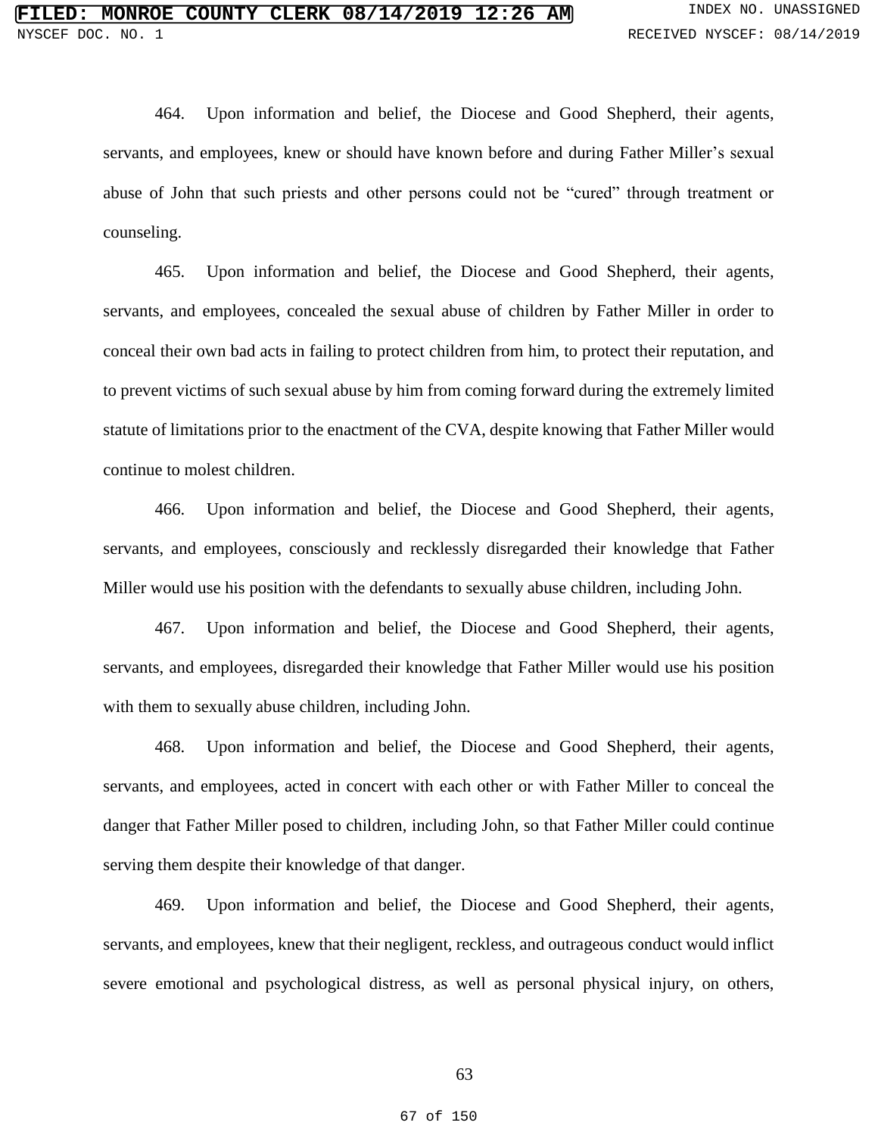464. Upon information and belief, the Diocese and Good Shepherd, their agents, servants, and employees, knew or should have known before and during Father Miller's sexual abuse of John that such priests and other persons could not be "cured" through treatment or counseling.

465. Upon information and belief, the Diocese and Good Shepherd, their agents, servants, and employees, concealed the sexual abuse of children by Father Miller in order to conceal their own bad acts in failing to protect children from him, to protect their reputation, and to prevent victims of such sexual abuse by him from coming forward during the extremely limited statute of limitations prior to the enactment of the CVA, despite knowing that Father Miller would continue to molest children.

466. Upon information and belief, the Diocese and Good Shepherd, their agents, servants, and employees, consciously and recklessly disregarded their knowledge that Father Miller would use his position with the defendants to sexually abuse children, including John.

467. Upon information and belief, the Diocese and Good Shepherd, their agents, servants, and employees, disregarded their knowledge that Father Miller would use his position with them to sexually abuse children, including John.

468. Upon information and belief, the Diocese and Good Shepherd, their agents, servants, and employees, acted in concert with each other or with Father Miller to conceal the danger that Father Miller posed to children, including John, so that Father Miller could continue serving them despite their knowledge of that danger.

469. Upon information and belief, the Diocese and Good Shepherd, their agents, servants, and employees, knew that their negligent, reckless, and outrageous conduct would inflict severe emotional and psychological distress, as well as personal physical injury, on others,

63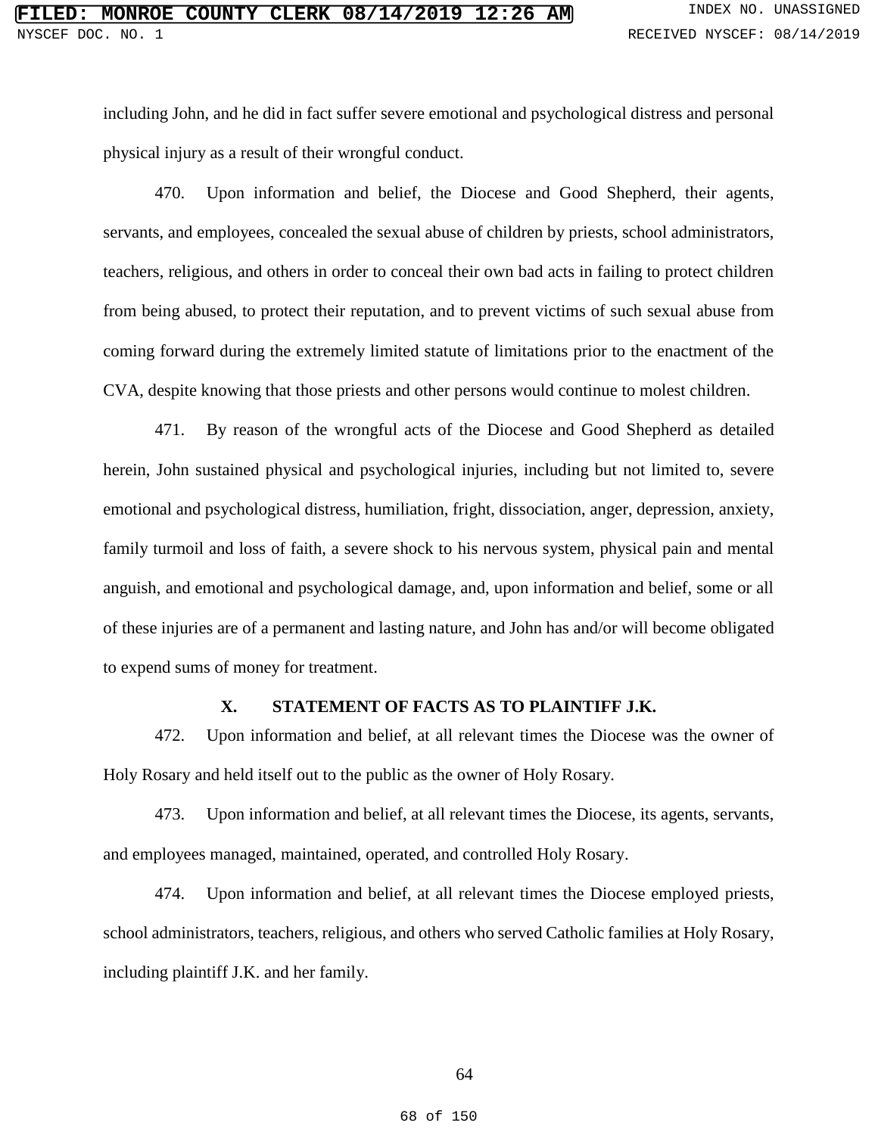including John, and he did in fact suffer severe emotional and psychological distress and personal physical injury as a result of their wrongful conduct.

470. Upon information and belief, the Diocese and Good Shepherd, their agents, servants, and employees, concealed the sexual abuse of children by priests, school administrators, teachers, religious, and others in order to conceal their own bad acts in failing to protect children from being abused, to protect their reputation, and to prevent victims of such sexual abuse from coming forward during the extremely limited statute of limitations prior to the enactment of the CVA, despite knowing that those priests and other persons would continue to molest children.

471. By reason of the wrongful acts of the Diocese and Good Shepherd as detailed herein, John sustained physical and psychological injuries, including but not limited to, severe emotional and psychological distress, humiliation, fright, dissociation, anger, depression, anxiety, family turmoil and loss of faith, a severe shock to his nervous system, physical pain and mental anguish, and emotional and psychological damage, and, upon information and belief, some or all of these injuries are of a permanent and lasting nature, and John has and/or will become obligated to expend sums of money for treatment.

## **X. STATEMENT OF FACTS AS TO PLAINTIFF J.K.**

472. Upon information and belief, at all relevant times the Diocese was the owner of Holy Rosary and held itself out to the public as the owner of Holy Rosary.

473. Upon information and belief, at all relevant times the Diocese, its agents, servants, and employees managed, maintained, operated, and controlled Holy Rosary.

474. Upon information and belief, at all relevant times the Diocese employed priests, school administrators, teachers, religious, and others who served Catholic families at Holy Rosary, including plaintiff J.K. and her family.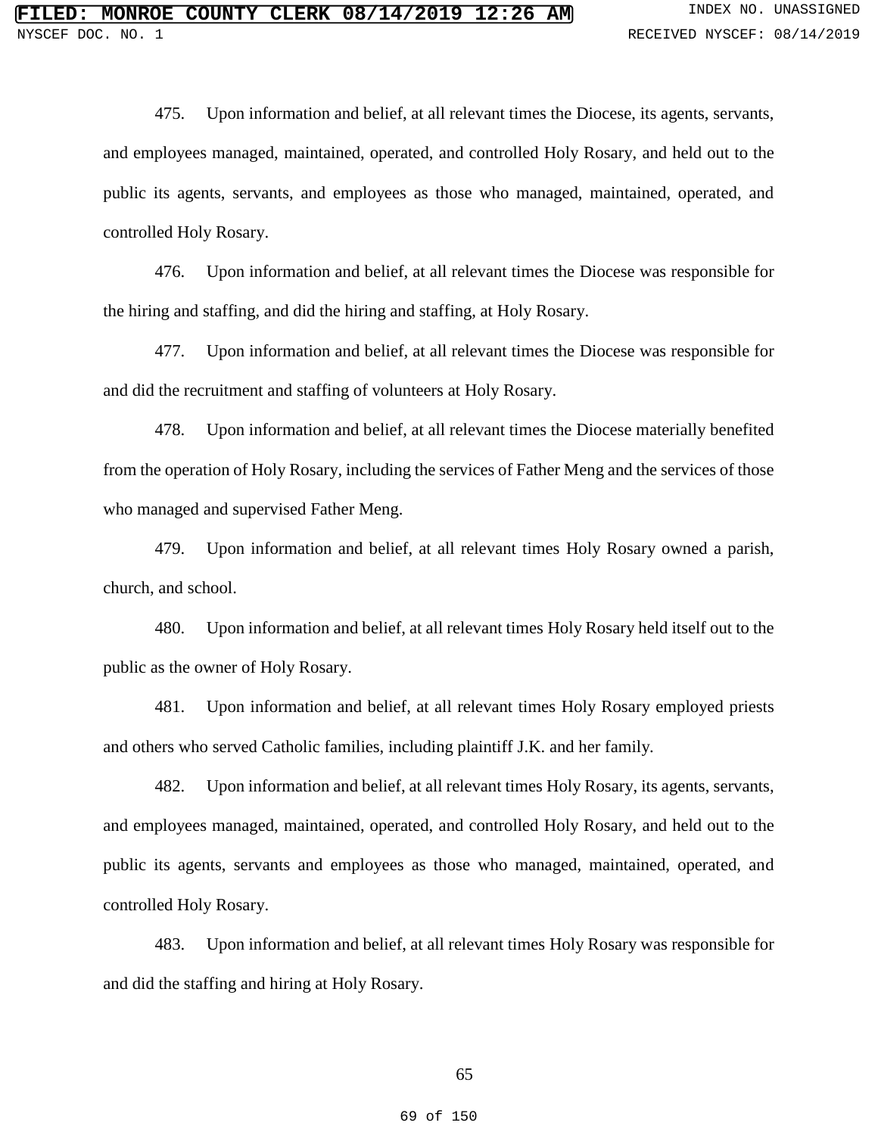475. Upon information and belief, at all relevant times the Diocese, its agents, servants, and employees managed, maintained, operated, and controlled Holy Rosary, and held out to the public its agents, servants, and employees as those who managed, maintained, operated, and controlled Holy Rosary.

476. Upon information and belief, at all relevant times the Diocese was responsible for the hiring and staffing, and did the hiring and staffing, at Holy Rosary.

477. Upon information and belief, at all relevant times the Diocese was responsible for and did the recruitment and staffing of volunteers at Holy Rosary.

478. Upon information and belief, at all relevant times the Diocese materially benefited from the operation of Holy Rosary, including the services of Father Meng and the services of those who managed and supervised Father Meng.

479. Upon information and belief, at all relevant times Holy Rosary owned a parish, church, and school.

480. Upon information and belief, at all relevant times Holy Rosary held itself out to the public as the owner of Holy Rosary.

481. Upon information and belief, at all relevant times Holy Rosary employed priests and others who served Catholic families, including plaintiff J.K. and her family.

482. Upon information and belief, at all relevant times Holy Rosary, its agents, servants, and employees managed, maintained, operated, and controlled Holy Rosary, and held out to the public its agents, servants and employees as those who managed, maintained, operated, and controlled Holy Rosary.

483. Upon information and belief, at all relevant times Holy Rosary was responsible for and did the staffing and hiring at Holy Rosary.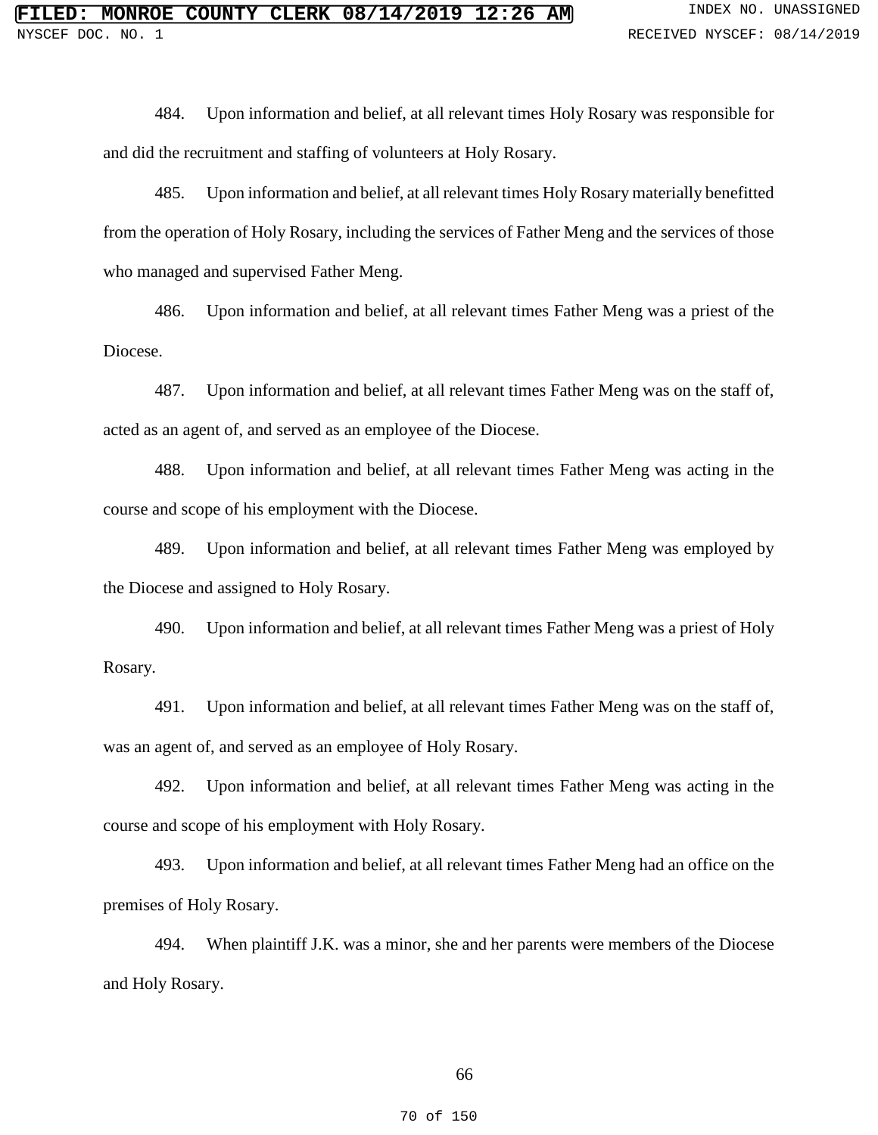484. Upon information and belief, at all relevant times Holy Rosary was responsible for and did the recruitment and staffing of volunteers at Holy Rosary.

485. Upon information and belief, at all relevant times Holy Rosary materially benefitted from the operation of Holy Rosary, including the services of Father Meng and the services of those who managed and supervised Father Meng.

486. Upon information and belief, at all relevant times Father Meng was a priest of the Diocese.

487. Upon information and belief, at all relevant times Father Meng was on the staff of, acted as an agent of, and served as an employee of the Diocese.

488. Upon information and belief, at all relevant times Father Meng was acting in the course and scope of his employment with the Diocese.

489. Upon information and belief, at all relevant times Father Meng was employed by the Diocese and assigned to Holy Rosary.

490. Upon information and belief, at all relevant times Father Meng was a priest of Holy Rosary.

491. Upon information and belief, at all relevant times Father Meng was on the staff of, was an agent of, and served as an employee of Holy Rosary.

492. Upon information and belief, at all relevant times Father Meng was acting in the course and scope of his employment with Holy Rosary.

493. Upon information and belief, at all relevant times Father Meng had an office on the premises of Holy Rosary.

494. When plaintiff J.K. was a minor, she and her parents were members of the Diocese and Holy Rosary.

### 66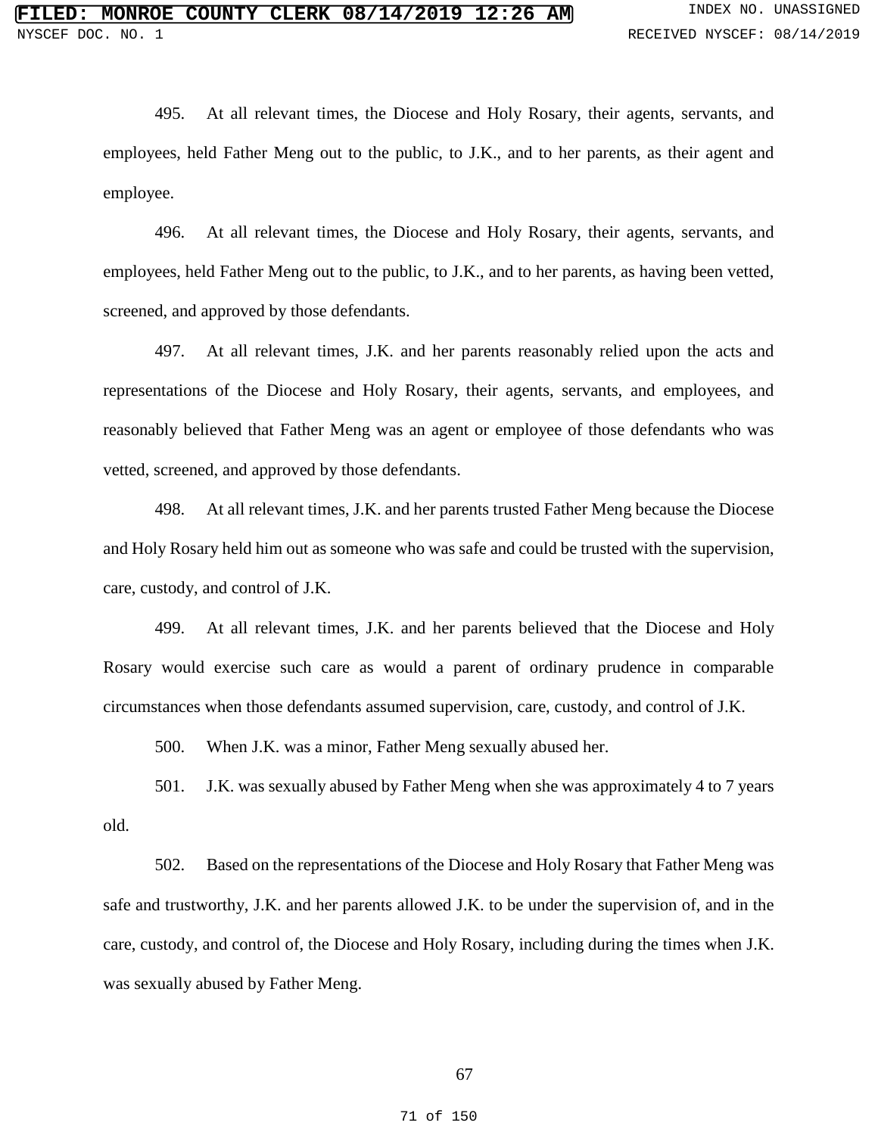495. At all relevant times, the Diocese and Holy Rosary, their agents, servants, and employees, held Father Meng out to the public, to J.K., and to her parents, as their agent and employee.

496. At all relevant times, the Diocese and Holy Rosary, their agents, servants, and employees, held Father Meng out to the public, to J.K., and to her parents, as having been vetted, screened, and approved by those defendants.

497. At all relevant times, J.K. and her parents reasonably relied upon the acts and representations of the Diocese and Holy Rosary, their agents, servants, and employees, and reasonably believed that Father Meng was an agent or employee of those defendants who was vetted, screened, and approved by those defendants.

498. At all relevant times, J.K. and her parents trusted Father Meng because the Diocese and Holy Rosary held him out as someone who was safe and could be trusted with the supervision, care, custody, and control of J.K.

499. At all relevant times, J.K. and her parents believed that the Diocese and Holy Rosary would exercise such care as would a parent of ordinary prudence in comparable circumstances when those defendants assumed supervision, care, custody, and control of J.K.

500. When J.K. was a minor, Father Meng sexually abused her.

501. J.K. was sexually abused by Father Meng when she was approximately 4 to 7 years old.

502. Based on the representations of the Diocese and Holy Rosary that Father Meng was safe and trustworthy, J.K. and her parents allowed J.K. to be under the supervision of, and in the care, custody, and control of, the Diocese and Holy Rosary, including during the times when J.K. was sexually abused by Father Meng.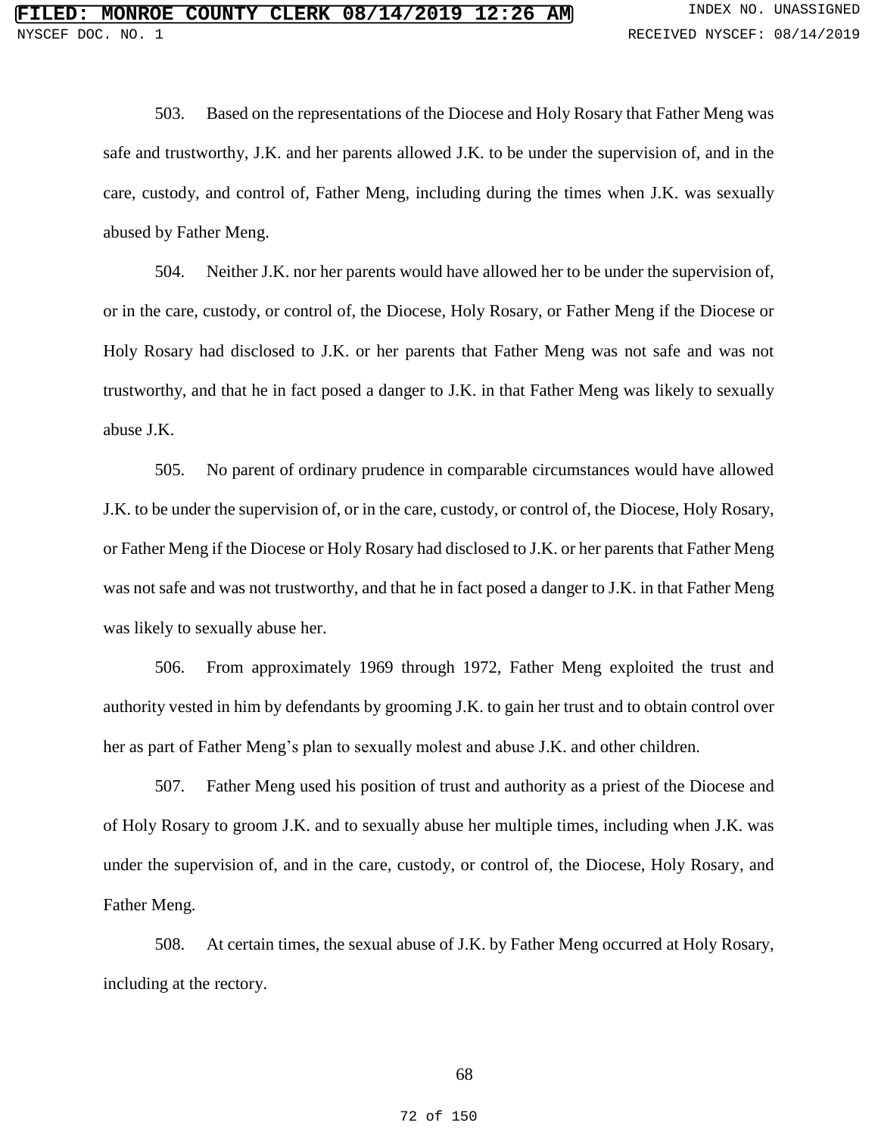503. Based on the representations of the Diocese and Holy Rosary that Father Meng was safe and trustworthy, J.K. and her parents allowed J.K. to be under the supervision of, and in the care, custody, and control of, Father Meng, including during the times when J.K. was sexually abused by Father Meng.

504. Neither J.K. nor her parents would have allowed her to be under the supervision of, or in the care, custody, or control of, the Diocese, Holy Rosary, or Father Meng if the Diocese or Holy Rosary had disclosed to J.K. or her parents that Father Meng was not safe and was not trustworthy, and that he in fact posed a danger to J.K. in that Father Meng was likely to sexually abuse J.K.

505. No parent of ordinary prudence in comparable circumstances would have allowed J.K. to be under the supervision of, or in the care, custody, or control of, the Diocese, Holy Rosary, or Father Meng if the Diocese or Holy Rosary had disclosed to J.K. or her parents that Father Meng was not safe and was not trustworthy, and that he in fact posed a danger to J.K. in that Father Meng was likely to sexually abuse her.

506. From approximately 1969 through 1972, Father Meng exploited the trust and authority vested in him by defendants by grooming J.K. to gain her trust and to obtain control over her as part of Father Meng's plan to sexually molest and abuse J.K. and other children.

507. Father Meng used his position of trust and authority as a priest of the Diocese and of Holy Rosary to groom J.K. and to sexually abuse her multiple times, including when J.K. was under the supervision of, and in the care, custody, or control of, the Diocese, Holy Rosary, and Father Meng.

508. At certain times, the sexual abuse of J.K. by Father Meng occurred at Holy Rosary, including at the rectory.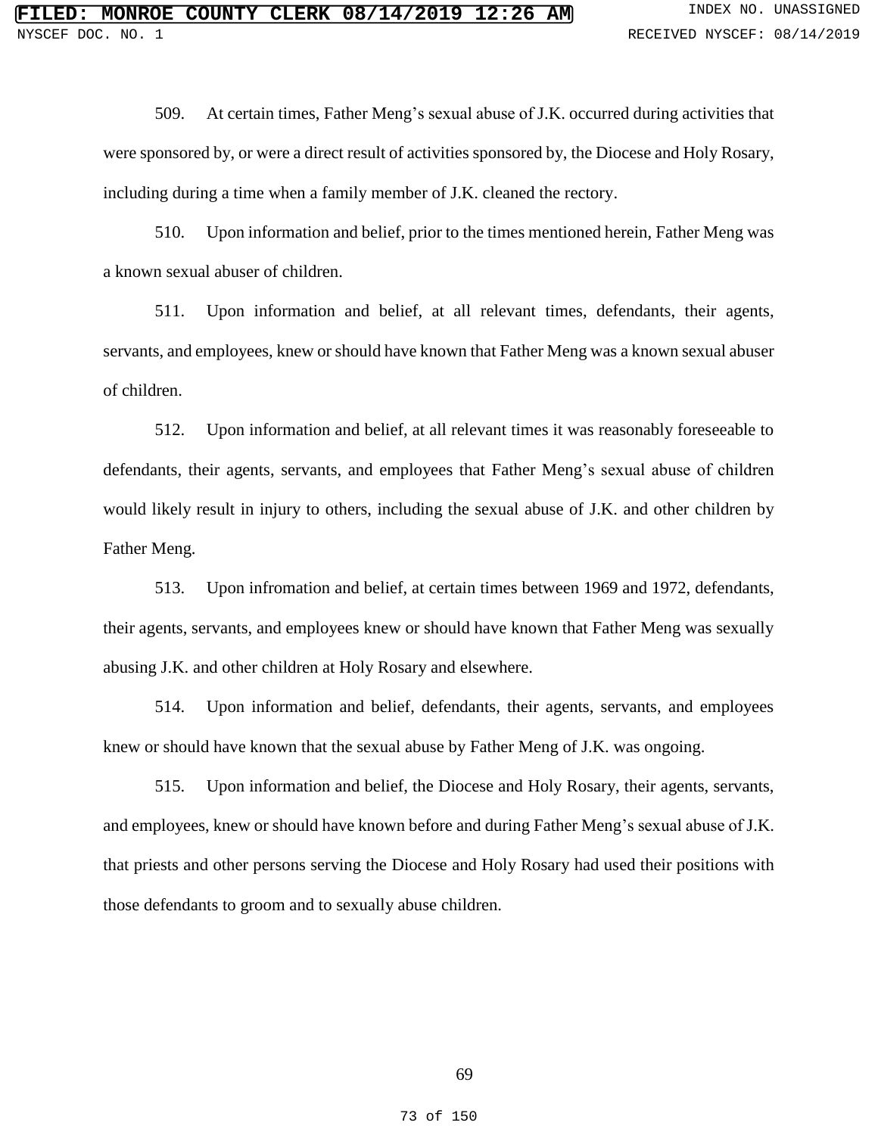509. At certain times, Father Meng's sexual abuse of J.K. occurred during activities that were sponsored by, or were a direct result of activities sponsored by, the Diocese and Holy Rosary, including during a time when a family member of J.K. cleaned the rectory.

510. Upon information and belief, prior to the times mentioned herein, Father Meng was a known sexual abuser of children.

511. Upon information and belief, at all relevant times, defendants, their agents, servants, and employees, knew or should have known that Father Meng was a known sexual abuser of children.

512. Upon information and belief, at all relevant times it was reasonably foreseeable to defendants, their agents, servants, and employees that Father Meng's sexual abuse of children would likely result in injury to others, including the sexual abuse of J.K. and other children by Father Meng.

513. Upon infromation and belief, at certain times between 1969 and 1972, defendants, their agents, servants, and employees knew or should have known that Father Meng was sexually abusing J.K. and other children at Holy Rosary and elsewhere.

514. Upon information and belief, defendants, their agents, servants, and employees knew or should have known that the sexual abuse by Father Meng of J.K. was ongoing.

515. Upon information and belief, the Diocese and Holy Rosary, their agents, servants, and employees, knew or should have known before and during Father Meng's sexual abuse of J.K. that priests and other persons serving the Diocese and Holy Rosary had used their positions with those defendants to groom and to sexually abuse children.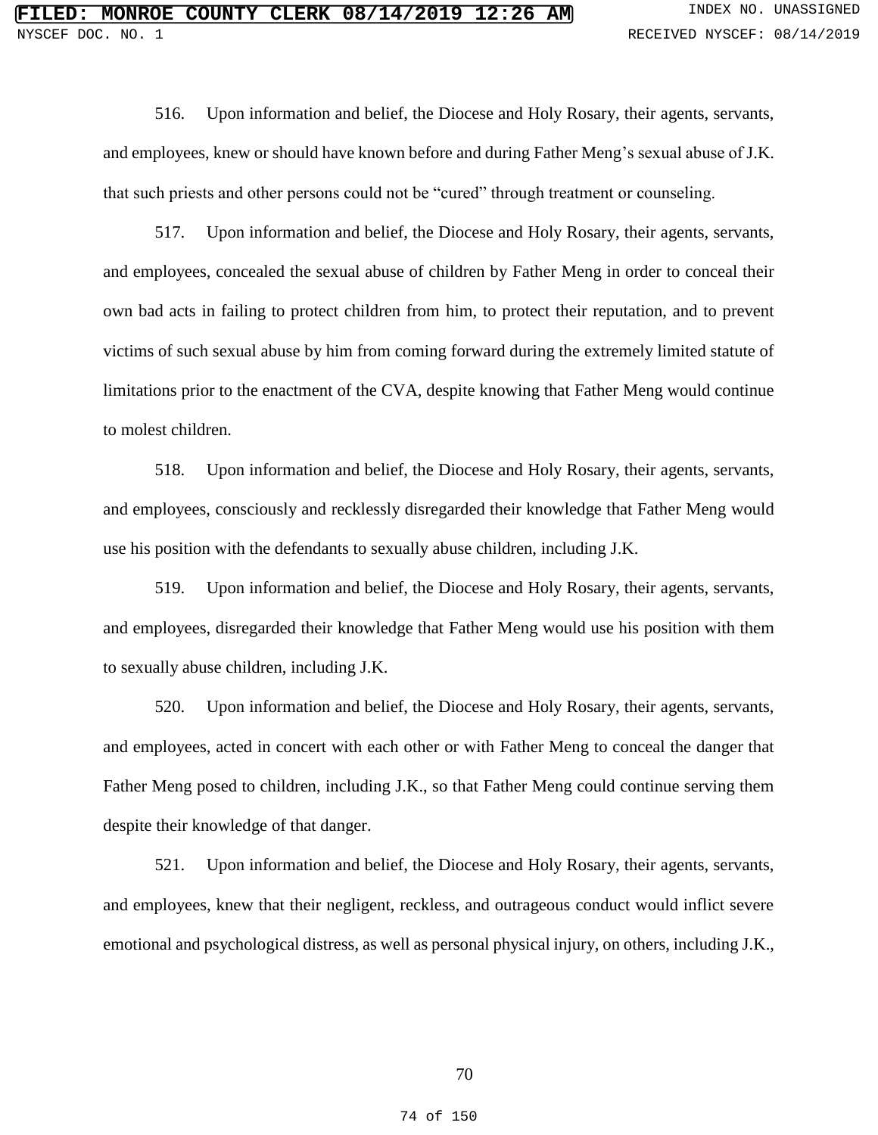516. Upon information and belief, the Diocese and Holy Rosary, their agents, servants, and employees, knew or should have known before and during Father Meng's sexual abuse of J.K. that such priests and other persons could not be "cured" through treatment or counseling.

517. Upon information and belief, the Diocese and Holy Rosary, their agents, servants, and employees, concealed the sexual abuse of children by Father Meng in order to conceal their own bad acts in failing to protect children from him, to protect their reputation, and to prevent victims of such sexual abuse by him from coming forward during the extremely limited statute of limitations prior to the enactment of the CVA, despite knowing that Father Meng would continue to molest children.

518. Upon information and belief, the Diocese and Holy Rosary, their agents, servants, and employees, consciously and recklessly disregarded their knowledge that Father Meng would use his position with the defendants to sexually abuse children, including J.K.

519. Upon information and belief, the Diocese and Holy Rosary, their agents, servants, and employees, disregarded their knowledge that Father Meng would use his position with them to sexually abuse children, including J.K.

520. Upon information and belief, the Diocese and Holy Rosary, their agents, servants, and employees, acted in concert with each other or with Father Meng to conceal the danger that Father Meng posed to children, including J.K., so that Father Meng could continue serving them despite their knowledge of that danger.

521. Upon information and belief, the Diocese and Holy Rosary, their agents, servants, and employees, knew that their negligent, reckless, and outrageous conduct would inflict severe emotional and psychological distress, as well as personal physical injury, on others, including J.K.,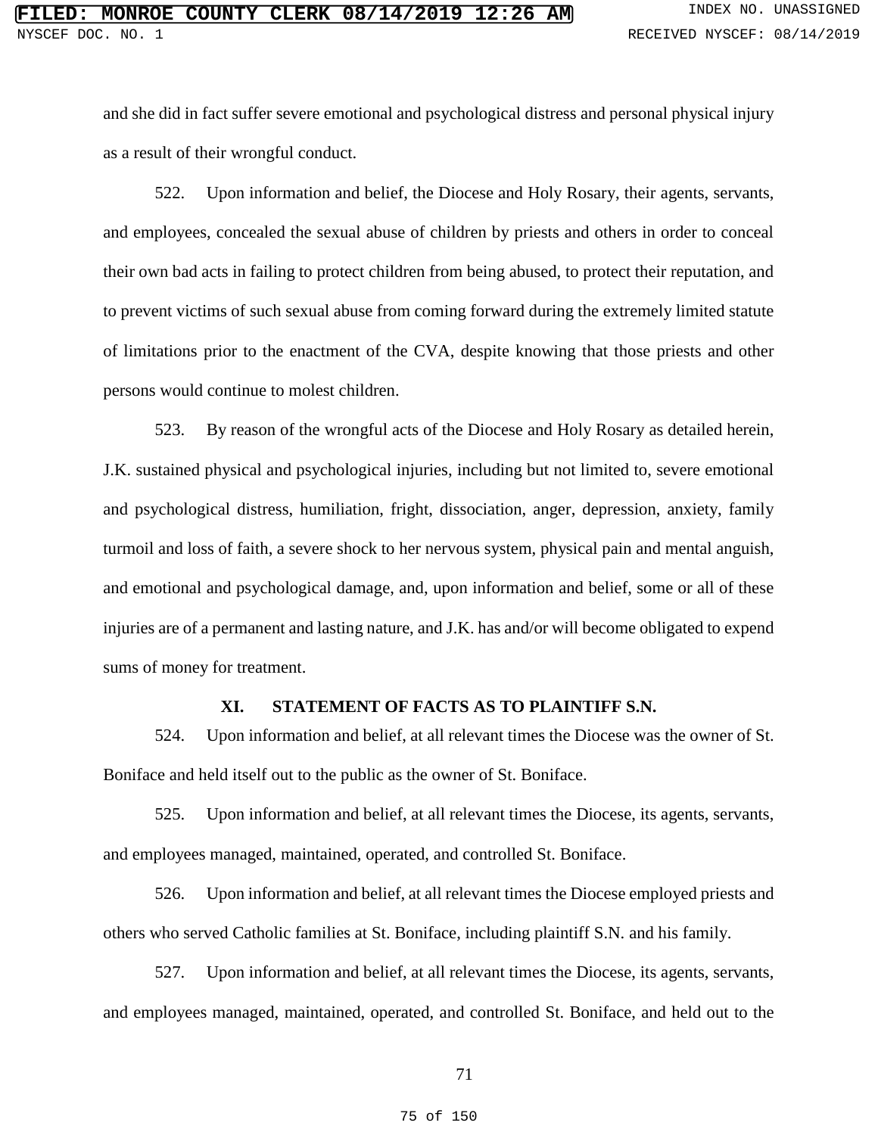and she did in fact suffer severe emotional and psychological distress and personal physical injury as a result of their wrongful conduct.

522. Upon information and belief, the Diocese and Holy Rosary, their agents, servants, and employees, concealed the sexual abuse of children by priests and others in order to conceal their own bad acts in failing to protect children from being abused, to protect their reputation, and to prevent victims of such sexual abuse from coming forward during the extremely limited statute of limitations prior to the enactment of the CVA, despite knowing that those priests and other persons would continue to molest children.

523. By reason of the wrongful acts of the Diocese and Holy Rosary as detailed herein, J.K. sustained physical and psychological injuries, including but not limited to, severe emotional and psychological distress, humiliation, fright, dissociation, anger, depression, anxiety, family turmoil and loss of faith, a severe shock to her nervous system, physical pain and mental anguish, and emotional and psychological damage, and, upon information and belief, some or all of these injuries are of a permanent and lasting nature, and J.K. has and/or will become obligated to expend sums of money for treatment.

# **XI. STATEMENT OF FACTS AS TO PLAINTIFF S.N.**

524. Upon information and belief, at all relevant times the Diocese was the owner of St. Boniface and held itself out to the public as the owner of St. Boniface.

525. Upon information and belief, at all relevant times the Diocese, its agents, servants, and employees managed, maintained, operated, and controlled St. Boniface.

526. Upon information and belief, at all relevant times the Diocese employed priests and others who served Catholic families at St. Boniface, including plaintiff S.N. and his family.

527. Upon information and belief, at all relevant times the Diocese, its agents, servants, and employees managed, maintained, operated, and controlled St. Boniface, and held out to the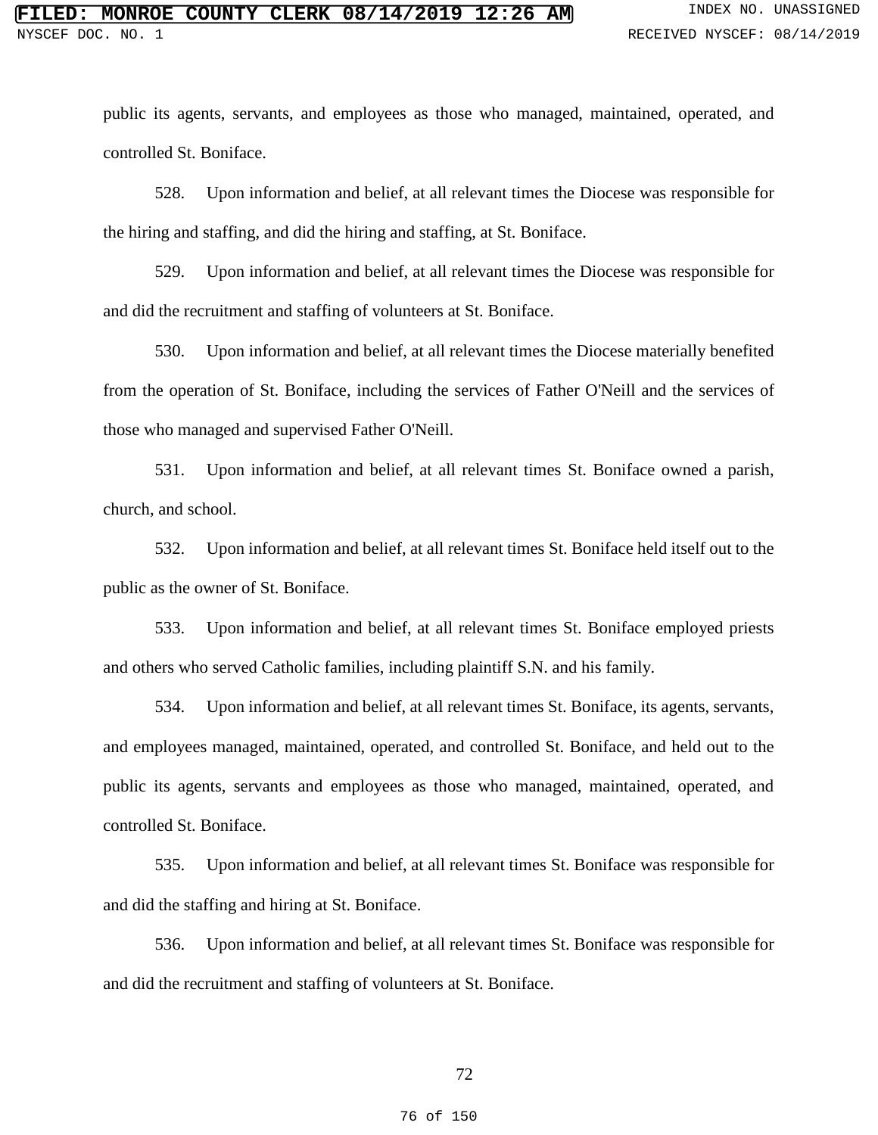public its agents, servants, and employees as those who managed, maintained, operated, and controlled St. Boniface.

528. Upon information and belief, at all relevant times the Diocese was responsible for the hiring and staffing, and did the hiring and staffing, at St. Boniface.

529. Upon information and belief, at all relevant times the Diocese was responsible for and did the recruitment and staffing of volunteers at St. Boniface.

530. Upon information and belief, at all relevant times the Diocese materially benefited from the operation of St. Boniface, including the services of Father O'Neill and the services of those who managed and supervised Father O'Neill.

531. Upon information and belief, at all relevant times St. Boniface owned a parish, church, and school.

532. Upon information and belief, at all relevant times St. Boniface held itself out to the public as the owner of St. Boniface.

533. Upon information and belief, at all relevant times St. Boniface employed priests and others who served Catholic families, including plaintiff S.N. and his family.

534. Upon information and belief, at all relevant times St. Boniface, its agents, servants, and employees managed, maintained, operated, and controlled St. Boniface, and held out to the public its agents, servants and employees as those who managed, maintained, operated, and controlled St. Boniface.

535. Upon information and belief, at all relevant times St. Boniface was responsible for and did the staffing and hiring at St. Boniface.

536. Upon information and belief, at all relevant times St. Boniface was responsible for and did the recruitment and staffing of volunteers at St. Boniface.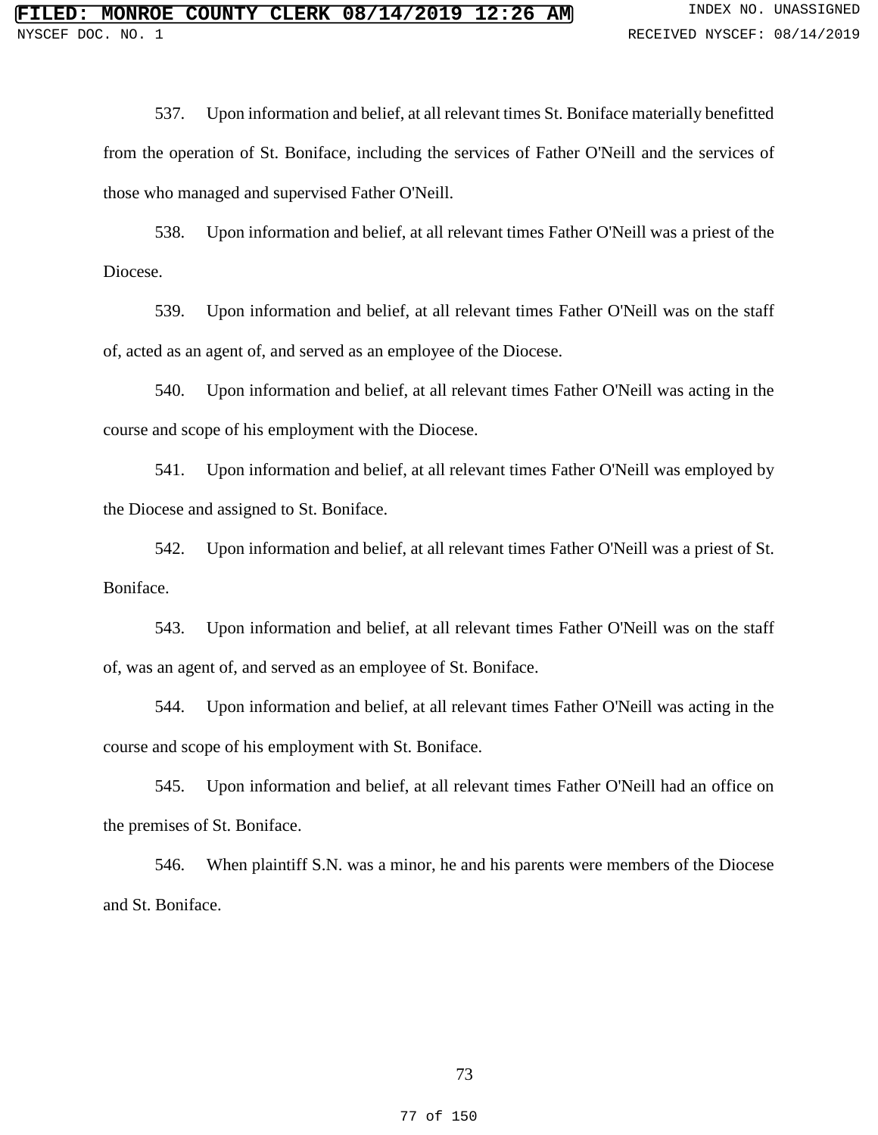537. Upon information and belief, at all relevant times St. Boniface materially benefitted from the operation of St. Boniface, including the services of Father O'Neill and the services of those who managed and supervised Father O'Neill.

538. Upon information and belief, at all relevant times Father O'Neill was a priest of the Diocese.

539. Upon information and belief, at all relevant times Father O'Neill was on the staff of, acted as an agent of, and served as an employee of the Diocese.

540. Upon information and belief, at all relevant times Father O'Neill was acting in the course and scope of his employment with the Diocese.

541. Upon information and belief, at all relevant times Father O'Neill was employed by the Diocese and assigned to St. Boniface.

542. Upon information and belief, at all relevant times Father O'Neill was a priest of St. Boniface.

543. Upon information and belief, at all relevant times Father O'Neill was on the staff of, was an agent of, and served as an employee of St. Boniface.

544. Upon information and belief, at all relevant times Father O'Neill was acting in the course and scope of his employment with St. Boniface.

545. Upon information and belief, at all relevant times Father O'Neill had an office on the premises of St. Boniface.

546. When plaintiff S.N. was a minor, he and his parents were members of the Diocese and St. Boniface.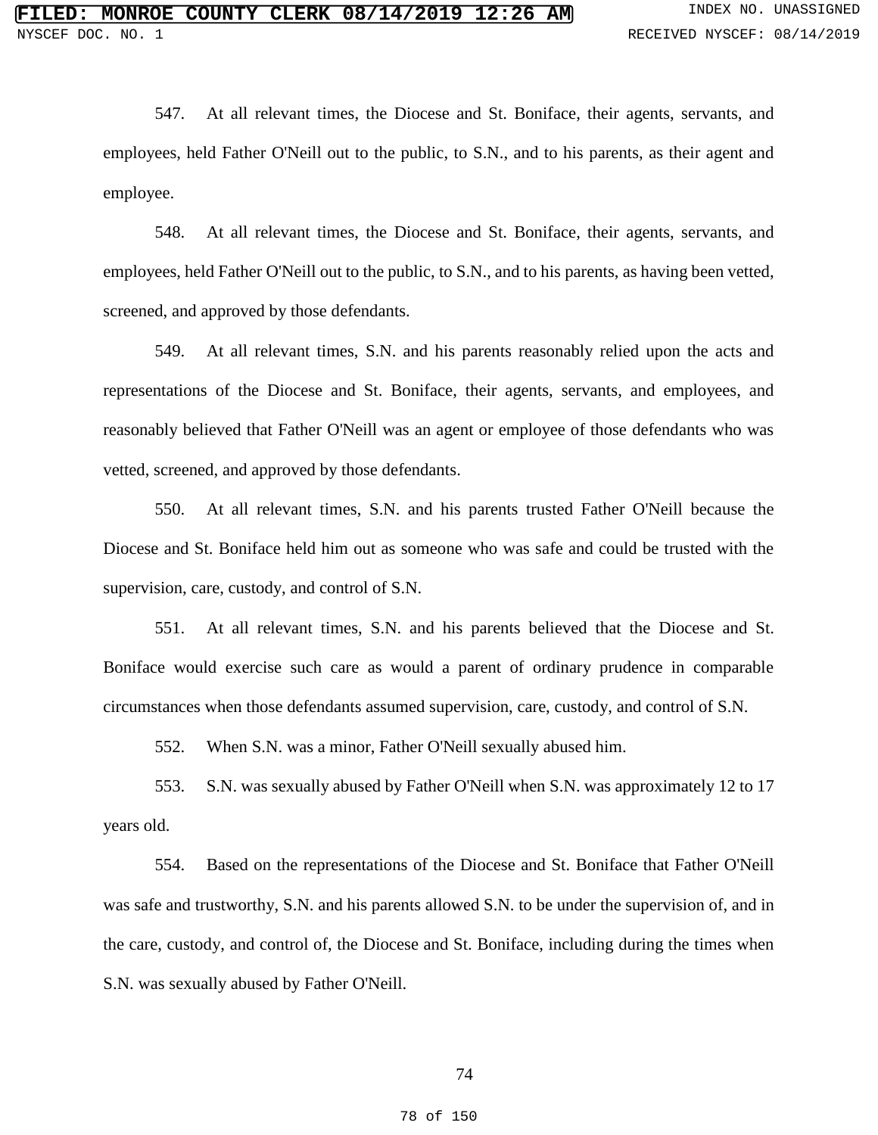547. At all relevant times, the Diocese and St. Boniface, their agents, servants, and employees, held Father O'Neill out to the public, to S.N., and to his parents, as their agent and employee.

548. At all relevant times, the Diocese and St. Boniface, their agents, servants, and employees, held Father O'Neill out to the public, to S.N., and to his parents, as having been vetted, screened, and approved by those defendants.

549. At all relevant times, S.N. and his parents reasonably relied upon the acts and representations of the Diocese and St. Boniface, their agents, servants, and employees, and reasonably believed that Father O'Neill was an agent or employee of those defendants who was vetted, screened, and approved by those defendants.

550. At all relevant times, S.N. and his parents trusted Father O'Neill because the Diocese and St. Boniface held him out as someone who was safe and could be trusted with the supervision, care, custody, and control of S.N.

551. At all relevant times, S.N. and his parents believed that the Diocese and St. Boniface would exercise such care as would a parent of ordinary prudence in comparable circumstances when those defendants assumed supervision, care, custody, and control of S.N.

552. When S.N. was a minor, Father O'Neill sexually abused him.

553. S.N. was sexually abused by Father O'Neill when S.N. was approximately 12 to 17 years old.

554. Based on the representations of the Diocese and St. Boniface that Father O'Neill was safe and trustworthy, S.N. and his parents allowed S.N. to be under the supervision of, and in the care, custody, and control of, the Diocese and St. Boniface, including during the times when S.N. was sexually abused by Father O'Neill.

74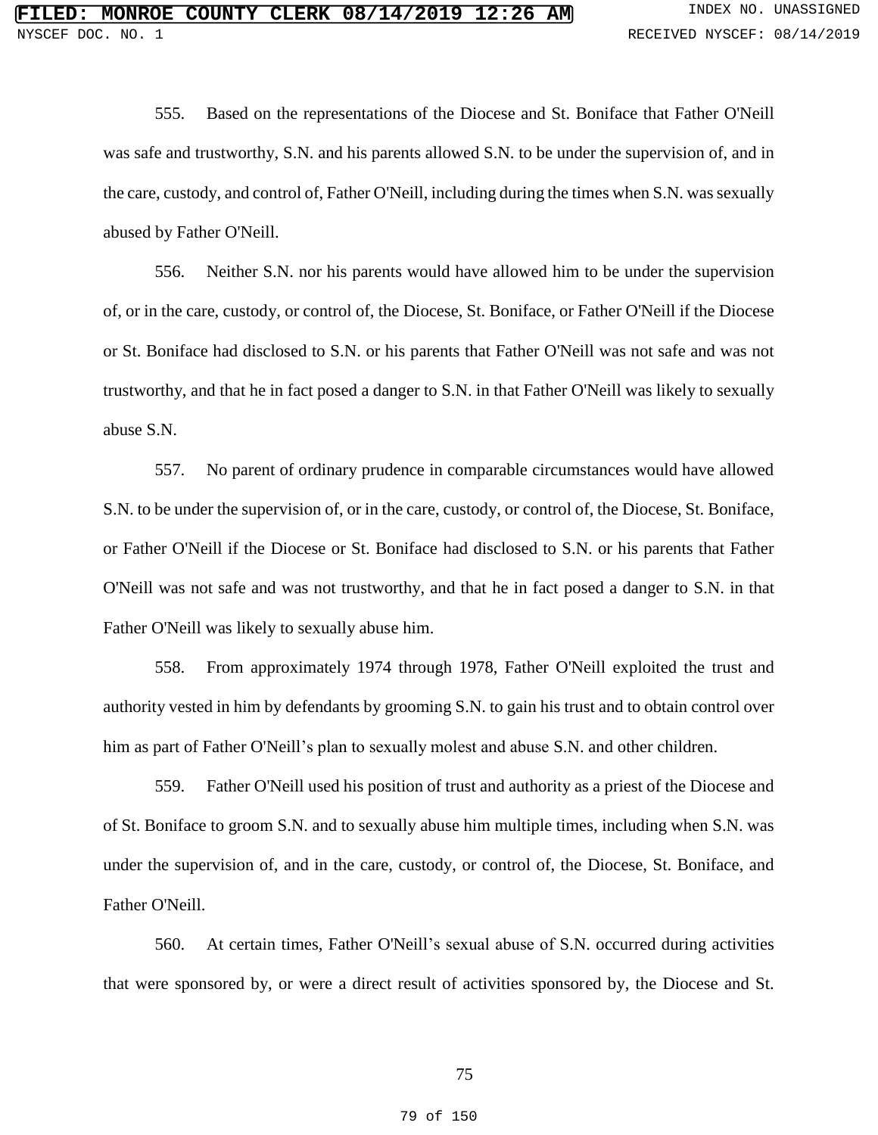555. Based on the representations of the Diocese and St. Boniface that Father O'Neill was safe and trustworthy, S.N. and his parents allowed S.N. to be under the supervision of, and in the care, custody, and control of, Father O'Neill, including during the times when S.N. was sexually abused by Father O'Neill.

556. Neither S.N. nor his parents would have allowed him to be under the supervision of, or in the care, custody, or control of, the Diocese, St. Boniface, or Father O'Neill if the Diocese or St. Boniface had disclosed to S.N. or his parents that Father O'Neill was not safe and was not trustworthy, and that he in fact posed a danger to S.N. in that Father O'Neill was likely to sexually abuse S.N.

557. No parent of ordinary prudence in comparable circumstances would have allowed S.N. to be under the supervision of, or in the care, custody, or control of, the Diocese, St. Boniface, or Father O'Neill if the Diocese or St. Boniface had disclosed to S.N. or his parents that Father O'Neill was not safe and was not trustworthy, and that he in fact posed a danger to S.N. in that Father O'Neill was likely to sexually abuse him.

558. From approximately 1974 through 1978, Father O'Neill exploited the trust and authority vested in him by defendants by grooming S.N. to gain his trust and to obtain control over him as part of Father O'Neill's plan to sexually molest and abuse S.N. and other children.

559. Father O'Neill used his position of trust and authority as a priest of the Diocese and of St. Boniface to groom S.N. and to sexually abuse him multiple times, including when S.N. was under the supervision of, and in the care, custody, or control of, the Diocese, St. Boniface, and Father O'Neill.

560. At certain times, Father O'Neill's sexual abuse of S.N. occurred during activities that were sponsored by, or were a direct result of activities sponsored by, the Diocese and St.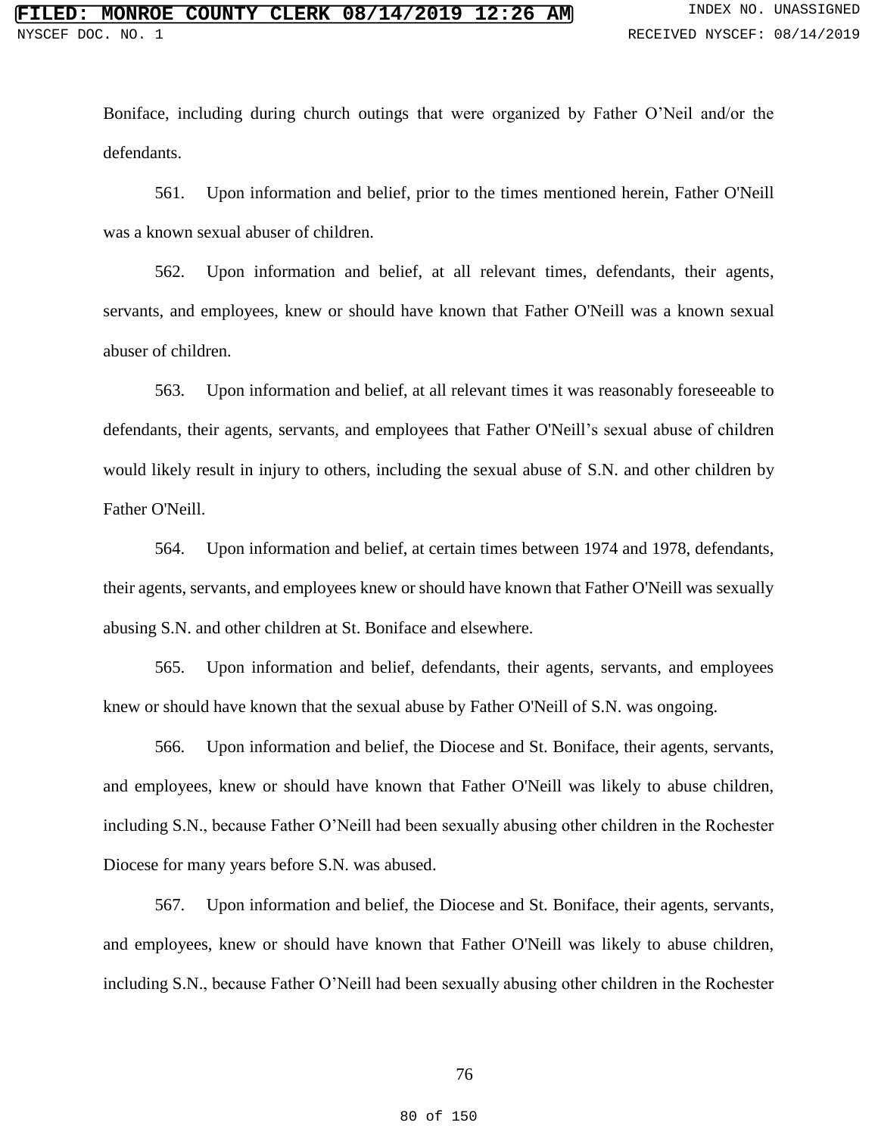Boniface, including during church outings that were organized by Father O'Neil and/or the defendants.

561. Upon information and belief, prior to the times mentioned herein, Father O'Neill was a known sexual abuser of children.

562. Upon information and belief, at all relevant times, defendants, their agents, servants, and employees, knew or should have known that Father O'Neill was a known sexual abuser of children.

563. Upon information and belief, at all relevant times it was reasonably foreseeable to defendants, their agents, servants, and employees that Father O'Neill's sexual abuse of children would likely result in injury to others, including the sexual abuse of S.N. and other children by Father O'Neill.

564. Upon information and belief, at certain times between 1974 and 1978, defendants, their agents, servants, and employees knew or should have known that Father O'Neill was sexually abusing S.N. and other children at St. Boniface and elsewhere.

565. Upon information and belief, defendants, their agents, servants, and employees knew or should have known that the sexual abuse by Father O'Neill of S.N. was ongoing.

566. Upon information and belief, the Diocese and St. Boniface, their agents, servants, and employees, knew or should have known that Father O'Neill was likely to abuse children, including S.N., because Father O'Neill had been sexually abusing other children in the Rochester Diocese for many years before S.N. was abused.

567. Upon information and belief, the Diocese and St. Boniface, their agents, servants, and employees, knew or should have known that Father O'Neill was likely to abuse children, including S.N., because Father O'Neill had been sexually abusing other children in the Rochester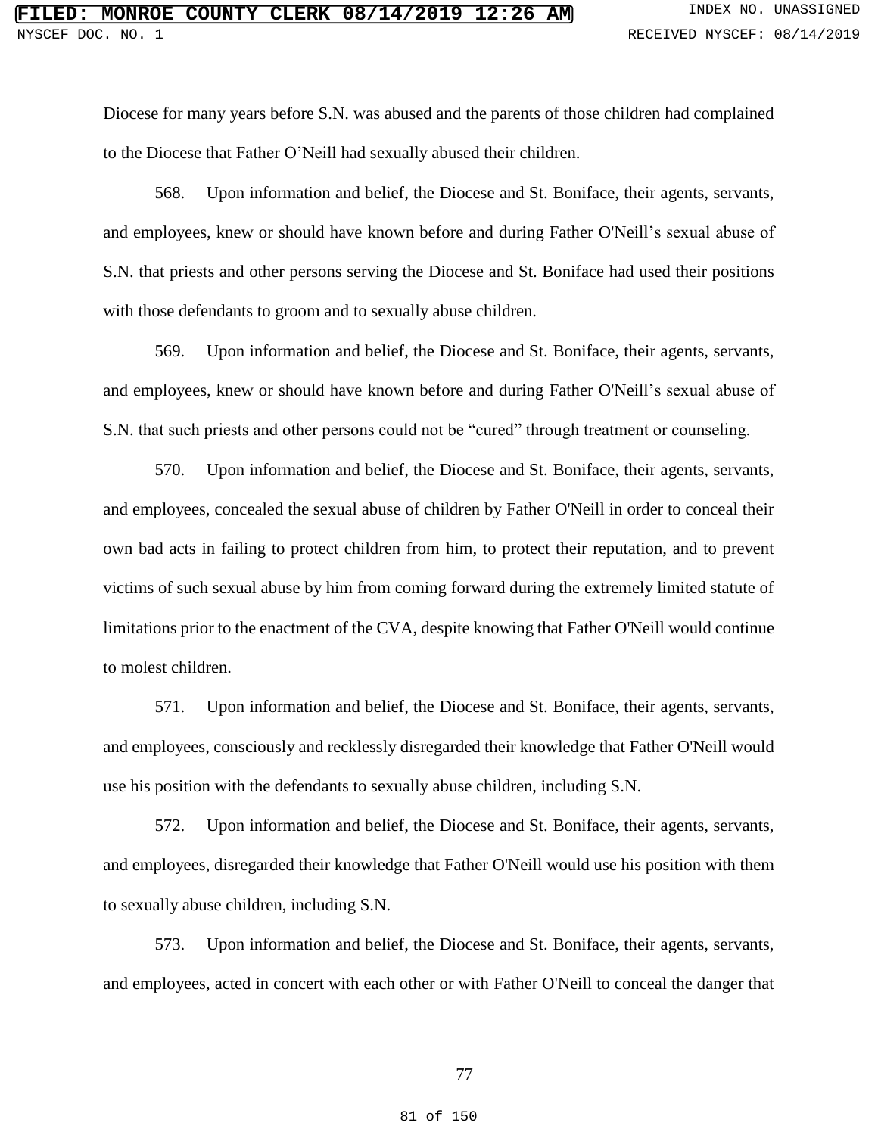Diocese for many years before S.N. was abused and the parents of those children had complained to the Diocese that Father O'Neill had sexually abused their children.

568. Upon information and belief, the Diocese and St. Boniface, their agents, servants, and employees, knew or should have known before and during Father O'Neill's sexual abuse of S.N. that priests and other persons serving the Diocese and St. Boniface had used their positions with those defendants to groom and to sexually abuse children.

569. Upon information and belief, the Diocese and St. Boniface, their agents, servants, and employees, knew or should have known before and during Father O'Neill's sexual abuse of S.N. that such priests and other persons could not be "cured" through treatment or counseling.

570. Upon information and belief, the Diocese and St. Boniface, their agents, servants, and employees, concealed the sexual abuse of children by Father O'Neill in order to conceal their own bad acts in failing to protect children from him, to protect their reputation, and to prevent victims of such sexual abuse by him from coming forward during the extremely limited statute of limitations prior to the enactment of the CVA, despite knowing that Father O'Neill would continue to molest children.

571. Upon information and belief, the Diocese and St. Boniface, their agents, servants, and employees, consciously and recklessly disregarded their knowledge that Father O'Neill would use his position with the defendants to sexually abuse children, including S.N.

572. Upon information and belief, the Diocese and St. Boniface, their agents, servants, and employees, disregarded their knowledge that Father O'Neill would use his position with them to sexually abuse children, including S.N.

573. Upon information and belief, the Diocese and St. Boniface, their agents, servants, and employees, acted in concert with each other or with Father O'Neill to conceal the danger that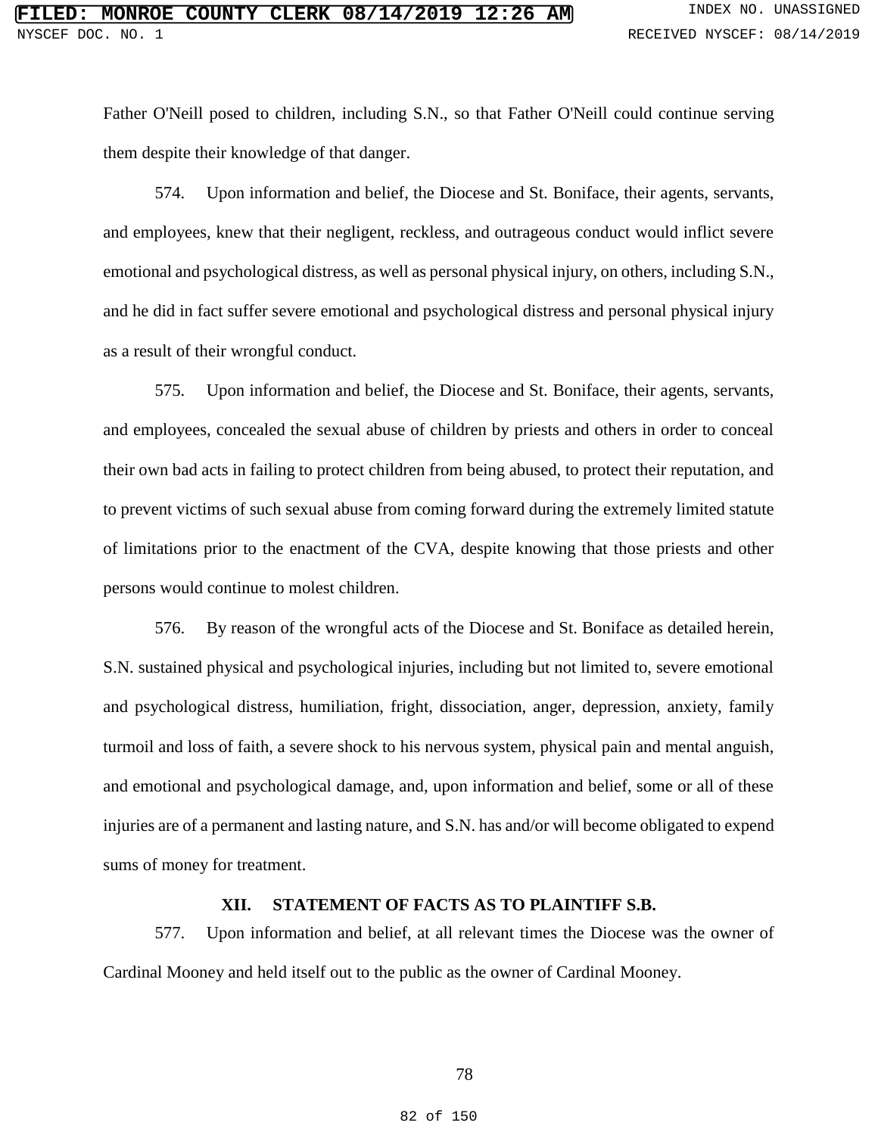Father O'Neill posed to children, including S.N., so that Father O'Neill could continue serving them despite their knowledge of that danger.

574. Upon information and belief, the Diocese and St. Boniface, their agents, servants, and employees, knew that their negligent, reckless, and outrageous conduct would inflict severe emotional and psychological distress, as well as personal physical injury, on others, including S.N., and he did in fact suffer severe emotional and psychological distress and personal physical injury as a result of their wrongful conduct.

575. Upon information and belief, the Diocese and St. Boniface, their agents, servants, and employees, concealed the sexual abuse of children by priests and others in order to conceal their own bad acts in failing to protect children from being abused, to protect their reputation, and to prevent victims of such sexual abuse from coming forward during the extremely limited statute of limitations prior to the enactment of the CVA, despite knowing that those priests and other persons would continue to molest children.

576. By reason of the wrongful acts of the Diocese and St. Boniface as detailed herein, S.N. sustained physical and psychological injuries, including but not limited to, severe emotional and psychological distress, humiliation, fright, dissociation, anger, depression, anxiety, family turmoil and loss of faith, a severe shock to his nervous system, physical pain and mental anguish, and emotional and psychological damage, and, upon information and belief, some or all of these injuries are of a permanent and lasting nature, and S.N. has and/or will become obligated to expend sums of money for treatment.

# **XII. STATEMENT OF FACTS AS TO PLAINTIFF S.B.**

577. Upon information and belief, at all relevant times the Diocese was the owner of Cardinal Mooney and held itself out to the public as the owner of Cardinal Mooney.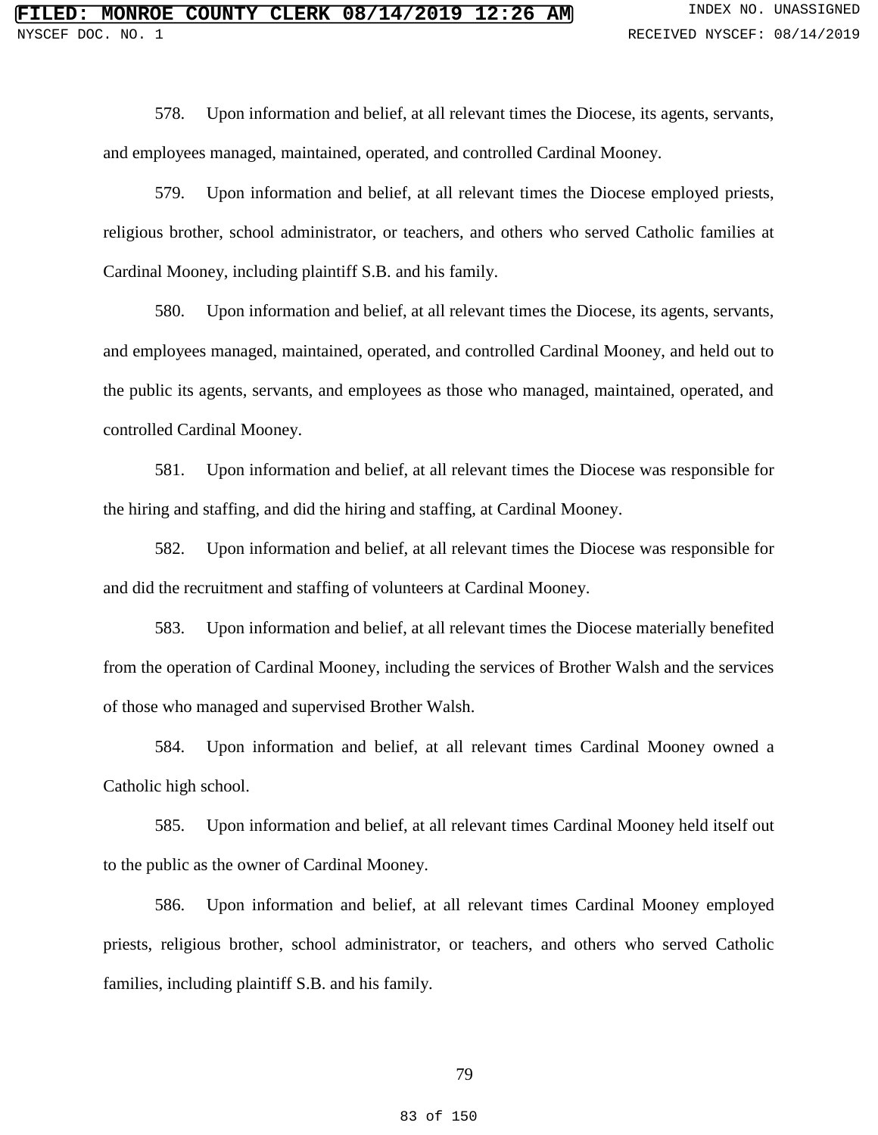578. Upon information and belief, at all relevant times the Diocese, its agents, servants, and employees managed, maintained, operated, and controlled Cardinal Mooney.

579. Upon information and belief, at all relevant times the Diocese employed priests, religious brother, school administrator, or teachers, and others who served Catholic families at Cardinal Mooney, including plaintiff S.B. and his family.

580. Upon information and belief, at all relevant times the Diocese, its agents, servants, and employees managed, maintained, operated, and controlled Cardinal Mooney, and held out to the public its agents, servants, and employees as those who managed, maintained, operated, and controlled Cardinal Mooney.

581. Upon information and belief, at all relevant times the Diocese was responsible for the hiring and staffing, and did the hiring and staffing, at Cardinal Mooney.

582. Upon information and belief, at all relevant times the Diocese was responsible for and did the recruitment and staffing of volunteers at Cardinal Mooney.

583. Upon information and belief, at all relevant times the Diocese materially benefited from the operation of Cardinal Mooney, including the services of Brother Walsh and the services of those who managed and supervised Brother Walsh.

584. Upon information and belief, at all relevant times Cardinal Mooney owned a Catholic high school.

585. Upon information and belief, at all relevant times Cardinal Mooney held itself out to the public as the owner of Cardinal Mooney.

586. Upon information and belief, at all relevant times Cardinal Mooney employed priests, religious brother, school administrator, or teachers, and others who served Catholic families, including plaintiff S.B. and his family.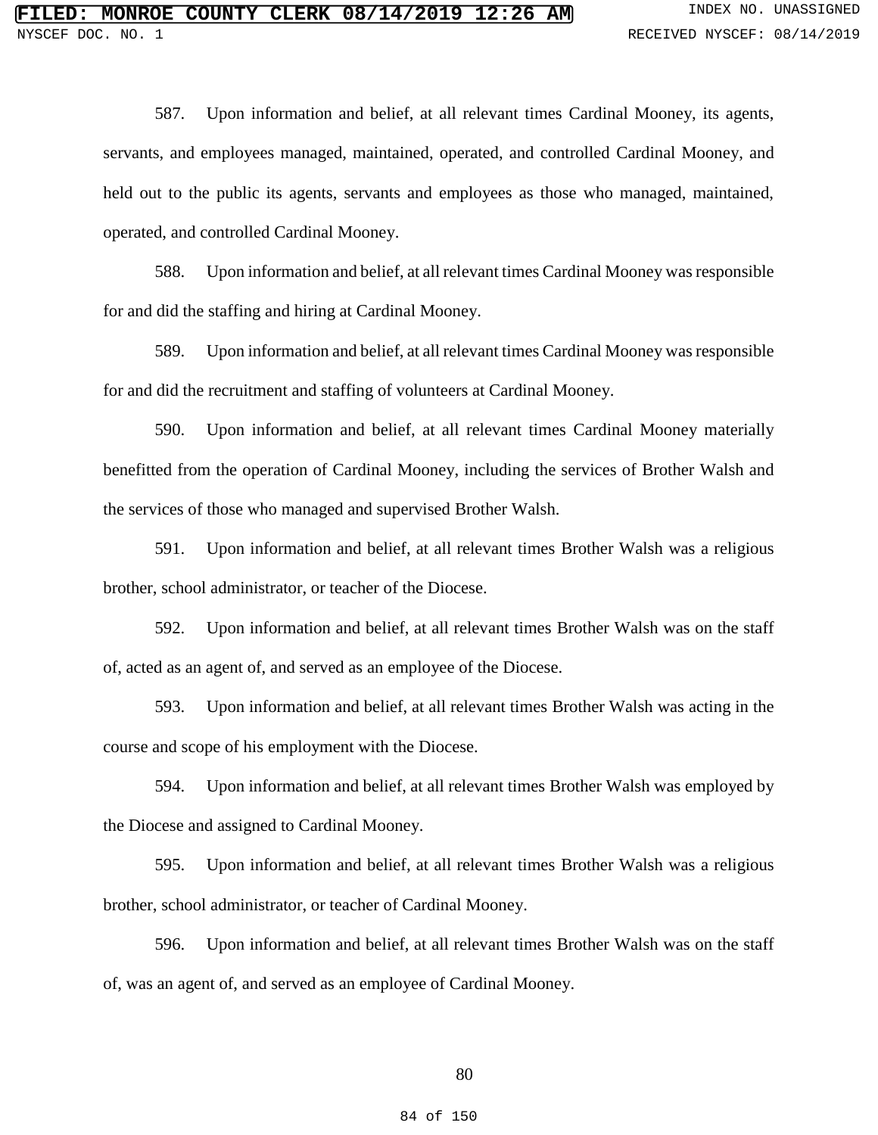587. Upon information and belief, at all relevant times Cardinal Mooney, its agents, servants, and employees managed, maintained, operated, and controlled Cardinal Mooney, and held out to the public its agents, servants and employees as those who managed, maintained, operated, and controlled Cardinal Mooney.

588. Upon information and belief, at all relevant times Cardinal Mooney was responsible for and did the staffing and hiring at Cardinal Mooney.

589. Upon information and belief, at all relevant times Cardinal Mooney was responsible for and did the recruitment and staffing of volunteers at Cardinal Mooney.

590. Upon information and belief, at all relevant times Cardinal Mooney materially benefitted from the operation of Cardinal Mooney, including the services of Brother Walsh and the services of those who managed and supervised Brother Walsh.

591. Upon information and belief, at all relevant times Brother Walsh was a religious brother, school administrator, or teacher of the Diocese.

592. Upon information and belief, at all relevant times Brother Walsh was on the staff of, acted as an agent of, and served as an employee of the Diocese.

593. Upon information and belief, at all relevant times Brother Walsh was acting in the course and scope of his employment with the Diocese.

594. Upon information and belief, at all relevant times Brother Walsh was employed by the Diocese and assigned to Cardinal Mooney.

595. Upon information and belief, at all relevant times Brother Walsh was a religious brother, school administrator, or teacher of Cardinal Mooney.

596. Upon information and belief, at all relevant times Brother Walsh was on the staff of, was an agent of, and served as an employee of Cardinal Mooney.

80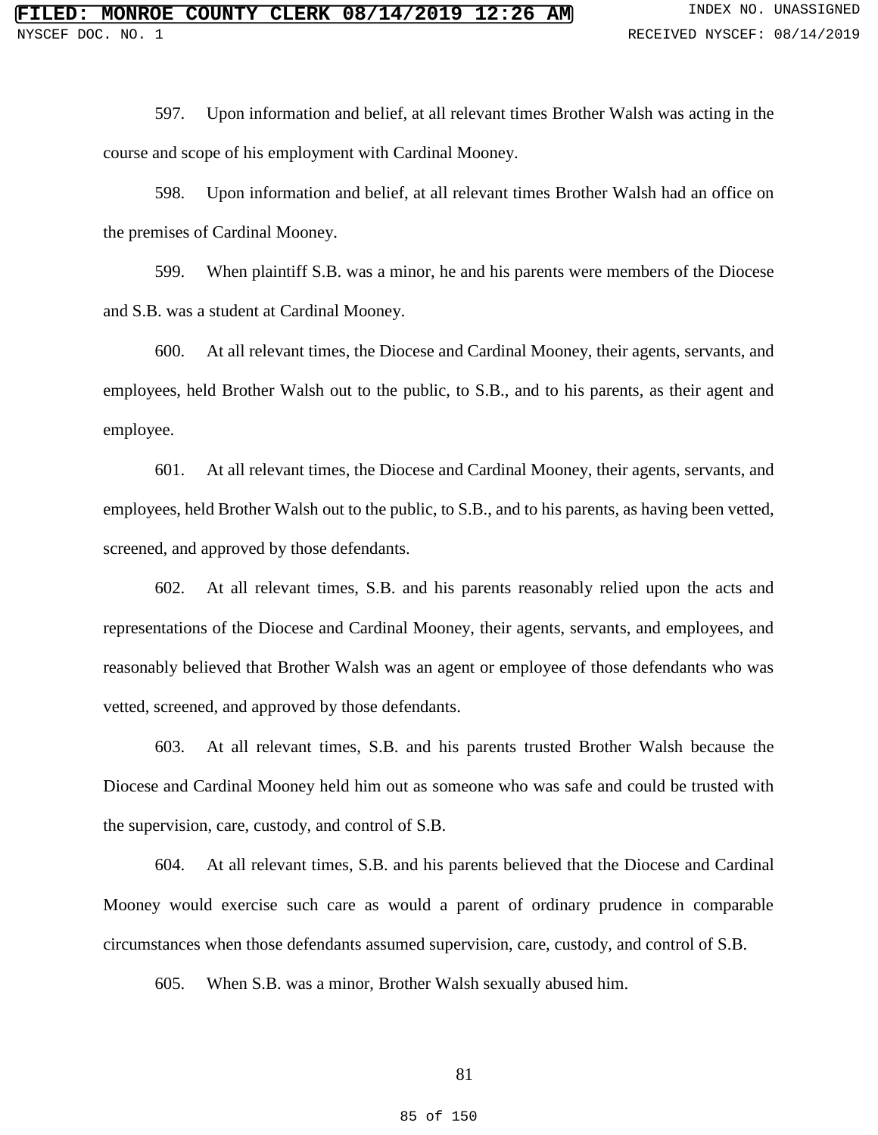597. Upon information and belief, at all relevant times Brother Walsh was acting in the course and scope of his employment with Cardinal Mooney.

598. Upon information and belief, at all relevant times Brother Walsh had an office on the premises of Cardinal Mooney.

599. When plaintiff S.B. was a minor, he and his parents were members of the Diocese and S.B. was a student at Cardinal Mooney.

600. At all relevant times, the Diocese and Cardinal Mooney, their agents, servants, and employees, held Brother Walsh out to the public, to S.B., and to his parents, as their agent and employee.

601. At all relevant times, the Diocese and Cardinal Mooney, their agents, servants, and employees, held Brother Walsh out to the public, to S.B., and to his parents, as having been vetted, screened, and approved by those defendants.

602. At all relevant times, S.B. and his parents reasonably relied upon the acts and representations of the Diocese and Cardinal Mooney, their agents, servants, and employees, and reasonably believed that Brother Walsh was an agent or employee of those defendants who was vetted, screened, and approved by those defendants.

603. At all relevant times, S.B. and his parents trusted Brother Walsh because the Diocese and Cardinal Mooney held him out as someone who was safe and could be trusted with the supervision, care, custody, and control of S.B.

604. At all relevant times, S.B. and his parents believed that the Diocese and Cardinal Mooney would exercise such care as would a parent of ordinary prudence in comparable circumstances when those defendants assumed supervision, care, custody, and control of S.B.

605. When S.B. was a minor, Brother Walsh sexually abused him.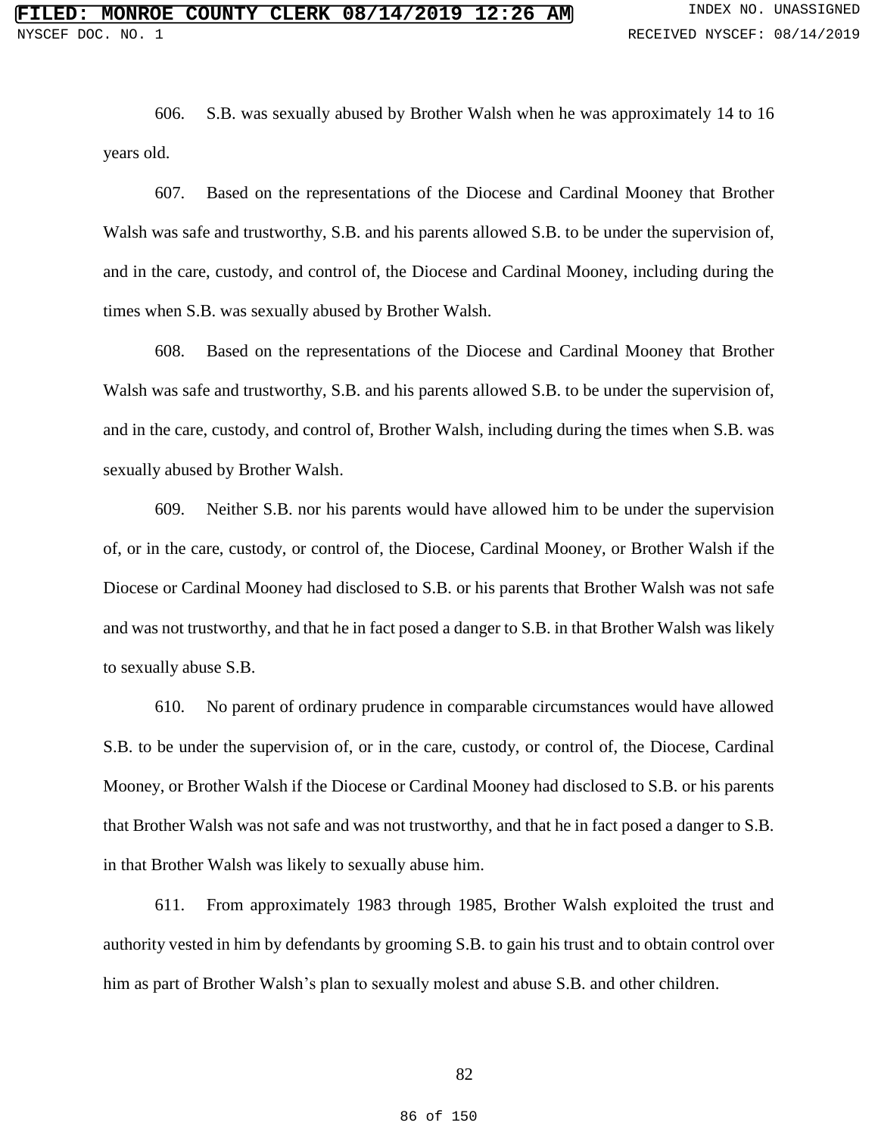606. S.B. was sexually abused by Brother Walsh when he was approximately 14 to 16 years old.

607. Based on the representations of the Diocese and Cardinal Mooney that Brother Walsh was safe and trustworthy, S.B. and his parents allowed S.B. to be under the supervision of, and in the care, custody, and control of, the Diocese and Cardinal Mooney, including during the times when S.B. was sexually abused by Brother Walsh.

608. Based on the representations of the Diocese and Cardinal Mooney that Brother Walsh was safe and trustworthy, S.B. and his parents allowed S.B. to be under the supervision of, and in the care, custody, and control of, Brother Walsh, including during the times when S.B. was sexually abused by Brother Walsh.

609. Neither S.B. nor his parents would have allowed him to be under the supervision of, or in the care, custody, or control of, the Diocese, Cardinal Mooney, or Brother Walsh if the Diocese or Cardinal Mooney had disclosed to S.B. or his parents that Brother Walsh was not safe and was not trustworthy, and that he in fact posed a danger to S.B. in that Brother Walsh was likely to sexually abuse S.B.

610. No parent of ordinary prudence in comparable circumstances would have allowed S.B. to be under the supervision of, or in the care, custody, or control of, the Diocese, Cardinal Mooney, or Brother Walsh if the Diocese or Cardinal Mooney had disclosed to S.B. or his parents that Brother Walsh was not safe and was not trustworthy, and that he in fact posed a danger to S.B. in that Brother Walsh was likely to sexually abuse him.

611. From approximately 1983 through 1985, Brother Walsh exploited the trust and authority vested in him by defendants by grooming S.B. to gain his trust and to obtain control over him as part of Brother Walsh's plan to sexually molest and abuse S.B. and other children.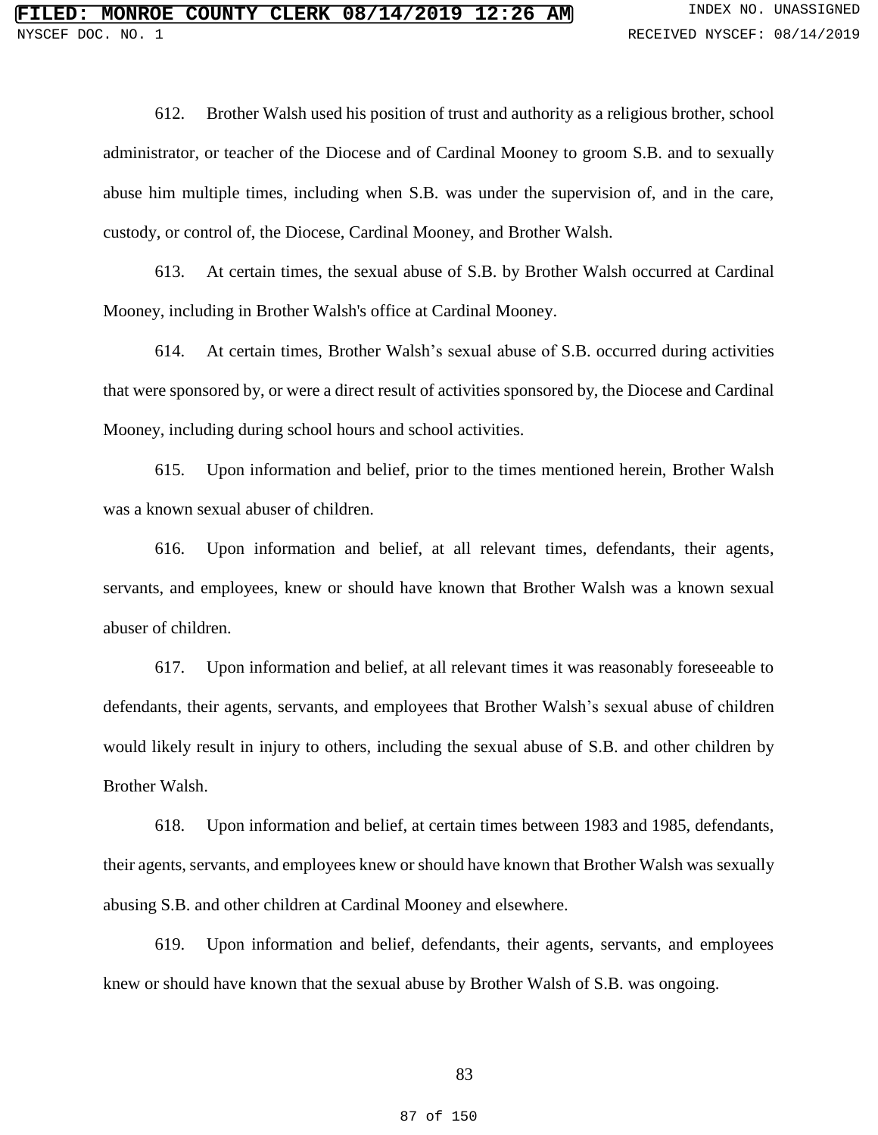612. Brother Walsh used his position of trust and authority as a religious brother, school administrator, or teacher of the Diocese and of Cardinal Mooney to groom S.B. and to sexually abuse him multiple times, including when S.B. was under the supervision of, and in the care, custody, or control of, the Diocese, Cardinal Mooney, and Brother Walsh.

613. At certain times, the sexual abuse of S.B. by Brother Walsh occurred at Cardinal Mooney, including in Brother Walsh's office at Cardinal Mooney.

614. At certain times, Brother Walsh's sexual abuse of S.B. occurred during activities that were sponsored by, or were a direct result of activities sponsored by, the Diocese and Cardinal Mooney, including during school hours and school activities.

615. Upon information and belief, prior to the times mentioned herein, Brother Walsh was a known sexual abuser of children.

616. Upon information and belief, at all relevant times, defendants, their agents, servants, and employees, knew or should have known that Brother Walsh was a known sexual abuser of children.

617. Upon information and belief, at all relevant times it was reasonably foreseeable to defendants, their agents, servants, and employees that Brother Walsh's sexual abuse of children would likely result in injury to others, including the sexual abuse of S.B. and other children by Brother Walsh.

618. Upon information and belief, at certain times between 1983 and 1985, defendants, their agents, servants, and employees knew or should have known that Brother Walsh was sexually abusing S.B. and other children at Cardinal Mooney and elsewhere.

619. Upon information and belief, defendants, their agents, servants, and employees knew or should have known that the sexual abuse by Brother Walsh of S.B. was ongoing.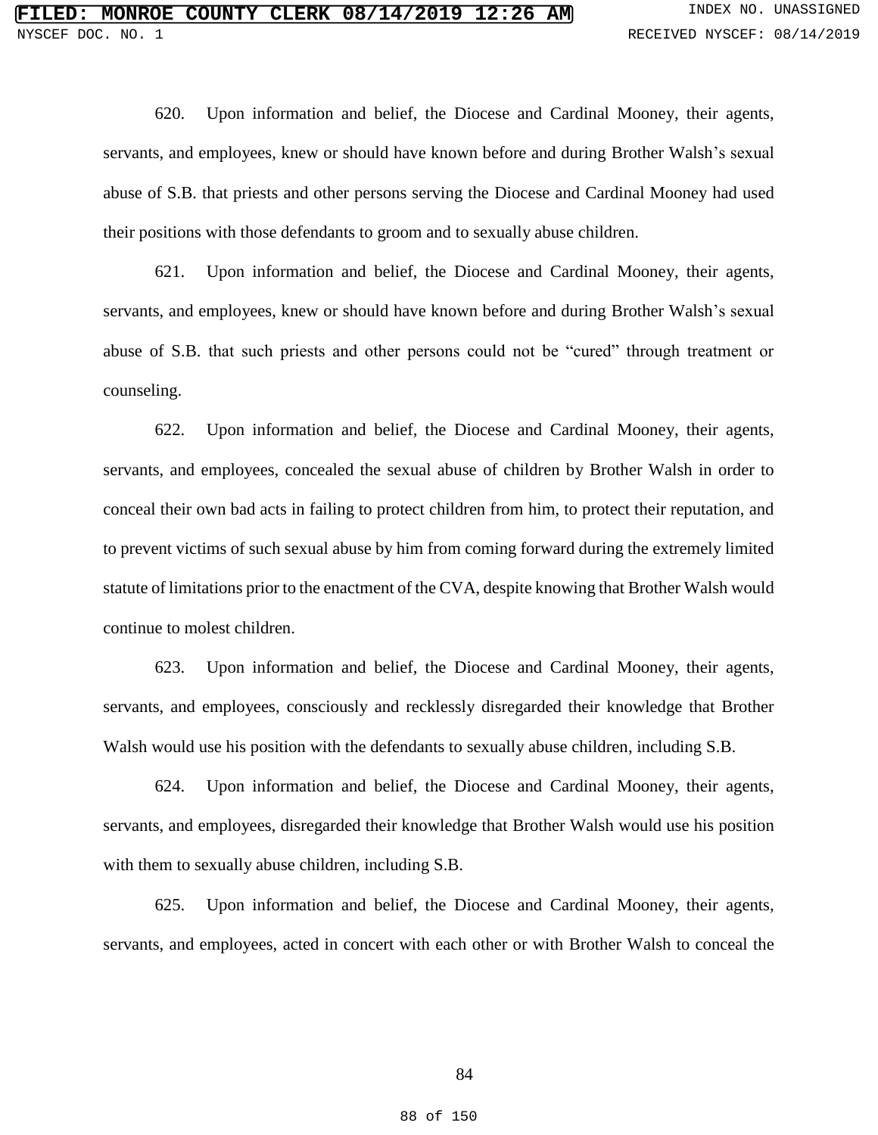620. Upon information and belief, the Diocese and Cardinal Mooney, their agents, servants, and employees, knew or should have known before and during Brother Walsh's sexual abuse of S.B. that priests and other persons serving the Diocese and Cardinal Mooney had used their positions with those defendants to groom and to sexually abuse children.

621. Upon information and belief, the Diocese and Cardinal Mooney, their agents, servants, and employees, knew or should have known before and during Brother Walsh's sexual abuse of S.B. that such priests and other persons could not be "cured" through treatment or counseling.

622. Upon information and belief, the Diocese and Cardinal Mooney, their agents, servants, and employees, concealed the sexual abuse of children by Brother Walsh in order to conceal their own bad acts in failing to protect children from him, to protect their reputation, and to prevent victims of such sexual abuse by him from coming forward during the extremely limited statute of limitations prior to the enactment of the CVA, despite knowing that Brother Walsh would continue to molest children.

623. Upon information and belief, the Diocese and Cardinal Mooney, their agents, servants, and employees, consciously and recklessly disregarded their knowledge that Brother Walsh would use his position with the defendants to sexually abuse children, including S.B.

624. Upon information and belief, the Diocese and Cardinal Mooney, their agents, servants, and employees, disregarded their knowledge that Brother Walsh would use his position with them to sexually abuse children, including S.B.

625. Upon information and belief, the Diocese and Cardinal Mooney, their agents, servants, and employees, acted in concert with each other or with Brother Walsh to conceal the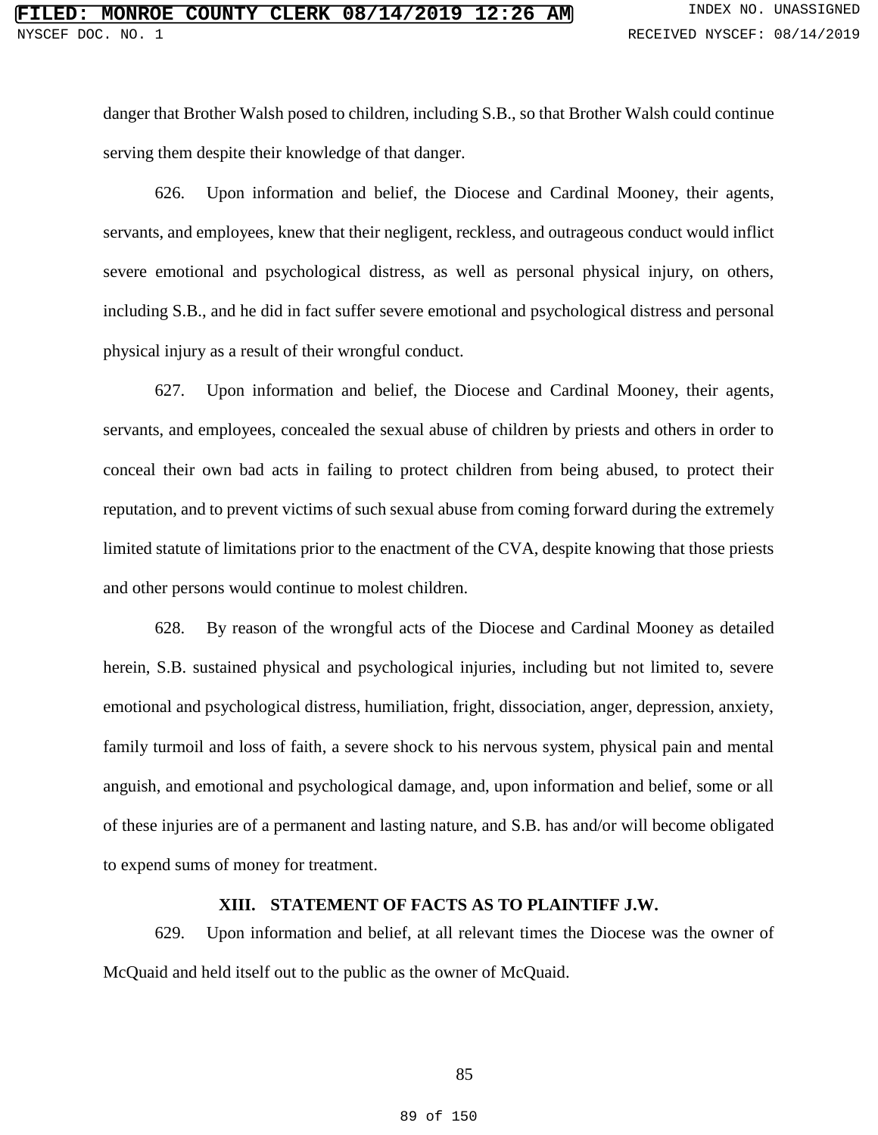danger that Brother Walsh posed to children, including S.B., so that Brother Walsh could continue serving them despite their knowledge of that danger.

626. Upon information and belief, the Diocese and Cardinal Mooney, their agents, servants, and employees, knew that their negligent, reckless, and outrageous conduct would inflict severe emotional and psychological distress, as well as personal physical injury, on others, including S.B., and he did in fact suffer severe emotional and psychological distress and personal physical injury as a result of their wrongful conduct.

627. Upon information and belief, the Diocese and Cardinal Mooney, their agents, servants, and employees, concealed the sexual abuse of children by priests and others in order to conceal their own bad acts in failing to protect children from being abused, to protect their reputation, and to prevent victims of such sexual abuse from coming forward during the extremely limited statute of limitations prior to the enactment of the CVA, despite knowing that those priests and other persons would continue to molest children.

628. By reason of the wrongful acts of the Diocese and Cardinal Mooney as detailed herein, S.B. sustained physical and psychological injuries, including but not limited to, severe emotional and psychological distress, humiliation, fright, dissociation, anger, depression, anxiety, family turmoil and loss of faith, a severe shock to his nervous system, physical pain and mental anguish, and emotional and psychological damage, and, upon information and belief, some or all of these injuries are of a permanent and lasting nature, and S.B. has and/or will become obligated to expend sums of money for treatment.

## **XIII. STATEMENT OF FACTS AS TO PLAINTIFF J.W.**

629. Upon information and belief, at all relevant times the Diocese was the owner of McQuaid and held itself out to the public as the owner of McQuaid.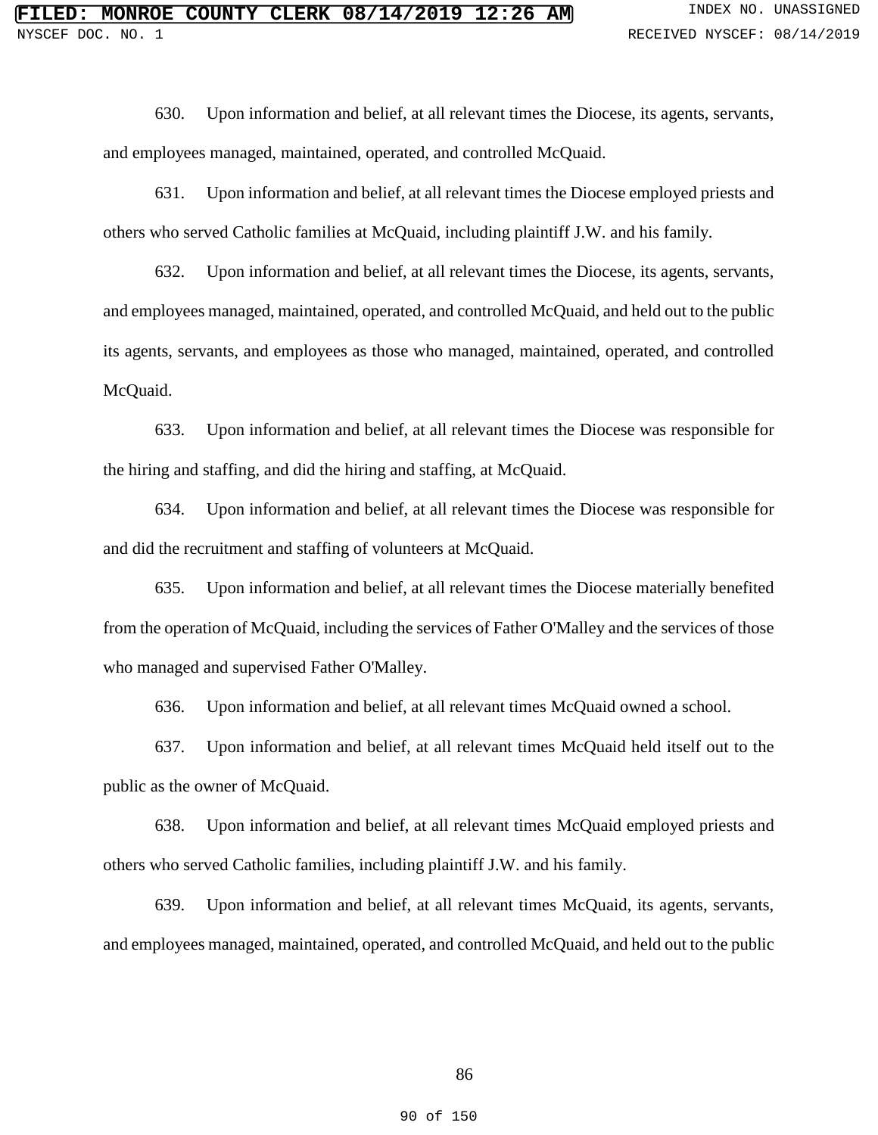630. Upon information and belief, at all relevant times the Diocese, its agents, servants, and employees managed, maintained, operated, and controlled McQuaid.

631. Upon information and belief, at all relevant times the Diocese employed priests and others who served Catholic families at McQuaid, including plaintiff J.W. and his family.

632. Upon information and belief, at all relevant times the Diocese, its agents, servants, and employees managed, maintained, operated, and controlled McQuaid, and held out to the public its agents, servants, and employees as those who managed, maintained, operated, and controlled McQuaid.

633. Upon information and belief, at all relevant times the Diocese was responsible for the hiring and staffing, and did the hiring and staffing, at McQuaid.

634. Upon information and belief, at all relevant times the Diocese was responsible for and did the recruitment and staffing of volunteers at McQuaid.

635. Upon information and belief, at all relevant times the Diocese materially benefited from the operation of McQuaid, including the services of Father O'Malley and the services of those who managed and supervised Father O'Malley.

636. Upon information and belief, at all relevant times McQuaid owned a school.

637. Upon information and belief, at all relevant times McQuaid held itself out to the public as the owner of McQuaid.

638. Upon information and belief, at all relevant times McQuaid employed priests and others who served Catholic families, including plaintiff J.W. and his family.

639. Upon information and belief, at all relevant times McQuaid, its agents, servants, and employees managed, maintained, operated, and controlled McQuaid, and held out to the public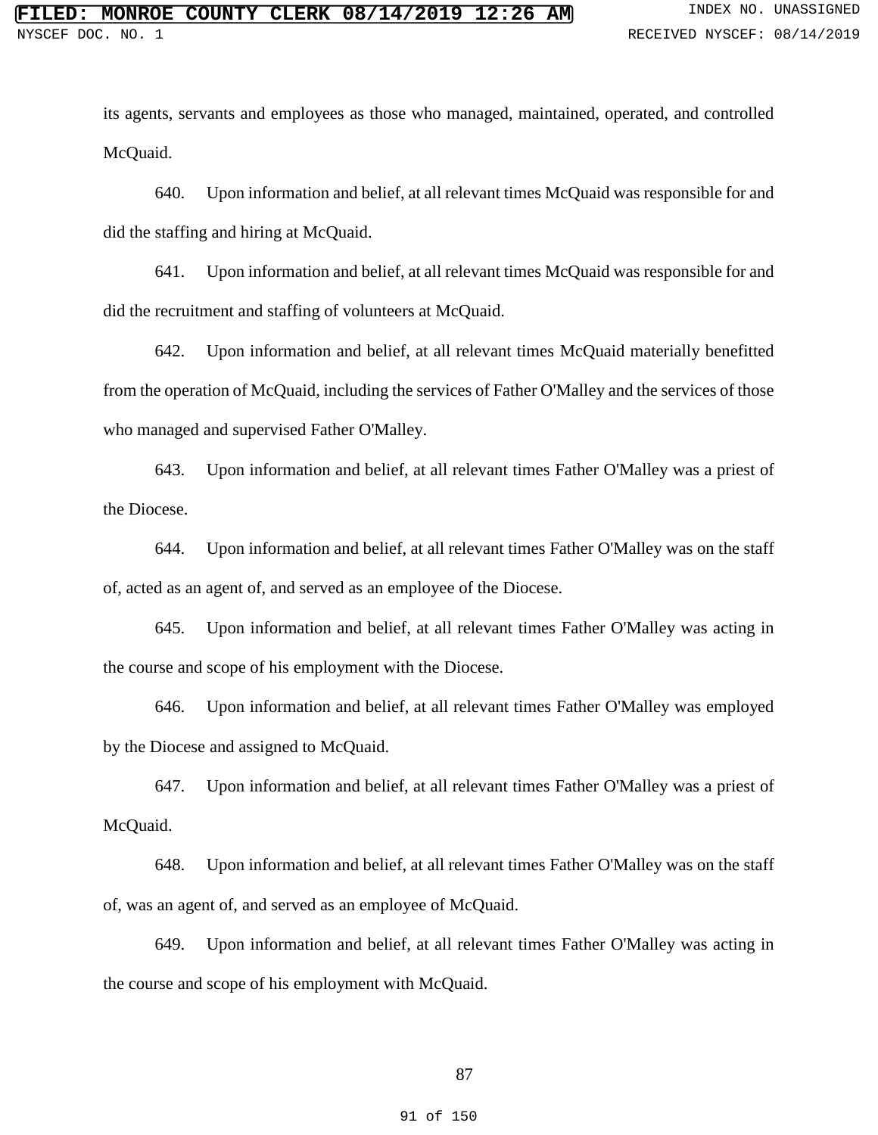its agents, servants and employees as those who managed, maintained, operated, and controlled McQuaid.

640. Upon information and belief, at all relevant times McQuaid was responsible for and did the staffing and hiring at McQuaid.

641. Upon information and belief, at all relevant times McQuaid was responsible for and did the recruitment and staffing of volunteers at McQuaid.

642. Upon information and belief, at all relevant times McQuaid materially benefitted from the operation of McQuaid, including the services of Father O'Malley and the services of those who managed and supervised Father O'Malley.

643. Upon information and belief, at all relevant times Father O'Malley was a priest of the Diocese.

644. Upon information and belief, at all relevant times Father O'Malley was on the staff of, acted as an agent of, and served as an employee of the Diocese.

645. Upon information and belief, at all relevant times Father O'Malley was acting in the course and scope of his employment with the Diocese.

646. Upon information and belief, at all relevant times Father O'Malley was employed by the Diocese and assigned to McQuaid.

647. Upon information and belief, at all relevant times Father O'Malley was a priest of McQuaid.

648. Upon information and belief, at all relevant times Father O'Malley was on the staff of, was an agent of, and served as an employee of McQuaid.

649. Upon information and belief, at all relevant times Father O'Malley was acting in the course and scope of his employment with McQuaid.

87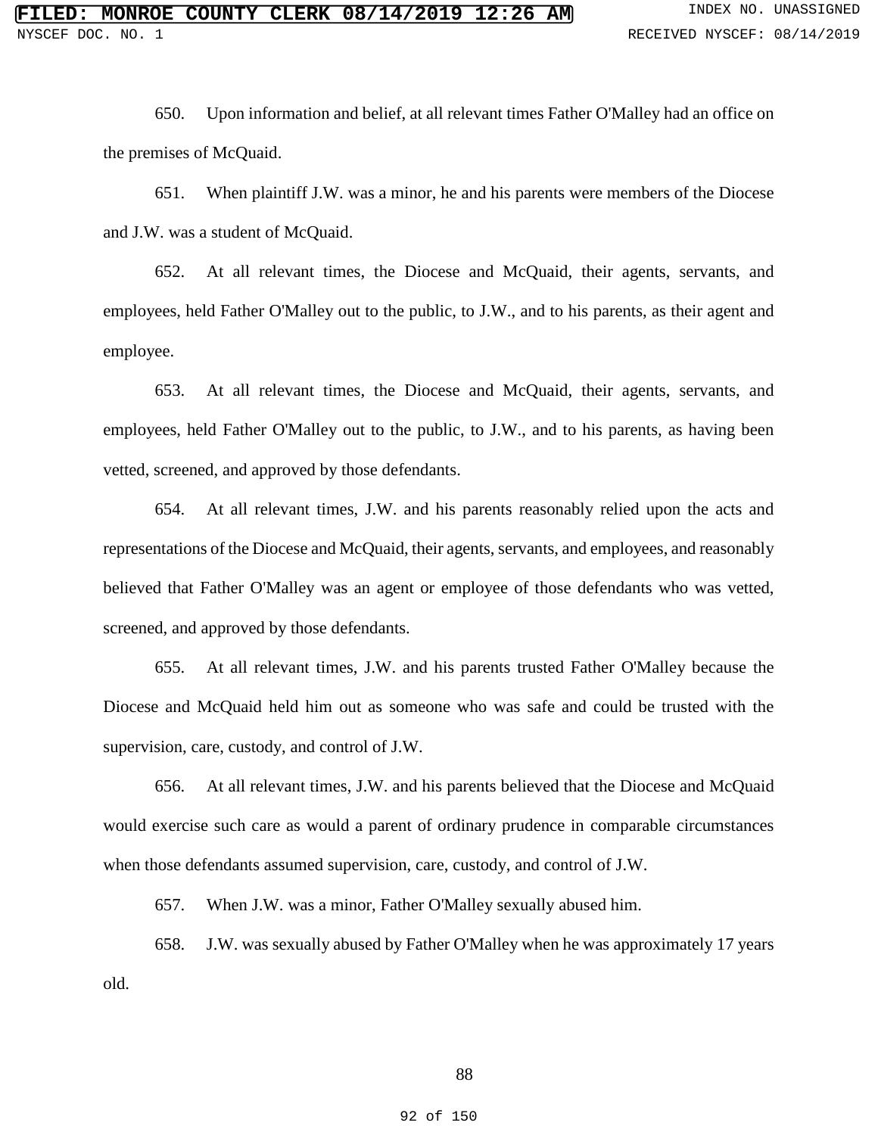650. Upon information and belief, at all relevant times Father O'Malley had an office on the premises of McQuaid.

651. When plaintiff J.W. was a minor, he and his parents were members of the Diocese and J.W. was a student of McQuaid.

652. At all relevant times, the Diocese and McQuaid, their agents, servants, and employees, held Father O'Malley out to the public, to J.W., and to his parents, as their agent and employee.

653. At all relevant times, the Diocese and McQuaid, their agents, servants, and employees, held Father O'Malley out to the public, to J.W., and to his parents, as having been vetted, screened, and approved by those defendants.

654. At all relevant times, J.W. and his parents reasonably relied upon the acts and representations of the Diocese and McQuaid, their agents, servants, and employees, and reasonably believed that Father O'Malley was an agent or employee of those defendants who was vetted, screened, and approved by those defendants.

655. At all relevant times, J.W. and his parents trusted Father O'Malley because the Diocese and McQuaid held him out as someone who was safe and could be trusted with the supervision, care, custody, and control of J.W.

656. At all relevant times, J.W. and his parents believed that the Diocese and McQuaid would exercise such care as would a parent of ordinary prudence in comparable circumstances when those defendants assumed supervision, care, custody, and control of J.W.

657. When J.W. was a minor, Father O'Malley sexually abused him.

658. J.W. was sexually abused by Father O'Malley when he was approximately 17 years old.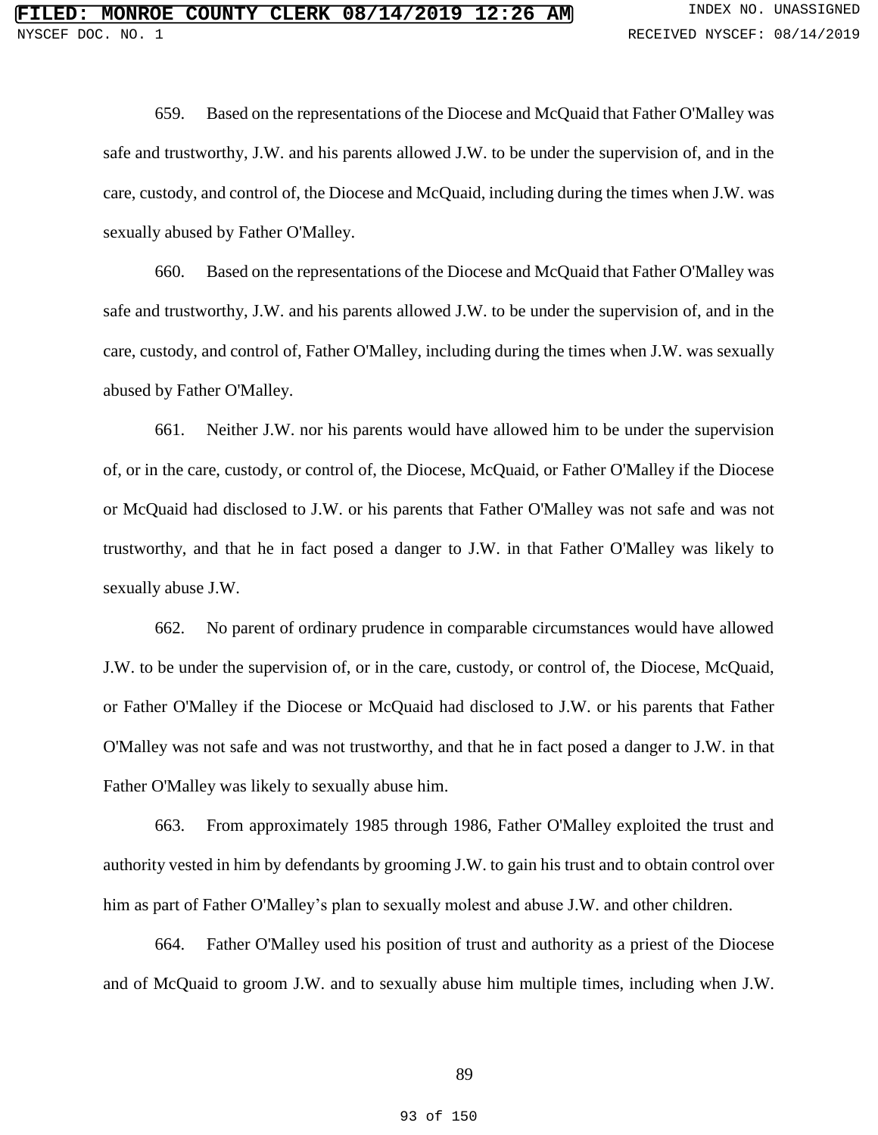659. Based on the representations of the Diocese and McQuaid that Father O'Malley was safe and trustworthy, J.W. and his parents allowed J.W. to be under the supervision of, and in the care, custody, and control of, the Diocese and McQuaid, including during the times when J.W. was sexually abused by Father O'Malley.

660. Based on the representations of the Diocese and McQuaid that Father O'Malley was safe and trustworthy, J.W. and his parents allowed J.W. to be under the supervision of, and in the care, custody, and control of, Father O'Malley, including during the times when J.W. was sexually abused by Father O'Malley.

661. Neither J.W. nor his parents would have allowed him to be under the supervision of, or in the care, custody, or control of, the Diocese, McQuaid, or Father O'Malley if the Diocese or McQuaid had disclosed to J.W. or his parents that Father O'Malley was not safe and was not trustworthy, and that he in fact posed a danger to J.W. in that Father O'Malley was likely to sexually abuse J.W.

662. No parent of ordinary prudence in comparable circumstances would have allowed J.W. to be under the supervision of, or in the care, custody, or control of, the Diocese, McQuaid, or Father O'Malley if the Diocese or McQuaid had disclosed to J.W. or his parents that Father O'Malley was not safe and was not trustworthy, and that he in fact posed a danger to J.W. in that Father O'Malley was likely to sexually abuse him.

663. From approximately 1985 through 1986, Father O'Malley exploited the trust and authority vested in him by defendants by grooming J.W. to gain his trust and to obtain control over him as part of Father O'Malley's plan to sexually molest and abuse J.W. and other children.

664. Father O'Malley used his position of trust and authority as a priest of the Diocese and of McQuaid to groom J.W. and to sexually abuse him multiple times, including when J.W.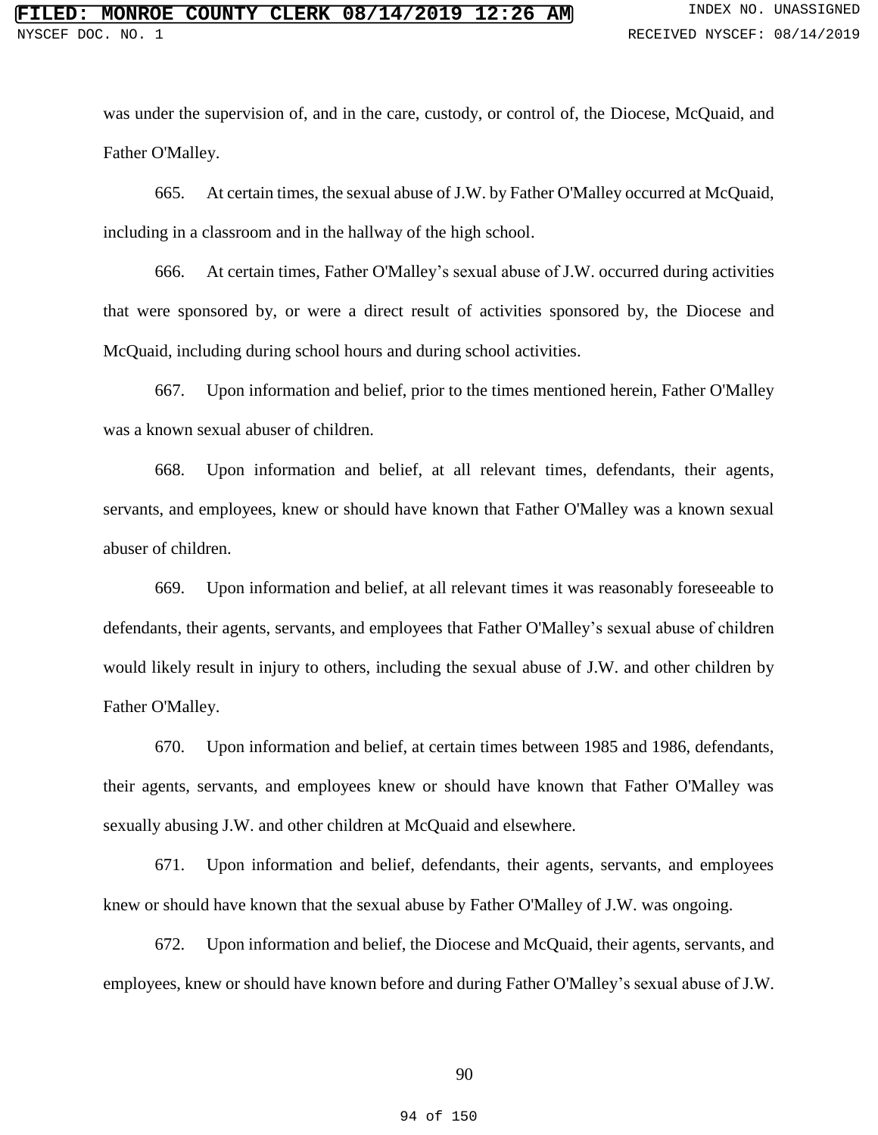was under the supervision of, and in the care, custody, or control of, the Diocese, McQuaid, and Father O'Malley.

665. At certain times, the sexual abuse of J.W. by Father O'Malley occurred at McQuaid, including in a classroom and in the hallway of the high school.

666. At certain times, Father O'Malley's sexual abuse of J.W. occurred during activities that were sponsored by, or were a direct result of activities sponsored by, the Diocese and McQuaid, including during school hours and during school activities.

667. Upon information and belief, prior to the times mentioned herein, Father O'Malley was a known sexual abuser of children.

668. Upon information and belief, at all relevant times, defendants, their agents, servants, and employees, knew or should have known that Father O'Malley was a known sexual abuser of children.

669. Upon information and belief, at all relevant times it was reasonably foreseeable to defendants, their agents, servants, and employees that Father O'Malley's sexual abuse of children would likely result in injury to others, including the sexual abuse of J.W. and other children by Father O'Malley.

670. Upon information and belief, at certain times between 1985 and 1986, defendants, their agents, servants, and employees knew or should have known that Father O'Malley was sexually abusing J.W. and other children at McQuaid and elsewhere.

671. Upon information and belief, defendants, their agents, servants, and employees knew or should have known that the sexual abuse by Father O'Malley of J.W. was ongoing.

672. Upon information and belief, the Diocese and McQuaid, their agents, servants, and employees, knew or should have known before and during Father O'Malley's sexual abuse of J.W.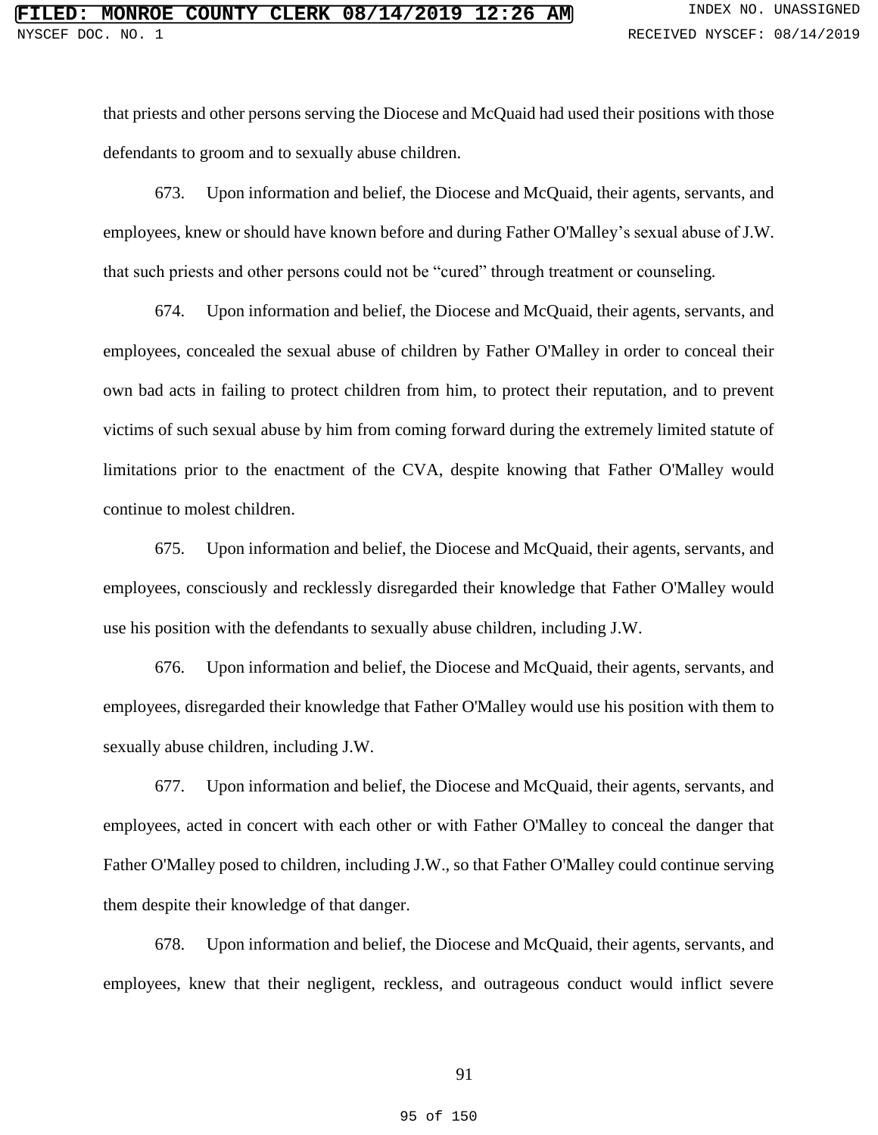that priests and other persons serving the Diocese and McQuaid had used their positions with those defendants to groom and to sexually abuse children.

673. Upon information and belief, the Diocese and McQuaid, their agents, servants, and employees, knew or should have known before and during Father O'Malley's sexual abuse of J.W. that such priests and other persons could not be "cured" through treatment or counseling.

674. Upon information and belief, the Diocese and McQuaid, their agents, servants, and employees, concealed the sexual abuse of children by Father O'Malley in order to conceal their own bad acts in failing to protect children from him, to protect their reputation, and to prevent victims of such sexual abuse by him from coming forward during the extremely limited statute of limitations prior to the enactment of the CVA, despite knowing that Father O'Malley would continue to molest children.

675. Upon information and belief, the Diocese and McQuaid, their agents, servants, and employees, consciously and recklessly disregarded their knowledge that Father O'Malley would use his position with the defendants to sexually abuse children, including J.W.

676. Upon information and belief, the Diocese and McQuaid, their agents, servants, and employees, disregarded their knowledge that Father O'Malley would use his position with them to sexually abuse children, including J.W.

677. Upon information and belief, the Diocese and McQuaid, their agents, servants, and employees, acted in concert with each other or with Father O'Malley to conceal the danger that Father O'Malley posed to children, including J.W., so that Father O'Malley could continue serving them despite their knowledge of that danger.

678. Upon information and belief, the Diocese and McQuaid, their agents, servants, and employees, knew that their negligent, reckless, and outrageous conduct would inflict severe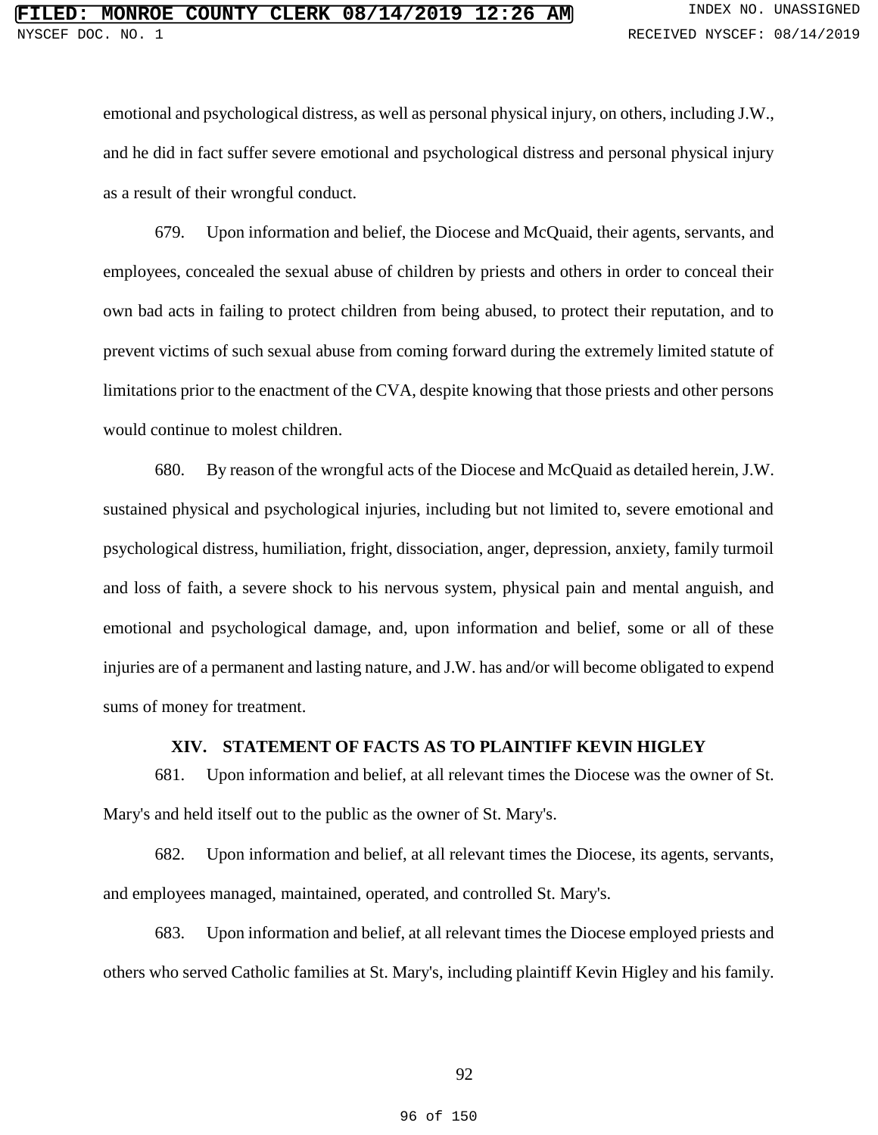emotional and psychological distress, as well as personal physical injury, on others, including J.W., and he did in fact suffer severe emotional and psychological distress and personal physical injury as a result of their wrongful conduct.

679. Upon information and belief, the Diocese and McQuaid, their agents, servants, and employees, concealed the sexual abuse of children by priests and others in order to conceal their own bad acts in failing to protect children from being abused, to protect their reputation, and to prevent victims of such sexual abuse from coming forward during the extremely limited statute of limitations prior to the enactment of the CVA, despite knowing that those priests and other persons would continue to molest children.

680. By reason of the wrongful acts of the Diocese and McQuaid as detailed herein, J.W. sustained physical and psychological injuries, including but not limited to, severe emotional and psychological distress, humiliation, fright, dissociation, anger, depression, anxiety, family turmoil and loss of faith, a severe shock to his nervous system, physical pain and mental anguish, and emotional and psychological damage, and, upon information and belief, some or all of these injuries are of a permanent and lasting nature, and J.W. has and/or will become obligated to expend sums of money for treatment.

# **XIV. STATEMENT OF FACTS AS TO PLAINTIFF KEVIN HIGLEY**

681. Upon information and belief, at all relevant times the Diocese was the owner of St. Mary's and held itself out to the public as the owner of St. Mary's.

682. Upon information and belief, at all relevant times the Diocese, its agents, servants, and employees managed, maintained, operated, and controlled St. Mary's.

683. Upon information and belief, at all relevant times the Diocese employed priests and others who served Catholic families at St. Mary's, including plaintiff Kevin Higley and his family.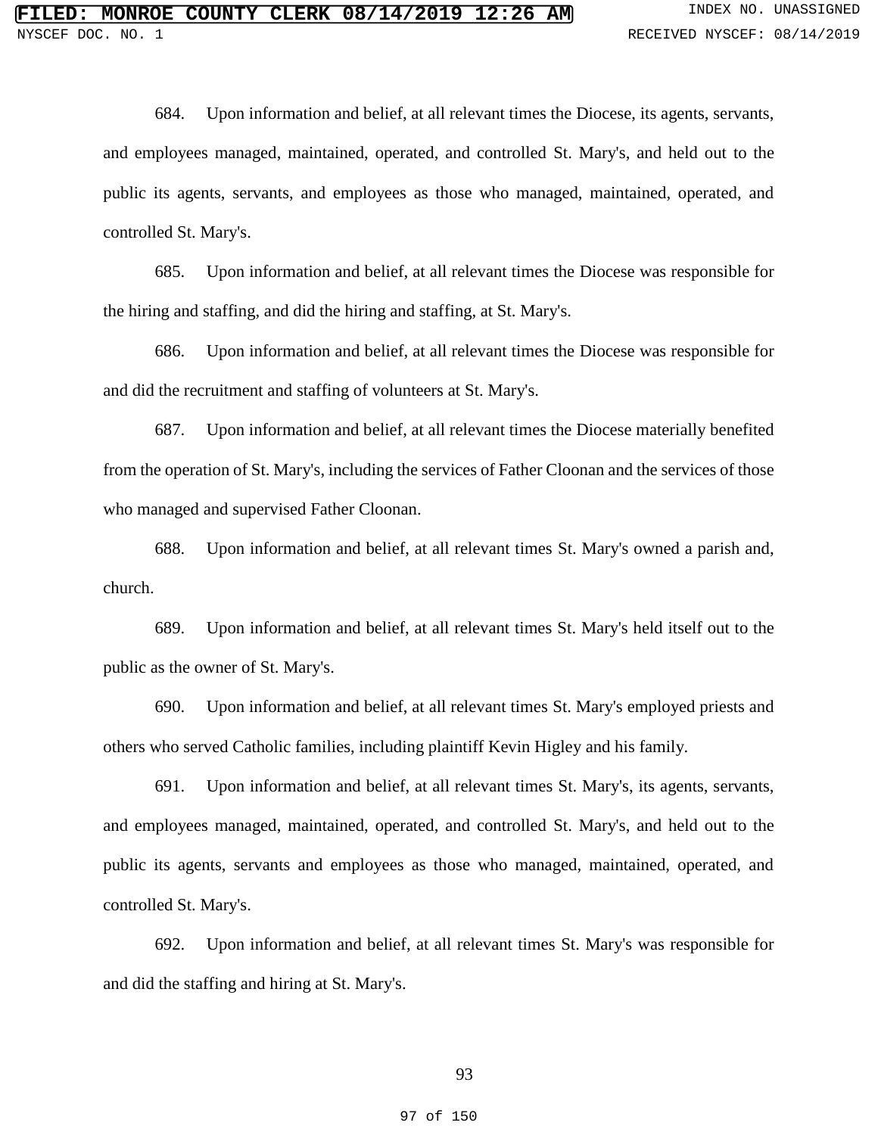684. Upon information and belief, at all relevant times the Diocese, its agents, servants, and employees managed, maintained, operated, and controlled St. Mary's, and held out to the public its agents, servants, and employees as those who managed, maintained, operated, and controlled St. Mary's.

685. Upon information and belief, at all relevant times the Diocese was responsible for the hiring and staffing, and did the hiring and staffing, at St. Mary's.

686. Upon information and belief, at all relevant times the Diocese was responsible for and did the recruitment and staffing of volunteers at St. Mary's.

687. Upon information and belief, at all relevant times the Diocese materially benefited from the operation of St. Mary's, including the services of Father Cloonan and the services of those who managed and supervised Father Cloonan.

688. Upon information and belief, at all relevant times St. Mary's owned a parish and, church.

689. Upon information and belief, at all relevant times St. Mary's held itself out to the public as the owner of St. Mary's.

690. Upon information and belief, at all relevant times St. Mary's employed priests and others who served Catholic families, including plaintiff Kevin Higley and his family.

691. Upon information and belief, at all relevant times St. Mary's, its agents, servants, and employees managed, maintained, operated, and controlled St. Mary's, and held out to the public its agents, servants and employees as those who managed, maintained, operated, and controlled St. Mary's.

692. Upon information and belief, at all relevant times St. Mary's was responsible for and did the staffing and hiring at St. Mary's.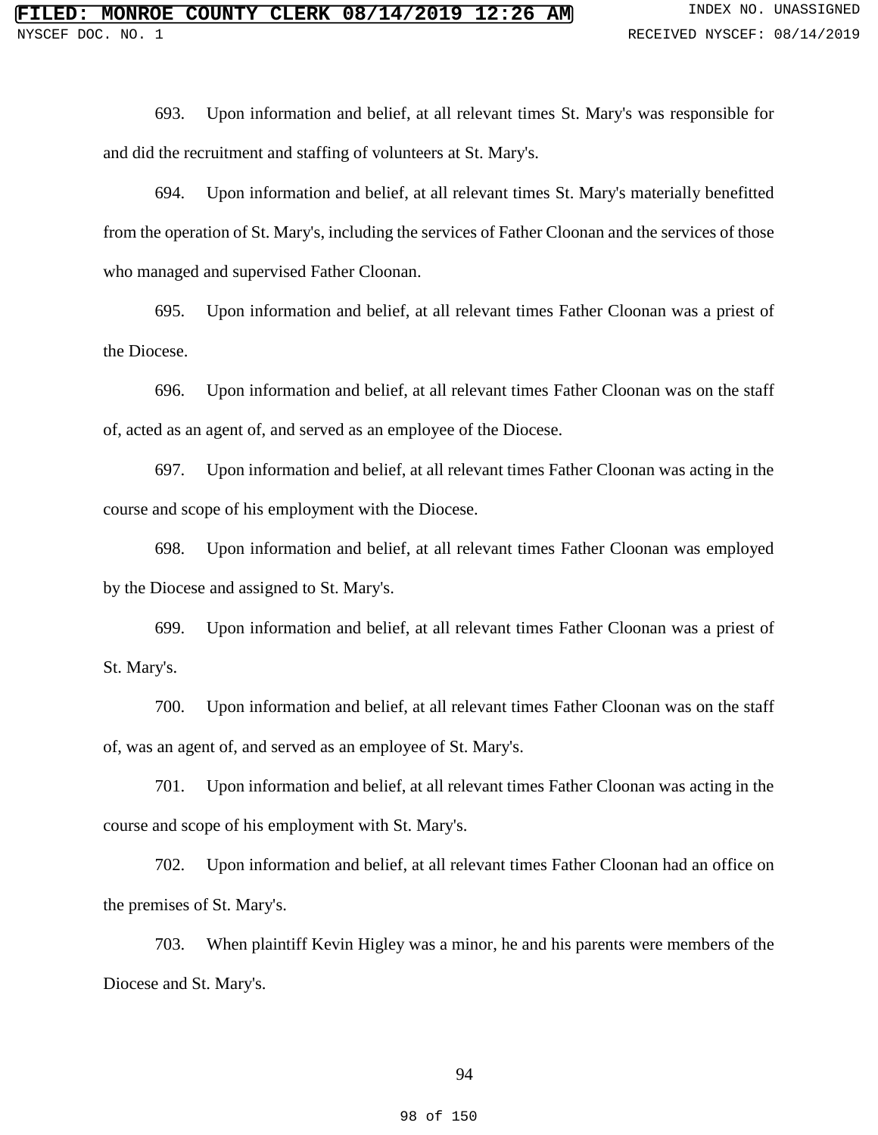693. Upon information and belief, at all relevant times St. Mary's was responsible for and did the recruitment and staffing of volunteers at St. Mary's.

694. Upon information and belief, at all relevant times St. Mary's materially benefitted from the operation of St. Mary's, including the services of Father Cloonan and the services of those who managed and supervised Father Cloonan.

695. Upon information and belief, at all relevant times Father Cloonan was a priest of the Diocese.

696. Upon information and belief, at all relevant times Father Cloonan was on the staff of, acted as an agent of, and served as an employee of the Diocese.

697. Upon information and belief, at all relevant times Father Cloonan was acting in the course and scope of his employment with the Diocese.

698. Upon information and belief, at all relevant times Father Cloonan was employed by the Diocese and assigned to St. Mary's.

699. Upon information and belief, at all relevant times Father Cloonan was a priest of St. Mary's.

700. Upon information and belief, at all relevant times Father Cloonan was on the staff of, was an agent of, and served as an employee of St. Mary's.

701. Upon information and belief, at all relevant times Father Cloonan was acting in the course and scope of his employment with St. Mary's.

702. Upon information and belief, at all relevant times Father Cloonan had an office on the premises of St. Mary's.

703. When plaintiff Kevin Higley was a minor, he and his parents were members of the Diocese and St. Mary's.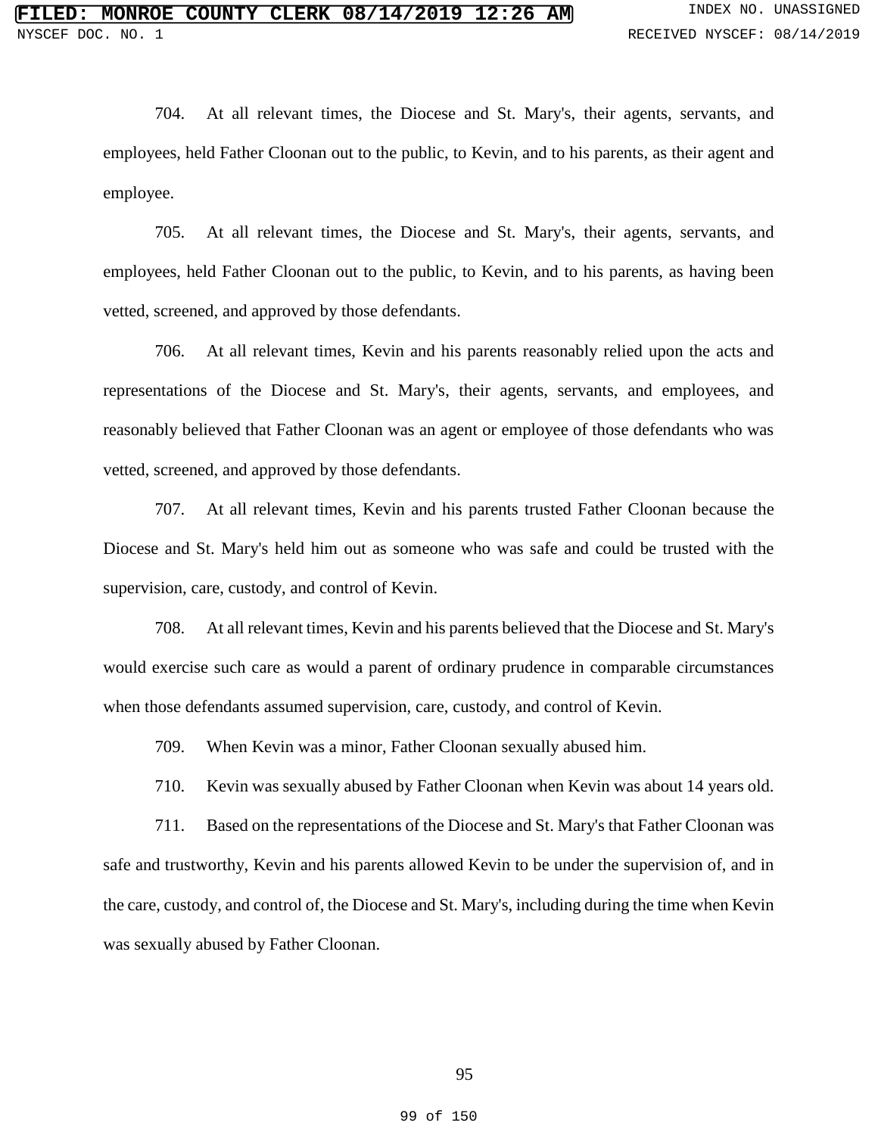704. At all relevant times, the Diocese and St. Mary's, their agents, servants, and employees, held Father Cloonan out to the public, to Kevin, and to his parents, as their agent and employee.

705. At all relevant times, the Diocese and St. Mary's, their agents, servants, and employees, held Father Cloonan out to the public, to Kevin, and to his parents, as having been vetted, screened, and approved by those defendants.

706. At all relevant times, Kevin and his parents reasonably relied upon the acts and representations of the Diocese and St. Mary's, their agents, servants, and employees, and reasonably believed that Father Cloonan was an agent or employee of those defendants who was vetted, screened, and approved by those defendants.

707. At all relevant times, Kevin and his parents trusted Father Cloonan because the Diocese and St. Mary's held him out as someone who was safe and could be trusted with the supervision, care, custody, and control of Kevin.

708. At all relevant times, Kevin and his parents believed that the Diocese and St. Mary's would exercise such care as would a parent of ordinary prudence in comparable circumstances when those defendants assumed supervision, care, custody, and control of Kevin.

709. When Kevin was a minor, Father Cloonan sexually abused him.

710. Kevin was sexually abused by Father Cloonan when Kevin was about 14 years old.

711. Based on the representations of the Diocese and St. Mary's that Father Cloonan was safe and trustworthy, Kevin and his parents allowed Kevin to be under the supervision of, and in the care, custody, and control of, the Diocese and St. Mary's, including during the time when Kevin was sexually abused by Father Cloonan.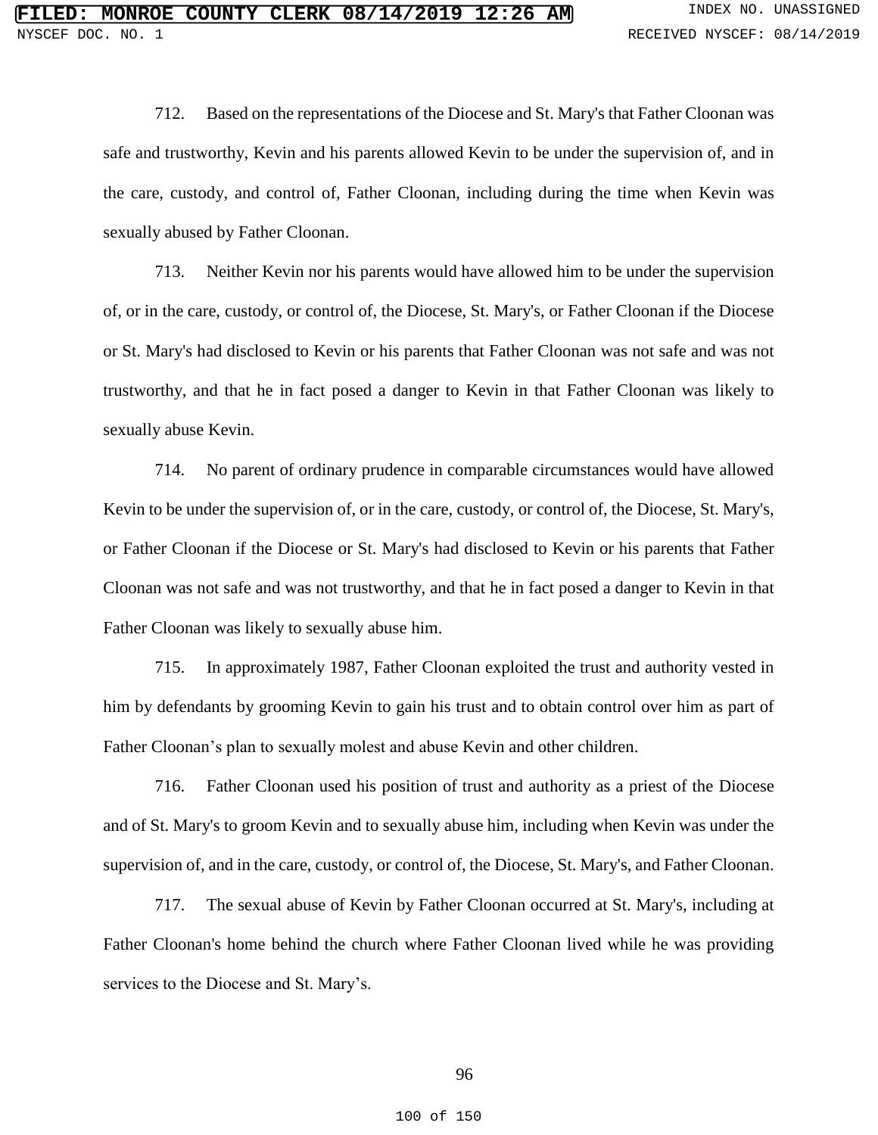712. Based on the representations of the Diocese and St. Mary's that Father Cloonan was safe and trustworthy, Kevin and his parents allowed Kevin to be under the supervision of, and in the care, custody, and control of, Father Cloonan, including during the time when Kevin was sexually abused by Father Cloonan.

713. Neither Kevin nor his parents would have allowed him to be under the supervision of, or in the care, custody, or control of, the Diocese, St. Mary's, or Father Cloonan if the Diocese or St. Mary's had disclosed to Kevin or his parents that Father Cloonan was not safe and was not trustworthy, and that he in fact posed a danger to Kevin in that Father Cloonan was likely to sexually abuse Kevin.

714. No parent of ordinary prudence in comparable circumstances would have allowed Kevin to be under the supervision of, or in the care, custody, or control of, the Diocese, St. Mary's, or Father Cloonan if the Diocese or St. Mary's had disclosed to Kevin or his parents that Father Cloonan was not safe and was not trustworthy, and that he in fact posed a danger to Kevin in that Father Cloonan was likely to sexually abuse him.

715. In approximately 1987, Father Cloonan exploited the trust and authority vested in him by defendants by grooming Kevin to gain his trust and to obtain control over him as part of Father Cloonan's plan to sexually molest and abuse Kevin and other children.

716. Father Cloonan used his position of trust and authority as a priest of the Diocese and of St. Mary's to groom Kevin and to sexually abuse him, including when Kevin was under the supervision of, and in the care, custody, or control of, the Diocese, St. Mary's, and Father Cloonan.

717. The sexual abuse of Kevin by Father Cloonan occurred at St. Mary's, including at Father Cloonan's home behind the church where Father Cloonan lived while he was providing services to the Diocese and St. Mary's.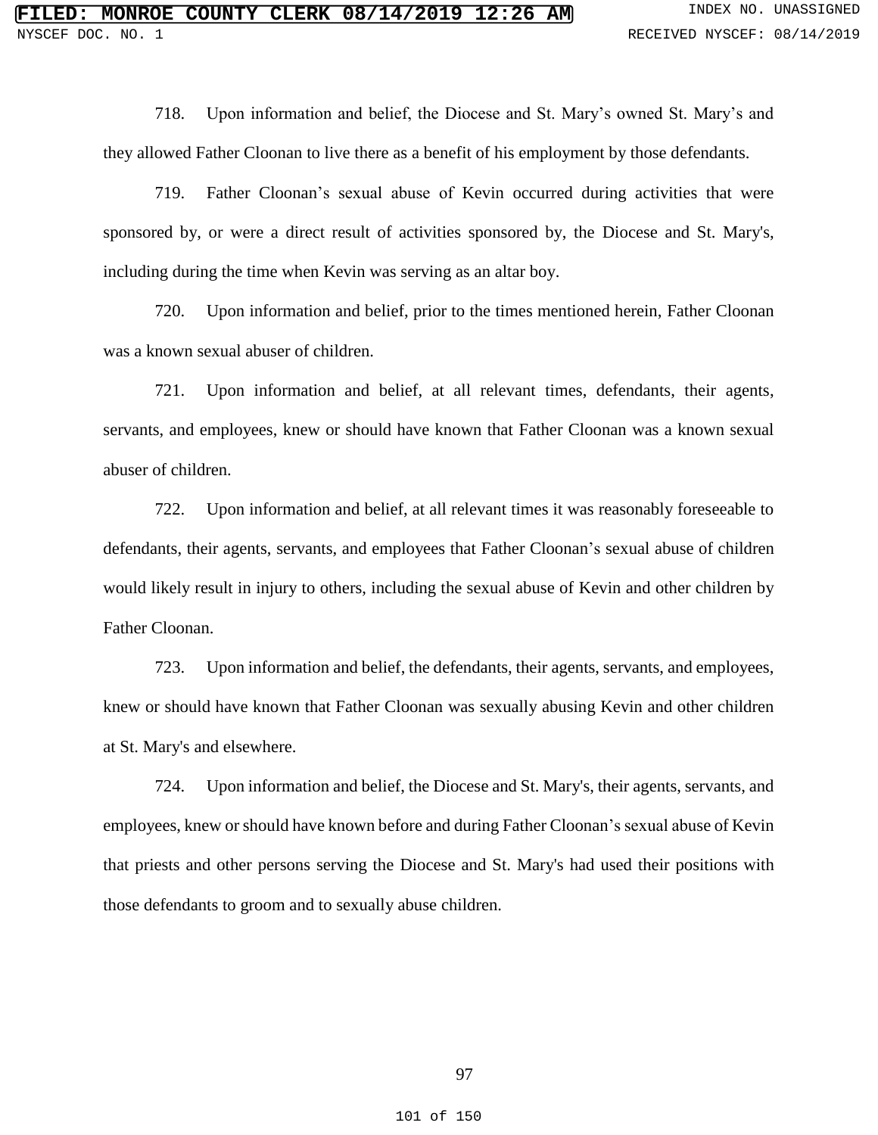718. Upon information and belief, the Diocese and St. Mary's owned St. Mary's and they allowed Father Cloonan to live there as a benefit of his employment by those defendants.

719. Father Cloonan's sexual abuse of Kevin occurred during activities that were sponsored by, or were a direct result of activities sponsored by, the Diocese and St. Mary's, including during the time when Kevin was serving as an altar boy.

720. Upon information and belief, prior to the times mentioned herein, Father Cloonan was a known sexual abuser of children.

721. Upon information and belief, at all relevant times, defendants, their agents, servants, and employees, knew or should have known that Father Cloonan was a known sexual abuser of children.

722. Upon information and belief, at all relevant times it was reasonably foreseeable to defendants, their agents, servants, and employees that Father Cloonan's sexual abuse of children would likely result in injury to others, including the sexual abuse of Kevin and other children by Father Cloonan.

723. Upon information and belief, the defendants, their agents, servants, and employees, knew or should have known that Father Cloonan was sexually abusing Kevin and other children at St. Mary's and elsewhere.

724. Upon information and belief, the Diocese and St. Mary's, their agents, servants, and employees, knew or should have known before and during Father Cloonan's sexual abuse of Kevin that priests and other persons serving the Diocese and St. Mary's had used their positions with those defendants to groom and to sexually abuse children.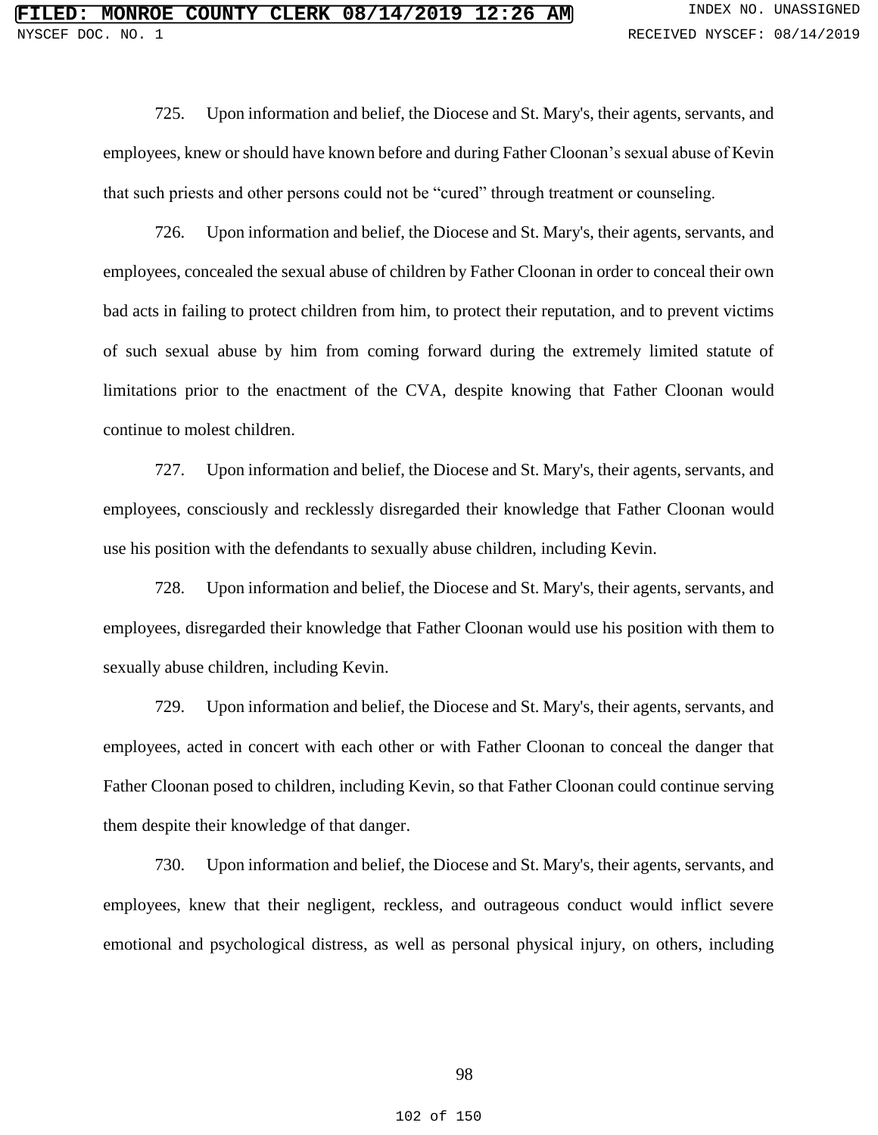725. Upon information and belief, the Diocese and St. Mary's, their agents, servants, and employees, knew or should have known before and during Father Cloonan's sexual abuse of Kevin that such priests and other persons could not be "cured" through treatment or counseling.

726. Upon information and belief, the Diocese and St. Mary's, their agents, servants, and employees, concealed the sexual abuse of children by Father Cloonan in order to conceal their own bad acts in failing to protect children from him, to protect their reputation, and to prevent victims of such sexual abuse by him from coming forward during the extremely limited statute of limitations prior to the enactment of the CVA, despite knowing that Father Cloonan would continue to molest children.

727. Upon information and belief, the Diocese and St. Mary's, their agents, servants, and employees, consciously and recklessly disregarded their knowledge that Father Cloonan would use his position with the defendants to sexually abuse children, including Kevin.

728. Upon information and belief, the Diocese and St. Mary's, their agents, servants, and employees, disregarded their knowledge that Father Cloonan would use his position with them to sexually abuse children, including Kevin.

729. Upon information and belief, the Diocese and St. Mary's, their agents, servants, and employees, acted in concert with each other or with Father Cloonan to conceal the danger that Father Cloonan posed to children, including Kevin, so that Father Cloonan could continue serving them despite their knowledge of that danger.

730. Upon information and belief, the Diocese and St. Mary's, their agents, servants, and employees, knew that their negligent, reckless, and outrageous conduct would inflict severe emotional and psychological distress, as well as personal physical injury, on others, including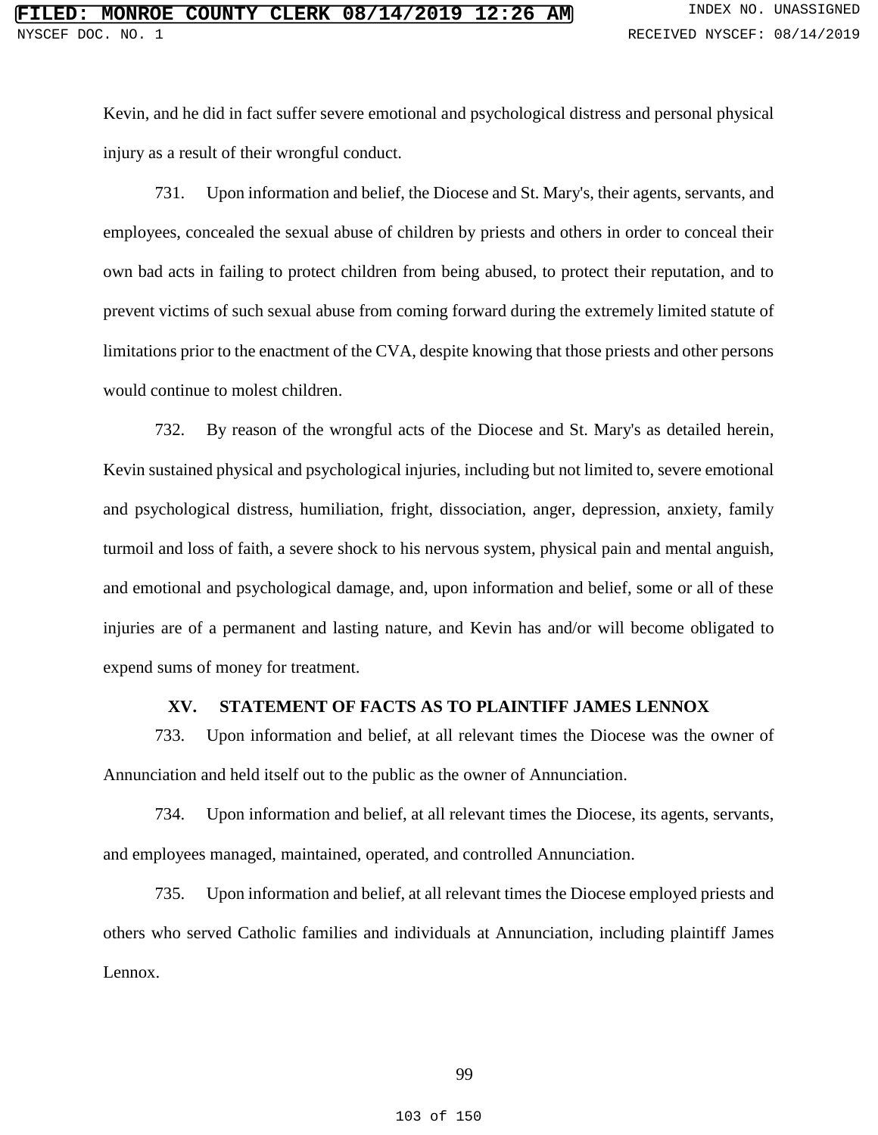Kevin, and he did in fact suffer severe emotional and psychological distress and personal physical injury as a result of their wrongful conduct.

731. Upon information and belief, the Diocese and St. Mary's, their agents, servants, and employees, concealed the sexual abuse of children by priests and others in order to conceal their own bad acts in failing to protect children from being abused, to protect their reputation, and to prevent victims of such sexual abuse from coming forward during the extremely limited statute of limitations prior to the enactment of the CVA, despite knowing that those priests and other persons would continue to molest children.

732. By reason of the wrongful acts of the Diocese and St. Mary's as detailed herein, Kevin sustained physical and psychological injuries, including but not limited to, severe emotional and psychological distress, humiliation, fright, dissociation, anger, depression, anxiety, family turmoil and loss of faith, a severe shock to his nervous system, physical pain and mental anguish, and emotional and psychological damage, and, upon information and belief, some or all of these injuries are of a permanent and lasting nature, and Kevin has and/or will become obligated to expend sums of money for treatment.

## **XV. STATEMENT OF FACTS AS TO PLAINTIFF JAMES LENNOX**

733. Upon information and belief, at all relevant times the Diocese was the owner of Annunciation and held itself out to the public as the owner of Annunciation.

734. Upon information and belief, at all relevant times the Diocese, its agents, servants, and employees managed, maintained, operated, and controlled Annunciation.

735. Upon information and belief, at all relevant times the Diocese employed priests and others who served Catholic families and individuals at Annunciation, including plaintiff James Lennox.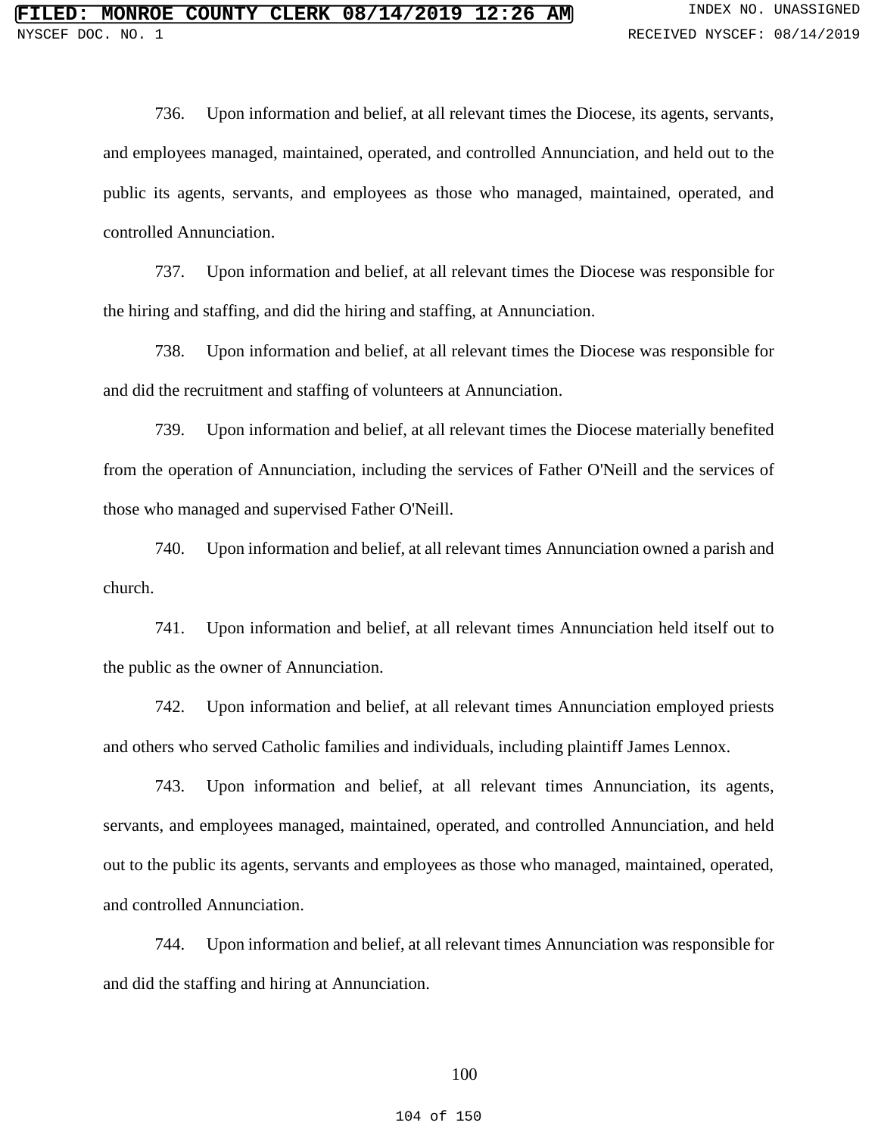736. Upon information and belief, at all relevant times the Diocese, its agents, servants, and employees managed, maintained, operated, and controlled Annunciation, and held out to the public its agents, servants, and employees as those who managed, maintained, operated, and controlled Annunciation.

737. Upon information and belief, at all relevant times the Diocese was responsible for the hiring and staffing, and did the hiring and staffing, at Annunciation.

738. Upon information and belief, at all relevant times the Diocese was responsible for and did the recruitment and staffing of volunteers at Annunciation.

739. Upon information and belief, at all relevant times the Diocese materially benefited from the operation of Annunciation, including the services of Father O'Neill and the services of those who managed and supervised Father O'Neill.

740. Upon information and belief, at all relevant times Annunciation owned a parish and church.

741. Upon information and belief, at all relevant times Annunciation held itself out to the public as the owner of Annunciation.

742. Upon information and belief, at all relevant times Annunciation employed priests and others who served Catholic families and individuals, including plaintiff James Lennox.

743. Upon information and belief, at all relevant times Annunciation, its agents, servants, and employees managed, maintained, operated, and controlled Annunciation, and held out to the public its agents, servants and employees as those who managed, maintained, operated, and controlled Annunciation.

744. Upon information and belief, at all relevant times Annunciation was responsible for and did the staffing and hiring at Annunciation.

## 100

#### 104 of 150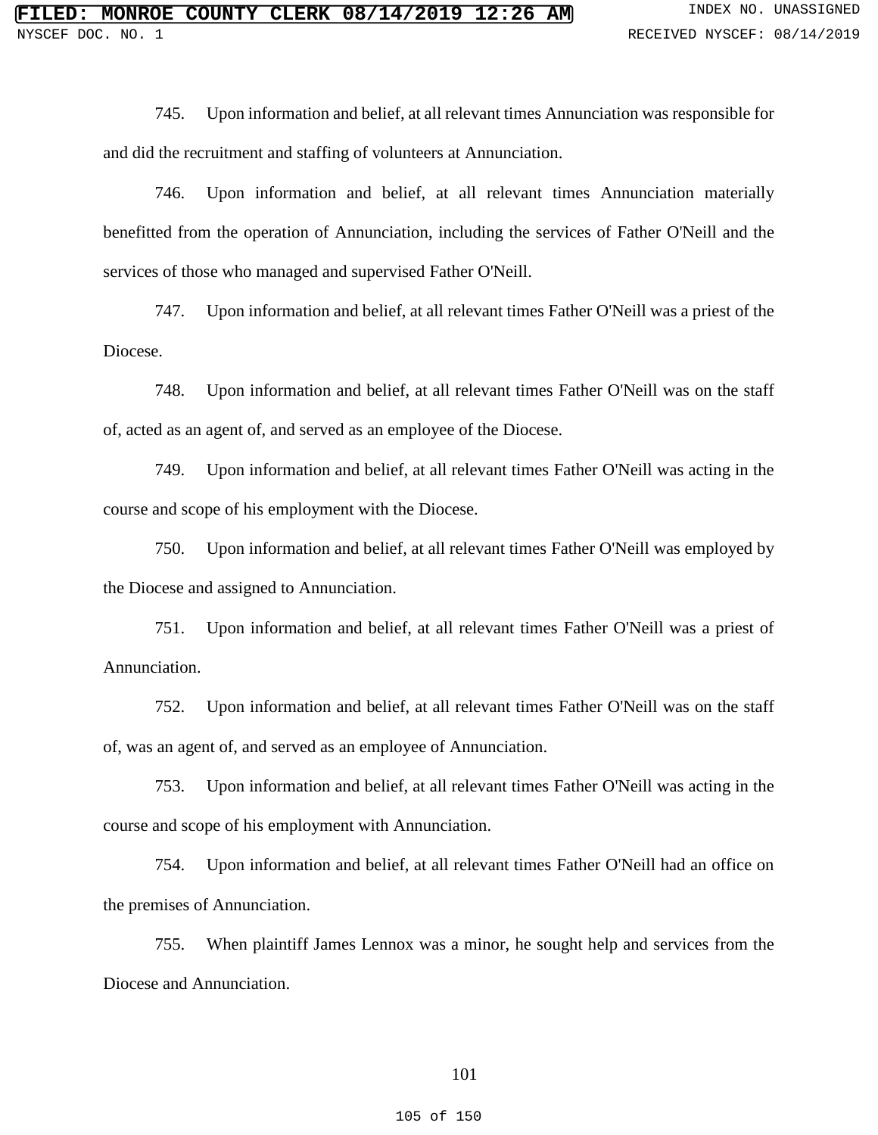745. Upon information and belief, at all relevant times Annunciation was responsible for and did the recruitment and staffing of volunteers at Annunciation.

746. Upon information and belief, at all relevant times Annunciation materially benefitted from the operation of Annunciation, including the services of Father O'Neill and the services of those who managed and supervised Father O'Neill.

747. Upon information and belief, at all relevant times Father O'Neill was a priest of the Diocese.

748. Upon information and belief, at all relevant times Father O'Neill was on the staff of, acted as an agent of, and served as an employee of the Diocese.

749. Upon information and belief, at all relevant times Father O'Neill was acting in the course and scope of his employment with the Diocese.

750. Upon information and belief, at all relevant times Father O'Neill was employed by the Diocese and assigned to Annunciation.

751. Upon information and belief, at all relevant times Father O'Neill was a priest of Annunciation.

752. Upon information and belief, at all relevant times Father O'Neill was on the staff of, was an agent of, and served as an employee of Annunciation.

753. Upon information and belief, at all relevant times Father O'Neill was acting in the course and scope of his employment with Annunciation.

754. Upon information and belief, at all relevant times Father O'Neill had an office on the premises of Annunciation.

755. When plaintiff James Lennox was a minor, he sought help and services from the Diocese and Annunciation.

105 of 150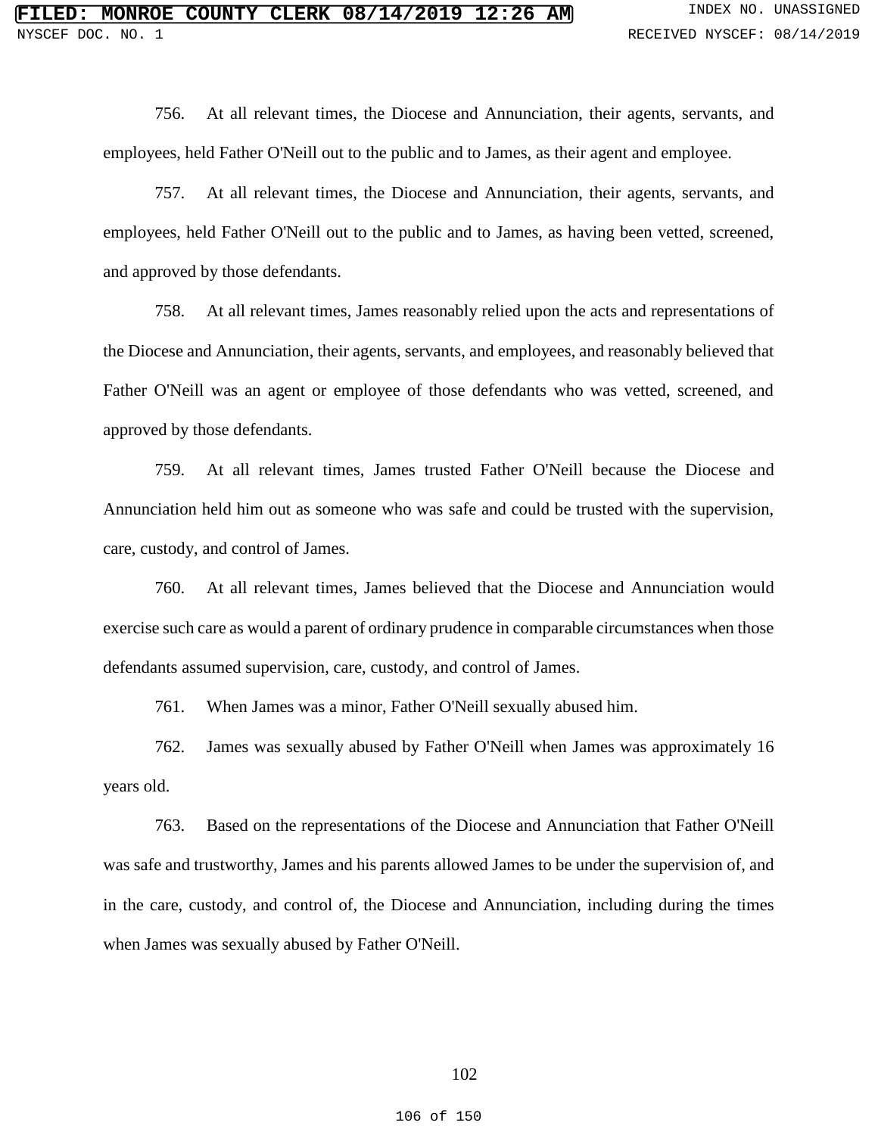756. At all relevant times, the Diocese and Annunciation, their agents, servants, and employees, held Father O'Neill out to the public and to James, as their agent and employee.

757. At all relevant times, the Diocese and Annunciation, their agents, servants, and employees, held Father O'Neill out to the public and to James, as having been vetted, screened, and approved by those defendants.

758. At all relevant times, James reasonably relied upon the acts and representations of the Diocese and Annunciation, their agents, servants, and employees, and reasonably believed that Father O'Neill was an agent or employee of those defendants who was vetted, screened, and approved by those defendants.

759. At all relevant times, James trusted Father O'Neill because the Diocese and Annunciation held him out as someone who was safe and could be trusted with the supervision, care, custody, and control of James.

760. At all relevant times, James believed that the Diocese and Annunciation would exercise such care as would a parent of ordinary prudence in comparable circumstances when those defendants assumed supervision, care, custody, and control of James.

761. When James was a minor, Father O'Neill sexually abused him.

762. James was sexually abused by Father O'Neill when James was approximately 16 years old.

763. Based on the representations of the Diocese and Annunciation that Father O'Neill was safe and trustworthy, James and his parents allowed James to be under the supervision of, and in the care, custody, and control of, the Diocese and Annunciation, including during the times when James was sexually abused by Father O'Neill.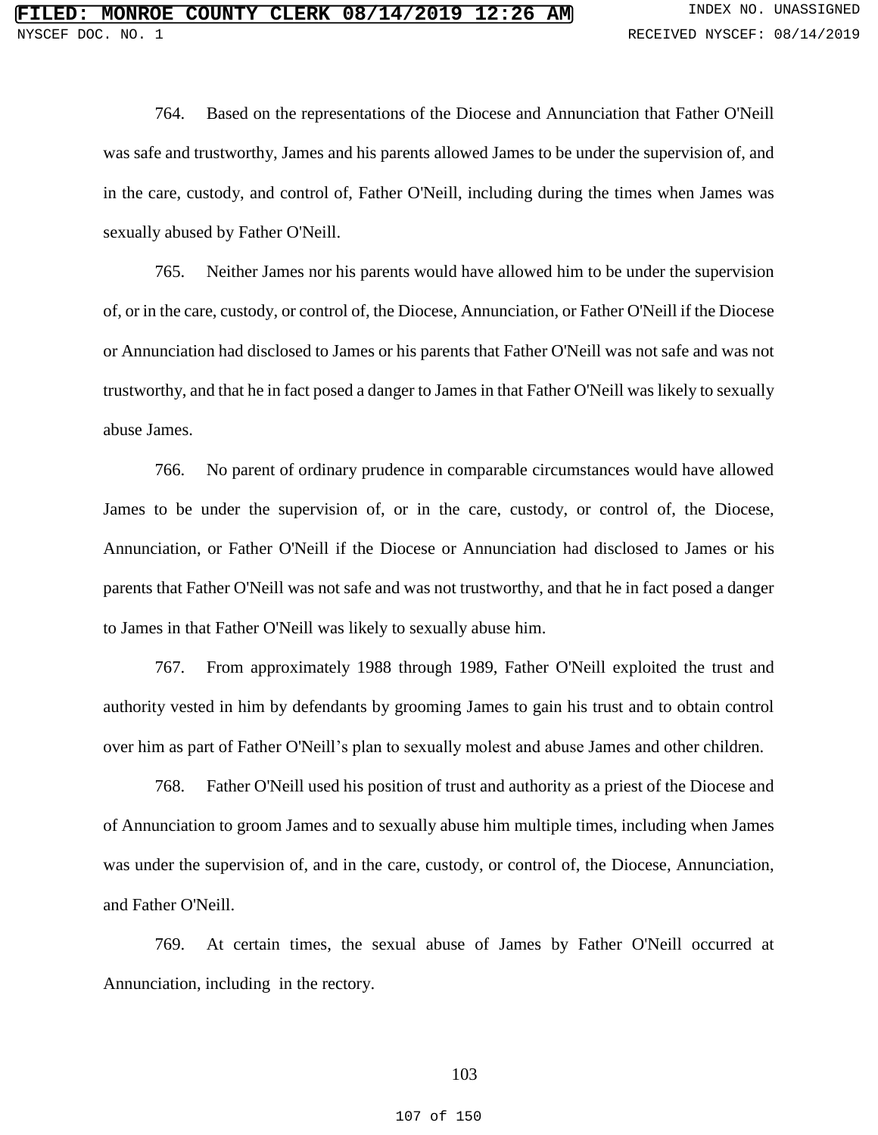764. Based on the representations of the Diocese and Annunciation that Father O'Neill was safe and trustworthy, James and his parents allowed James to be under the supervision of, and in the care, custody, and control of, Father O'Neill, including during the times when James was sexually abused by Father O'Neill.

765. Neither James nor his parents would have allowed him to be under the supervision of, or in the care, custody, or control of, the Diocese, Annunciation, or Father O'Neill if the Diocese or Annunciation had disclosed to James or his parents that Father O'Neill was not safe and was not trustworthy, and that he in fact posed a danger to James in that Father O'Neill was likely to sexually abuse James.

766. No parent of ordinary prudence in comparable circumstances would have allowed James to be under the supervision of, or in the care, custody, or control of, the Diocese, Annunciation, or Father O'Neill if the Diocese or Annunciation had disclosed to James or his parents that Father O'Neill was not safe and was not trustworthy, and that he in fact posed a danger to James in that Father O'Neill was likely to sexually abuse him.

767. From approximately 1988 through 1989, Father O'Neill exploited the trust and authority vested in him by defendants by grooming James to gain his trust and to obtain control over him as part of Father O'Neill's plan to sexually molest and abuse James and other children.

768. Father O'Neill used his position of trust and authority as a priest of the Diocese and of Annunciation to groom James and to sexually abuse him multiple times, including when James was under the supervision of, and in the care, custody, or control of, the Diocese, Annunciation, and Father O'Neill.

769. At certain times, the sexual abuse of James by Father O'Neill occurred at Annunciation, including in the rectory.

## 103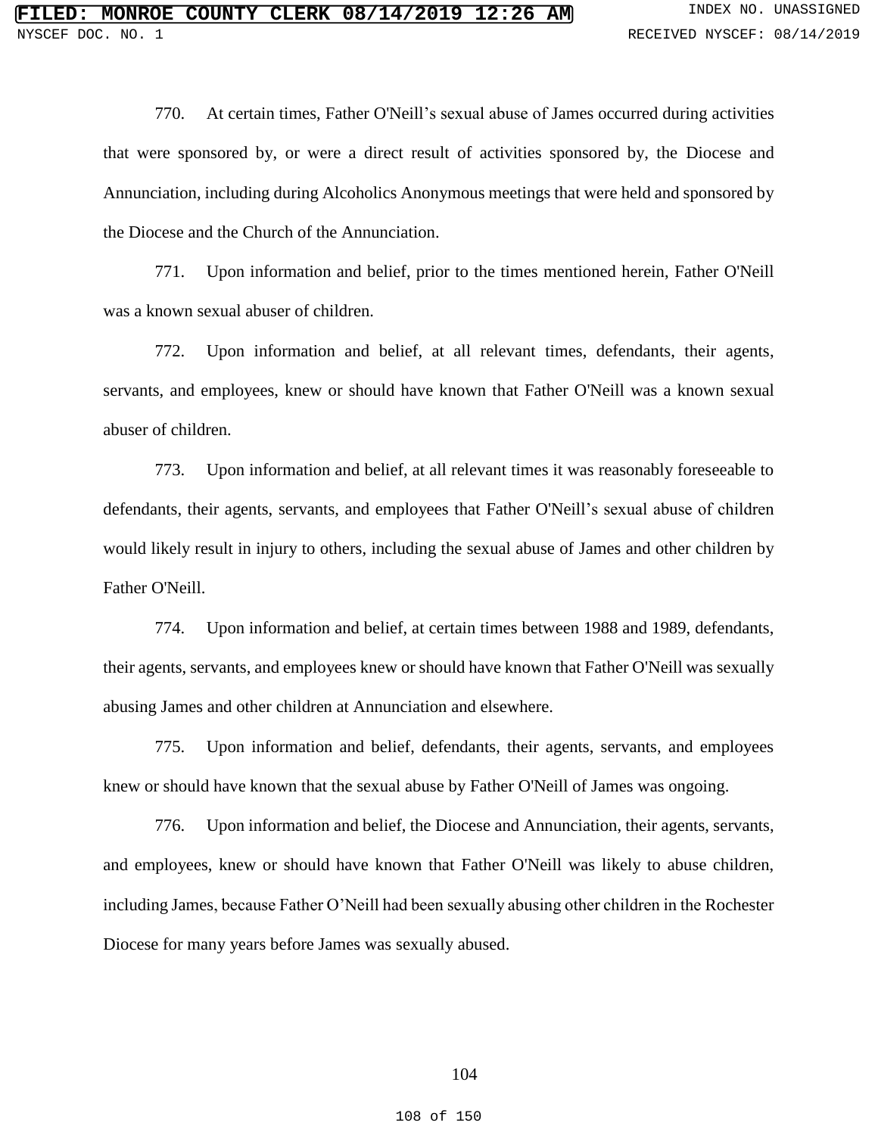770. At certain times, Father O'Neill's sexual abuse of James occurred during activities that were sponsored by, or were a direct result of activities sponsored by, the Diocese and Annunciation, including during Alcoholics Anonymous meetings that were held and sponsored by the Diocese and the Church of the Annunciation.

771. Upon information and belief, prior to the times mentioned herein, Father O'Neill was a known sexual abuser of children.

772. Upon information and belief, at all relevant times, defendants, their agents, servants, and employees, knew or should have known that Father O'Neill was a known sexual abuser of children.

773. Upon information and belief, at all relevant times it was reasonably foreseeable to defendants, their agents, servants, and employees that Father O'Neill's sexual abuse of children would likely result in injury to others, including the sexual abuse of James and other children by Father O'Neill.

774. Upon information and belief, at certain times between 1988 and 1989, defendants, their agents, servants, and employees knew or should have known that Father O'Neill was sexually abusing James and other children at Annunciation and elsewhere.

775. Upon information and belief, defendants, their agents, servants, and employees knew or should have known that the sexual abuse by Father O'Neill of James was ongoing.

776. Upon information and belief, the Diocese and Annunciation, their agents, servants, and employees, knew or should have known that Father O'Neill was likely to abuse children, including James, because Father O'Neill had been sexually abusing other children in the Rochester Diocese for many years before James was sexually abused.

108 of 150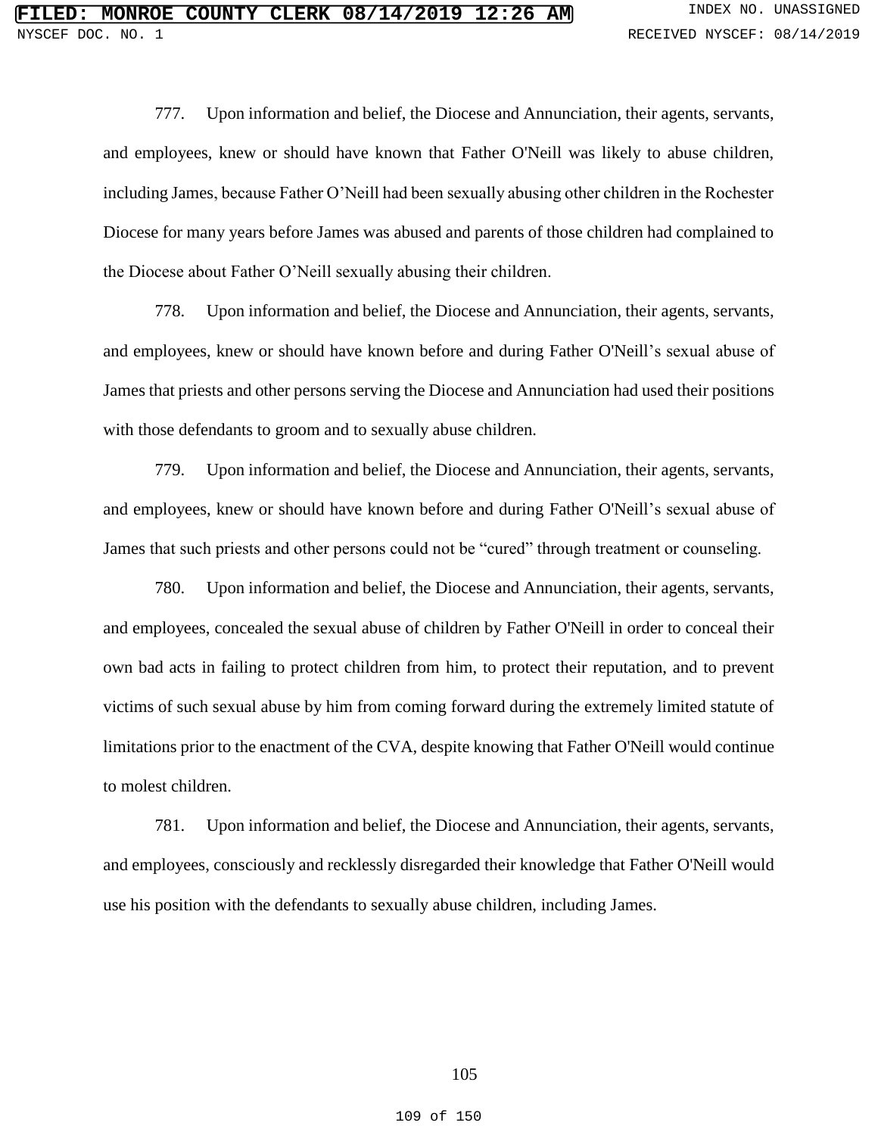777. Upon information and belief, the Diocese and Annunciation, their agents, servants, and employees, knew or should have known that Father O'Neill was likely to abuse children, including James, because Father O'Neill had been sexually abusing other children in the Rochester Diocese for many years before James was abused and parents of those children had complained to the Diocese about Father O'Neill sexually abusing their children.

778. Upon information and belief, the Diocese and Annunciation, their agents, servants, and employees, knew or should have known before and during Father O'Neill's sexual abuse of James that priests and other persons serving the Diocese and Annunciation had used their positions with those defendants to groom and to sexually abuse children.

779. Upon information and belief, the Diocese and Annunciation, their agents, servants, and employees, knew or should have known before and during Father O'Neill's sexual abuse of James that such priests and other persons could not be "cured" through treatment or counseling.

780. Upon information and belief, the Diocese and Annunciation, their agents, servants, and employees, concealed the sexual abuse of children by Father O'Neill in order to conceal their own bad acts in failing to protect children from him, to protect their reputation, and to prevent victims of such sexual abuse by him from coming forward during the extremely limited statute of limitations prior to the enactment of the CVA, despite knowing that Father O'Neill would continue to molest children.

781. Upon information and belief, the Diocese and Annunciation, their agents, servants, and employees, consciously and recklessly disregarded their knowledge that Father O'Neill would use his position with the defendants to sexually abuse children, including James.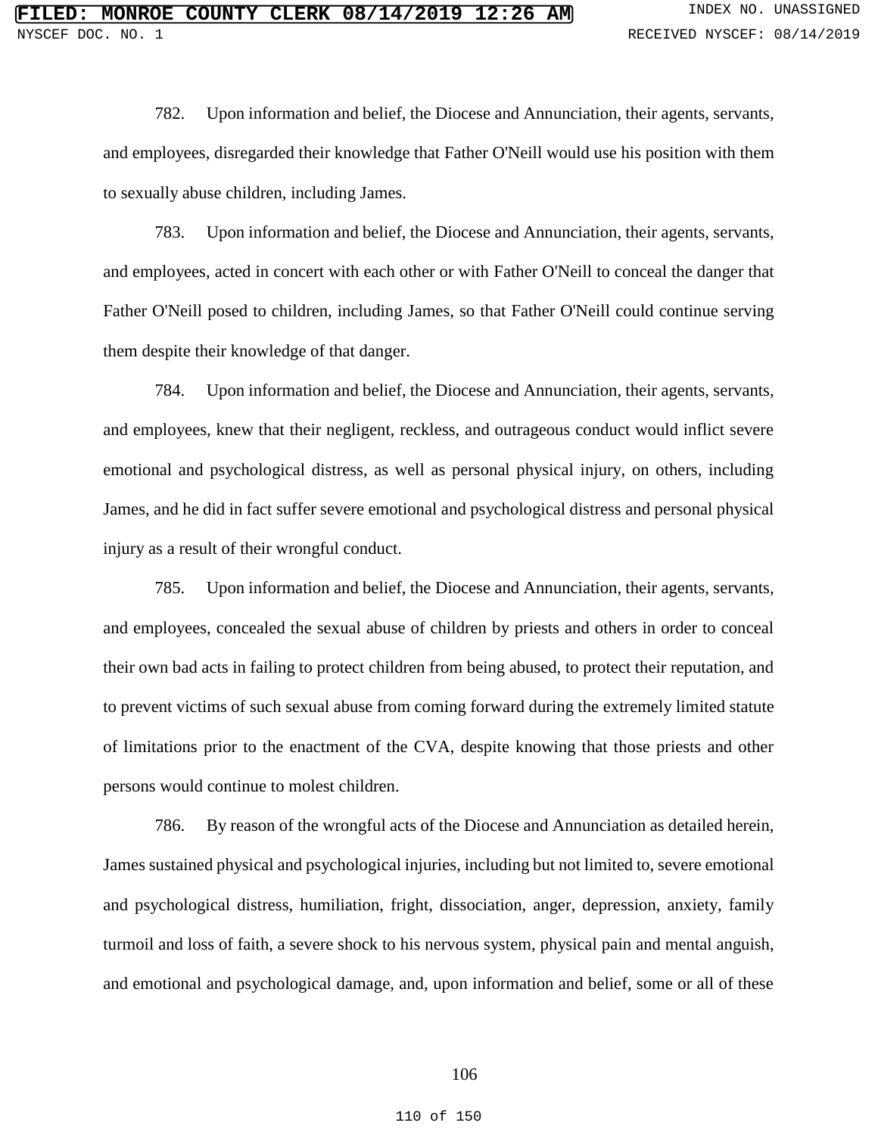782. Upon information and belief, the Diocese and Annunciation, their agents, servants, and employees, disregarded their knowledge that Father O'Neill would use his position with them to sexually abuse children, including James.

783. Upon information and belief, the Diocese and Annunciation, their agents, servants, and employees, acted in concert with each other or with Father O'Neill to conceal the danger that Father O'Neill posed to children, including James, so that Father O'Neill could continue serving them despite their knowledge of that danger.

784. Upon information and belief, the Diocese and Annunciation, their agents, servants, and employees, knew that their negligent, reckless, and outrageous conduct would inflict severe emotional and psychological distress, as well as personal physical injury, on others, including James, and he did in fact suffer severe emotional and psychological distress and personal physical injury as a result of their wrongful conduct.

785. Upon information and belief, the Diocese and Annunciation, their agents, servants, and employees, concealed the sexual abuse of children by priests and others in order to conceal their own bad acts in failing to protect children from being abused, to protect their reputation, and to prevent victims of such sexual abuse from coming forward during the extremely limited statute of limitations prior to the enactment of the CVA, despite knowing that those priests and other persons would continue to molest children.

786. By reason of the wrongful acts of the Diocese and Annunciation as detailed herein, James sustained physical and psychological injuries, including but not limited to, severe emotional and psychological distress, humiliation, fright, dissociation, anger, depression, anxiety, family turmoil and loss of faith, a severe shock to his nervous system, physical pain and mental anguish, and emotional and psychological damage, and, upon information and belief, some or all of these

### 106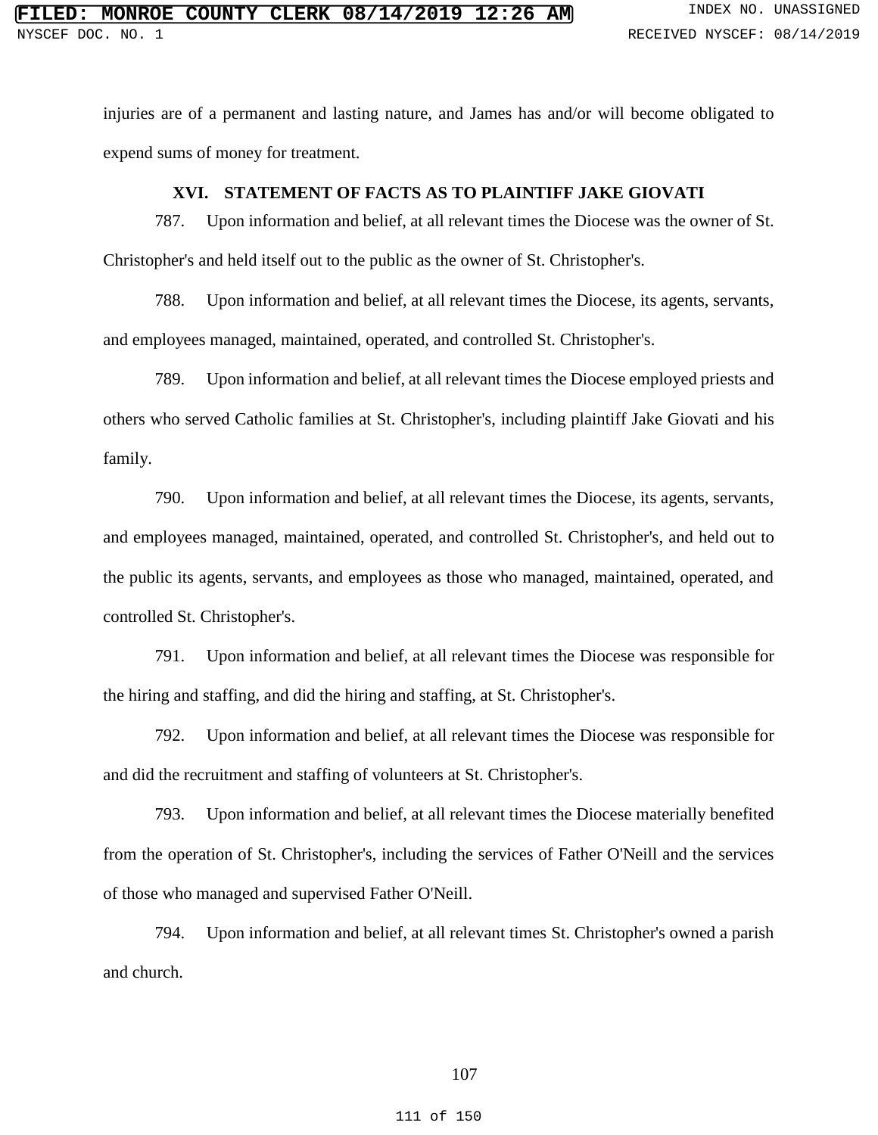injuries are of a permanent and lasting nature, and James has and/or will become obligated to expend sums of money for treatment.

### **XVI. STATEMENT OF FACTS AS TO PLAINTIFF JAKE GIOVATI**

787. Upon information and belief, at all relevant times the Diocese was the owner of St. Christopher's and held itself out to the public as the owner of St. Christopher's.

788. Upon information and belief, at all relevant times the Diocese, its agents, servants, and employees managed, maintained, operated, and controlled St. Christopher's.

789. Upon information and belief, at all relevant times the Diocese employed priests and others who served Catholic families at St. Christopher's, including plaintiff Jake Giovati and his family.

790. Upon information and belief, at all relevant times the Diocese, its agents, servants, and employees managed, maintained, operated, and controlled St. Christopher's, and held out to the public its agents, servants, and employees as those who managed, maintained, operated, and controlled St. Christopher's.

791. Upon information and belief, at all relevant times the Diocese was responsible for the hiring and staffing, and did the hiring and staffing, at St. Christopher's.

792. Upon information and belief, at all relevant times the Diocese was responsible for and did the recruitment and staffing of volunteers at St. Christopher's.

793. Upon information and belief, at all relevant times the Diocese materially benefited from the operation of St. Christopher's, including the services of Father O'Neill and the services of those who managed and supervised Father O'Neill.

794. Upon information and belief, at all relevant times St. Christopher's owned a parish and church.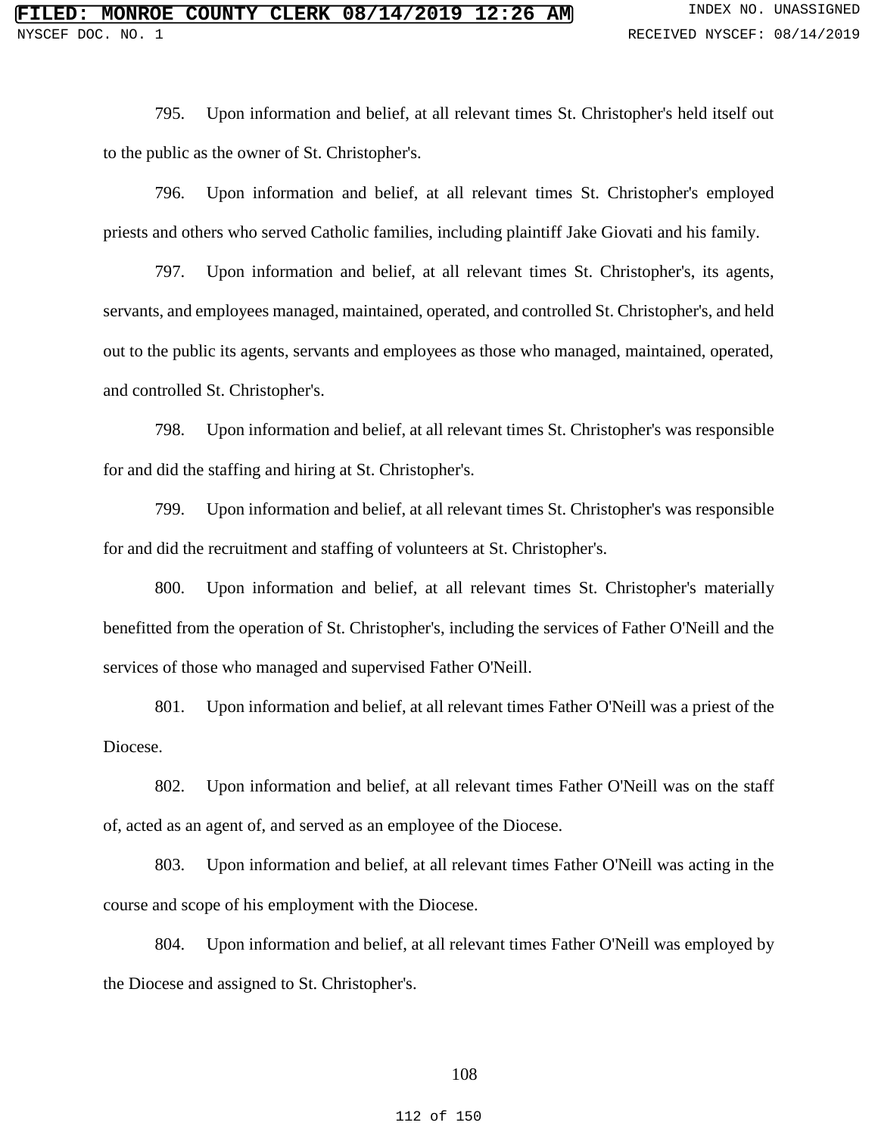795. Upon information and belief, at all relevant times St. Christopher's held itself out to the public as the owner of St. Christopher's.

796. Upon information and belief, at all relevant times St. Christopher's employed priests and others who served Catholic families, including plaintiff Jake Giovati and his family.

797. Upon information and belief, at all relevant times St. Christopher's, its agents, servants, and employees managed, maintained, operated, and controlled St. Christopher's, and held out to the public its agents, servants and employees as those who managed, maintained, operated, and controlled St. Christopher's.

798. Upon information and belief, at all relevant times St. Christopher's was responsible for and did the staffing and hiring at St. Christopher's.

799. Upon information and belief, at all relevant times St. Christopher's was responsible for and did the recruitment and staffing of volunteers at St. Christopher's.

800. Upon information and belief, at all relevant times St. Christopher's materially benefitted from the operation of St. Christopher's, including the services of Father O'Neill and the services of those who managed and supervised Father O'Neill.

801. Upon information and belief, at all relevant times Father O'Neill was a priest of the Diocese.

802. Upon information and belief, at all relevant times Father O'Neill was on the staff of, acted as an agent of, and served as an employee of the Diocese.

803. Upon information and belief, at all relevant times Father O'Neill was acting in the course and scope of his employment with the Diocese.

804. Upon information and belief, at all relevant times Father O'Neill was employed by the Diocese and assigned to St. Christopher's.

### 108

#### 112 of 150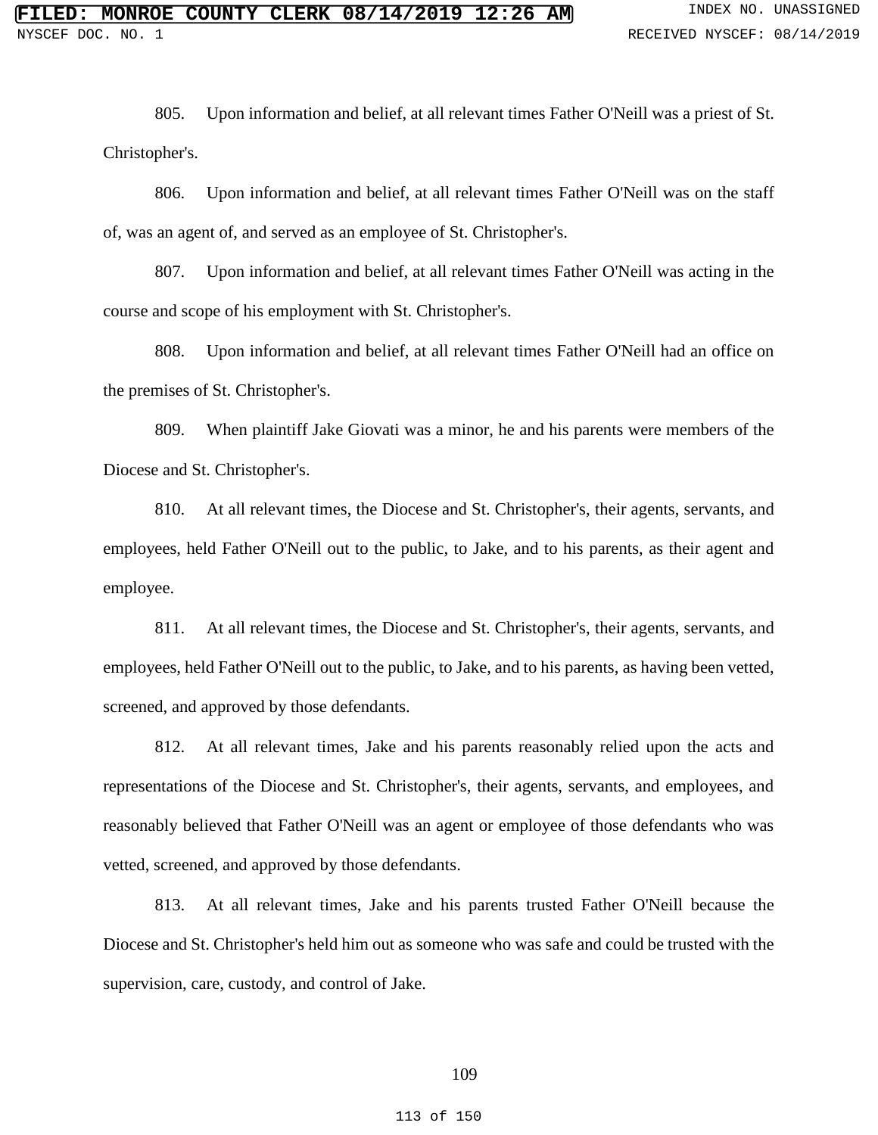805. Upon information and belief, at all relevant times Father O'Neill was a priest of St. Christopher's.

806. Upon information and belief, at all relevant times Father O'Neill was on the staff of, was an agent of, and served as an employee of St. Christopher's.

807. Upon information and belief, at all relevant times Father O'Neill was acting in the course and scope of his employment with St. Christopher's.

808. Upon information and belief, at all relevant times Father O'Neill had an office on the premises of St. Christopher's.

809. When plaintiff Jake Giovati was a minor, he and his parents were members of the Diocese and St. Christopher's.

810. At all relevant times, the Diocese and St. Christopher's, their agents, servants, and employees, held Father O'Neill out to the public, to Jake, and to his parents, as their agent and employee.

811. At all relevant times, the Diocese and St. Christopher's, their agents, servants, and employees, held Father O'Neill out to the public, to Jake, and to his parents, as having been vetted, screened, and approved by those defendants.

812. At all relevant times, Jake and his parents reasonably relied upon the acts and representations of the Diocese and St. Christopher's, their agents, servants, and employees, and reasonably believed that Father O'Neill was an agent or employee of those defendants who was vetted, screened, and approved by those defendants.

813. At all relevant times, Jake and his parents trusted Father O'Neill because the Diocese and St. Christopher's held him out as someone who was safe and could be trusted with the supervision, care, custody, and control of Jake.

### 109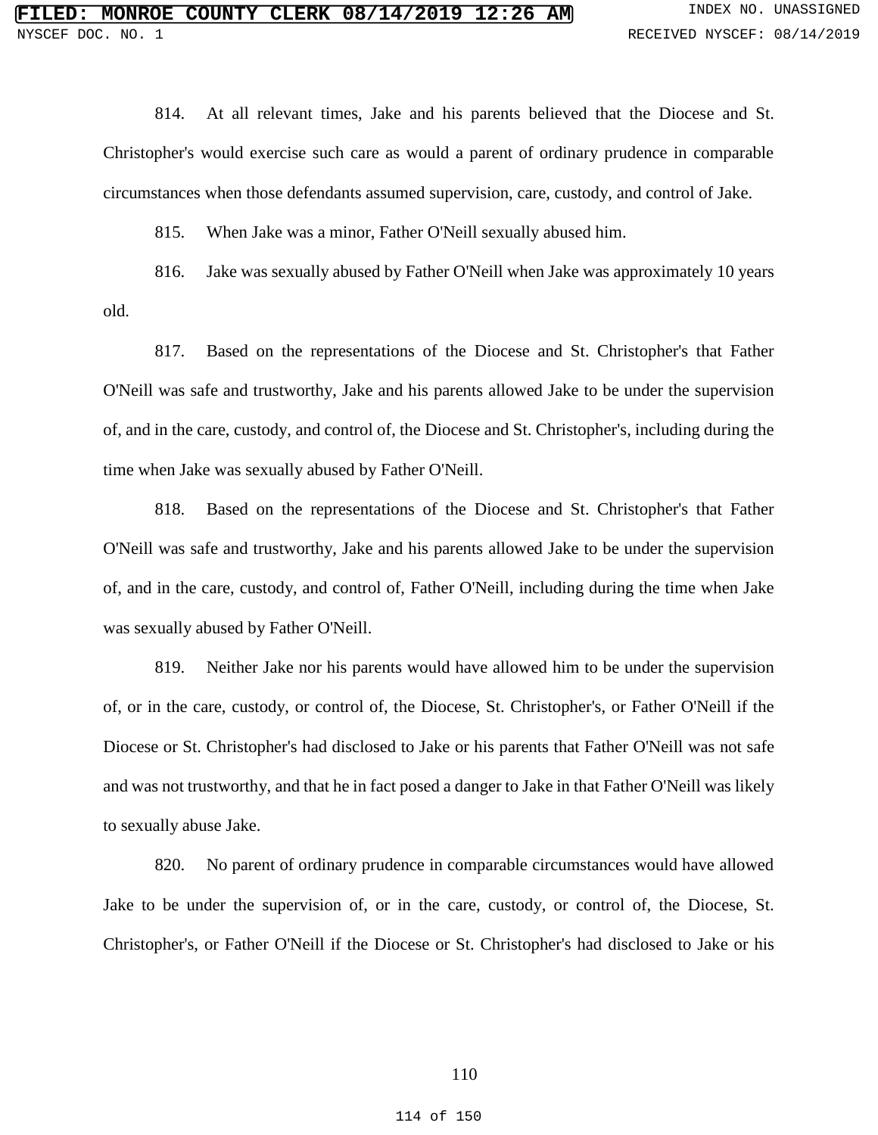814. At all relevant times, Jake and his parents believed that the Diocese and St. Christopher's would exercise such care as would a parent of ordinary prudence in comparable circumstances when those defendants assumed supervision, care, custody, and control of Jake.

815. When Jake was a minor, Father O'Neill sexually abused him.

816. Jake was sexually abused by Father O'Neill when Jake was approximately 10 years old.

817. Based on the representations of the Diocese and St. Christopher's that Father O'Neill was safe and trustworthy, Jake and his parents allowed Jake to be under the supervision of, and in the care, custody, and control of, the Diocese and St. Christopher's, including during the time when Jake was sexually abused by Father O'Neill.

818. Based on the representations of the Diocese and St. Christopher's that Father O'Neill was safe and trustworthy, Jake and his parents allowed Jake to be under the supervision of, and in the care, custody, and control of, Father O'Neill, including during the time when Jake was sexually abused by Father O'Neill.

819. Neither Jake nor his parents would have allowed him to be under the supervision of, or in the care, custody, or control of, the Diocese, St. Christopher's, or Father O'Neill if the Diocese or St. Christopher's had disclosed to Jake or his parents that Father O'Neill was not safe and was not trustworthy, and that he in fact posed a danger to Jake in that Father O'Neill was likely to sexually abuse Jake.

820. No parent of ordinary prudence in comparable circumstances would have allowed Jake to be under the supervision of, or in the care, custody, or control of, the Diocese, St. Christopher's, or Father O'Neill if the Diocese or St. Christopher's had disclosed to Jake or his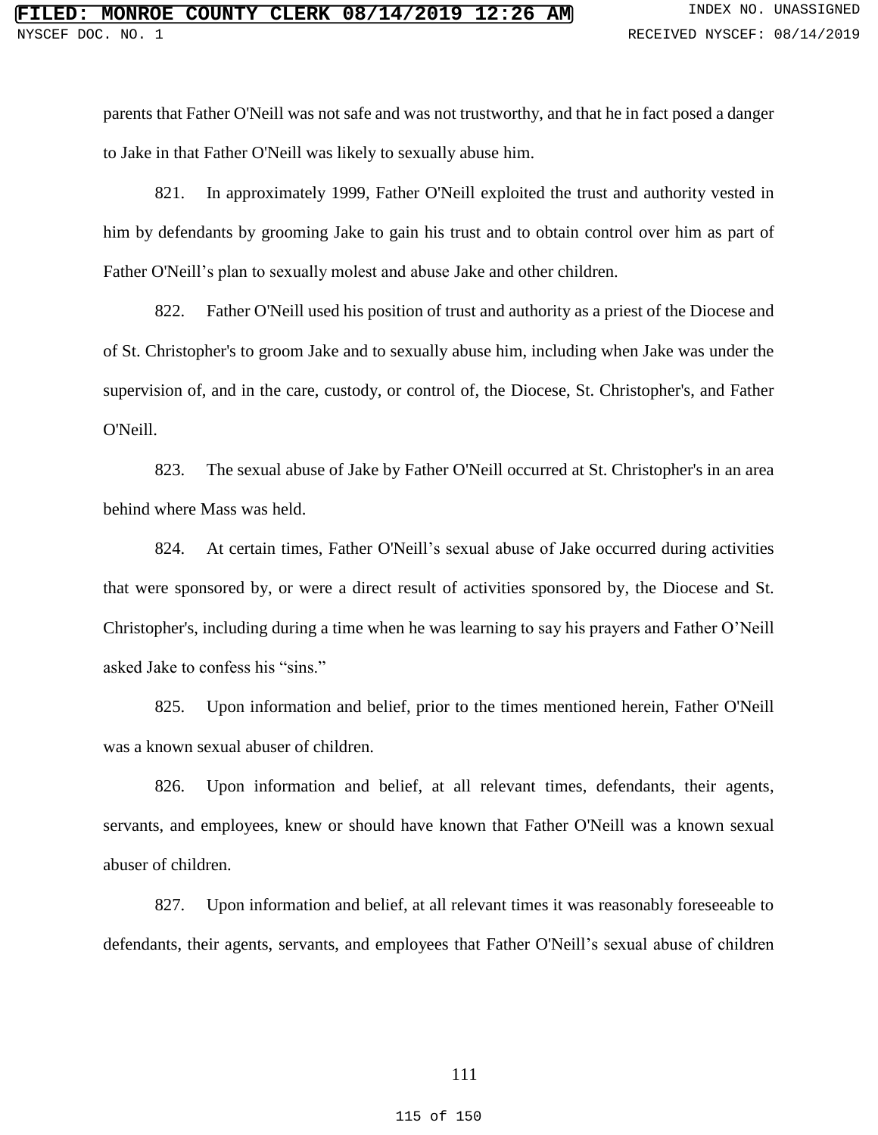parents that Father O'Neill was not safe and was not trustworthy, and that he in fact posed a danger to Jake in that Father O'Neill was likely to sexually abuse him.

821. In approximately 1999, Father O'Neill exploited the trust and authority vested in him by defendants by grooming Jake to gain his trust and to obtain control over him as part of Father O'Neill's plan to sexually molest and abuse Jake and other children.

822. Father O'Neill used his position of trust and authority as a priest of the Diocese and of St. Christopher's to groom Jake and to sexually abuse him, including when Jake was under the supervision of, and in the care, custody, or control of, the Diocese, St. Christopher's, and Father O'Neill.

823. The sexual abuse of Jake by Father O'Neill occurred at St. Christopher's in an area behind where Mass was held.

824. At certain times, Father O'Neill's sexual abuse of Jake occurred during activities that were sponsored by, or were a direct result of activities sponsored by, the Diocese and St. Christopher's, including during a time when he was learning to say his prayers and Father O'Neill asked Jake to confess his "sins."

825. Upon information and belief, prior to the times mentioned herein, Father O'Neill was a known sexual abuser of children.

826. Upon information and belief, at all relevant times, defendants, their agents, servants, and employees, knew or should have known that Father O'Neill was a known sexual abuser of children.

827. Upon information and belief, at all relevant times it was reasonably foreseeable to defendants, their agents, servants, and employees that Father O'Neill's sexual abuse of children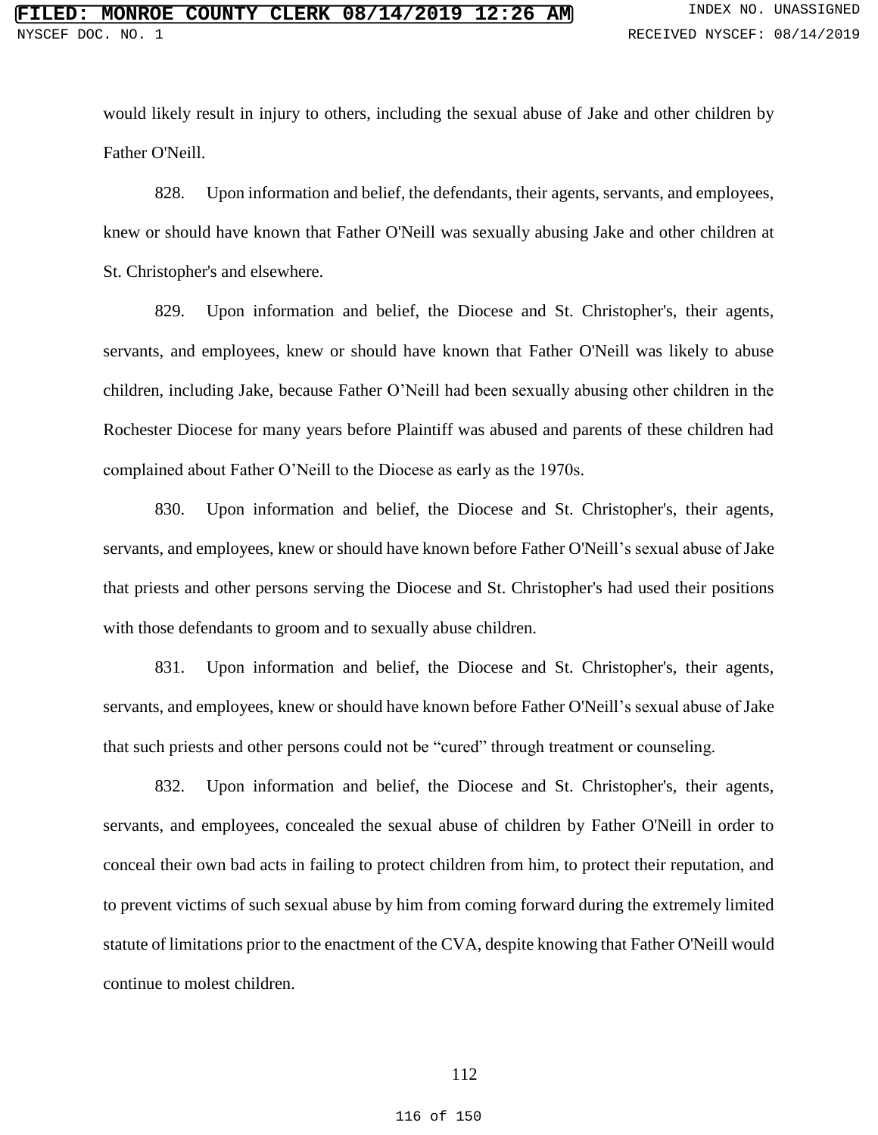would likely result in injury to others, including the sexual abuse of Jake and other children by Father O'Neill.

828. Upon information and belief, the defendants, their agents, servants, and employees, knew or should have known that Father O'Neill was sexually abusing Jake and other children at St. Christopher's and elsewhere.

829. Upon information and belief, the Diocese and St. Christopher's, their agents, servants, and employees, knew or should have known that Father O'Neill was likely to abuse children, including Jake, because Father O'Neill had been sexually abusing other children in the Rochester Diocese for many years before Plaintiff was abused and parents of these children had complained about Father O'Neill to the Diocese as early as the 1970s.

830. Upon information and belief, the Diocese and St. Christopher's, their agents, servants, and employees, knew or should have known before Father O'Neill's sexual abuse of Jake that priests and other persons serving the Diocese and St. Christopher's had used their positions with those defendants to groom and to sexually abuse children.

831. Upon information and belief, the Diocese and St. Christopher's, their agents, servants, and employees, knew or should have known before Father O'Neill's sexual abuse of Jake that such priests and other persons could not be "cured" through treatment or counseling.

832. Upon information and belief, the Diocese and St. Christopher's, their agents, servants, and employees, concealed the sexual abuse of children by Father O'Neill in order to conceal their own bad acts in failing to protect children from him, to protect their reputation, and to prevent victims of such sexual abuse by him from coming forward during the extremely limited statute of limitations prior to the enactment of the CVA, despite knowing that Father O'Neill would continue to molest children.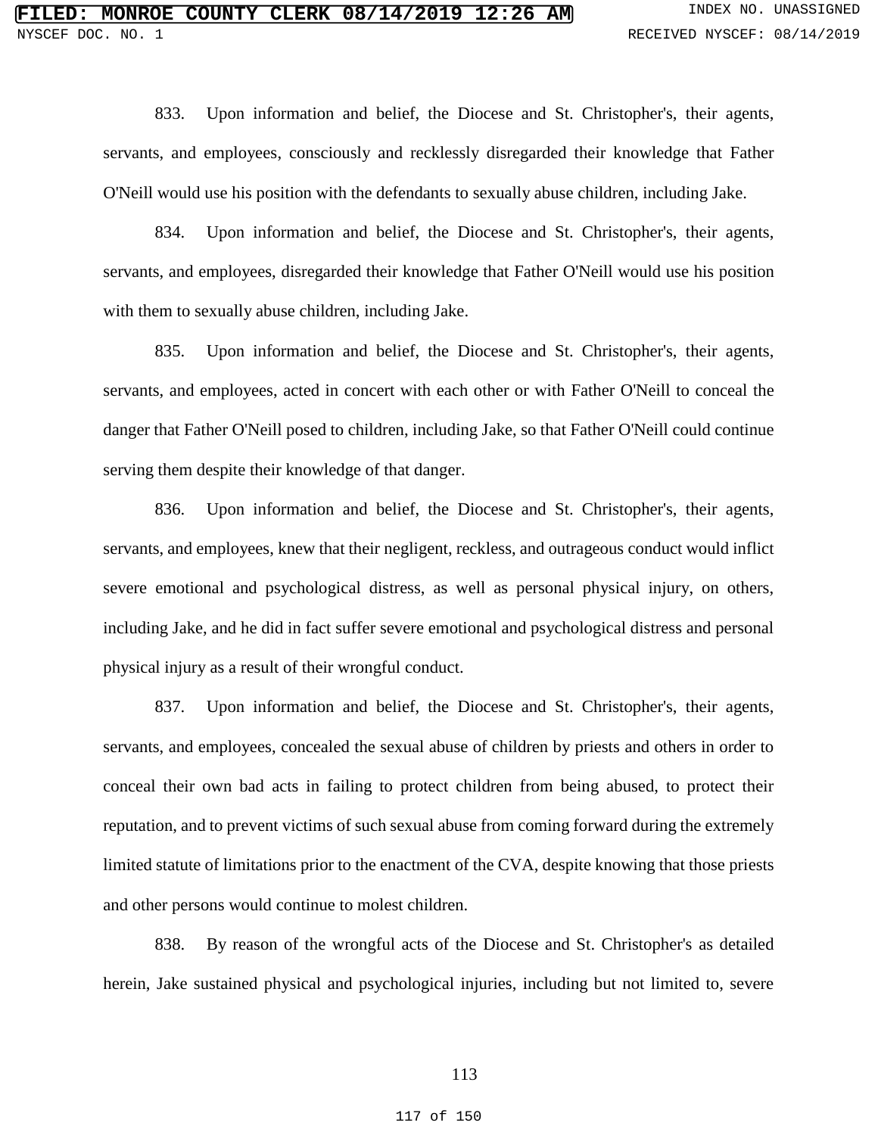833. Upon information and belief, the Diocese and St. Christopher's, their agents, servants, and employees, consciously and recklessly disregarded their knowledge that Father O'Neill would use his position with the defendants to sexually abuse children, including Jake.

834. Upon information and belief, the Diocese and St. Christopher's, their agents, servants, and employees, disregarded their knowledge that Father O'Neill would use his position with them to sexually abuse children, including Jake.

835. Upon information and belief, the Diocese and St. Christopher's, their agents, servants, and employees, acted in concert with each other or with Father O'Neill to conceal the danger that Father O'Neill posed to children, including Jake, so that Father O'Neill could continue serving them despite their knowledge of that danger.

836. Upon information and belief, the Diocese and St. Christopher's, their agents, servants, and employees, knew that their negligent, reckless, and outrageous conduct would inflict severe emotional and psychological distress, as well as personal physical injury, on others, including Jake, and he did in fact suffer severe emotional and psychological distress and personal physical injury as a result of their wrongful conduct.

837. Upon information and belief, the Diocese and St. Christopher's, their agents, servants, and employees, concealed the sexual abuse of children by priests and others in order to conceal their own bad acts in failing to protect children from being abused, to protect their reputation, and to prevent victims of such sexual abuse from coming forward during the extremely limited statute of limitations prior to the enactment of the CVA, despite knowing that those priests and other persons would continue to molest children.

838. By reason of the wrongful acts of the Diocese and St. Christopher's as detailed herein, Jake sustained physical and psychological injuries, including but not limited to, severe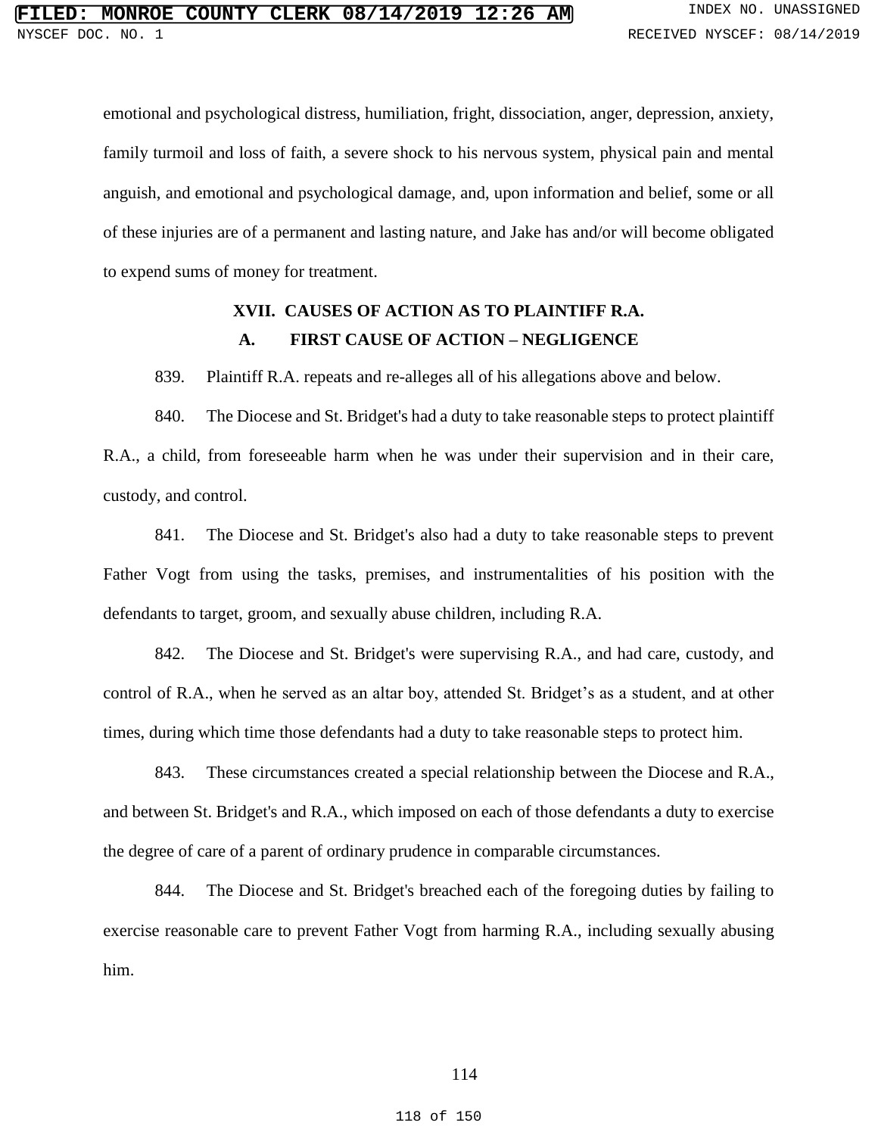emotional and psychological distress, humiliation, fright, dissociation, anger, depression, anxiety, family turmoil and loss of faith, a severe shock to his nervous system, physical pain and mental anguish, and emotional and psychological damage, and, upon information and belief, some or all of these injuries are of a permanent and lasting nature, and Jake has and/or will become obligated to expend sums of money for treatment.

## **XVII. CAUSES OF ACTION AS TO PLAINTIFF R.A. A. FIRST CAUSE OF ACTION – NEGLIGENCE**

839. Plaintiff R.A. repeats and re-alleges all of his allegations above and below.

840. The Diocese and St. Bridget's had a duty to take reasonable steps to protect plaintiff R.A., a child, from foreseeable harm when he was under their supervision and in their care, custody, and control.

841. The Diocese and St. Bridget's also had a duty to take reasonable steps to prevent Father Vogt from using the tasks, premises, and instrumentalities of his position with the defendants to target, groom, and sexually abuse children, including R.A.

842. The Diocese and St. Bridget's were supervising R.A., and had care, custody, and control of R.A., when he served as an altar boy, attended St. Bridget's as a student, and at other times, during which time those defendants had a duty to take reasonable steps to protect him.

843. These circumstances created a special relationship between the Diocese and R.A., and between St. Bridget's and R.A., which imposed on each of those defendants a duty to exercise the degree of care of a parent of ordinary prudence in comparable circumstances.

844. The Diocese and St. Bridget's breached each of the foregoing duties by failing to exercise reasonable care to prevent Father Vogt from harming R.A., including sexually abusing him.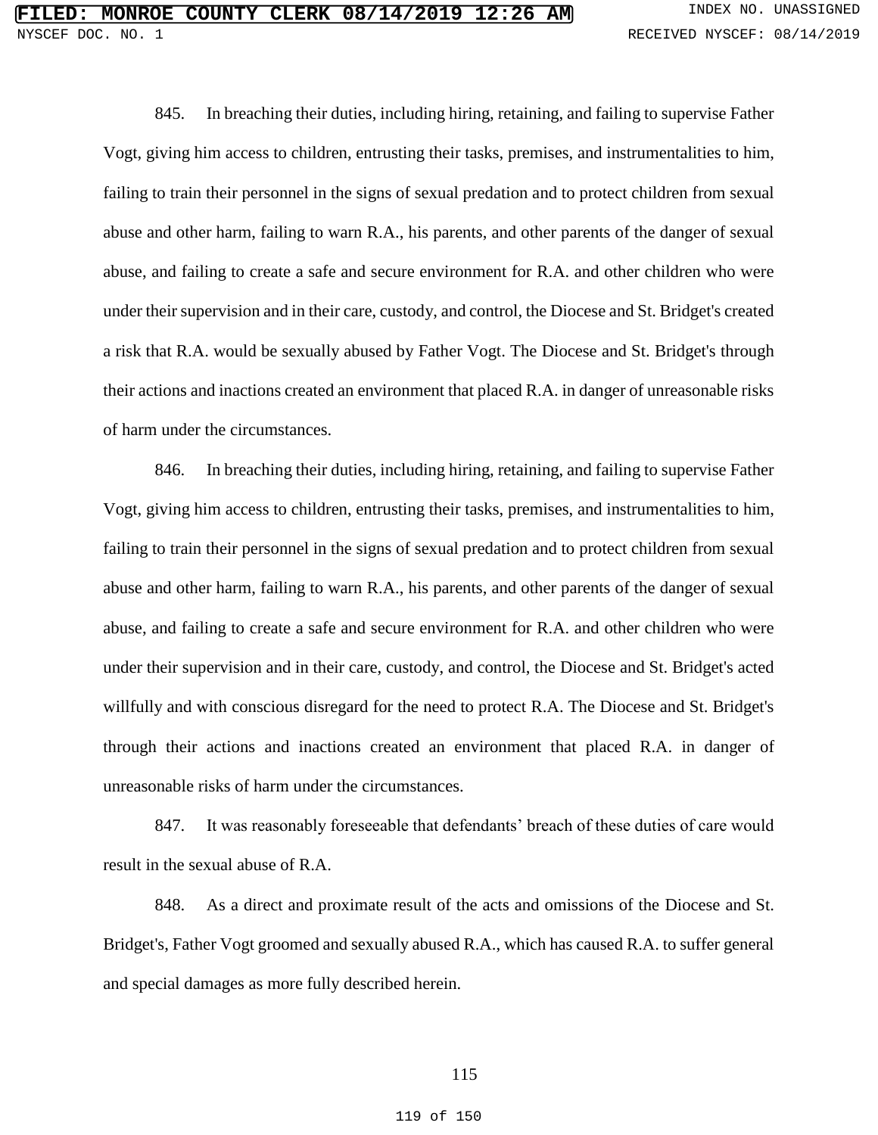845. In breaching their duties, including hiring, retaining, and failing to supervise Father Vogt, giving him access to children, entrusting their tasks, premises, and instrumentalities to him, failing to train their personnel in the signs of sexual predation and to protect children from sexual abuse and other harm, failing to warn R.A., his parents, and other parents of the danger of sexual abuse, and failing to create a safe and secure environment for R.A. and other children who were under their supervision and in their care, custody, and control, the Diocese and St. Bridget's created a risk that R.A. would be sexually abused by Father Vogt. The Diocese and St. Bridget's through their actions and inactions created an environment that placed R.A. in danger of unreasonable risks of harm under the circumstances.

846. In breaching their duties, including hiring, retaining, and failing to supervise Father Vogt, giving him access to children, entrusting their tasks, premises, and instrumentalities to him, failing to train their personnel in the signs of sexual predation and to protect children from sexual abuse and other harm, failing to warn R.A., his parents, and other parents of the danger of sexual abuse, and failing to create a safe and secure environment for R.A. and other children who were under their supervision and in their care, custody, and control, the Diocese and St. Bridget's acted willfully and with conscious disregard for the need to protect R.A. The Diocese and St. Bridget's through their actions and inactions created an environment that placed R.A. in danger of unreasonable risks of harm under the circumstances.

847. It was reasonably foreseeable that defendants' breach of these duties of care would result in the sexual abuse of R.A.

848. As a direct and proximate result of the acts and omissions of the Diocese and St. Bridget's, Father Vogt groomed and sexually abused R.A., which has caused R.A. to suffer general and special damages as more fully described herein.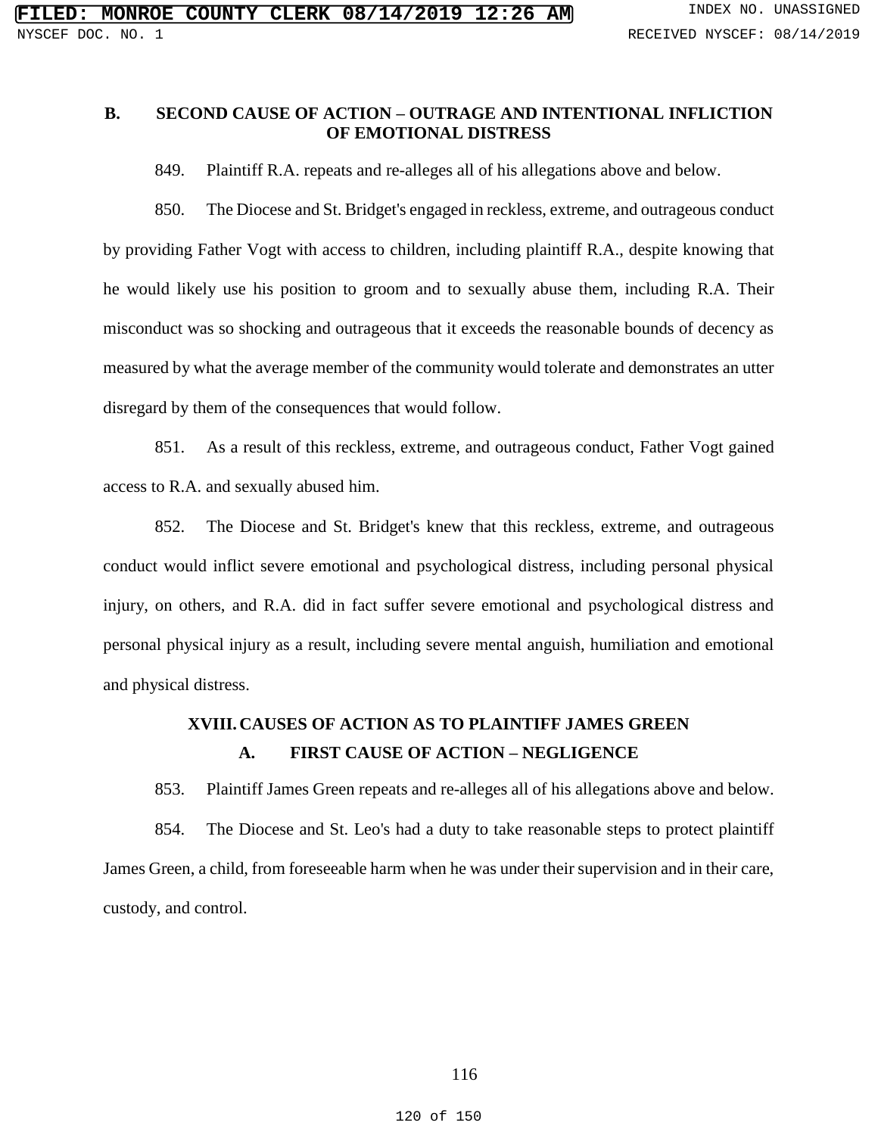## **B. SECOND CAUSE OF ACTION – OUTRAGE AND INTENTIONAL INFLICTION OF EMOTIONAL DISTRESS**

849. Plaintiff R.A. repeats and re-alleges all of his allegations above and below.

850. The Diocese and St. Bridget's engaged in reckless, extreme, and outrageous conduct by providing Father Vogt with access to children, including plaintiff R.A., despite knowing that he would likely use his position to groom and to sexually abuse them, including R.A. Their misconduct was so shocking and outrageous that it exceeds the reasonable bounds of decency as measured by what the average member of the community would tolerate and demonstrates an utter disregard by them of the consequences that would follow.

851. As a result of this reckless, extreme, and outrageous conduct, Father Vogt gained access to R.A. and sexually abused him.

852. The Diocese and St. Bridget's knew that this reckless, extreme, and outrageous conduct would inflict severe emotional and psychological distress, including personal physical injury, on others, and R.A. did in fact suffer severe emotional and psychological distress and personal physical injury as a result, including severe mental anguish, humiliation and emotional and physical distress.

# **XVIII.CAUSES OF ACTION AS TO PLAINTIFF JAMES GREEN A. FIRST CAUSE OF ACTION – NEGLIGENCE**

853. Plaintiff James Green repeats and re-alleges all of his allegations above and below. 854. The Diocese and St. Leo's had a duty to take reasonable steps to protect plaintiff James Green, a child, from foreseeable harm when he was under their supervision and in their care, custody, and control.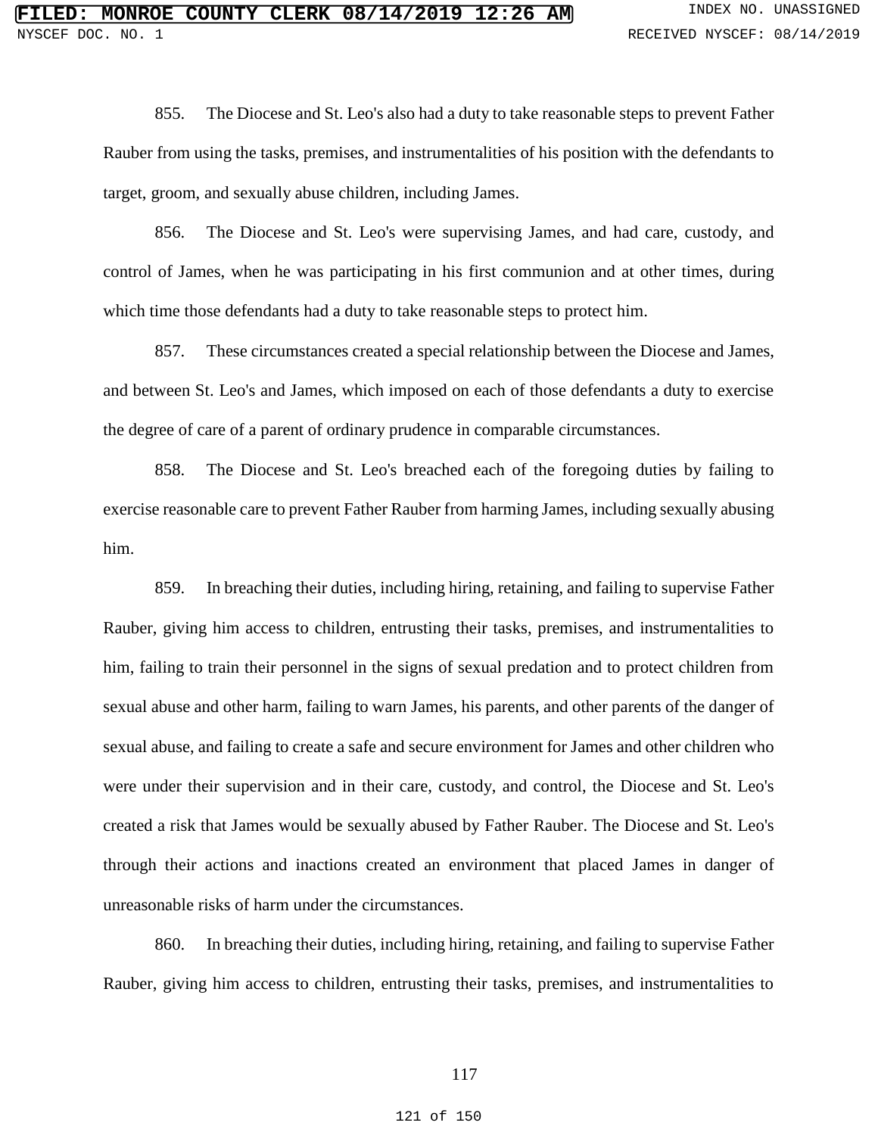855. The Diocese and St. Leo's also had a duty to take reasonable steps to prevent Father Rauber from using the tasks, premises, and instrumentalities of his position with the defendants to target, groom, and sexually abuse children, including James.

856. The Diocese and St. Leo's were supervising James, and had care, custody, and control of James, when he was participating in his first communion and at other times, during which time those defendants had a duty to take reasonable steps to protect him.

857. These circumstances created a special relationship between the Diocese and James, and between St. Leo's and James, which imposed on each of those defendants a duty to exercise the degree of care of a parent of ordinary prudence in comparable circumstances.

858. The Diocese and St. Leo's breached each of the foregoing duties by failing to exercise reasonable care to prevent Father Rauber from harming James, including sexually abusing him.

859. In breaching their duties, including hiring, retaining, and failing to supervise Father Rauber, giving him access to children, entrusting their tasks, premises, and instrumentalities to him, failing to train their personnel in the signs of sexual predation and to protect children from sexual abuse and other harm, failing to warn James, his parents, and other parents of the danger of sexual abuse, and failing to create a safe and secure environment for James and other children who were under their supervision and in their care, custody, and control, the Diocese and St. Leo's created a risk that James would be sexually abused by Father Rauber. The Diocese and St. Leo's through their actions and inactions created an environment that placed James in danger of unreasonable risks of harm under the circumstances.

860. In breaching their duties, including hiring, retaining, and failing to supervise Father Rauber, giving him access to children, entrusting their tasks, premises, and instrumentalities to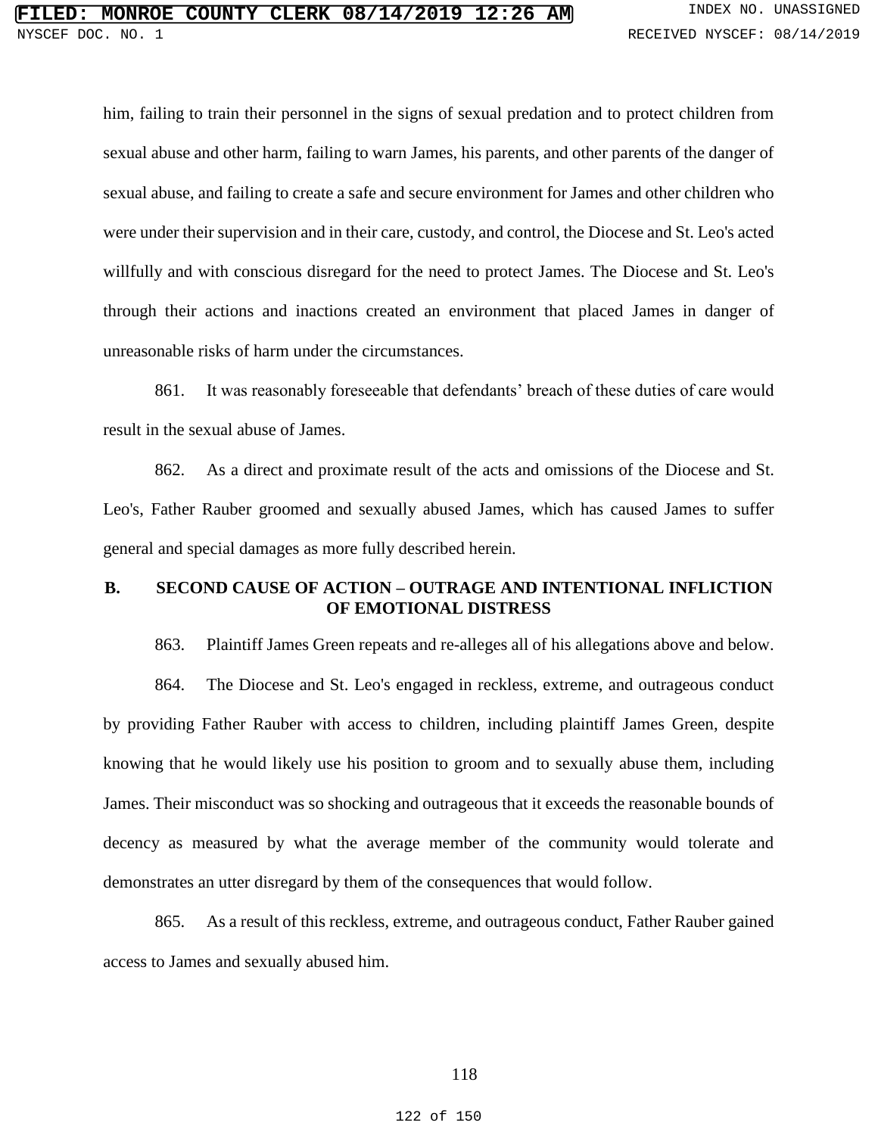him, failing to train their personnel in the signs of sexual predation and to protect children from sexual abuse and other harm, failing to warn James, his parents, and other parents of the danger of sexual abuse, and failing to create a safe and secure environment for James and other children who were under their supervision and in their care, custody, and control, the Diocese and St. Leo's acted willfully and with conscious disregard for the need to protect James. The Diocese and St. Leo's through their actions and inactions created an environment that placed James in danger of unreasonable risks of harm under the circumstances.

861. It was reasonably foreseeable that defendants' breach of these duties of care would result in the sexual abuse of James.

862. As a direct and proximate result of the acts and omissions of the Diocese and St. Leo's, Father Rauber groomed and sexually abused James, which has caused James to suffer general and special damages as more fully described herein.

## **B. SECOND CAUSE OF ACTION – OUTRAGE AND INTENTIONAL INFLICTION OF EMOTIONAL DISTRESS**

863. Plaintiff James Green repeats and re-alleges all of his allegations above and below.

864. The Diocese and St. Leo's engaged in reckless, extreme, and outrageous conduct by providing Father Rauber with access to children, including plaintiff James Green, despite knowing that he would likely use his position to groom and to sexually abuse them, including James. Their misconduct was so shocking and outrageous that it exceeds the reasonable bounds of decency as measured by what the average member of the community would tolerate and demonstrates an utter disregard by them of the consequences that would follow.

865. As a result of this reckless, extreme, and outrageous conduct, Father Rauber gained access to James and sexually abused him.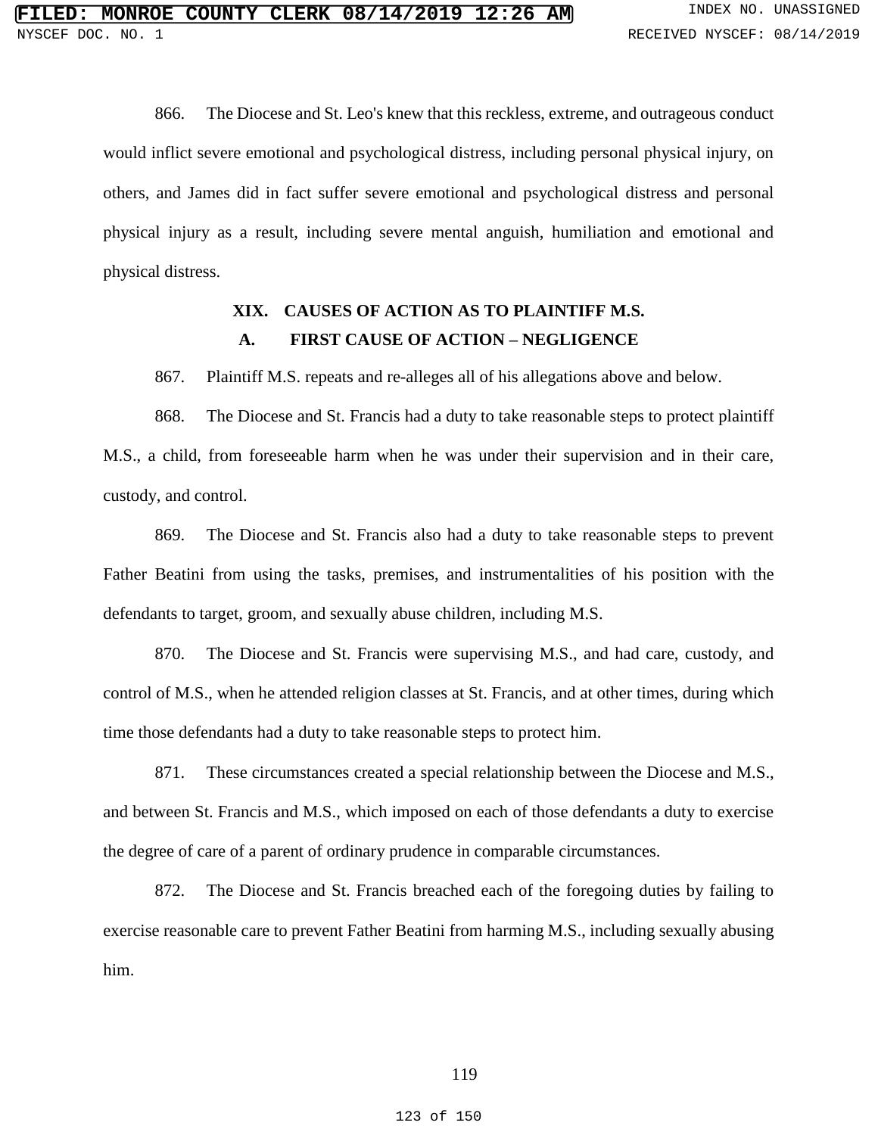866. The Diocese and St. Leo's knew that this reckless, extreme, and outrageous conduct would inflict severe emotional and psychological distress, including personal physical injury, on others, and James did in fact suffer severe emotional and psychological distress and personal physical injury as a result, including severe mental anguish, humiliation and emotional and physical distress.

## **XIX. CAUSES OF ACTION AS TO PLAINTIFF M.S. A. FIRST CAUSE OF ACTION – NEGLIGENCE**

867. Plaintiff M.S. repeats and re-alleges all of his allegations above and below.

868. The Diocese and St. Francis had a duty to take reasonable steps to protect plaintiff M.S., a child, from foreseeable harm when he was under their supervision and in their care, custody, and control.

869. The Diocese and St. Francis also had a duty to take reasonable steps to prevent Father Beatini from using the tasks, premises, and instrumentalities of his position with the defendants to target, groom, and sexually abuse children, including M.S.

870. The Diocese and St. Francis were supervising M.S., and had care, custody, and control of M.S., when he attended religion classes at St. Francis, and at other times, during which time those defendants had a duty to take reasonable steps to protect him.

871. These circumstances created a special relationship between the Diocese and M.S., and between St. Francis and M.S., which imposed on each of those defendants a duty to exercise the degree of care of a parent of ordinary prudence in comparable circumstances.

872. The Diocese and St. Francis breached each of the foregoing duties by failing to exercise reasonable care to prevent Father Beatini from harming M.S., including sexually abusing him.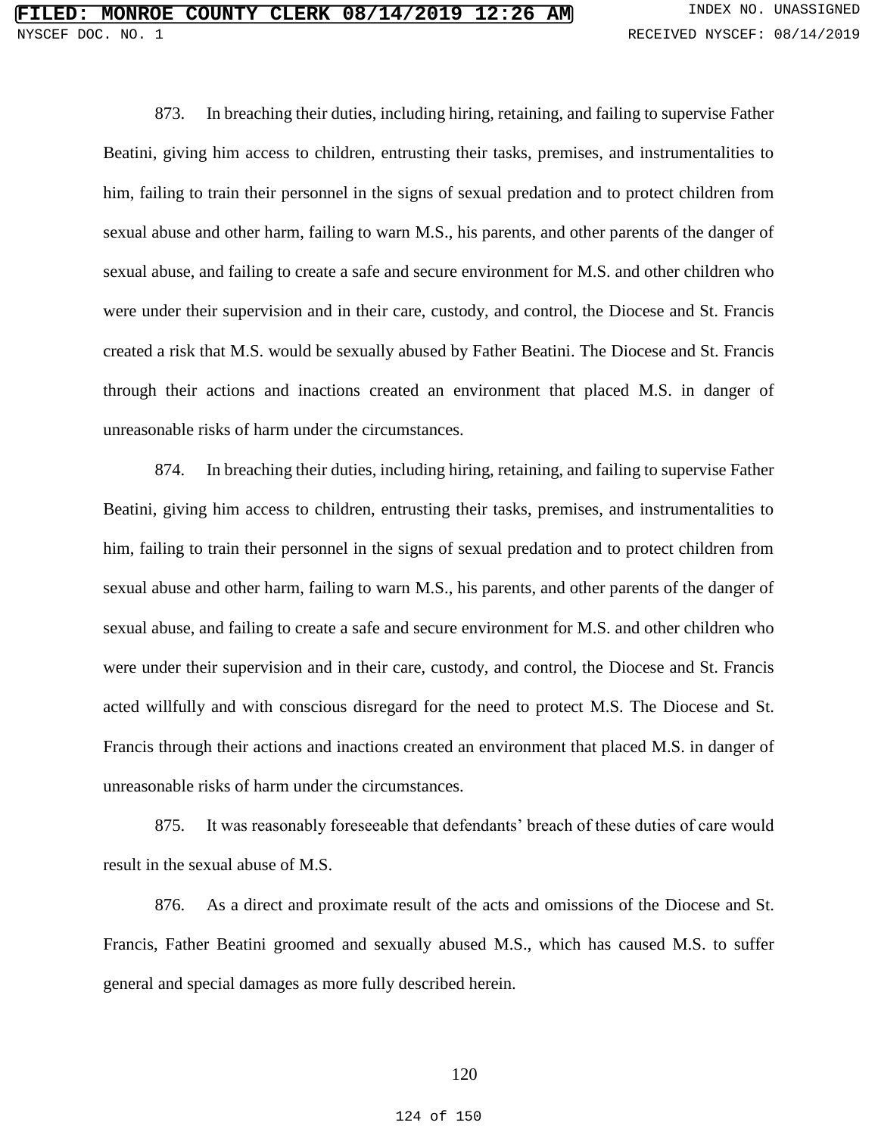873. In breaching their duties, including hiring, retaining, and failing to supervise Father Beatini, giving him access to children, entrusting their tasks, premises, and instrumentalities to him, failing to train their personnel in the signs of sexual predation and to protect children from sexual abuse and other harm, failing to warn M.S., his parents, and other parents of the danger of sexual abuse, and failing to create a safe and secure environment for M.S. and other children who were under their supervision and in their care, custody, and control, the Diocese and St. Francis created a risk that M.S. would be sexually abused by Father Beatini. The Diocese and St. Francis through their actions and inactions created an environment that placed M.S. in danger of unreasonable risks of harm under the circumstances.

874. In breaching their duties, including hiring, retaining, and failing to supervise Father Beatini, giving him access to children, entrusting their tasks, premises, and instrumentalities to him, failing to train their personnel in the signs of sexual predation and to protect children from sexual abuse and other harm, failing to warn M.S., his parents, and other parents of the danger of sexual abuse, and failing to create a safe and secure environment for M.S. and other children who were under their supervision and in their care, custody, and control, the Diocese and St. Francis acted willfully and with conscious disregard for the need to protect M.S. The Diocese and St. Francis through their actions and inactions created an environment that placed M.S. in danger of unreasonable risks of harm under the circumstances.

875. It was reasonably foreseeable that defendants' breach of these duties of care would result in the sexual abuse of M.S.

876. As a direct and proximate result of the acts and omissions of the Diocese and St. Francis, Father Beatini groomed and sexually abused M.S., which has caused M.S. to suffer general and special damages as more fully described herein.

### 120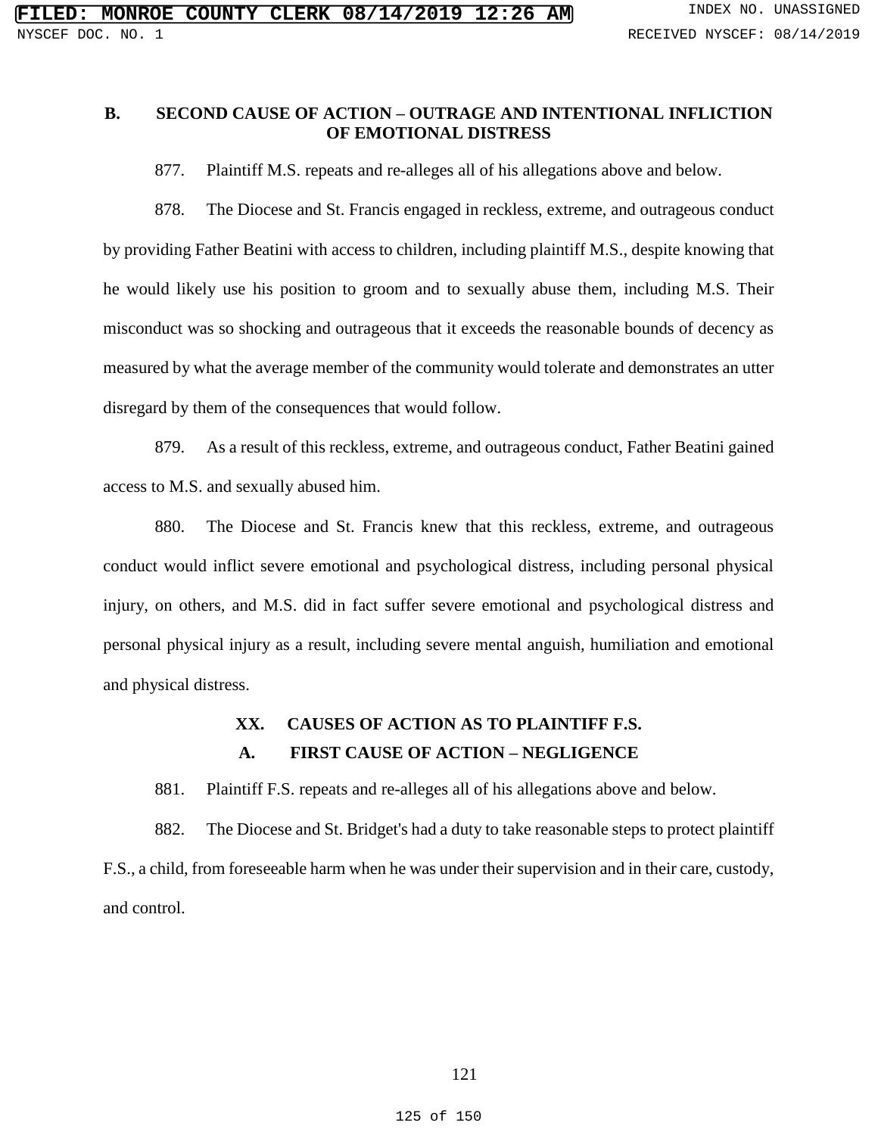## **B. SECOND CAUSE OF ACTION – OUTRAGE AND INTENTIONAL INFLICTION OF EMOTIONAL DISTRESS**

877. Plaintiff M.S. repeats and re-alleges all of his allegations above and below.

878. The Diocese and St. Francis engaged in reckless, extreme, and outrageous conduct by providing Father Beatini with access to children, including plaintiff M.S., despite knowing that he would likely use his position to groom and to sexually abuse them, including M.S. Their misconduct was so shocking and outrageous that it exceeds the reasonable bounds of decency as measured by what the average member of the community would tolerate and demonstrates an utter disregard by them of the consequences that would follow.

879. As a result of this reckless, extreme, and outrageous conduct, Father Beatini gained access to M.S. and sexually abused him.

880. The Diocese and St. Francis knew that this reckless, extreme, and outrageous conduct would inflict severe emotional and psychological distress, including personal physical injury, on others, and M.S. did in fact suffer severe emotional and psychological distress and personal physical injury as a result, including severe mental anguish, humiliation and emotional and physical distress.

# **XX. CAUSES OF ACTION AS TO PLAINTIFF F.S. A. FIRST CAUSE OF ACTION – NEGLIGENCE**

881. Plaintiff F.S. repeats and re-alleges all of his allegations above and below.

882. The Diocese and St. Bridget's had a duty to take reasonable steps to protect plaintiff F.S., a child, from foreseeable harm when he was under their supervision and in their care, custody, and control.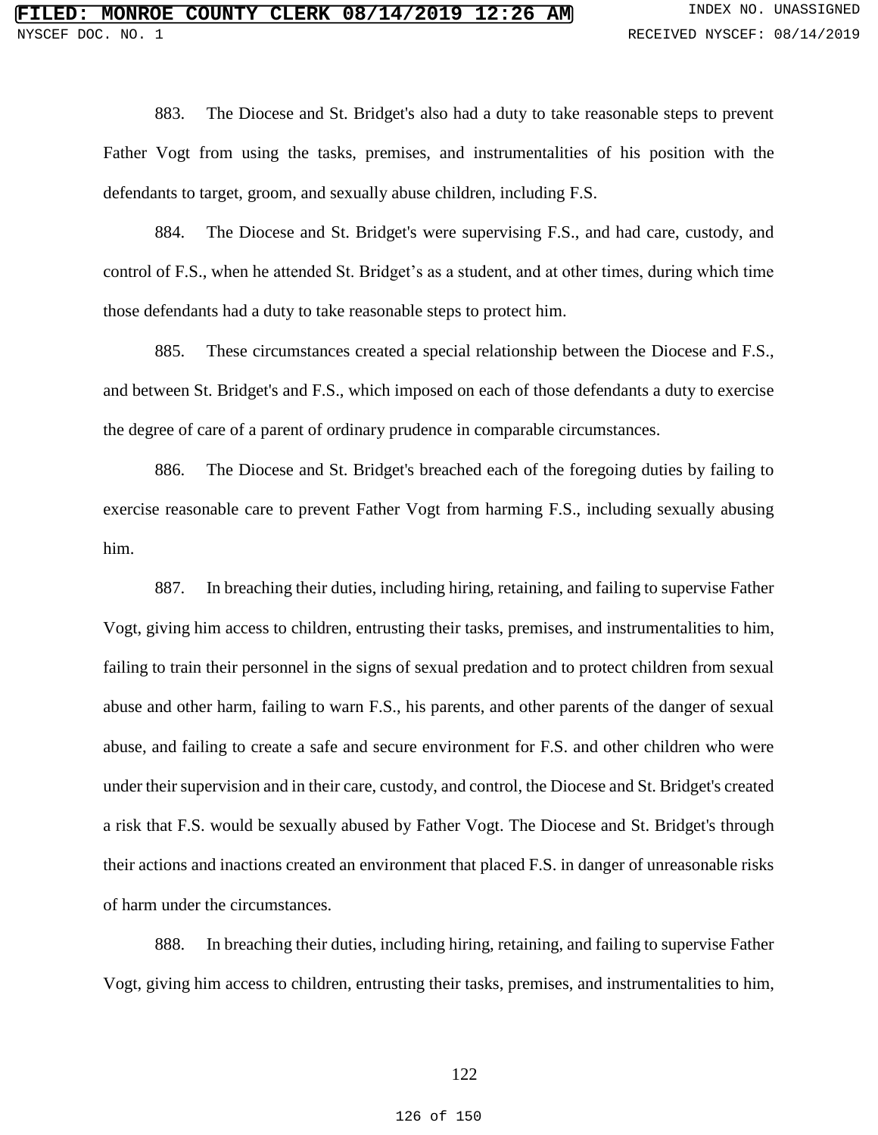883. The Diocese and St. Bridget's also had a duty to take reasonable steps to prevent Father Vogt from using the tasks, premises, and instrumentalities of his position with the defendants to target, groom, and sexually abuse children, including F.S.

884. The Diocese and St. Bridget's were supervising F.S., and had care, custody, and control of F.S., when he attended St. Bridget's as a student, and at other times, during which time those defendants had a duty to take reasonable steps to protect him.

885. These circumstances created a special relationship between the Diocese and F.S., and between St. Bridget's and F.S., which imposed on each of those defendants a duty to exercise the degree of care of a parent of ordinary prudence in comparable circumstances.

886. The Diocese and St. Bridget's breached each of the foregoing duties by failing to exercise reasonable care to prevent Father Vogt from harming F.S., including sexually abusing him.

887. In breaching their duties, including hiring, retaining, and failing to supervise Father Vogt, giving him access to children, entrusting their tasks, premises, and instrumentalities to him, failing to train their personnel in the signs of sexual predation and to protect children from sexual abuse and other harm, failing to warn F.S., his parents, and other parents of the danger of sexual abuse, and failing to create a safe and secure environment for F.S. and other children who were under their supervision and in their care, custody, and control, the Diocese and St. Bridget's created a risk that F.S. would be sexually abused by Father Vogt. The Diocese and St. Bridget's through their actions and inactions created an environment that placed F.S. in danger of unreasonable risks of harm under the circumstances.

888. In breaching their duties, including hiring, retaining, and failing to supervise Father Vogt, giving him access to children, entrusting their tasks, premises, and instrumentalities to him,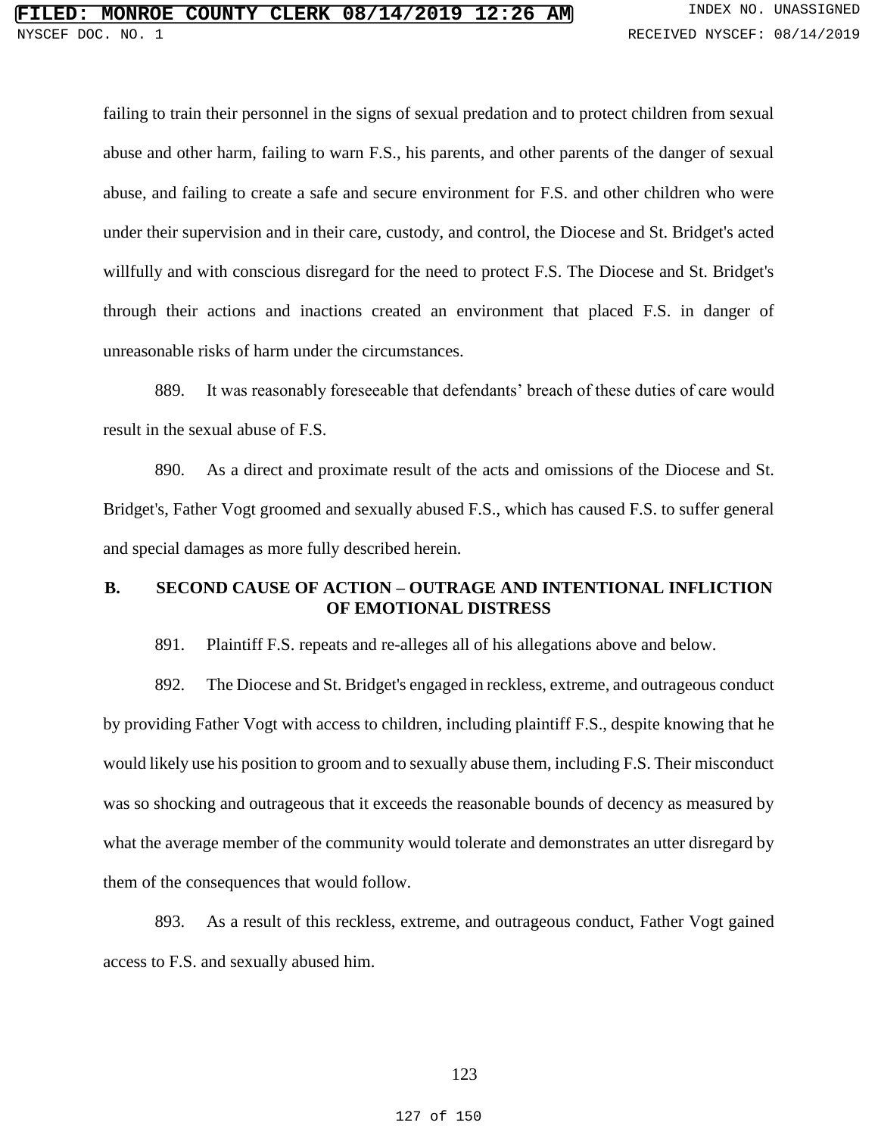failing to train their personnel in the signs of sexual predation and to protect children from sexual abuse and other harm, failing to warn F.S., his parents, and other parents of the danger of sexual abuse, and failing to create a safe and secure environment for F.S. and other children who were under their supervision and in their care, custody, and control, the Diocese and St. Bridget's acted willfully and with conscious disregard for the need to protect F.S. The Diocese and St. Bridget's through their actions and inactions created an environment that placed F.S. in danger of unreasonable risks of harm under the circumstances.

889. It was reasonably foreseeable that defendants' breach of these duties of care would result in the sexual abuse of F.S.

890. As a direct and proximate result of the acts and omissions of the Diocese and St. Bridget's, Father Vogt groomed and sexually abused F.S., which has caused F.S. to suffer general and special damages as more fully described herein.

### **B. SECOND CAUSE OF ACTION – OUTRAGE AND INTENTIONAL INFLICTION OF EMOTIONAL DISTRESS**

891. Plaintiff F.S. repeats and re-alleges all of his allegations above and below.

892. The Diocese and St. Bridget's engaged in reckless, extreme, and outrageous conduct by providing Father Vogt with access to children, including plaintiff F.S., despite knowing that he would likely use his position to groom and to sexually abuse them, including F.S. Their misconduct was so shocking and outrageous that it exceeds the reasonable bounds of decency as measured by what the average member of the community would tolerate and demonstrates an utter disregard by them of the consequences that would follow.

893. As a result of this reckless, extreme, and outrageous conduct, Father Vogt gained access to F.S. and sexually abused him.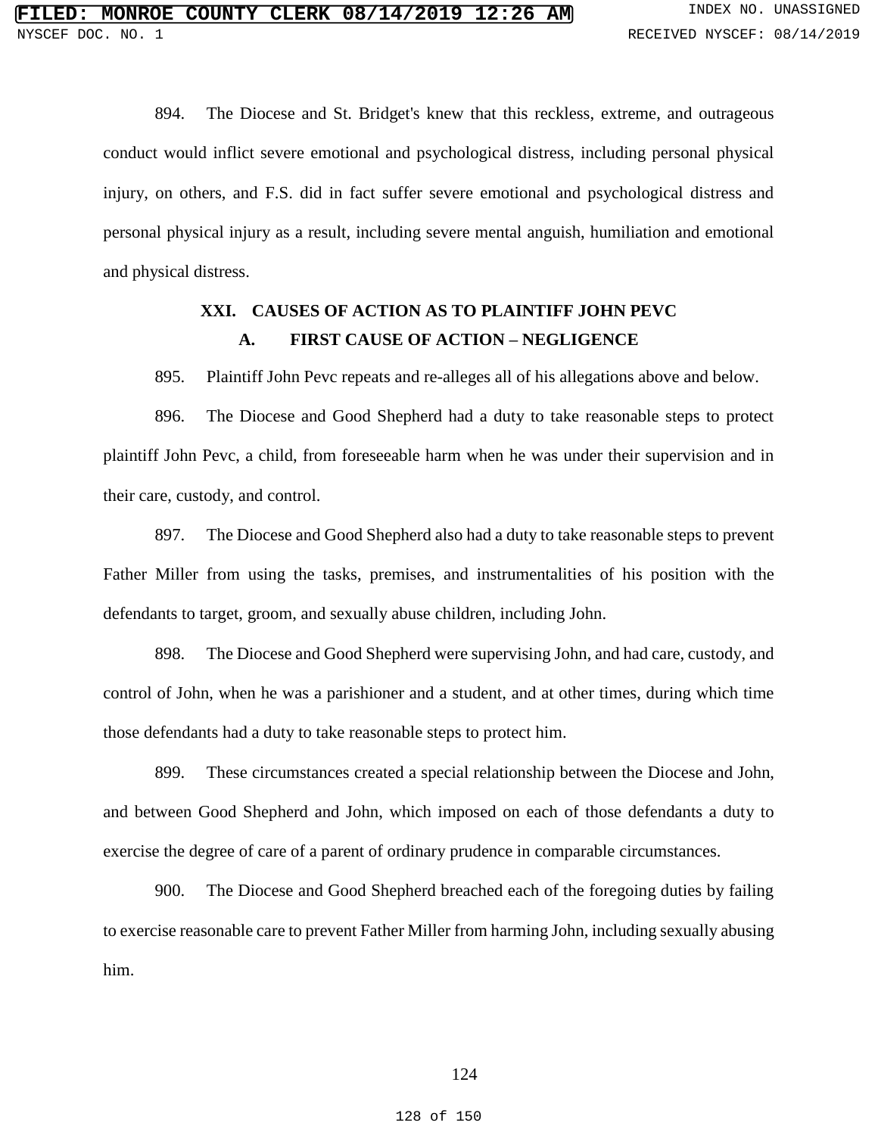894. The Diocese and St. Bridget's knew that this reckless, extreme, and outrageous conduct would inflict severe emotional and psychological distress, including personal physical injury, on others, and F.S. did in fact suffer severe emotional and psychological distress and personal physical injury as a result, including severe mental anguish, humiliation and emotional and physical distress.

# **XXI. CAUSES OF ACTION AS TO PLAINTIFF JOHN PEVC A. FIRST CAUSE OF ACTION – NEGLIGENCE**

895. Plaintiff John Pevc repeats and re-alleges all of his allegations above and below.

896. The Diocese and Good Shepherd had a duty to take reasonable steps to protect plaintiff John Pevc, a child, from foreseeable harm when he was under their supervision and in their care, custody, and control.

897. The Diocese and Good Shepherd also had a duty to take reasonable steps to prevent Father Miller from using the tasks, premises, and instrumentalities of his position with the defendants to target, groom, and sexually abuse children, including John.

898. The Diocese and Good Shepherd were supervising John, and had care, custody, and control of John, when he was a parishioner and a student, and at other times, during which time those defendants had a duty to take reasonable steps to protect him.

899. These circumstances created a special relationship between the Diocese and John, and between Good Shepherd and John, which imposed on each of those defendants a duty to exercise the degree of care of a parent of ordinary prudence in comparable circumstances.

900. The Diocese and Good Shepherd breached each of the foregoing duties by failing to exercise reasonable care to prevent Father Miller from harming John, including sexually abusing him.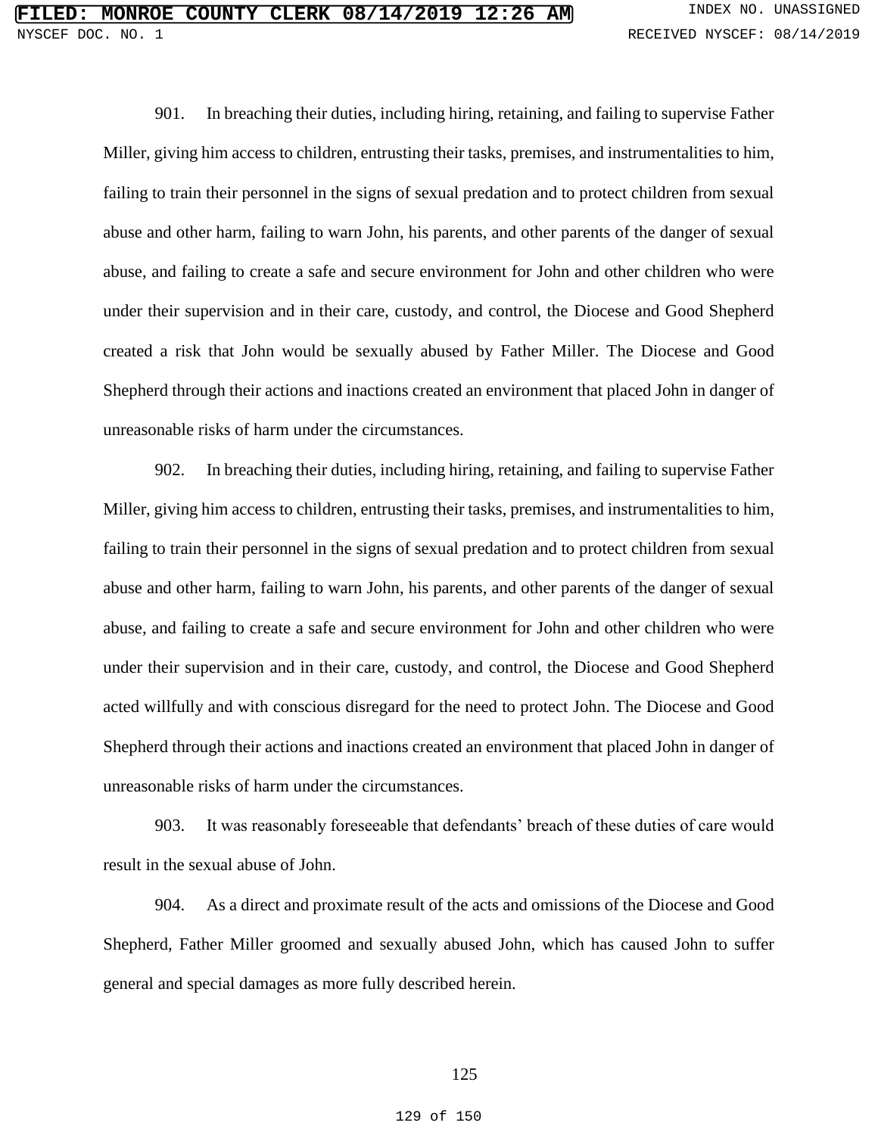901. In breaching their duties, including hiring, retaining, and failing to supervise Father Miller, giving him access to children, entrusting their tasks, premises, and instrumentalities to him, failing to train their personnel in the signs of sexual predation and to protect children from sexual abuse and other harm, failing to warn John, his parents, and other parents of the danger of sexual abuse, and failing to create a safe and secure environment for John and other children who were under their supervision and in their care, custody, and control, the Diocese and Good Shepherd created a risk that John would be sexually abused by Father Miller. The Diocese and Good Shepherd through their actions and inactions created an environment that placed John in danger of unreasonable risks of harm under the circumstances.

902. In breaching their duties, including hiring, retaining, and failing to supervise Father Miller, giving him access to children, entrusting their tasks, premises, and instrumentalities to him, failing to train their personnel in the signs of sexual predation and to protect children from sexual abuse and other harm, failing to warn John, his parents, and other parents of the danger of sexual abuse, and failing to create a safe and secure environment for John and other children who were under their supervision and in their care, custody, and control, the Diocese and Good Shepherd acted willfully and with conscious disregard for the need to protect John. The Diocese and Good Shepherd through their actions and inactions created an environment that placed John in danger of unreasonable risks of harm under the circumstances.

903. It was reasonably foreseeable that defendants' breach of these duties of care would result in the sexual abuse of John.

904. As a direct and proximate result of the acts and omissions of the Diocese and Good Shepherd, Father Miller groomed and sexually abused John, which has caused John to suffer general and special damages as more fully described herein.

### 125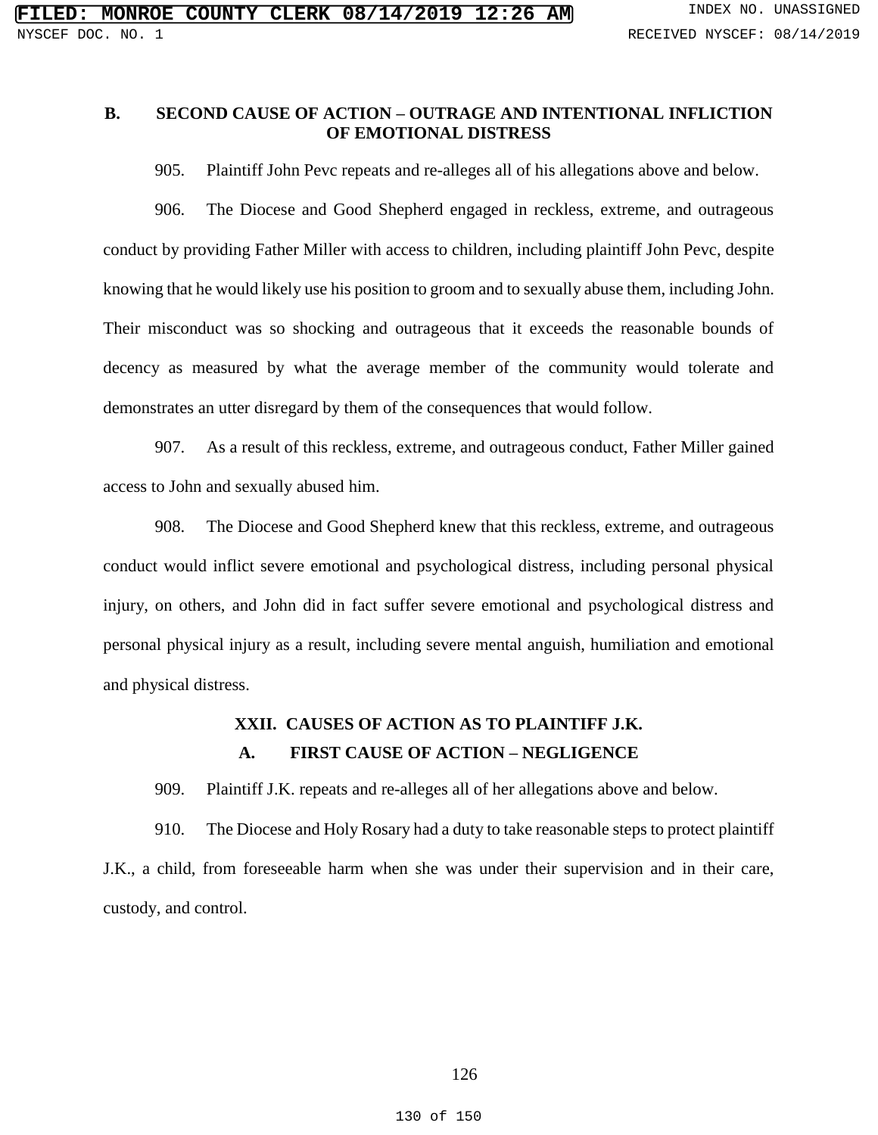## **B. SECOND CAUSE OF ACTION – OUTRAGE AND INTENTIONAL INFLICTION OF EMOTIONAL DISTRESS**

905. Plaintiff John Pevc repeats and re-alleges all of his allegations above and below.

906. The Diocese and Good Shepherd engaged in reckless, extreme, and outrageous conduct by providing Father Miller with access to children, including plaintiff John Pevc, despite knowing that he would likely use his position to groom and to sexually abuse them, including John. Their misconduct was so shocking and outrageous that it exceeds the reasonable bounds of decency as measured by what the average member of the community would tolerate and demonstrates an utter disregard by them of the consequences that would follow.

907. As a result of this reckless, extreme, and outrageous conduct, Father Miller gained access to John and sexually abused him.

908. The Diocese and Good Shepherd knew that this reckless, extreme, and outrageous conduct would inflict severe emotional and psychological distress, including personal physical injury, on others, and John did in fact suffer severe emotional and psychological distress and personal physical injury as a result, including severe mental anguish, humiliation and emotional and physical distress.

# **XXII. CAUSES OF ACTION AS TO PLAINTIFF J.K. A. FIRST CAUSE OF ACTION – NEGLIGENCE**

909. Plaintiff J.K. repeats and re-alleges all of her allegations above and below.

910. The Diocese and Holy Rosary had a duty to take reasonable steps to protect plaintiff J.K., a child, from foreseeable harm when she was under their supervision and in their care, custody, and control.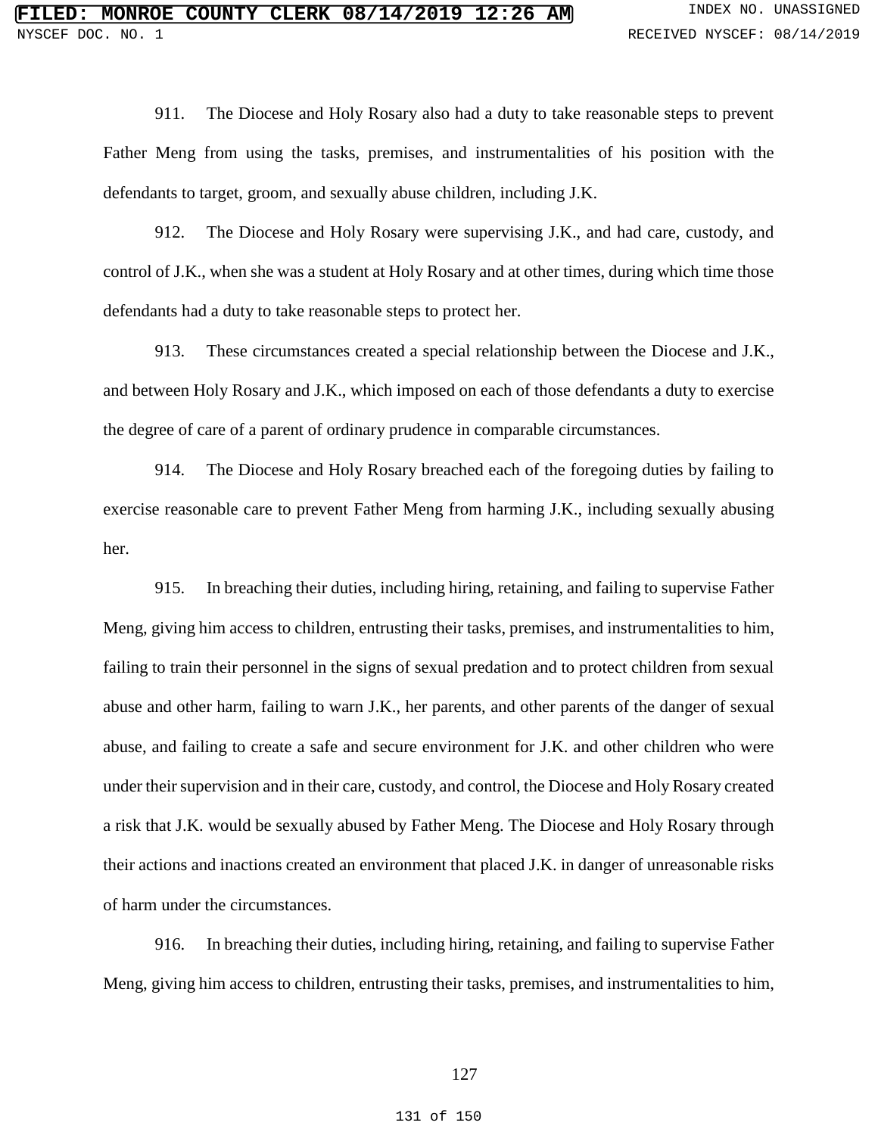911. The Diocese and Holy Rosary also had a duty to take reasonable steps to prevent Father Meng from using the tasks, premises, and instrumentalities of his position with the defendants to target, groom, and sexually abuse children, including J.K.

912. The Diocese and Holy Rosary were supervising J.K., and had care, custody, and control of J.K., when she was a student at Holy Rosary and at other times, during which time those defendants had a duty to take reasonable steps to protect her.

913. These circumstances created a special relationship between the Diocese and J.K., and between Holy Rosary and J.K., which imposed on each of those defendants a duty to exercise the degree of care of a parent of ordinary prudence in comparable circumstances.

914. The Diocese and Holy Rosary breached each of the foregoing duties by failing to exercise reasonable care to prevent Father Meng from harming J.K., including sexually abusing her.

915. In breaching their duties, including hiring, retaining, and failing to supervise Father Meng, giving him access to children, entrusting their tasks, premises, and instrumentalities to him, failing to train their personnel in the signs of sexual predation and to protect children from sexual abuse and other harm, failing to warn J.K., her parents, and other parents of the danger of sexual abuse, and failing to create a safe and secure environment for J.K. and other children who were under their supervision and in their care, custody, and control, the Diocese and Holy Rosary created a risk that J.K. would be sexually abused by Father Meng. The Diocese and Holy Rosary through their actions and inactions created an environment that placed J.K. in danger of unreasonable risks of harm under the circumstances.

916. In breaching their duties, including hiring, retaining, and failing to supervise Father Meng, giving him access to children, entrusting their tasks, premises, and instrumentalities to him,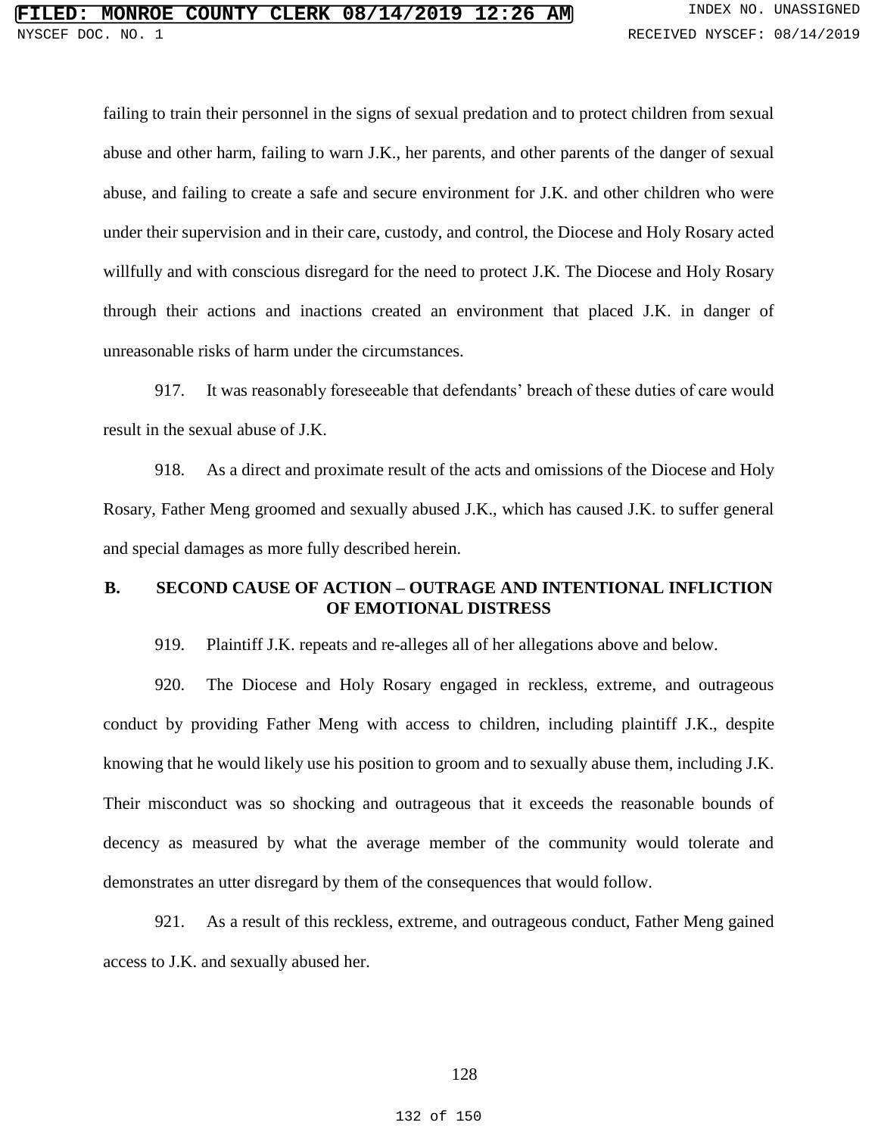failing to train their personnel in the signs of sexual predation and to protect children from sexual abuse and other harm, failing to warn J.K., her parents, and other parents of the danger of sexual abuse, and failing to create a safe and secure environment for J.K. and other children who were under their supervision and in their care, custody, and control, the Diocese and Holy Rosary acted willfully and with conscious disregard for the need to protect J.K. The Diocese and Holy Rosary through their actions and inactions created an environment that placed J.K. in danger of unreasonable risks of harm under the circumstances.

917. It was reasonably foreseeable that defendants' breach of these duties of care would result in the sexual abuse of J.K.

918. As a direct and proximate result of the acts and omissions of the Diocese and Holy Rosary, Father Meng groomed and sexually abused J.K., which has caused J.K. to suffer general and special damages as more fully described herein.

### **B. SECOND CAUSE OF ACTION – OUTRAGE AND INTENTIONAL INFLICTION OF EMOTIONAL DISTRESS**

919. Plaintiff J.K. repeats and re-alleges all of her allegations above and below.

920. The Diocese and Holy Rosary engaged in reckless, extreme, and outrageous conduct by providing Father Meng with access to children, including plaintiff J.K., despite knowing that he would likely use his position to groom and to sexually abuse them, including J.K. Their misconduct was so shocking and outrageous that it exceeds the reasonable bounds of decency as measured by what the average member of the community would tolerate and demonstrates an utter disregard by them of the consequences that would follow.

921. As a result of this reckless, extreme, and outrageous conduct, Father Meng gained access to J.K. and sexually abused her.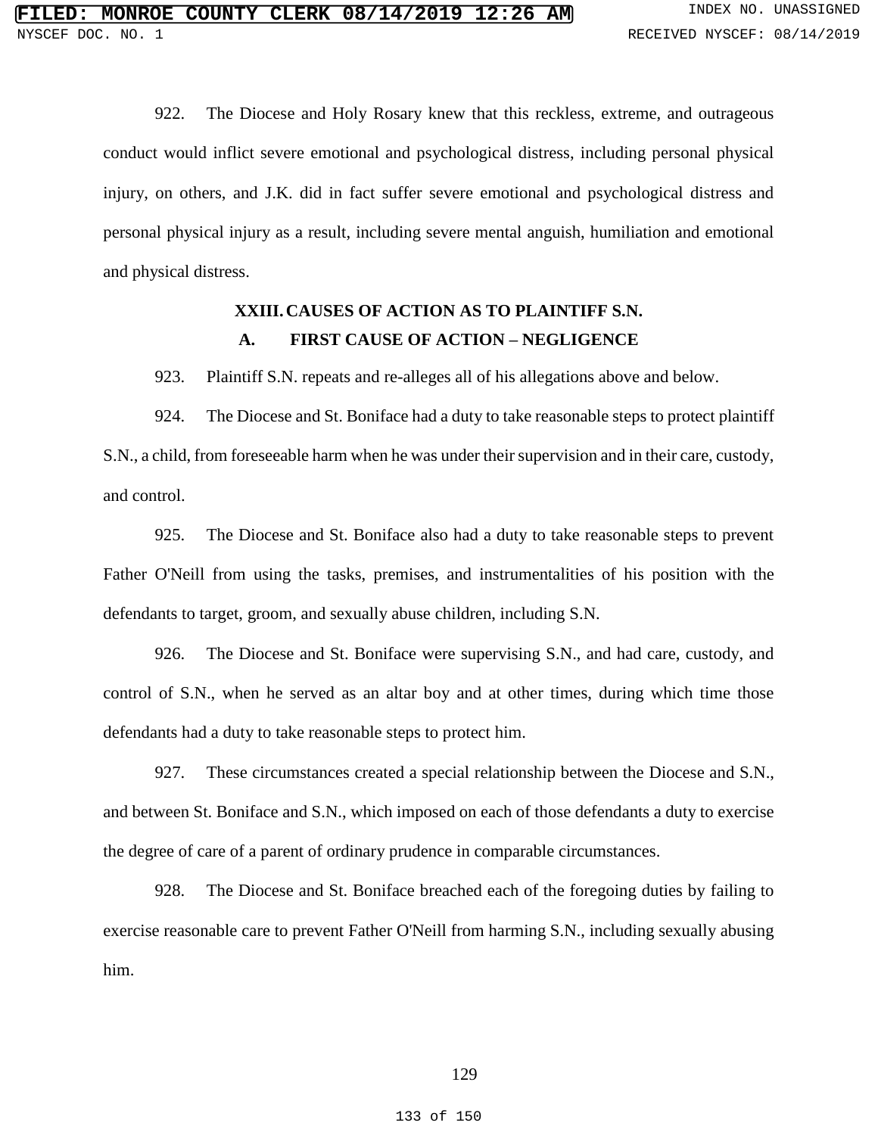922. The Diocese and Holy Rosary knew that this reckless, extreme, and outrageous conduct would inflict severe emotional and psychological distress, including personal physical injury, on others, and J.K. did in fact suffer severe emotional and psychological distress and personal physical injury as a result, including severe mental anguish, humiliation and emotional and physical distress.

## **XXIII.CAUSES OF ACTION AS TO PLAINTIFF S.N. A. FIRST CAUSE OF ACTION – NEGLIGENCE**

923. Plaintiff S.N. repeats and re-alleges all of his allegations above and below.

924. The Diocese and St. Boniface had a duty to take reasonable steps to protect plaintiff S.N., a child, from foreseeable harm when he was under their supervision and in their care, custody, and control.

925. The Diocese and St. Boniface also had a duty to take reasonable steps to prevent Father O'Neill from using the tasks, premises, and instrumentalities of his position with the defendants to target, groom, and sexually abuse children, including S.N.

926. The Diocese and St. Boniface were supervising S.N., and had care, custody, and control of S.N., when he served as an altar boy and at other times, during which time those defendants had a duty to take reasonable steps to protect him.

927. These circumstances created a special relationship between the Diocese and S.N., and between St. Boniface and S.N., which imposed on each of those defendants a duty to exercise the degree of care of a parent of ordinary prudence in comparable circumstances.

928. The Diocese and St. Boniface breached each of the foregoing duties by failing to exercise reasonable care to prevent Father O'Neill from harming S.N., including sexually abusing him.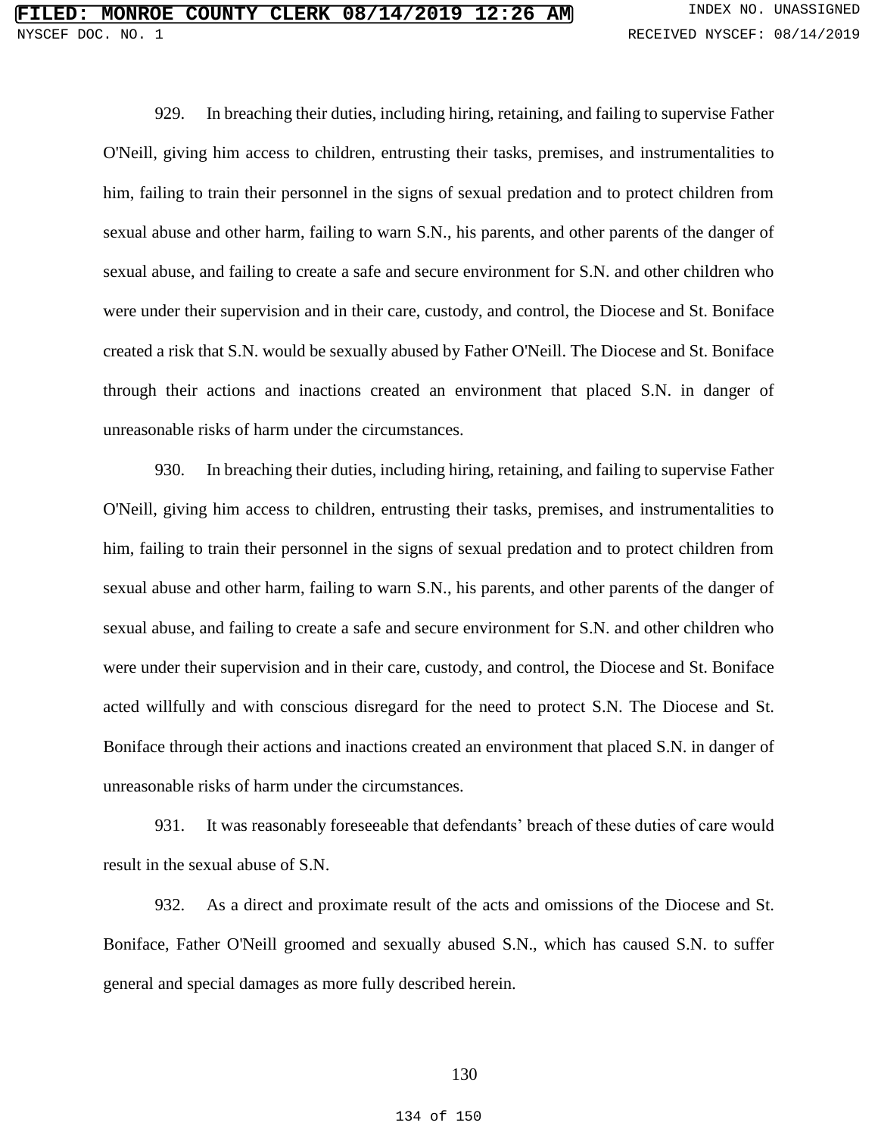929. In breaching their duties, including hiring, retaining, and failing to supervise Father O'Neill, giving him access to children, entrusting their tasks, premises, and instrumentalities to him, failing to train their personnel in the signs of sexual predation and to protect children from sexual abuse and other harm, failing to warn S.N., his parents, and other parents of the danger of sexual abuse, and failing to create a safe and secure environment for S.N. and other children who were under their supervision and in their care, custody, and control, the Diocese and St. Boniface created a risk that S.N. would be sexually abused by Father O'Neill. The Diocese and St. Boniface through their actions and inactions created an environment that placed S.N. in danger of unreasonable risks of harm under the circumstances.

930. In breaching their duties, including hiring, retaining, and failing to supervise Father O'Neill, giving him access to children, entrusting their tasks, premises, and instrumentalities to him, failing to train their personnel in the signs of sexual predation and to protect children from sexual abuse and other harm, failing to warn S.N., his parents, and other parents of the danger of sexual abuse, and failing to create a safe and secure environment for S.N. and other children who were under their supervision and in their care, custody, and control, the Diocese and St. Boniface acted willfully and with conscious disregard for the need to protect S.N. The Diocese and St. Boniface through their actions and inactions created an environment that placed S.N. in danger of unreasonable risks of harm under the circumstances.

931. It was reasonably foreseeable that defendants' breach of these duties of care would result in the sexual abuse of S.N.

932. As a direct and proximate result of the acts and omissions of the Diocese and St. Boniface, Father O'Neill groomed and sexually abused S.N., which has caused S.N. to suffer general and special damages as more fully described herein.

### 130

#### 134 of 150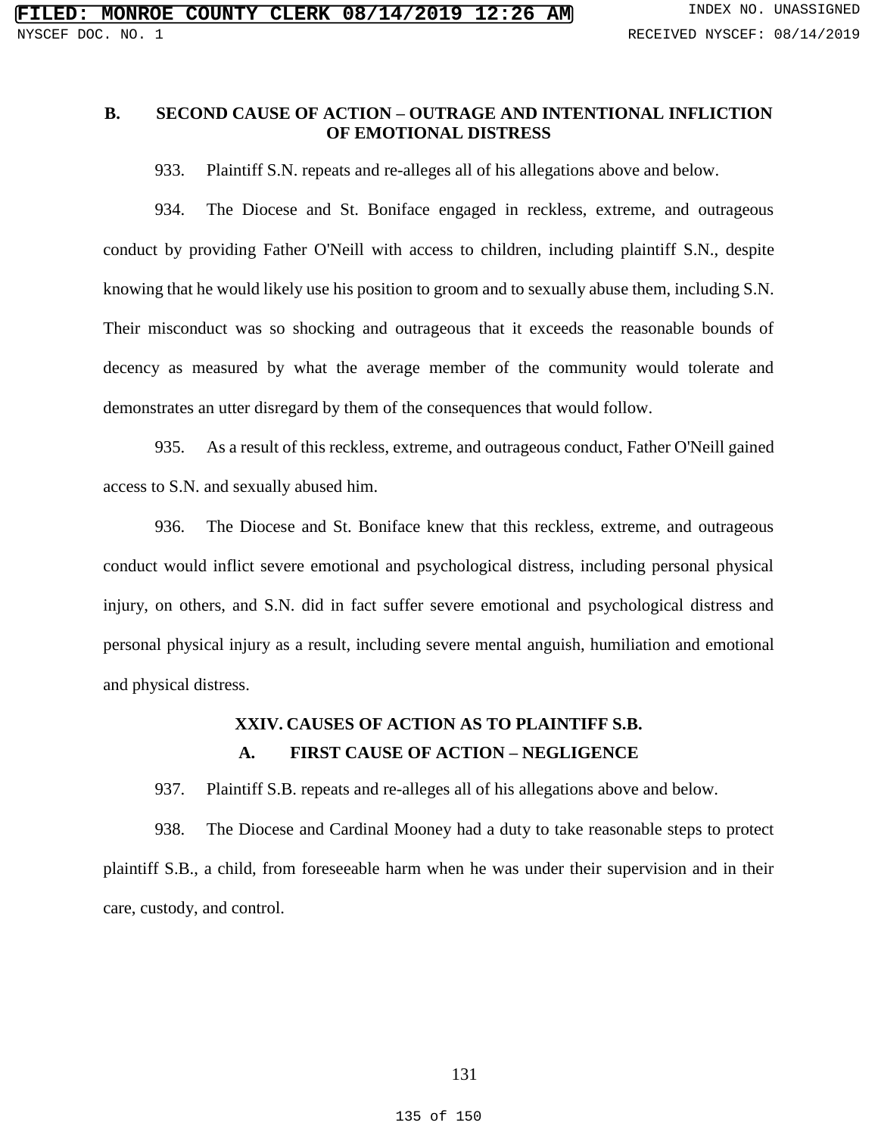## **B. SECOND CAUSE OF ACTION – OUTRAGE AND INTENTIONAL INFLICTION OF EMOTIONAL DISTRESS**

933. Plaintiff S.N. repeats and re-alleges all of his allegations above and below.

934. The Diocese and St. Boniface engaged in reckless, extreme, and outrageous conduct by providing Father O'Neill with access to children, including plaintiff S.N., despite knowing that he would likely use his position to groom and to sexually abuse them, including S.N. Their misconduct was so shocking and outrageous that it exceeds the reasonable bounds of decency as measured by what the average member of the community would tolerate and demonstrates an utter disregard by them of the consequences that would follow.

935. As a result of this reckless, extreme, and outrageous conduct, Father O'Neill gained access to S.N. and sexually abused him.

936. The Diocese and St. Boniface knew that this reckless, extreme, and outrageous conduct would inflict severe emotional and psychological distress, including personal physical injury, on others, and S.N. did in fact suffer severe emotional and psychological distress and personal physical injury as a result, including severe mental anguish, humiliation and emotional and physical distress.

# **XXIV. CAUSES OF ACTION AS TO PLAINTIFF S.B. A. FIRST CAUSE OF ACTION – NEGLIGENCE**

937. Plaintiff S.B. repeats and re-alleges all of his allegations above and below.

938. The Diocese and Cardinal Mooney had a duty to take reasonable steps to protect plaintiff S.B., a child, from foreseeable harm when he was under their supervision and in their care, custody, and control.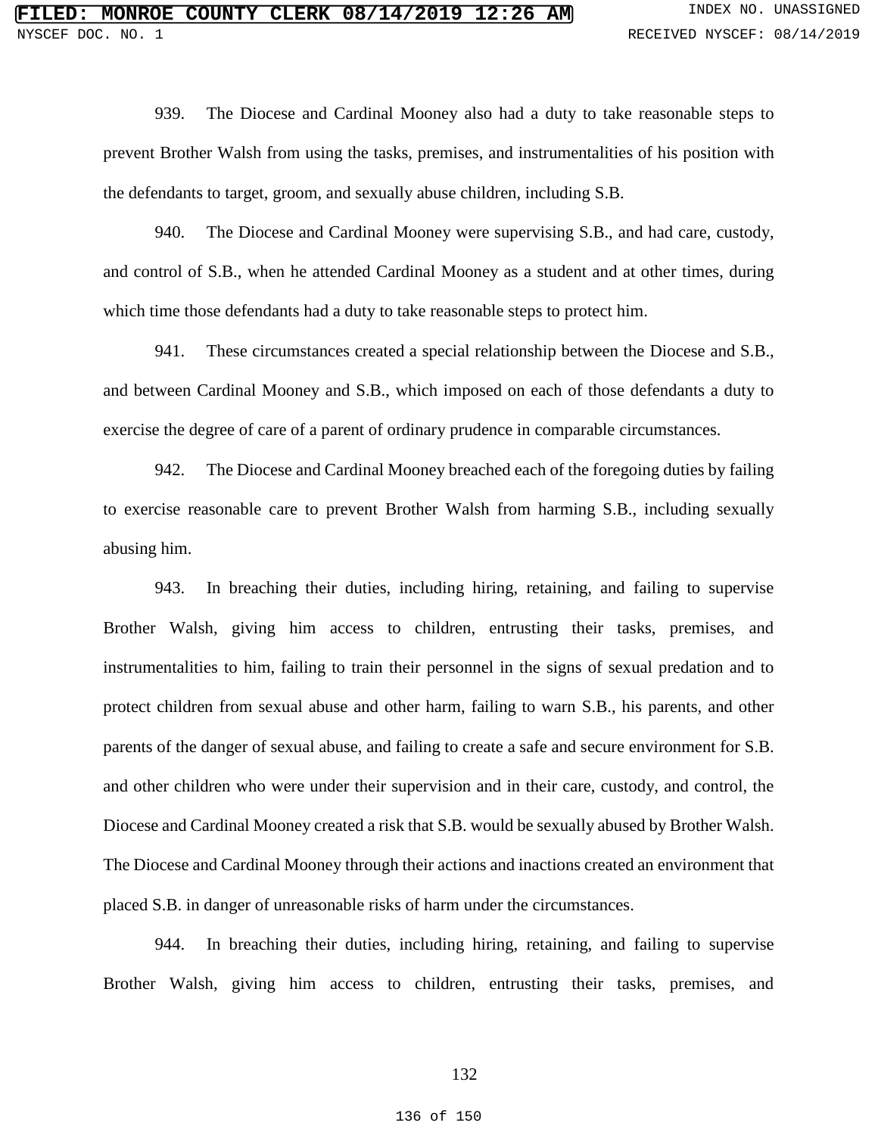939. The Diocese and Cardinal Mooney also had a duty to take reasonable steps to prevent Brother Walsh from using the tasks, premises, and instrumentalities of his position with the defendants to target, groom, and sexually abuse children, including S.B.

940. The Diocese and Cardinal Mooney were supervising S.B., and had care, custody, and control of S.B., when he attended Cardinal Mooney as a student and at other times, during which time those defendants had a duty to take reasonable steps to protect him.

941. These circumstances created a special relationship between the Diocese and S.B., and between Cardinal Mooney and S.B., which imposed on each of those defendants a duty to exercise the degree of care of a parent of ordinary prudence in comparable circumstances.

942. The Diocese and Cardinal Mooney breached each of the foregoing duties by failing to exercise reasonable care to prevent Brother Walsh from harming S.B., including sexually abusing him.

943. In breaching their duties, including hiring, retaining, and failing to supervise Brother Walsh, giving him access to children, entrusting their tasks, premises, and instrumentalities to him, failing to train their personnel in the signs of sexual predation and to protect children from sexual abuse and other harm, failing to warn S.B., his parents, and other parents of the danger of sexual abuse, and failing to create a safe and secure environment for S.B. and other children who were under their supervision and in their care, custody, and control, the Diocese and Cardinal Mooney created a risk that S.B. would be sexually abused by Brother Walsh. The Diocese and Cardinal Mooney through their actions and inactions created an environment that placed S.B. in danger of unreasonable risks of harm under the circumstances.

944. In breaching their duties, including hiring, retaining, and failing to supervise Brother Walsh, giving him access to children, entrusting their tasks, premises, and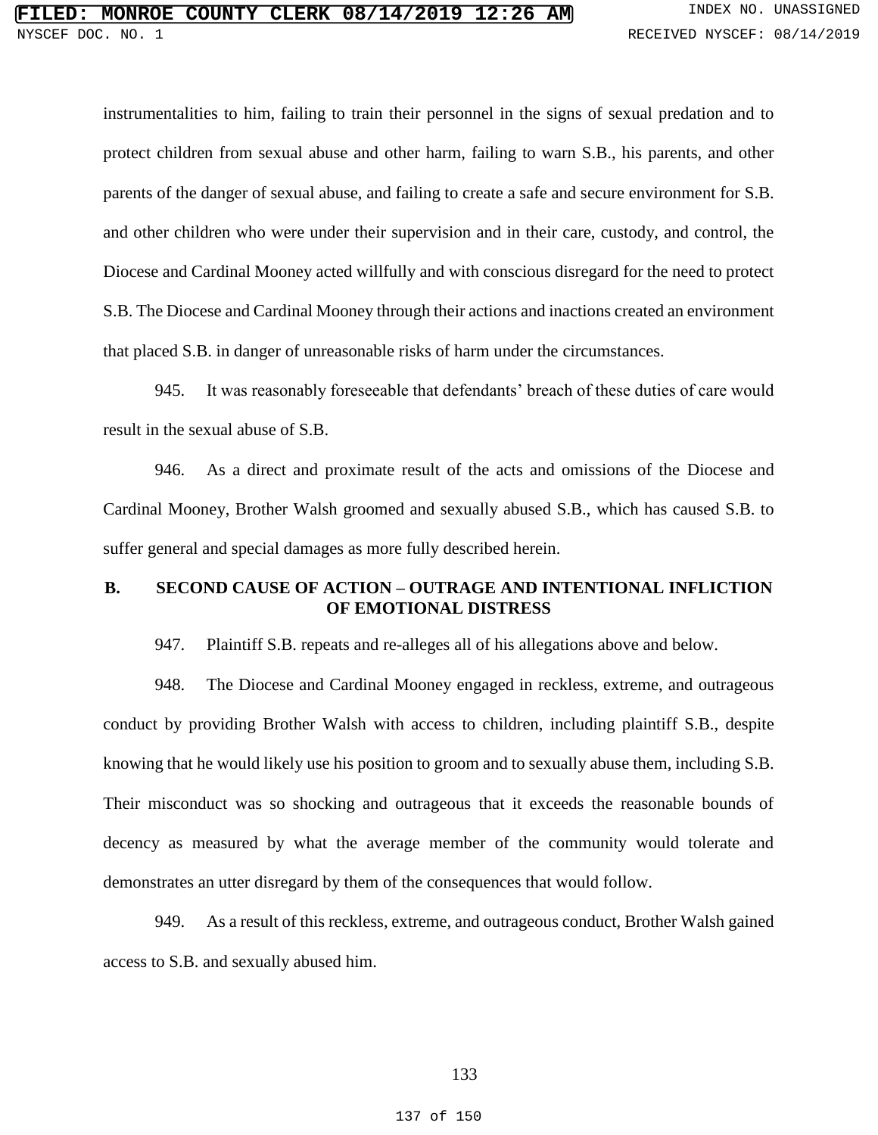instrumentalities to him, failing to train their personnel in the signs of sexual predation and to protect children from sexual abuse and other harm, failing to warn S.B., his parents, and other parents of the danger of sexual abuse, and failing to create a safe and secure environment for S.B. and other children who were under their supervision and in their care, custody, and control, the Diocese and Cardinal Mooney acted willfully and with conscious disregard for the need to protect S.B. The Diocese and Cardinal Mooney through their actions and inactions created an environment that placed S.B. in danger of unreasonable risks of harm under the circumstances.

945. It was reasonably foreseeable that defendants' breach of these duties of care would result in the sexual abuse of S.B.

946. As a direct and proximate result of the acts and omissions of the Diocese and Cardinal Mooney, Brother Walsh groomed and sexually abused S.B., which has caused S.B. to suffer general and special damages as more fully described herein.

### **B. SECOND CAUSE OF ACTION – OUTRAGE AND INTENTIONAL INFLICTION OF EMOTIONAL DISTRESS**

947. Plaintiff S.B. repeats and re-alleges all of his allegations above and below.

948. The Diocese and Cardinal Mooney engaged in reckless, extreme, and outrageous conduct by providing Brother Walsh with access to children, including plaintiff S.B., despite knowing that he would likely use his position to groom and to sexually abuse them, including S.B. Their misconduct was so shocking and outrageous that it exceeds the reasonable bounds of decency as measured by what the average member of the community would tolerate and demonstrates an utter disregard by them of the consequences that would follow.

949. As a result of this reckless, extreme, and outrageous conduct, Brother Walsh gained access to S.B. and sexually abused him.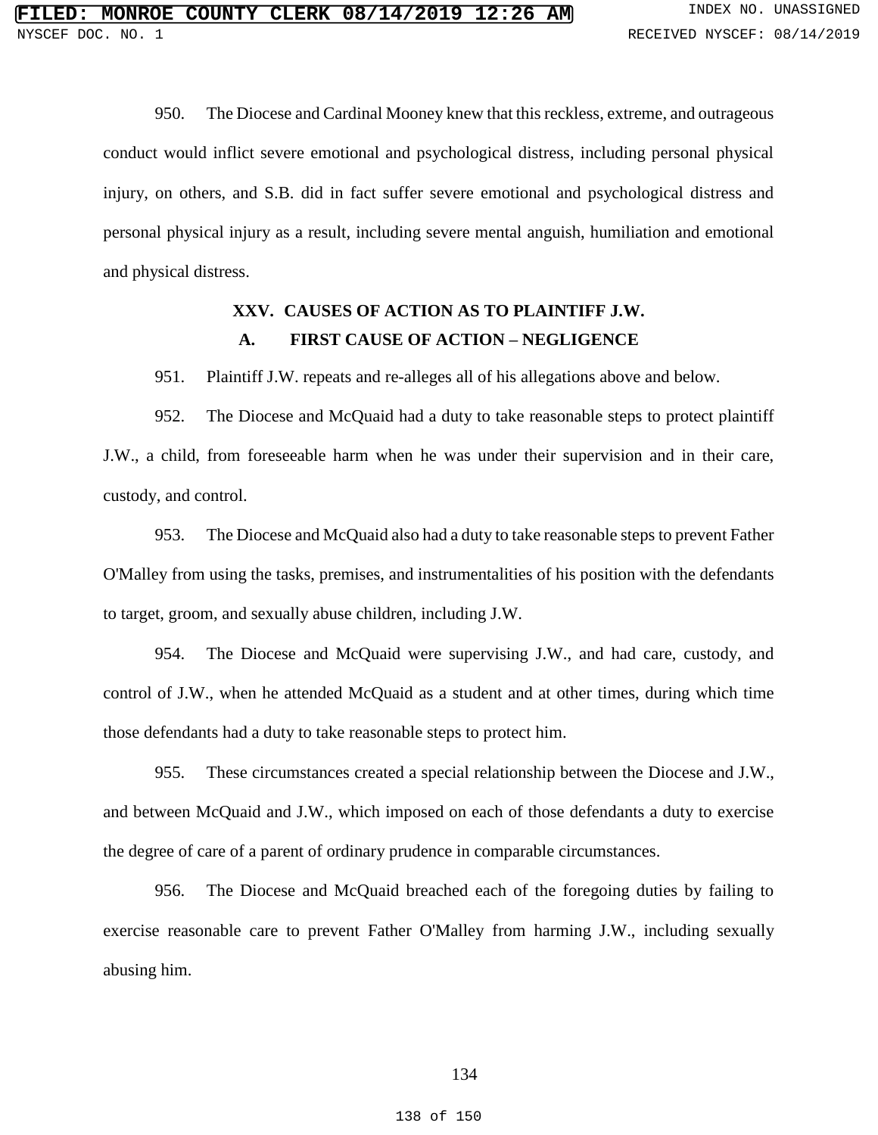950. The Diocese and Cardinal Mooney knew that this reckless, extreme, and outrageous conduct would inflict severe emotional and psychological distress, including personal physical injury, on others, and S.B. did in fact suffer severe emotional and psychological distress and personal physical injury as a result, including severe mental anguish, humiliation and emotional and physical distress.

## **XXV. CAUSES OF ACTION AS TO PLAINTIFF J.W. A. FIRST CAUSE OF ACTION – NEGLIGENCE**

951. Plaintiff J.W. repeats and re-alleges all of his allegations above and below.

952. The Diocese and McQuaid had a duty to take reasonable steps to protect plaintiff J.W., a child, from foreseeable harm when he was under their supervision and in their care, custody, and control.

953. The Diocese and McQuaid also had a duty to take reasonable steps to prevent Father O'Malley from using the tasks, premises, and instrumentalities of his position with the defendants to target, groom, and sexually abuse children, including J.W.

954. The Diocese and McQuaid were supervising J.W., and had care, custody, and control of J.W., when he attended McQuaid as a student and at other times, during which time those defendants had a duty to take reasonable steps to protect him.

955. These circumstances created a special relationship between the Diocese and J.W., and between McQuaid and J.W., which imposed on each of those defendants a duty to exercise the degree of care of a parent of ordinary prudence in comparable circumstances.

956. The Diocese and McQuaid breached each of the foregoing duties by failing to exercise reasonable care to prevent Father O'Malley from harming J.W., including sexually abusing him.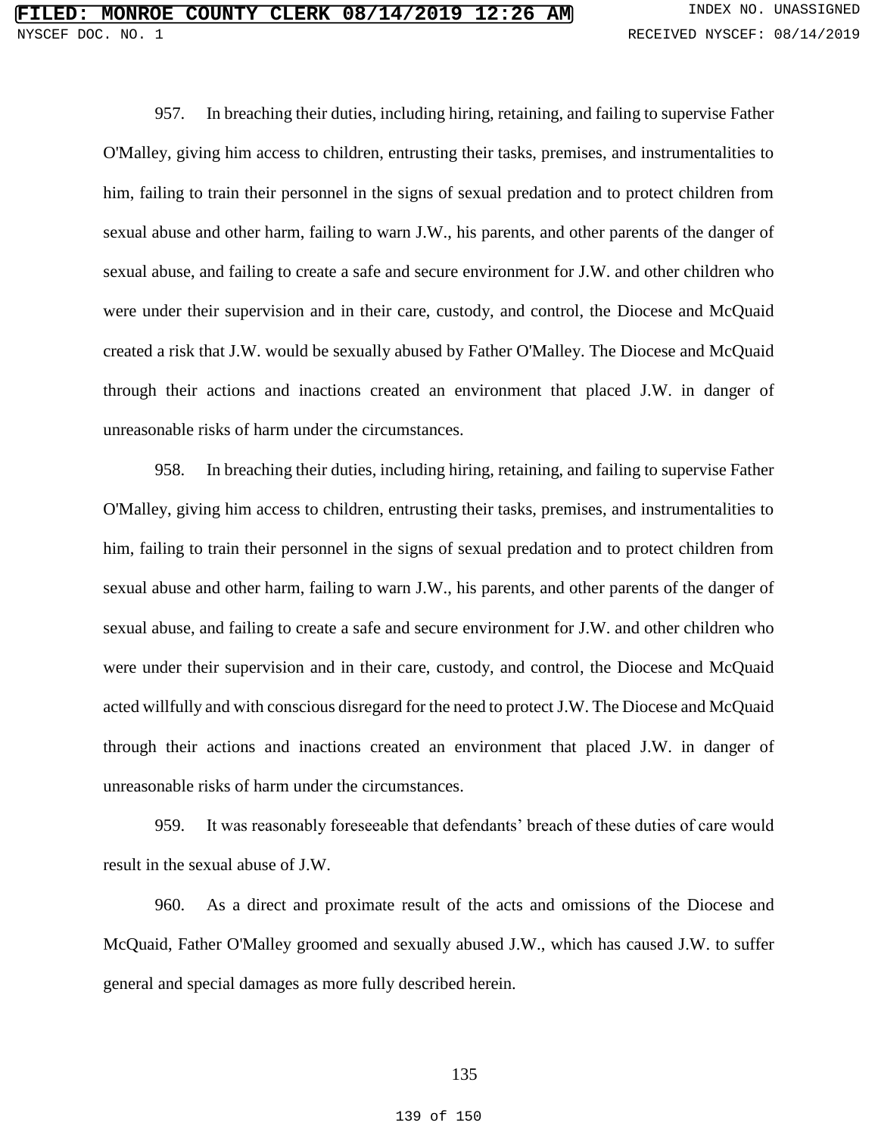957. In breaching their duties, including hiring, retaining, and failing to supervise Father O'Malley, giving him access to children, entrusting their tasks, premises, and instrumentalities to him, failing to train their personnel in the signs of sexual predation and to protect children from sexual abuse and other harm, failing to warn J.W., his parents, and other parents of the danger of sexual abuse, and failing to create a safe and secure environment for J.W. and other children who were under their supervision and in their care, custody, and control, the Diocese and McQuaid created a risk that J.W. would be sexually abused by Father O'Malley. The Diocese and McQuaid through their actions and inactions created an environment that placed J.W. in danger of unreasonable risks of harm under the circumstances.

958. In breaching their duties, including hiring, retaining, and failing to supervise Father O'Malley, giving him access to children, entrusting their tasks, premises, and instrumentalities to him, failing to train their personnel in the signs of sexual predation and to protect children from sexual abuse and other harm, failing to warn J.W., his parents, and other parents of the danger of sexual abuse, and failing to create a safe and secure environment for J.W. and other children who were under their supervision and in their care, custody, and control, the Diocese and McQuaid acted willfully and with conscious disregard for the need to protect J.W. The Diocese and McQuaid through their actions and inactions created an environment that placed J.W. in danger of unreasonable risks of harm under the circumstances.

959. It was reasonably foreseeable that defendants' breach of these duties of care would result in the sexual abuse of J.W.

960. As a direct and proximate result of the acts and omissions of the Diocese and McQuaid, Father O'Malley groomed and sexually abused J.W., which has caused J.W. to suffer general and special damages as more fully described herein.

### 135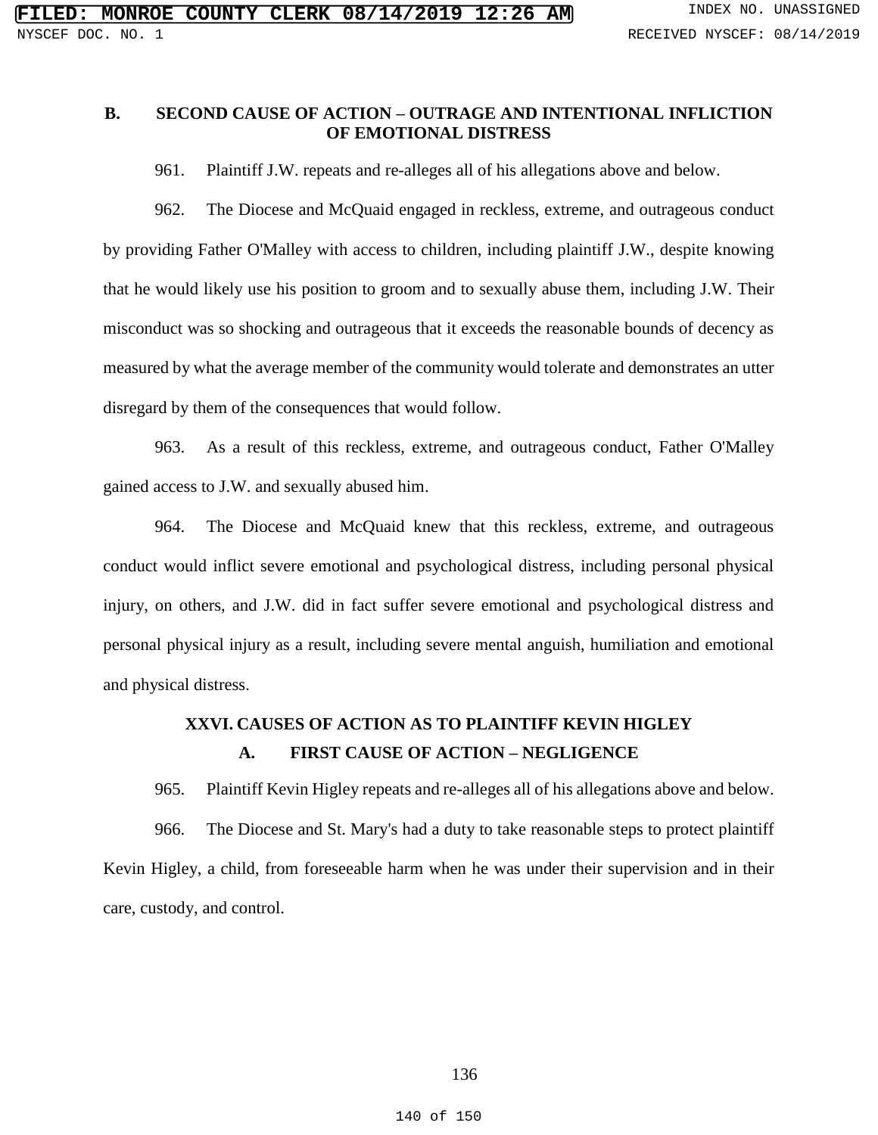## **B. SECOND CAUSE OF ACTION – OUTRAGE AND INTENTIONAL INFLICTION OF EMOTIONAL DISTRESS**

961. Plaintiff J.W. repeats and re-alleges all of his allegations above and below.

962. The Diocese and McQuaid engaged in reckless, extreme, and outrageous conduct by providing Father O'Malley with access to children, including plaintiff J.W., despite knowing that he would likely use his position to groom and to sexually abuse them, including J.W. Their misconduct was so shocking and outrageous that it exceeds the reasonable bounds of decency as measured by what the average member of the community would tolerate and demonstrates an utter disregard by them of the consequences that would follow.

963. As a result of this reckless, extreme, and outrageous conduct, Father O'Malley gained access to J.W. and sexually abused him.

964. The Diocese and McQuaid knew that this reckless, extreme, and outrageous conduct would inflict severe emotional and psychological distress, including personal physical injury, on others, and J.W. did in fact suffer severe emotional and psychological distress and personal physical injury as a result, including severe mental anguish, humiliation and emotional and physical distress.

# **XXVI. CAUSES OF ACTION AS TO PLAINTIFF KEVIN HIGLEY A. FIRST CAUSE OF ACTION – NEGLIGENCE**

965. Plaintiff Kevin Higley repeats and re-alleges all of his allegations above and below. 966. The Diocese and St. Mary's had a duty to take reasonable steps to protect plaintiff Kevin Higley, a child, from foreseeable harm when he was under their supervision and in their care, custody, and control.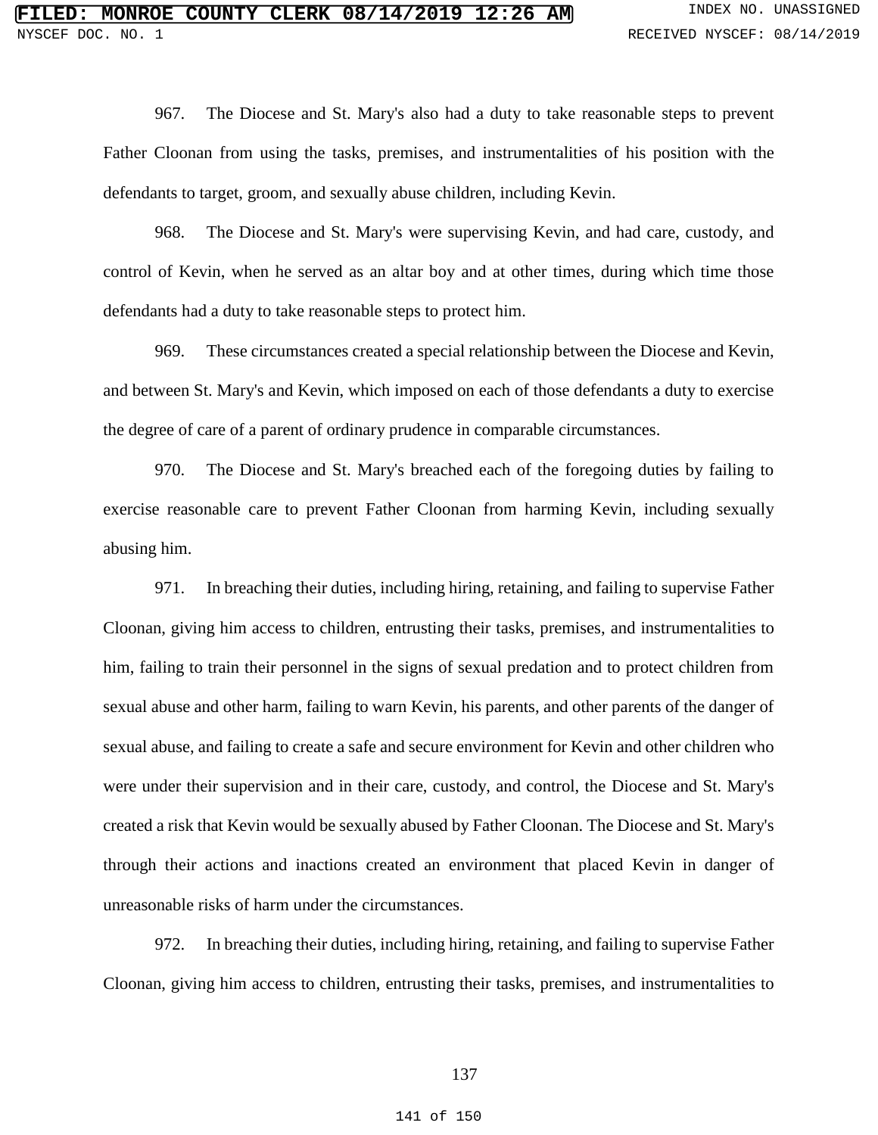967. The Diocese and St. Mary's also had a duty to take reasonable steps to prevent Father Cloonan from using the tasks, premises, and instrumentalities of his position with the defendants to target, groom, and sexually abuse children, including Kevin.

968. The Diocese and St. Mary's were supervising Kevin, and had care, custody, and control of Kevin, when he served as an altar boy and at other times, during which time those defendants had a duty to take reasonable steps to protect him.

969. These circumstances created a special relationship between the Diocese and Kevin, and between St. Mary's and Kevin, which imposed on each of those defendants a duty to exercise the degree of care of a parent of ordinary prudence in comparable circumstances.

970. The Diocese and St. Mary's breached each of the foregoing duties by failing to exercise reasonable care to prevent Father Cloonan from harming Kevin, including sexually abusing him.

971. In breaching their duties, including hiring, retaining, and failing to supervise Father Cloonan, giving him access to children, entrusting their tasks, premises, and instrumentalities to him, failing to train their personnel in the signs of sexual predation and to protect children from sexual abuse and other harm, failing to warn Kevin, his parents, and other parents of the danger of sexual abuse, and failing to create a safe and secure environment for Kevin and other children who were under their supervision and in their care, custody, and control, the Diocese and St. Mary's created a risk that Kevin would be sexually abused by Father Cloonan. The Diocese and St. Mary's through their actions and inactions created an environment that placed Kevin in danger of unreasonable risks of harm under the circumstances.

972. In breaching their duties, including hiring, retaining, and failing to supervise Father Cloonan, giving him access to children, entrusting their tasks, premises, and instrumentalities to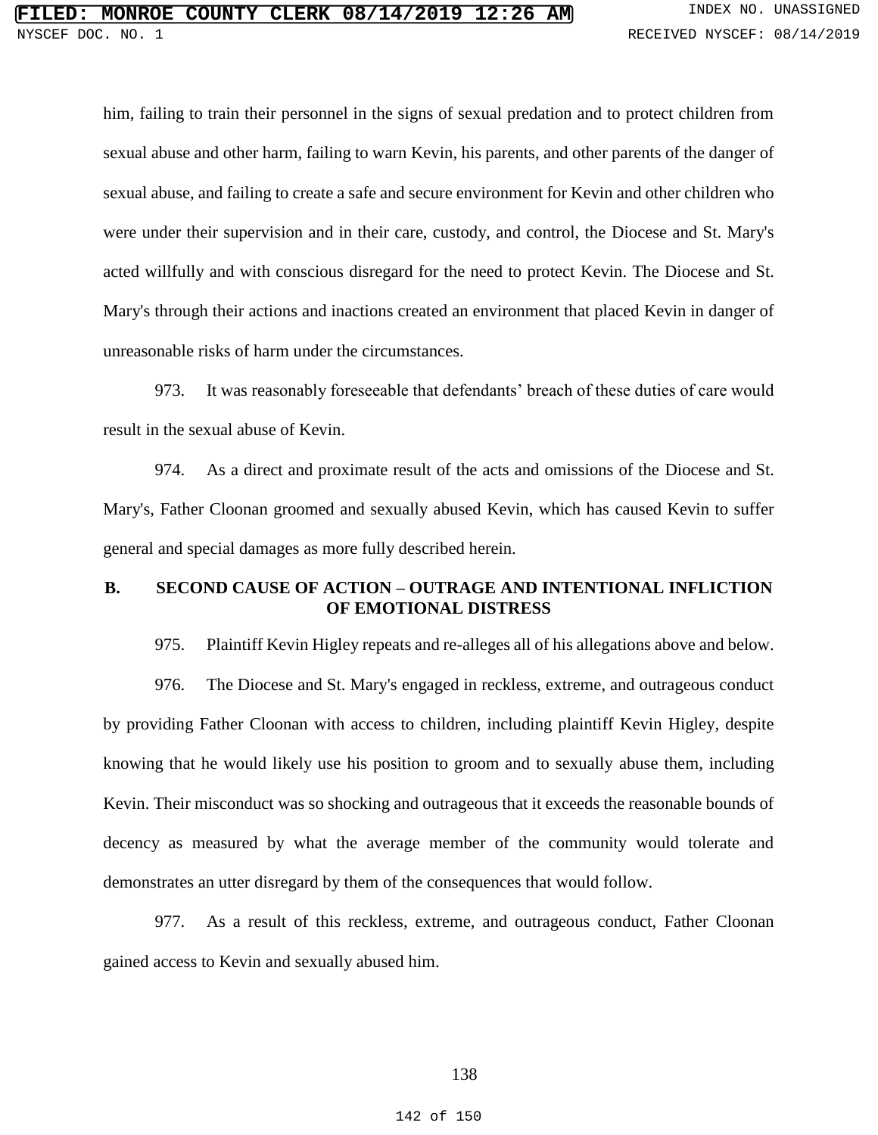him, failing to train their personnel in the signs of sexual predation and to protect children from sexual abuse and other harm, failing to warn Kevin, his parents, and other parents of the danger of sexual abuse, and failing to create a safe and secure environment for Kevin and other children who were under their supervision and in their care, custody, and control, the Diocese and St. Mary's acted willfully and with conscious disregard for the need to protect Kevin. The Diocese and St. Mary's through their actions and inactions created an environment that placed Kevin in danger of unreasonable risks of harm under the circumstances.

973. It was reasonably foreseeable that defendants' breach of these duties of care would result in the sexual abuse of Kevin.

974. As a direct and proximate result of the acts and omissions of the Diocese and St. Mary's, Father Cloonan groomed and sexually abused Kevin, which has caused Kevin to suffer general and special damages as more fully described herein.

### **B. SECOND CAUSE OF ACTION – OUTRAGE AND INTENTIONAL INFLICTION OF EMOTIONAL DISTRESS**

975. Plaintiff Kevin Higley repeats and re-alleges all of his allegations above and below.

976. The Diocese and St. Mary's engaged in reckless, extreme, and outrageous conduct by providing Father Cloonan with access to children, including plaintiff Kevin Higley, despite knowing that he would likely use his position to groom and to sexually abuse them, including Kevin. Their misconduct was so shocking and outrageous that it exceeds the reasonable bounds of decency as measured by what the average member of the community would tolerate and demonstrates an utter disregard by them of the consequences that would follow.

977. As a result of this reckless, extreme, and outrageous conduct, Father Cloonan gained access to Kevin and sexually abused him.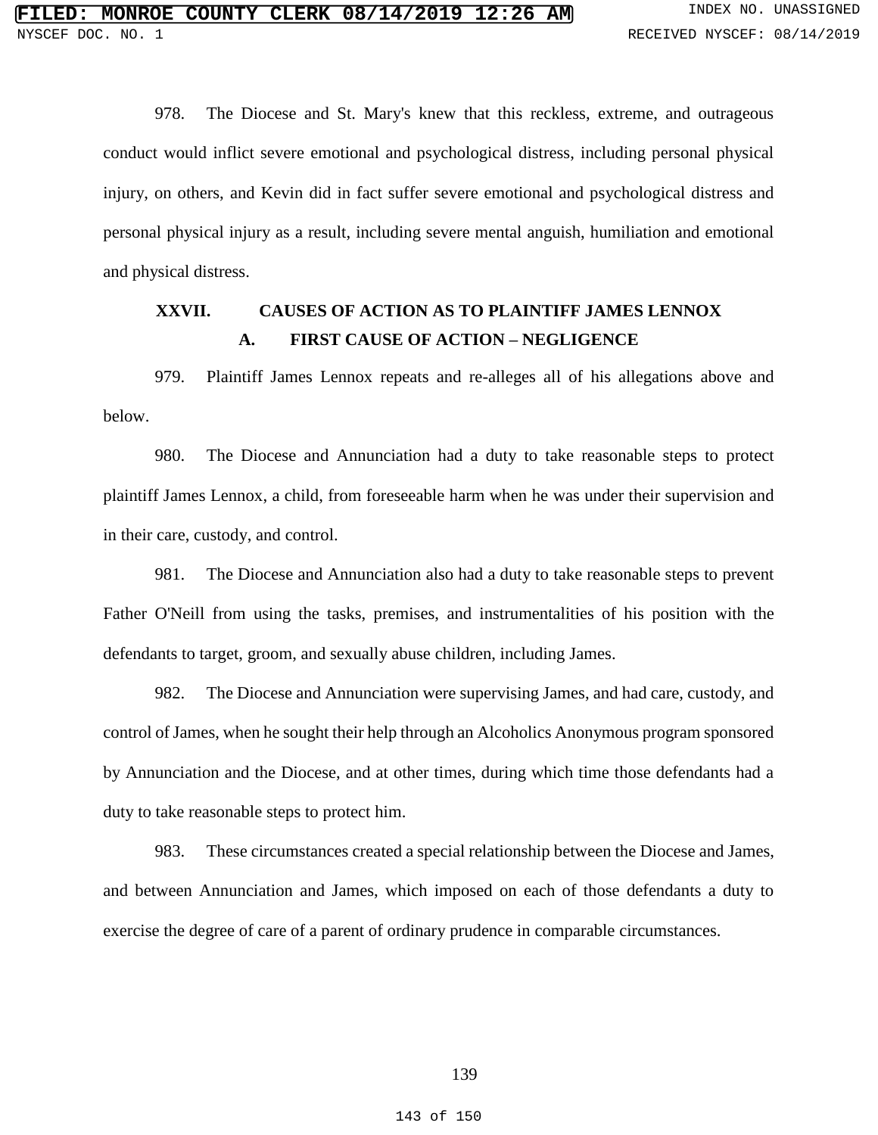978. The Diocese and St. Mary's knew that this reckless, extreme, and outrageous conduct would inflict severe emotional and psychological distress, including personal physical injury, on others, and Kevin did in fact suffer severe emotional and psychological distress and personal physical injury as a result, including severe mental anguish, humiliation and emotional and physical distress.

# **XXVII. CAUSES OF ACTION AS TO PLAINTIFF JAMES LENNOX A. FIRST CAUSE OF ACTION – NEGLIGENCE**

979. Plaintiff James Lennox repeats and re-alleges all of his allegations above and below.

980. The Diocese and Annunciation had a duty to take reasonable steps to protect plaintiff James Lennox, a child, from foreseeable harm when he was under their supervision and in their care, custody, and control.

981. The Diocese and Annunciation also had a duty to take reasonable steps to prevent Father O'Neill from using the tasks, premises, and instrumentalities of his position with the defendants to target, groom, and sexually abuse children, including James.

982. The Diocese and Annunciation were supervising James, and had care, custody, and control of James, when he sought their help through an Alcoholics Anonymous program sponsored by Annunciation and the Diocese, and at other times, during which time those defendants had a duty to take reasonable steps to protect him.

983. These circumstances created a special relationship between the Diocese and James, and between Annunciation and James, which imposed on each of those defendants a duty to exercise the degree of care of a parent of ordinary prudence in comparable circumstances.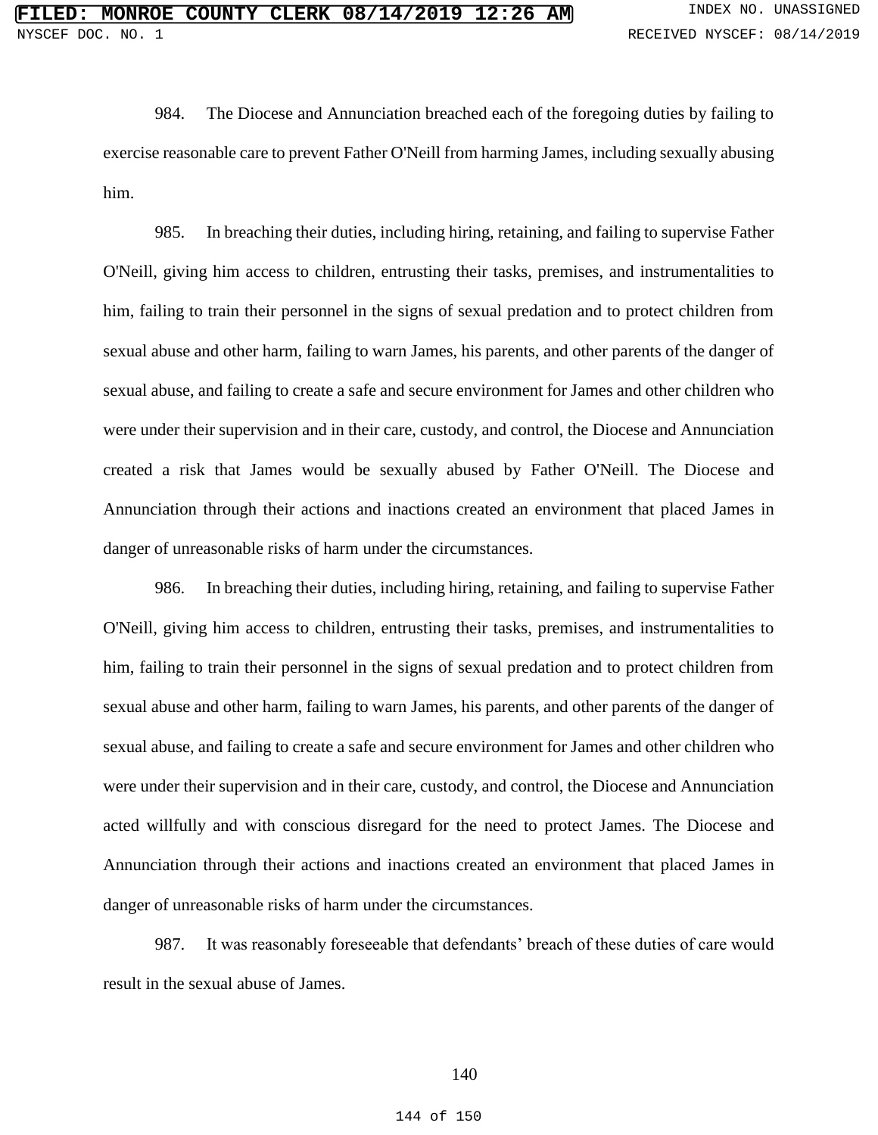984. The Diocese and Annunciation breached each of the foregoing duties by failing to exercise reasonable care to prevent Father O'Neill from harming James, including sexually abusing him.

985. In breaching their duties, including hiring, retaining, and failing to supervise Father O'Neill, giving him access to children, entrusting their tasks, premises, and instrumentalities to him, failing to train their personnel in the signs of sexual predation and to protect children from sexual abuse and other harm, failing to warn James, his parents, and other parents of the danger of sexual abuse, and failing to create a safe and secure environment for James and other children who were under their supervision and in their care, custody, and control, the Diocese and Annunciation created a risk that James would be sexually abused by Father O'Neill. The Diocese and Annunciation through their actions and inactions created an environment that placed James in danger of unreasonable risks of harm under the circumstances.

986. In breaching their duties, including hiring, retaining, and failing to supervise Father O'Neill, giving him access to children, entrusting their tasks, premises, and instrumentalities to him, failing to train their personnel in the signs of sexual predation and to protect children from sexual abuse and other harm, failing to warn James, his parents, and other parents of the danger of sexual abuse, and failing to create a safe and secure environment for James and other children who were under their supervision and in their care, custody, and control, the Diocese and Annunciation acted willfully and with conscious disregard for the need to protect James. The Diocese and Annunciation through their actions and inactions created an environment that placed James in danger of unreasonable risks of harm under the circumstances.

987. It was reasonably foreseeable that defendants' breach of these duties of care would result in the sexual abuse of James.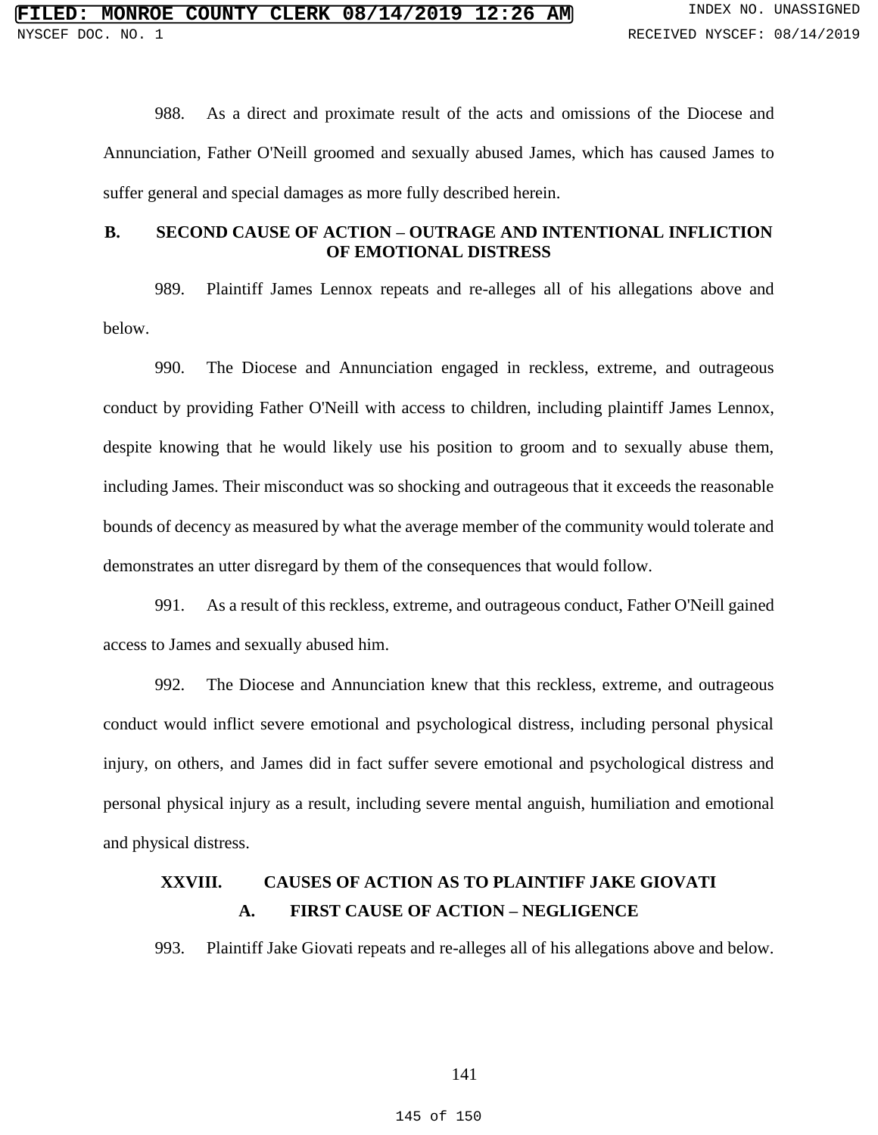988. As a direct and proximate result of the acts and omissions of the Diocese and Annunciation, Father O'Neill groomed and sexually abused James, which has caused James to suffer general and special damages as more fully described herein.

# **B. SECOND CAUSE OF ACTION – OUTRAGE AND INTENTIONAL INFLICTION OF EMOTIONAL DISTRESS**

989. Plaintiff James Lennox repeats and re-alleges all of his allegations above and below.

990. The Diocese and Annunciation engaged in reckless, extreme, and outrageous conduct by providing Father O'Neill with access to children, including plaintiff James Lennox, despite knowing that he would likely use his position to groom and to sexually abuse them, including James. Their misconduct was so shocking and outrageous that it exceeds the reasonable bounds of decency as measured by what the average member of the community would tolerate and demonstrates an utter disregard by them of the consequences that would follow.

991. As a result of this reckless, extreme, and outrageous conduct, Father O'Neill gained access to James and sexually abused him.

992. The Diocese and Annunciation knew that this reckless, extreme, and outrageous conduct would inflict severe emotional and psychological distress, including personal physical injury, on others, and James did in fact suffer severe emotional and psychological distress and personal physical injury as a result, including severe mental anguish, humiliation and emotional and physical distress.

# **XXVIII. CAUSES OF ACTION AS TO PLAINTIFF JAKE GIOVATI A. FIRST CAUSE OF ACTION – NEGLIGENCE**

993. Plaintiff Jake Giovati repeats and re-alleges all of his allegations above and below.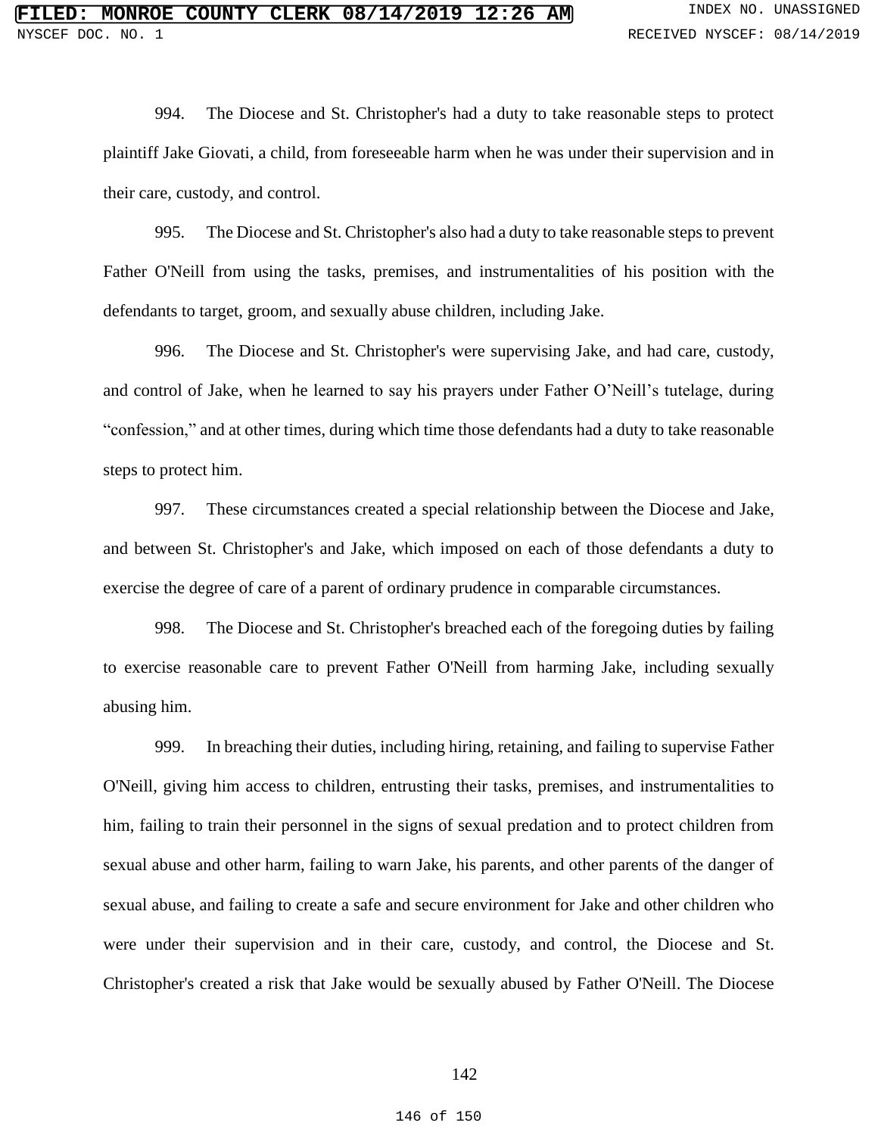994. The Diocese and St. Christopher's had a duty to take reasonable steps to protect plaintiff Jake Giovati, a child, from foreseeable harm when he was under their supervision and in their care, custody, and control.

995. The Diocese and St. Christopher's also had a duty to take reasonable steps to prevent Father O'Neill from using the tasks, premises, and instrumentalities of his position with the defendants to target, groom, and sexually abuse children, including Jake.

996. The Diocese and St. Christopher's were supervising Jake, and had care, custody, and control of Jake, when he learned to say his prayers under Father O'Neill's tutelage, during "confession," and at other times, during which time those defendants had a duty to take reasonable steps to protect him.

997. These circumstances created a special relationship between the Diocese and Jake, and between St. Christopher's and Jake, which imposed on each of those defendants a duty to exercise the degree of care of a parent of ordinary prudence in comparable circumstances.

998. The Diocese and St. Christopher's breached each of the foregoing duties by failing to exercise reasonable care to prevent Father O'Neill from harming Jake, including sexually abusing him.

999. In breaching their duties, including hiring, retaining, and failing to supervise Father O'Neill, giving him access to children, entrusting their tasks, premises, and instrumentalities to him, failing to train their personnel in the signs of sexual predation and to protect children from sexual abuse and other harm, failing to warn Jake, his parents, and other parents of the danger of sexual abuse, and failing to create a safe and secure environment for Jake and other children who were under their supervision and in their care, custody, and control, the Diocese and St. Christopher's created a risk that Jake would be sexually abused by Father O'Neill. The Diocese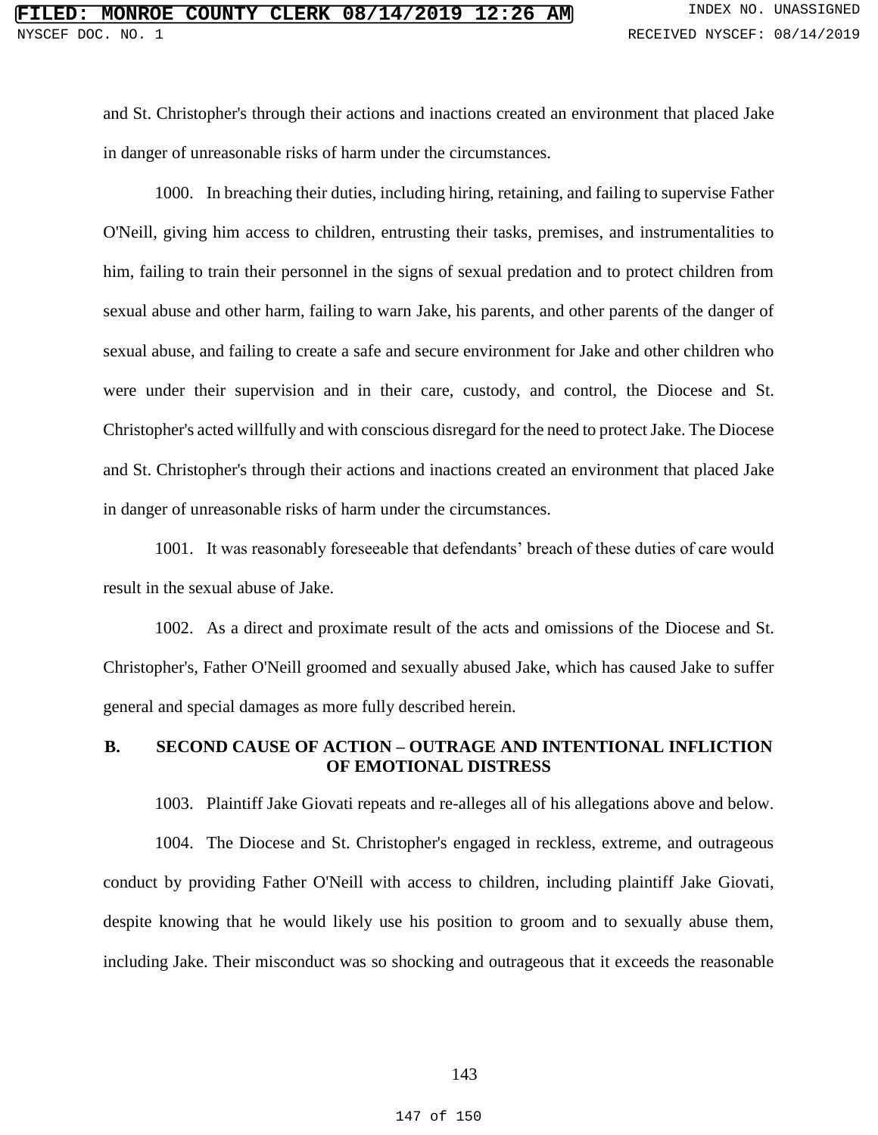and St. Christopher's through their actions and inactions created an environment that placed Jake in danger of unreasonable risks of harm under the circumstances.

1000. In breaching their duties, including hiring, retaining, and failing to supervise Father O'Neill, giving him access to children, entrusting their tasks, premises, and instrumentalities to him, failing to train their personnel in the signs of sexual predation and to protect children from sexual abuse and other harm, failing to warn Jake, his parents, and other parents of the danger of sexual abuse, and failing to create a safe and secure environment for Jake and other children who were under their supervision and in their care, custody, and control, the Diocese and St. Christopher's acted willfully and with conscious disregard for the need to protect Jake. The Diocese and St. Christopher's through their actions and inactions created an environment that placed Jake in danger of unreasonable risks of harm under the circumstances.

1001. It was reasonably foreseeable that defendants' breach of these duties of care would result in the sexual abuse of Jake.

1002. As a direct and proximate result of the acts and omissions of the Diocese and St. Christopher's, Father O'Neill groomed and sexually abused Jake, which has caused Jake to suffer general and special damages as more fully described herein.

## **B. SECOND CAUSE OF ACTION – OUTRAGE AND INTENTIONAL INFLICTION OF EMOTIONAL DISTRESS**

1003. Plaintiff Jake Giovati repeats and re-alleges all of his allegations above and below.

1004. The Diocese and St. Christopher's engaged in reckless, extreme, and outrageous conduct by providing Father O'Neill with access to children, including plaintiff Jake Giovati, despite knowing that he would likely use his position to groom and to sexually abuse them, including Jake. Their misconduct was so shocking and outrageous that it exceeds the reasonable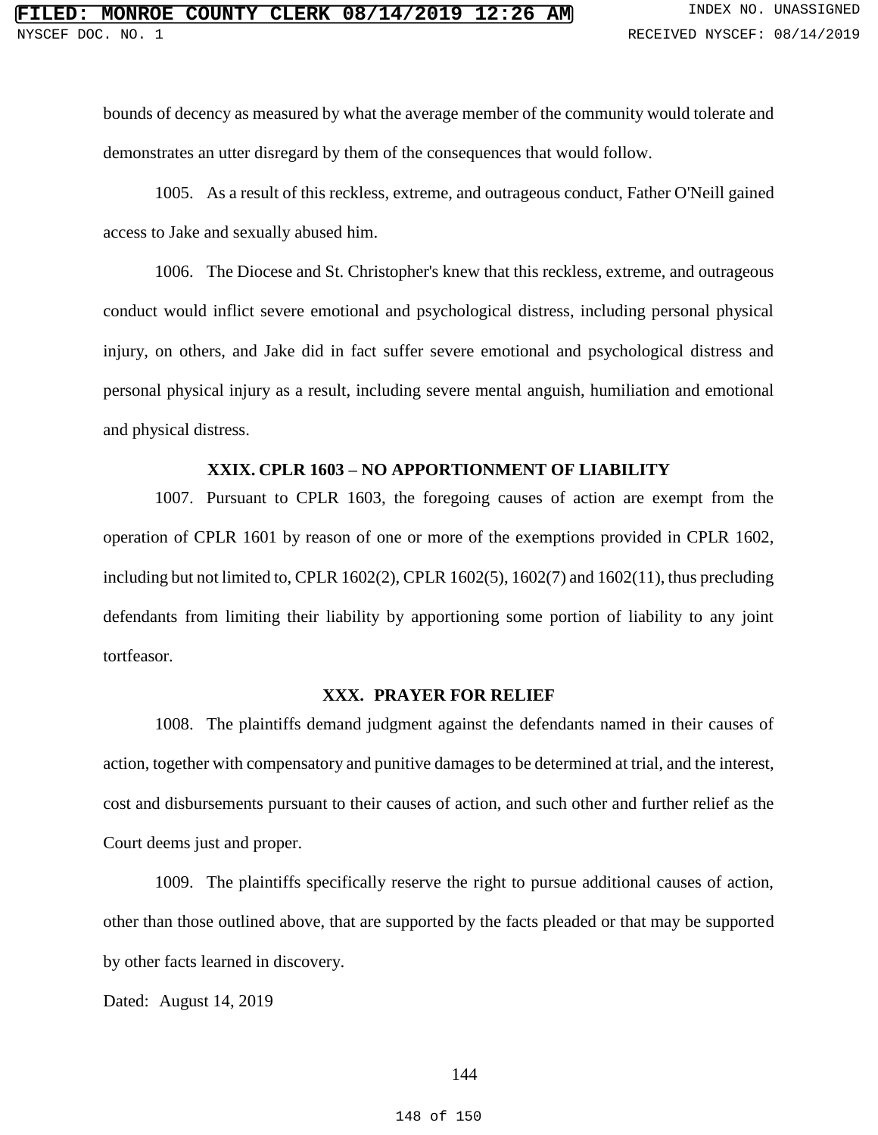bounds of decency as measured by what the average member of the community would tolerate and demonstrates an utter disregard by them of the consequences that would follow.

1005. As a result of this reckless, extreme, and outrageous conduct, Father O'Neill gained access to Jake and sexually abused him.

1006. The Diocese and St. Christopher's knew that this reckless, extreme, and outrageous conduct would inflict severe emotional and psychological distress, including personal physical injury, on others, and Jake did in fact suffer severe emotional and psychological distress and personal physical injury as a result, including severe mental anguish, humiliation and emotional and physical distress.

#### **XXIX. CPLR 1603 – NO APPORTIONMENT OF LIABILITY**

1007. Pursuant to CPLR 1603, the foregoing causes of action are exempt from the operation of CPLR 1601 by reason of one or more of the exemptions provided in CPLR 1602, including but not limited to, CPLR  $1602(2)$ , CPLR  $1602(5)$ ,  $1602(7)$  and  $1602(11)$ , thus precluding defendants from limiting their liability by apportioning some portion of liability to any joint tortfeasor.

### **XXX. PRAYER FOR RELIEF**

1008. The plaintiffs demand judgment against the defendants named in their causes of action, together with compensatory and punitive damages to be determined at trial, and the interest, cost and disbursements pursuant to their causes of action, and such other and further relief as the Court deems just and proper.

1009. The plaintiffs specifically reserve the right to pursue additional causes of action, other than those outlined above, that are supported by the facts pleaded or that may be supported by other facts learned in discovery.

Dated: August 14, 2019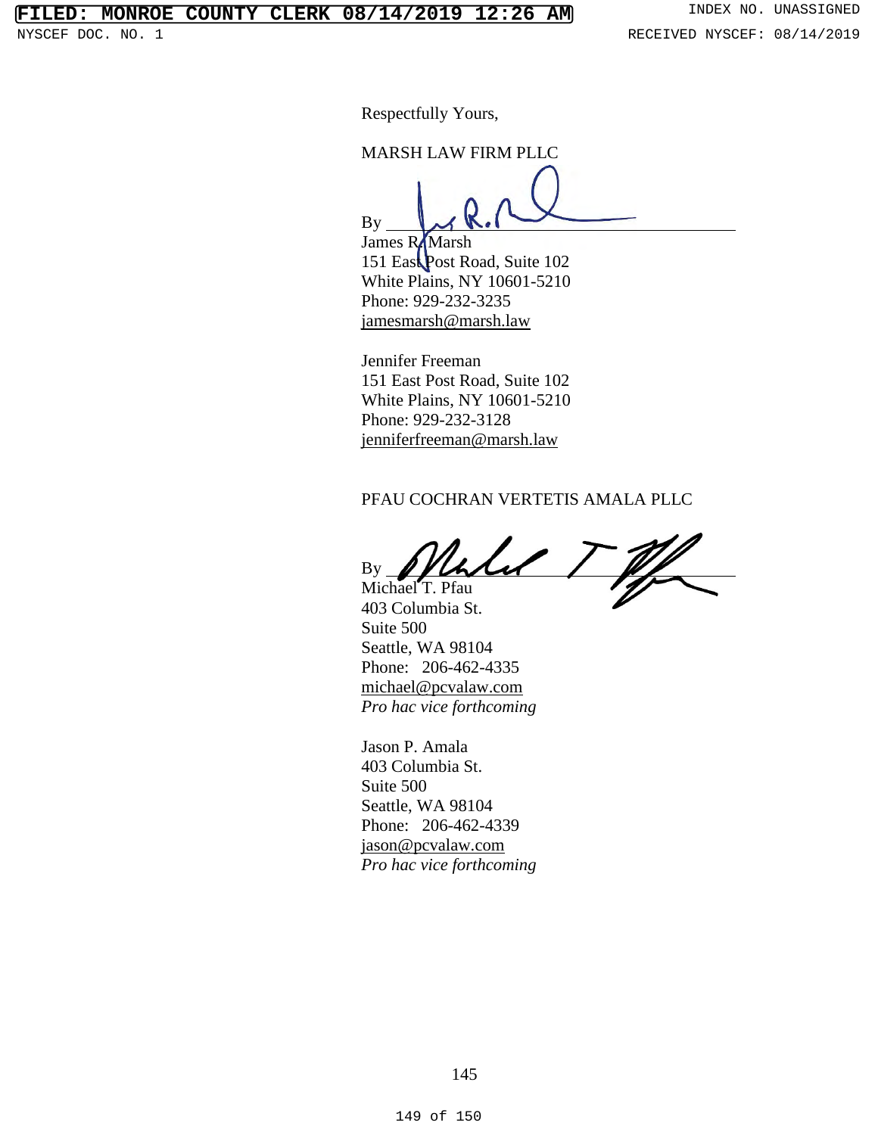# **FILED: MONROE COUNTY CLERK 08/14/2019 12:26 AM** INDEX NO. UNASSIGNED

Respectfully Yours,

MARSH LAW FIRM PLLC

By

James R**/**Marsh 151 East Post Road, Suite 102 White Plains, NY 10601-5210 Phone: 929-232-3235 jamesmarsh@marsh.law

Jennifer Freeman 151 East Post Road, Suite 102 White Plains, NY 10601-5210 Phone: 929-232-3128 jenniferfreeman@marsh.law

#### PFAU COCHRAN VERTETIS AMALA PLLC

By Michael T. Pfau

403 Columbia St. Suite 500 Seattle, WA 98104 Phone: 206-462-4335 michael@pcvalaw.com *Pro hac vice forthcoming*

Jason P. Amala 403 Columbia St. Suite 500 Seattle, WA 98104 Phone: 206-462-4339 jason@pcvalaw.com *Pro hac vice forthcoming*